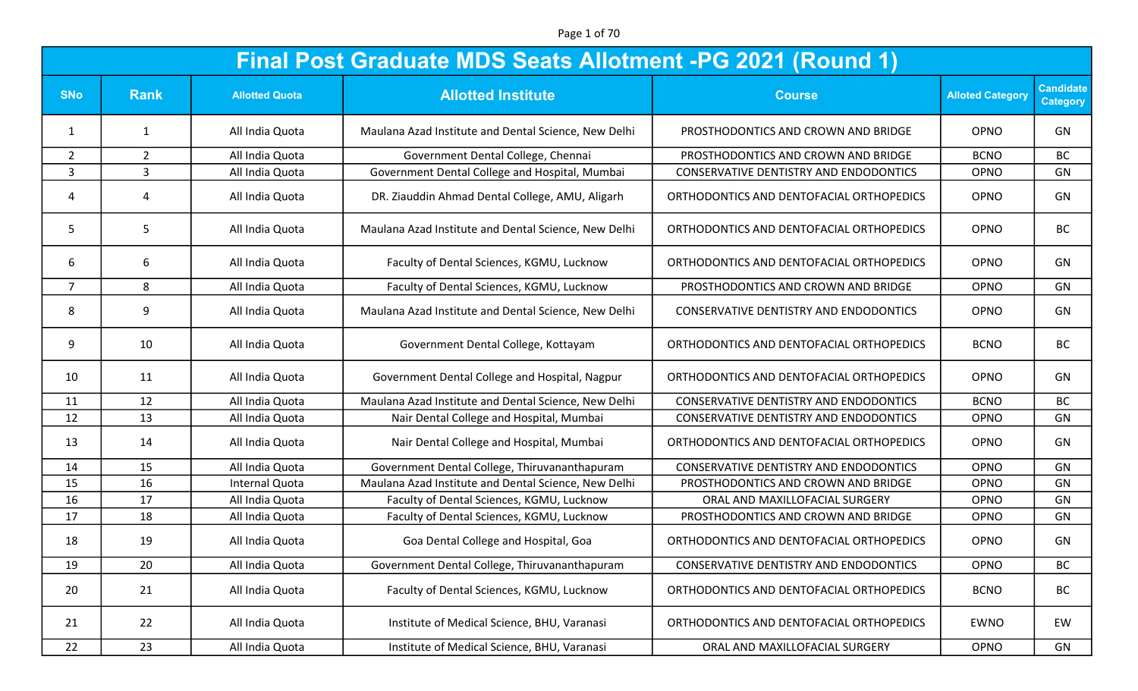Page 1 of 70

|                | <b>Final Post Graduate MDS Seats Allotment -PG 2021 (Round 1)</b> |                       |                                                      |                                               |                         |                                     |  |  |
|----------------|-------------------------------------------------------------------|-----------------------|------------------------------------------------------|-----------------------------------------------|-------------------------|-------------------------------------|--|--|
| <b>SNo</b>     | <b>Rank</b>                                                       | <b>Allotted Quota</b> | <b>Allotted Institute</b>                            | <b>Course</b>                                 | <b>Alloted Category</b> | <b>Candidate</b><br><b>Category</b> |  |  |
| $\mathbf{1}$   | $\mathbf{1}$                                                      | All India Quota       | Maulana Azad Institute and Dental Science, New Delhi | PROSTHODONTICS AND CROWN AND BRIDGE           | OPNO                    | GN                                  |  |  |
| $\overline{2}$ | $\overline{2}$                                                    | All India Quota       | Government Dental College, Chennai                   | PROSTHODONTICS AND CROWN AND BRIDGE           | <b>BCNO</b>             | <b>BC</b>                           |  |  |
| 3              | $\overline{3}$                                                    | All India Quota       | Government Dental College and Hospital, Mumbai       | CONSERVATIVE DENTISTRY AND ENDODONTICS        | OPNO                    | GN                                  |  |  |
| 4              | 4                                                                 | All India Quota       | DR. Ziauddin Ahmad Dental College, AMU, Aligarh      | ORTHODONTICS AND DENTOFACIAL ORTHOPEDICS      | OPNO                    | GN                                  |  |  |
| 5              | 5                                                                 | All India Quota       | Maulana Azad Institute and Dental Science, New Delhi | ORTHODONTICS AND DENTOFACIAL ORTHOPEDICS      | <b>OPNO</b>             | <b>BC</b>                           |  |  |
| 6              | 6                                                                 | All India Quota       | Faculty of Dental Sciences, KGMU, Lucknow            | ORTHODONTICS AND DENTOFACIAL ORTHOPEDICS      | <b>OPNO</b>             | GN                                  |  |  |
| $\overline{7}$ | 8                                                                 | All India Quota       | Faculty of Dental Sciences, KGMU, Lucknow            | PROSTHODONTICS AND CROWN AND BRIDGE           | OPNO                    | GN                                  |  |  |
| 8              | 9                                                                 | All India Quota       | Maulana Azad Institute and Dental Science, New Delhi | <b>CONSERVATIVE DENTISTRY AND ENDODONTICS</b> | OPNO                    | GN                                  |  |  |
| 9              | 10                                                                | All India Quota       | Government Dental College, Kottayam                  | ORTHODONTICS AND DENTOFACIAL ORTHOPEDICS      | <b>BCNO</b>             | <b>BC</b>                           |  |  |
| 10             | 11                                                                | All India Quota       | Government Dental College and Hospital, Nagpur       | ORTHODONTICS AND DENTOFACIAL ORTHOPEDICS      | OPNO                    | GN                                  |  |  |
| 11             | 12                                                                | All India Quota       | Maulana Azad Institute and Dental Science, New Delhi | CONSERVATIVE DENTISTRY AND ENDODONTICS        | <b>BCNO</b>             | <b>BC</b>                           |  |  |
| 12             | 13                                                                | All India Quota       | Nair Dental College and Hospital, Mumbai             | CONSERVATIVE DENTISTRY AND ENDODONTICS        | OPNO                    | GN                                  |  |  |
| 13             | 14                                                                | All India Quota       | Nair Dental College and Hospital, Mumbai             | ORTHODONTICS AND DENTOFACIAL ORTHOPEDICS      | OPNO                    | GN                                  |  |  |
| 14             | 15                                                                | All India Quota       | Government Dental College, Thiruvananthapuram        | <b>CONSERVATIVE DENTISTRY AND ENDODONTICS</b> | <b>OPNO</b>             | GN                                  |  |  |
| 15             | 16                                                                | <b>Internal Quota</b> | Maulana Azad Institute and Dental Science, New Delhi | PROSTHODONTICS AND CROWN AND BRIDGE           | OPNO                    | GN                                  |  |  |
| 16             | 17                                                                | All India Quota       | Faculty of Dental Sciences, KGMU, Lucknow            | ORAL AND MAXILLOFACIAL SURGERY                | OPNO                    | GN                                  |  |  |
| 17             | 18                                                                | All India Quota       | Faculty of Dental Sciences, KGMU, Lucknow            | PROSTHODONTICS AND CROWN AND BRIDGE           | OPNO                    | GN                                  |  |  |
| 18             | 19                                                                | All India Quota       | Goa Dental College and Hospital, Goa                 | ORTHODONTICS AND DENTOFACIAL ORTHOPEDICS      | OPNO                    | GN                                  |  |  |
| 19             | 20                                                                | All India Quota       | Government Dental College, Thiruvananthapuram        | CONSERVATIVE DENTISTRY AND ENDODONTICS        | OPNO                    | BC                                  |  |  |
| 20             | 21                                                                | All India Quota       | Faculty of Dental Sciences, KGMU, Lucknow            | ORTHODONTICS AND DENTOFACIAL ORTHOPEDICS      | <b>BCNO</b>             | BC                                  |  |  |
| 21             | 22                                                                | All India Quota       | Institute of Medical Science, BHU, Varanasi          | ORTHODONTICS AND DENTOFACIAL ORTHOPEDICS      | EWNO                    | EW                                  |  |  |
| 22             | 23                                                                | All India Quota       | Institute of Medical Science, BHU, Varanasi          | ORAL AND MAXILLOFACIAL SURGERY                | OPNO                    | GN                                  |  |  |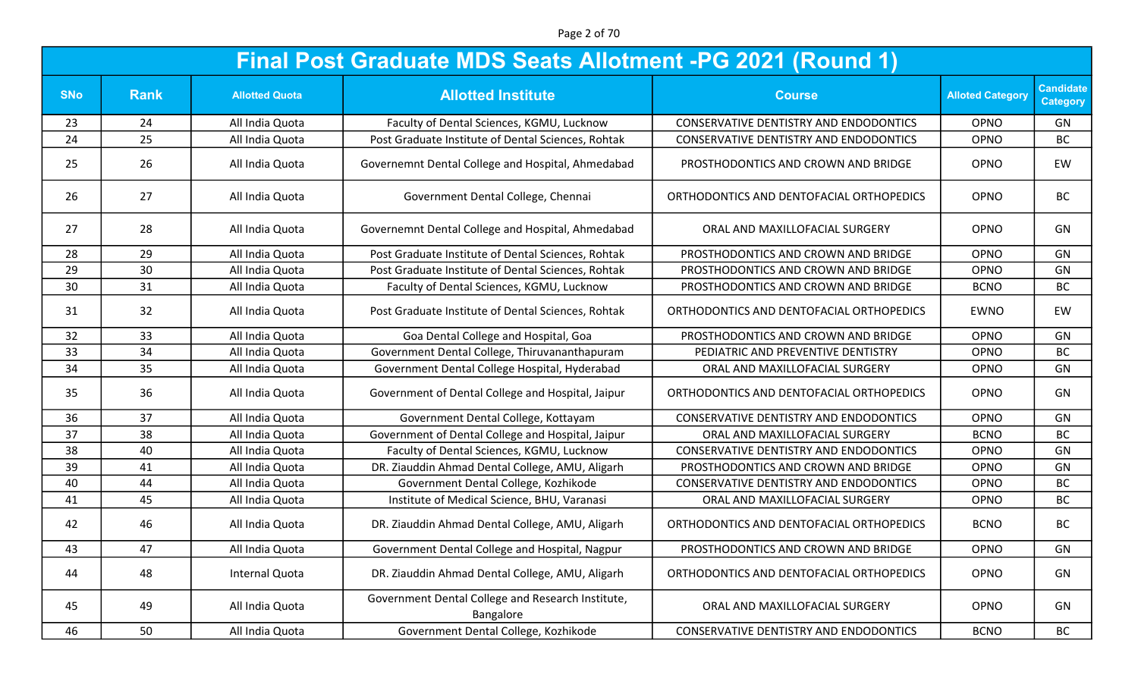Page 2 of 70

|            | Final Post Graduate MDS Seats Allotment -PG 2021 (Round 1) |                       |                                                                |                                               |                         |                                     |  |  |
|------------|------------------------------------------------------------|-----------------------|----------------------------------------------------------------|-----------------------------------------------|-------------------------|-------------------------------------|--|--|
| <b>SNo</b> | <b>Rank</b>                                                | <b>Allotted Quota</b> | <b>Allotted Institute</b>                                      | <b>Course</b>                                 | <b>Alloted Category</b> | <b>Candidate</b><br><b>Category</b> |  |  |
| 23         | 24                                                         | All India Quota       | Faculty of Dental Sciences, KGMU, Lucknow                      | <b>CONSERVATIVE DENTISTRY AND ENDODONTICS</b> | OPNO                    | GN                                  |  |  |
| 24         | 25                                                         | All India Quota       | Post Graduate Institute of Dental Sciences, Rohtak             | CONSERVATIVE DENTISTRY AND ENDODONTICS        | OPNO                    | <b>BC</b>                           |  |  |
| 25         | 26                                                         | All India Quota       | Governemnt Dental College and Hospital, Ahmedabad              | PROSTHODONTICS AND CROWN AND BRIDGE           | <b>OPNO</b>             | EW                                  |  |  |
| 26         | 27                                                         | All India Quota       | Government Dental College, Chennai                             | ORTHODONTICS AND DENTOFACIAL ORTHOPEDICS      | OPNO                    | <b>BC</b>                           |  |  |
| 27         | 28                                                         | All India Quota       | Governemnt Dental College and Hospital, Ahmedabad              | ORAL AND MAXILLOFACIAL SURGERY                | OPNO                    | GN                                  |  |  |
| 28         | 29                                                         | All India Quota       | Post Graduate Institute of Dental Sciences, Rohtak             | PROSTHODONTICS AND CROWN AND BRIDGE           | OPNO                    | GN                                  |  |  |
| 29         | 30                                                         | All India Quota       | Post Graduate Institute of Dental Sciences, Rohtak             | PROSTHODONTICS AND CROWN AND BRIDGE           | <b>OPNO</b>             | GN                                  |  |  |
| 30         | 31                                                         | All India Quota       | Faculty of Dental Sciences, KGMU, Lucknow                      | PROSTHODONTICS AND CROWN AND BRIDGE           | <b>BCNO</b>             | <b>BC</b>                           |  |  |
| 31         | 32                                                         | All India Quota       | Post Graduate Institute of Dental Sciences, Rohtak             | ORTHODONTICS AND DENTOFACIAL ORTHOPEDICS      | EWNO                    | EW                                  |  |  |
| 32         | 33                                                         | All India Quota       | Goa Dental College and Hospital, Goa                           | PROSTHODONTICS AND CROWN AND BRIDGE           | OPNO                    | GN                                  |  |  |
| 33         | 34                                                         | All India Quota       | Government Dental College, Thiruvananthapuram                  | PEDIATRIC AND PREVENTIVE DENTISTRY            | <b>OPNO</b>             | BC                                  |  |  |
| 34         | 35                                                         | All India Quota       | Government Dental College Hospital, Hyderabad                  | ORAL AND MAXILLOFACIAL SURGERY                | OPNO                    | GN                                  |  |  |
| 35         | 36                                                         | All India Quota       | Government of Dental College and Hospital, Jaipur              | ORTHODONTICS AND DENTOFACIAL ORTHOPEDICS      | <b>OPNO</b>             | GN                                  |  |  |
| 36         | 37                                                         | All India Quota       | Government Dental College, Kottayam                            | CONSERVATIVE DENTISTRY AND ENDODONTICS        | OPNO                    | GN                                  |  |  |
| 37         | 38                                                         | All India Quota       | Government of Dental College and Hospital, Jaipur              | ORAL AND MAXILLOFACIAL SURGERY                | <b>BCNO</b>             | <b>BC</b>                           |  |  |
| 38         | 40                                                         | All India Quota       | Faculty of Dental Sciences, KGMU, Lucknow                      | CONSERVATIVE DENTISTRY AND ENDODONTICS        | OPNO                    | GN                                  |  |  |
| 39         | 41                                                         | All India Quota       | DR. Ziauddin Ahmad Dental College, AMU, Aligarh                | PROSTHODONTICS AND CROWN AND BRIDGE           | <b>OPNO</b>             | GN                                  |  |  |
| 40         | 44                                                         | All India Quota       | Government Dental College, Kozhikode                           | CONSERVATIVE DENTISTRY AND ENDODONTICS        | OPNO                    | <b>BC</b>                           |  |  |
| 41         | 45                                                         | All India Quota       | Institute of Medical Science, BHU, Varanasi                    | ORAL AND MAXILLOFACIAL SURGERY                | OPNO                    | BC                                  |  |  |
| 42         | 46                                                         | All India Quota       | DR. Ziauddin Ahmad Dental College, AMU, Aligarh                | ORTHODONTICS AND DENTOFACIAL ORTHOPEDICS      | <b>BCNO</b>             | <b>BC</b>                           |  |  |
| 43         | 47                                                         | All India Quota       | Government Dental College and Hospital, Nagpur                 | PROSTHODONTICS AND CROWN AND BRIDGE           | OPNO                    | GN                                  |  |  |
| 44         | 48                                                         | <b>Internal Quota</b> | DR. Ziauddin Ahmad Dental College, AMU, Aligarh                | ORTHODONTICS AND DENTOFACIAL ORTHOPEDICS      | OPNO                    | GN                                  |  |  |
| 45         | 49                                                         | All India Quota       | Government Dental College and Research Institute,<br>Bangalore | ORAL AND MAXILLOFACIAL SURGERY                | OPNO                    | GN                                  |  |  |
| 46         | 50                                                         | All India Quota       | Government Dental College, Kozhikode                           | CONSERVATIVE DENTISTRY AND ENDODONTICS        | <b>BCNO</b>             | BC                                  |  |  |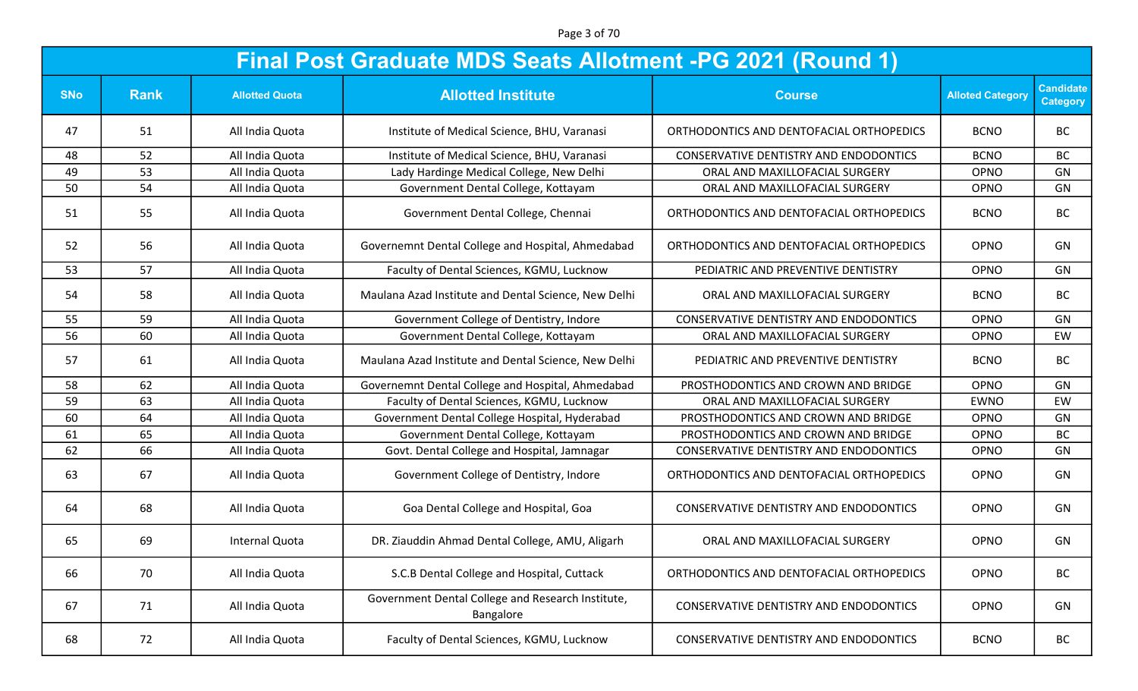Page 3 of 70

|            | Final Post Graduate MDS Seats Allotment -PG 2021 (Round 1) |                       |                                                                |                                               |                         |                                     |  |  |
|------------|------------------------------------------------------------|-----------------------|----------------------------------------------------------------|-----------------------------------------------|-------------------------|-------------------------------------|--|--|
| <b>SNo</b> | <b>Rank</b>                                                | <b>Allotted Quota</b> | <b>Allotted Institute</b>                                      | <b>Course</b>                                 | <b>Alloted Category</b> | <b>Candidate</b><br><b>Category</b> |  |  |
| 47         | 51                                                         | All India Quota       | Institute of Medical Science, BHU, Varanasi                    | ORTHODONTICS AND DENTOFACIAL ORTHOPEDICS      | <b>BCNO</b>             | <b>BC</b>                           |  |  |
| 48         | 52                                                         | All India Quota       | Institute of Medical Science, BHU, Varanasi                    | <b>CONSERVATIVE DENTISTRY AND ENDODONTICS</b> | <b>BCNO</b>             | <b>BC</b>                           |  |  |
| 49         | 53                                                         | All India Quota       | Lady Hardinge Medical College, New Delhi                       | ORAL AND MAXILLOFACIAL SURGERY                | OPNO                    | GN                                  |  |  |
| 50         | 54                                                         | All India Quota       | Government Dental College, Kottayam                            | ORAL AND MAXILLOFACIAL SURGERY                | OPNO                    | GN                                  |  |  |
| 51         | 55                                                         | All India Quota       | Government Dental College, Chennai                             | ORTHODONTICS AND DENTOFACIAL ORTHOPEDICS      | <b>BCNO</b>             | <b>BC</b>                           |  |  |
| 52         | 56                                                         | All India Quota       | Governemnt Dental College and Hospital, Ahmedabad              | ORTHODONTICS AND DENTOFACIAL ORTHOPEDICS      | OPNO                    | GN                                  |  |  |
| 53         | 57                                                         | All India Quota       | Faculty of Dental Sciences, KGMU, Lucknow                      | PEDIATRIC AND PREVENTIVE DENTISTRY            | OPNO                    | GN                                  |  |  |
| 54         | 58                                                         | All India Quota       | Maulana Azad Institute and Dental Science, New Delhi           | ORAL AND MAXILLOFACIAL SURGERY                | <b>BCNO</b>             | <b>BC</b>                           |  |  |
| 55         | 59                                                         | All India Quota       | Government College of Dentistry, Indore                        | CONSERVATIVE DENTISTRY AND ENDODONTICS        | OPNO                    | GN                                  |  |  |
| 56         | 60                                                         | All India Quota       | Government Dental College, Kottayam                            | ORAL AND MAXILLOFACIAL SURGERY                | OPNO                    | EW                                  |  |  |
| 57         | 61                                                         | All India Quota       | Maulana Azad Institute and Dental Science, New Delhi           | PEDIATRIC AND PREVENTIVE DENTISTRY            | <b>BCNO</b>             | <b>BC</b>                           |  |  |
| 58         | 62                                                         | All India Quota       | Governemnt Dental College and Hospital, Ahmedabad              | PROSTHODONTICS AND CROWN AND BRIDGE           | OPNO                    | GN                                  |  |  |
| 59         | 63                                                         | All India Quota       | Faculty of Dental Sciences, KGMU, Lucknow                      | ORAL AND MAXILLOFACIAL SURGERY                | <b>EWNO</b>             | EW                                  |  |  |
| 60         | 64                                                         | All India Quota       | Government Dental College Hospital, Hyderabad                  | PROSTHODONTICS AND CROWN AND BRIDGE           | OPNO                    | GN                                  |  |  |
| 61         | 65                                                         | All India Quota       | Government Dental College, Kottayam                            | PROSTHODONTICS AND CROWN AND BRIDGE           | OPNO                    | <b>BC</b>                           |  |  |
| 62         | 66                                                         | All India Quota       | Govt. Dental College and Hospital, Jamnagar                    | CONSERVATIVE DENTISTRY AND ENDODONTICS        | OPNO                    | GN                                  |  |  |
| 63         | 67                                                         | All India Quota       | Government College of Dentistry, Indore                        | ORTHODONTICS AND DENTOFACIAL ORTHOPEDICS      | OPNO                    | GN                                  |  |  |
| 64         | 68                                                         | All India Quota       | Goa Dental College and Hospital, Goa                           | <b>CONSERVATIVE DENTISTRY AND ENDODONTICS</b> | OPNO                    | GN                                  |  |  |
| 65         | 69                                                         | Internal Quota        | DR. Ziauddin Ahmad Dental College, AMU, Aligarh                | ORAL AND MAXILLOFACIAL SURGERY                | OPNO                    | GN                                  |  |  |
| 66         | 70                                                         | All India Quota       | S.C.B Dental College and Hospital, Cuttack                     | ORTHODONTICS AND DENTOFACIAL ORTHOPEDICS      | OPNO                    | BC                                  |  |  |
| 67         | 71                                                         | All India Quota       | Government Dental College and Research Institute,<br>Bangalore | CONSERVATIVE DENTISTRY AND ENDODONTICS        | OPNO                    | GN                                  |  |  |
| 68         | 72                                                         | All India Quota       | Faculty of Dental Sciences, KGMU, Lucknow                      | CONSERVATIVE DENTISTRY AND ENDODONTICS        | <b>BCNO</b>             | BC                                  |  |  |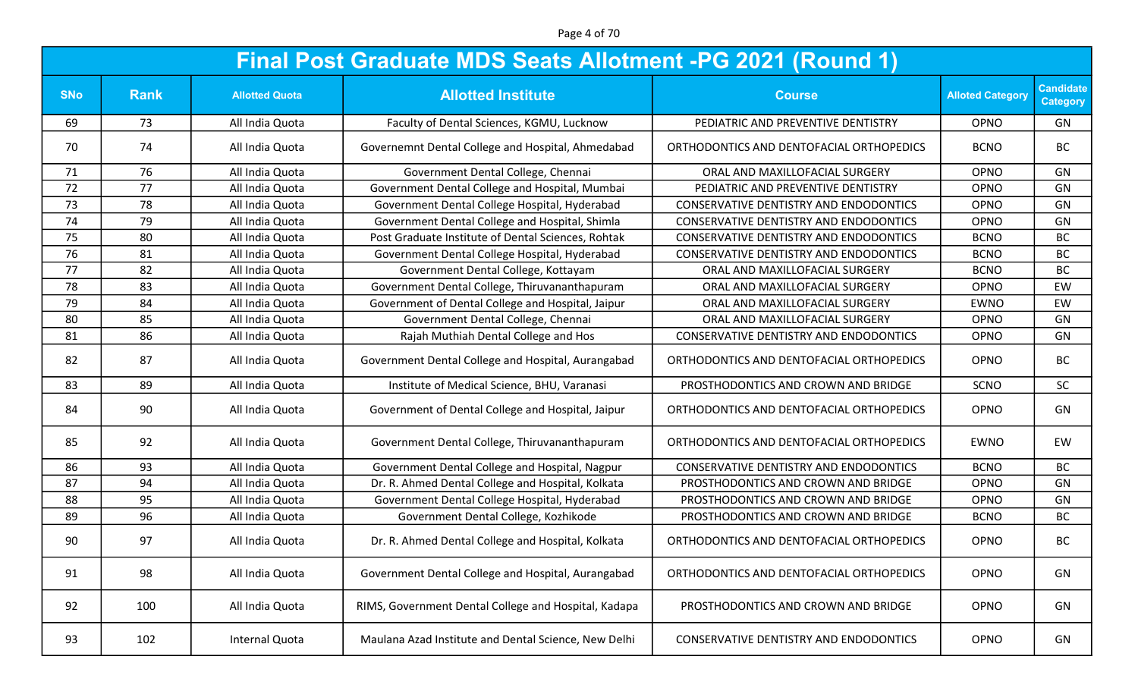Page 4 of 70

|            | <b>Final Post Graduate MDS Seats Allotment -PG 2021 (Round 1)</b> |                       |                                                      |                                          |                         |                                     |  |  |
|------------|-------------------------------------------------------------------|-----------------------|------------------------------------------------------|------------------------------------------|-------------------------|-------------------------------------|--|--|
| <b>SNo</b> | <b>Rank</b>                                                       | <b>Allotted Quota</b> | <b>Allotted Institute</b>                            | <b>Course</b>                            | <b>Alloted Category</b> | <b>Candidate</b><br><b>Category</b> |  |  |
| 69         | 73                                                                | All India Quota       | Faculty of Dental Sciences, KGMU, Lucknow            | PEDIATRIC AND PREVENTIVE DENTISTRY       | OPNO                    | GN                                  |  |  |
| 70         | 74                                                                | All India Quota       | Governemnt Dental College and Hospital, Ahmedabad    | ORTHODONTICS AND DENTOFACIAL ORTHOPEDICS | <b>BCNO</b>             | <b>BC</b>                           |  |  |
| 71         | 76                                                                | All India Quota       | Government Dental College, Chennai                   | ORAL AND MAXILLOFACIAL SURGERY           | OPNO                    | GN                                  |  |  |
| 72         | 77                                                                | All India Quota       | Government Dental College and Hospital, Mumbai       | PEDIATRIC AND PREVENTIVE DENTISTRY       | OPNO                    | GN                                  |  |  |
| 73         | 78                                                                | All India Quota       | Government Dental College Hospital, Hyderabad        | CONSERVATIVE DENTISTRY AND ENDODONTICS   | OPNO                    | GN                                  |  |  |
| 74         | 79                                                                | All India Quota       | Government Dental College and Hospital, Shimla       | CONSERVATIVE DENTISTRY AND ENDODONTICS   | OPNO                    | GN                                  |  |  |
| 75         | 80                                                                | All India Quota       | Post Graduate Institute of Dental Sciences, Rohtak   | CONSERVATIVE DENTISTRY AND ENDODONTICS   | <b>BCNO</b>             | <b>BC</b>                           |  |  |
| 76         | 81                                                                | All India Quota       | Government Dental College Hospital, Hyderabad        | CONSERVATIVE DENTISTRY AND ENDODONTICS   | <b>BCNO</b>             | <b>BC</b>                           |  |  |
| 77         | 82                                                                | All India Quota       | Government Dental College, Kottayam                  | ORAL AND MAXILLOFACIAL SURGERY           | <b>BCNO</b>             | <b>BC</b>                           |  |  |
| 78         | 83                                                                | All India Quota       | Government Dental College, Thiruvananthapuram        | ORAL AND MAXILLOFACIAL SURGERY           | OPNO                    | EW                                  |  |  |
| 79         | 84                                                                | All India Quota       | Government of Dental College and Hospital, Jaipur    | ORAL AND MAXILLOFACIAL SURGERY           | <b>EWNO</b>             | EW                                  |  |  |
| 80         | 85                                                                | All India Quota       | Government Dental College, Chennai                   | ORAL AND MAXILLOFACIAL SURGERY           | OPNO                    | GN                                  |  |  |
| 81         | 86                                                                | All India Quota       | Rajah Muthiah Dental College and Hos                 | CONSERVATIVE DENTISTRY AND ENDODONTICS   | OPNO                    | GN                                  |  |  |
| 82         | 87                                                                | All India Quota       | Government Dental College and Hospital, Aurangabad   | ORTHODONTICS AND DENTOFACIAL ORTHOPEDICS | OPNO                    | <b>BC</b>                           |  |  |
| 83         | 89                                                                | All India Quota       | Institute of Medical Science, BHU, Varanasi          | PROSTHODONTICS AND CROWN AND BRIDGE      | SCNO                    | SC                                  |  |  |
| 84         | 90                                                                | All India Quota       | Government of Dental College and Hospital, Jaipur    | ORTHODONTICS AND DENTOFACIAL ORTHOPEDICS | OPNO                    | GN                                  |  |  |
| 85         | 92                                                                | All India Quota       | Government Dental College, Thiruvananthapuram        | ORTHODONTICS AND DENTOFACIAL ORTHOPEDICS | <b>EWNO</b>             | EW                                  |  |  |
| 86         | 93                                                                | All India Quota       | Government Dental College and Hospital, Nagpur       | CONSERVATIVE DENTISTRY AND ENDODONTICS   | <b>BCNO</b>             | <b>BC</b>                           |  |  |
| 87         | 94                                                                | All India Quota       | Dr. R. Ahmed Dental College and Hospital, Kolkata    | PROSTHODONTICS AND CROWN AND BRIDGE      | OPNO                    | GN                                  |  |  |
| 88         | 95                                                                | All India Quota       | Government Dental College Hospital, Hyderabad        | PROSTHODONTICS AND CROWN AND BRIDGE      | OPNO                    | GN                                  |  |  |
| 89         | 96                                                                | All India Quota       | Government Dental College, Kozhikode                 | PROSTHODONTICS AND CROWN AND BRIDGE      | <b>BCNO</b>             | <b>BC</b>                           |  |  |
| 90         | 97                                                                | All India Quota       | Dr. R. Ahmed Dental College and Hospital, Kolkata    | ORTHODONTICS AND DENTOFACIAL ORTHOPEDICS | OPNO                    | <b>BC</b>                           |  |  |
| 91         | 98                                                                | All India Quota       | Government Dental College and Hospital, Aurangabad   | ORTHODONTICS AND DENTOFACIAL ORTHOPEDICS | OPNO                    | GN                                  |  |  |
| 92         | 100                                                               | All India Quota       | RIMS, Government Dental College and Hospital, Kadapa | PROSTHODONTICS AND CROWN AND BRIDGE      | OPNO                    | GN                                  |  |  |
| 93         | 102                                                               | Internal Quota        | Maulana Azad Institute and Dental Science, New Delhi | CONSERVATIVE DENTISTRY AND ENDODONTICS   | OPNO                    | GN                                  |  |  |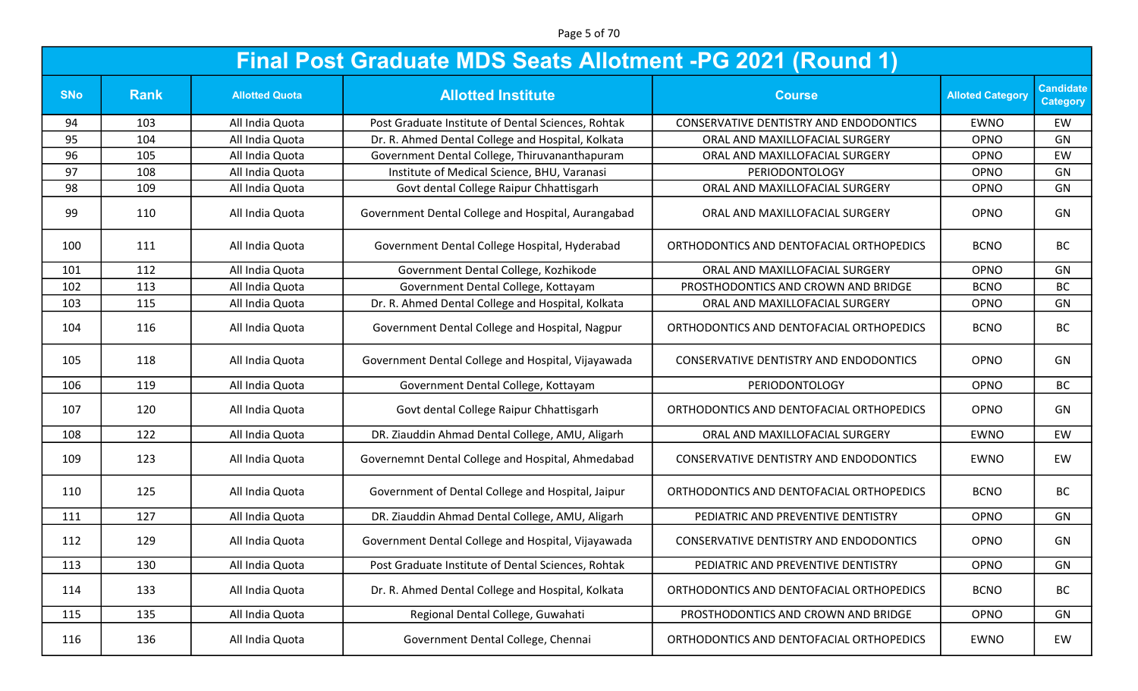Page 5 of 70

|            | <b>Final Post Graduate MDS Seats Allotment -PG 2021 (Round 1)</b> |                       |                                                    |                                               |                         |                                     |  |  |
|------------|-------------------------------------------------------------------|-----------------------|----------------------------------------------------|-----------------------------------------------|-------------------------|-------------------------------------|--|--|
| <b>SNo</b> | <b>Rank</b>                                                       | <b>Allotted Quota</b> | <b>Allotted Institute</b>                          | <b>Course</b>                                 | <b>Alloted Category</b> | <b>Candidate</b><br><b>Category</b> |  |  |
| 94         | 103                                                               | All India Quota       | Post Graduate Institute of Dental Sciences, Rohtak | CONSERVATIVE DENTISTRY AND ENDODONTICS        | <b>EWNO</b>             | EW                                  |  |  |
| 95         | 104                                                               | All India Quota       | Dr. R. Ahmed Dental College and Hospital, Kolkata  | ORAL AND MAXILLOFACIAL SURGERY                | OPNO                    | GN                                  |  |  |
| 96         | 105                                                               | All India Quota       | Government Dental College, Thiruvananthapuram      | ORAL AND MAXILLOFACIAL SURGERY                | OPNO                    | EW                                  |  |  |
| 97         | 108                                                               | All India Quota       | Institute of Medical Science, BHU, Varanasi        | PERIODONTOLOGY                                | OPNO                    | GN                                  |  |  |
| 98         | 109                                                               | All India Quota       | Govt dental College Raipur Chhattisgarh            | ORAL AND MAXILLOFACIAL SURGERY                | OPNO                    | GN                                  |  |  |
| 99         | 110                                                               | All India Quota       | Government Dental College and Hospital, Aurangabad | ORAL AND MAXILLOFACIAL SURGERY                | OPNO                    | GN                                  |  |  |
| 100        | 111                                                               | All India Quota       | Government Dental College Hospital, Hyderabad      | ORTHODONTICS AND DENTOFACIAL ORTHOPEDICS      | <b>BCNO</b>             | BC                                  |  |  |
| 101        | 112                                                               | All India Quota       | Government Dental College, Kozhikode               | ORAL AND MAXILLOFACIAL SURGERY                | OPNO                    | GN                                  |  |  |
| 102        | 113                                                               | All India Quota       | Government Dental College, Kottayam                | PROSTHODONTICS AND CROWN AND BRIDGE           | <b>BCNO</b>             | BC                                  |  |  |
| 103        | 115                                                               | All India Quota       | Dr. R. Ahmed Dental College and Hospital, Kolkata  | ORAL AND MAXILLOFACIAL SURGERY                | OPNO                    | GN                                  |  |  |
| 104        | 116                                                               | All India Quota       | Government Dental College and Hospital, Nagpur     | ORTHODONTICS AND DENTOFACIAL ORTHOPEDICS      | <b>BCNO</b>             | <b>BC</b>                           |  |  |
| 105        | 118                                                               | All India Quota       | Government Dental College and Hospital, Vijayawada | CONSERVATIVE DENTISTRY AND ENDODONTICS        | OPNO                    | GN                                  |  |  |
| 106        | 119                                                               | All India Quota       | Government Dental College, Kottayam                | PERIODONTOLOGY                                | OPNO                    | <b>BC</b>                           |  |  |
| 107        | 120                                                               | All India Quota       | Govt dental College Raipur Chhattisgarh            | ORTHODONTICS AND DENTOFACIAL ORTHOPEDICS      | OPNO                    | GN                                  |  |  |
| 108        | 122                                                               | All India Quota       | DR. Ziauddin Ahmad Dental College, AMU, Aligarh    | ORAL AND MAXILLOFACIAL SURGERY                | <b>EWNO</b>             | EW                                  |  |  |
| 109        | 123                                                               | All India Quota       | Governemnt Dental College and Hospital, Ahmedabad  | CONSERVATIVE DENTISTRY AND ENDODONTICS        | <b>EWNO</b>             | EW                                  |  |  |
| 110        | 125                                                               | All India Quota       | Government of Dental College and Hospital, Jaipur  | ORTHODONTICS AND DENTOFACIAL ORTHOPEDICS      | <b>BCNO</b>             | <b>BC</b>                           |  |  |
| 111        | 127                                                               | All India Quota       | DR. Ziauddin Ahmad Dental College, AMU, Aligarh    | PEDIATRIC AND PREVENTIVE DENTISTRY            | OPNO                    | GN                                  |  |  |
| 112        | 129                                                               | All India Quota       | Government Dental College and Hospital, Vijayawada | <b>CONSERVATIVE DENTISTRY AND ENDODONTICS</b> | OPNO                    | GN                                  |  |  |
| 113        | 130                                                               | All India Quota       | Post Graduate Institute of Dental Sciences, Rohtak | PEDIATRIC AND PREVENTIVE DENTISTRY            | OPNO                    | GN                                  |  |  |
| 114        | 133                                                               | All India Quota       | Dr. R. Ahmed Dental College and Hospital, Kolkata  | ORTHODONTICS AND DENTOFACIAL ORTHOPEDICS      | <b>BCNO</b>             | BC                                  |  |  |
| 115        | 135                                                               | All India Quota       | Regional Dental College, Guwahati                  | PROSTHODONTICS AND CROWN AND BRIDGE           | OPNO                    | GN                                  |  |  |
| 116        | 136                                                               | All India Quota       | Government Dental College, Chennai                 | ORTHODONTICS AND DENTOFACIAL ORTHOPEDICS      | EWNO                    | EW                                  |  |  |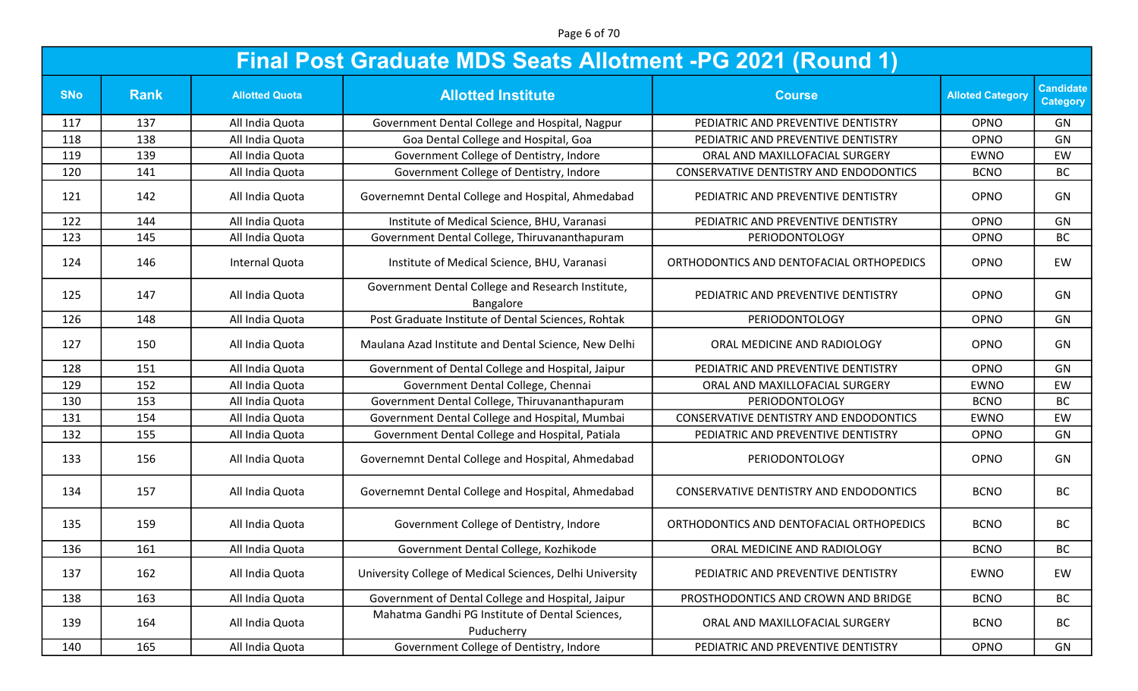Page 6 of 70

|            | <b>Final Post Graduate MDS Seats Allotment -PG 2021 (Round 1)</b> |                       |                                                                |                                               |                         |                                     |  |  |  |
|------------|-------------------------------------------------------------------|-----------------------|----------------------------------------------------------------|-----------------------------------------------|-------------------------|-------------------------------------|--|--|--|
| <b>SNo</b> | <b>Rank</b>                                                       | <b>Allotted Quota</b> | <b>Allotted Institute</b>                                      | <b>Course</b>                                 | <b>Alloted Category</b> | <b>Candidate</b><br><b>Category</b> |  |  |  |
| 117        | 137                                                               | All India Quota       | Government Dental College and Hospital, Nagpur                 | PEDIATRIC AND PREVENTIVE DENTISTRY            | OPNO                    | GN                                  |  |  |  |
| 118        | 138                                                               | All India Quota       | Goa Dental College and Hospital, Goa                           | PEDIATRIC AND PREVENTIVE DENTISTRY            | OPNO                    | GN                                  |  |  |  |
| 119        | 139                                                               | All India Quota       | Government College of Dentistry, Indore                        | ORAL AND MAXILLOFACIAL SURGERY                | <b>EWNO</b>             | EW                                  |  |  |  |
| 120        | 141                                                               | All India Quota       | Government College of Dentistry, Indore                        | CONSERVATIVE DENTISTRY AND ENDODONTICS        | <b>BCNO</b>             | <b>BC</b>                           |  |  |  |
| 121        | 142                                                               | All India Quota       | Governemnt Dental College and Hospital, Ahmedabad              | PEDIATRIC AND PREVENTIVE DENTISTRY            | OPNO                    | GN                                  |  |  |  |
| 122        | 144                                                               | All India Quota       | Institute of Medical Science, BHU, Varanasi                    | PEDIATRIC AND PREVENTIVE DENTISTRY            | OPNO                    | GN                                  |  |  |  |
| 123        | 145                                                               | All India Quota       | Government Dental College, Thiruvananthapuram                  | PERIODONTOLOGY                                | OPNO                    | <b>BC</b>                           |  |  |  |
| 124        | 146                                                               | Internal Quota        | Institute of Medical Science, BHU, Varanasi                    | ORTHODONTICS AND DENTOFACIAL ORTHOPEDICS      | OPNO                    | EW                                  |  |  |  |
| 125        | 147                                                               | All India Quota       | Government Dental College and Research Institute,<br>Bangalore | PEDIATRIC AND PREVENTIVE DENTISTRY            | OPNO                    | GN                                  |  |  |  |
| 126        | 148                                                               | All India Quota       | Post Graduate Institute of Dental Sciences, Rohtak             | PERIODONTOLOGY                                | OPNO                    | GN                                  |  |  |  |
| 127        | 150                                                               | All India Quota       | Maulana Azad Institute and Dental Science, New Delhi           | ORAL MEDICINE AND RADIOLOGY                   | OPNO                    | GN                                  |  |  |  |
| 128        | 151                                                               | All India Quota       | Government of Dental College and Hospital, Jaipur              | PEDIATRIC AND PREVENTIVE DENTISTRY            | OPNO                    | GN                                  |  |  |  |
| 129        | 152                                                               | All India Quota       | Government Dental College, Chennai                             | ORAL AND MAXILLOFACIAL SURGERY                | <b>EWNO</b>             | EW                                  |  |  |  |
| 130        | 153                                                               | All India Quota       | Government Dental College, Thiruvananthapuram                  | <b>PERIODONTOLOGY</b>                         | <b>BCNO</b>             | <b>BC</b>                           |  |  |  |
| 131        | 154                                                               | All India Quota       | Government Dental College and Hospital, Mumbai                 | CONSERVATIVE DENTISTRY AND ENDODONTICS        | <b>EWNO</b>             | EW                                  |  |  |  |
| 132        | 155                                                               | All India Quota       | Government Dental College and Hospital, Patiala                | PEDIATRIC AND PREVENTIVE DENTISTRY            | OPNO                    | GN                                  |  |  |  |
| 133        | 156                                                               | All India Quota       | Governemnt Dental College and Hospital, Ahmedabad              | PERIODONTOLOGY                                | OPNO                    | GN                                  |  |  |  |
| 134        | 157                                                               | All India Quota       | Governemnt Dental College and Hospital, Ahmedabad              | <b>CONSERVATIVE DENTISTRY AND ENDODONTICS</b> | <b>BCNO</b>             | <b>BC</b>                           |  |  |  |
| 135        | 159                                                               | All India Quota       | Government College of Dentistry, Indore                        | ORTHODONTICS AND DENTOFACIAL ORTHOPEDICS      | <b>BCNO</b>             | <b>BC</b>                           |  |  |  |
| 136        | 161                                                               | All India Quota       | Government Dental College, Kozhikode                           | ORAL MEDICINE AND RADIOLOGY                   | <b>BCNO</b>             | <b>BC</b>                           |  |  |  |
| 137        | 162                                                               | All India Quota       | University College of Medical Sciences, Delhi University       | PEDIATRIC AND PREVENTIVE DENTISTRY            | EWNO                    | EW                                  |  |  |  |
| 138        | 163                                                               | All India Quota       | Government of Dental College and Hospital, Jaipur              | PROSTHODONTICS AND CROWN AND BRIDGE           | <b>BCNO</b>             | <b>BC</b>                           |  |  |  |
| 139        | 164                                                               | All India Quota       | Mahatma Gandhi PG Institute of Dental Sciences,<br>Puducherry  | ORAL AND MAXILLOFACIAL SURGERY                | <b>BCNO</b>             | BC                                  |  |  |  |
| 140        | 165                                                               | All India Quota       | Government College of Dentistry, Indore                        | PEDIATRIC AND PREVENTIVE DENTISTRY            | OPNO                    | GN                                  |  |  |  |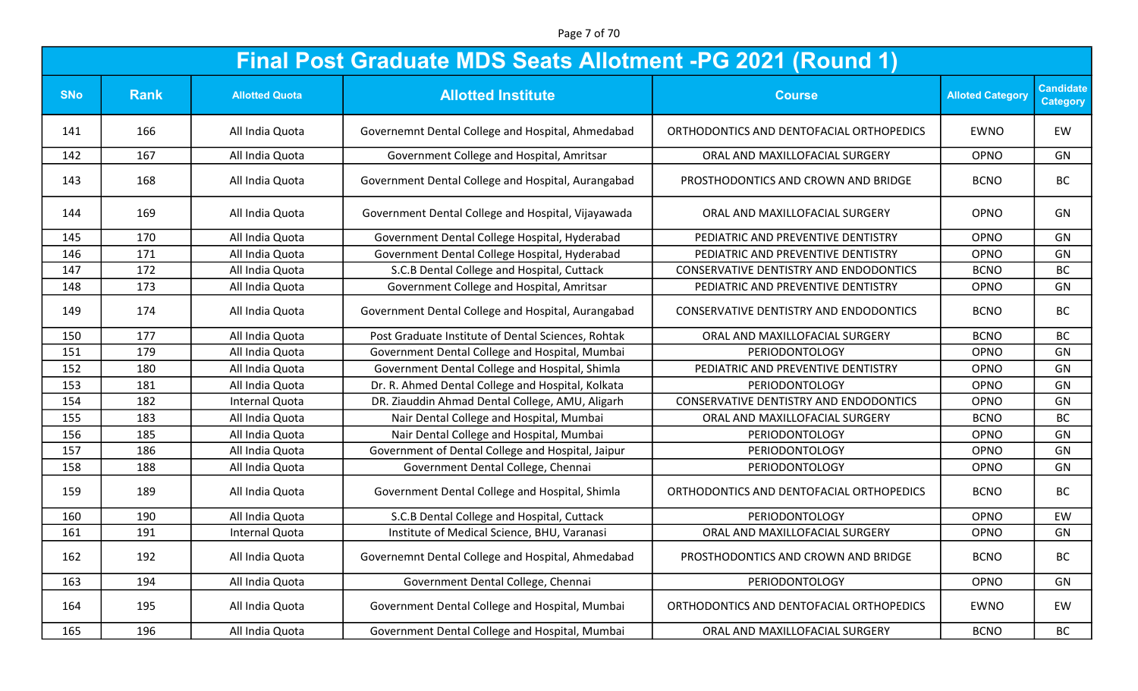Page 7 of 70

|            | <b>Final Post Graduate MDS Seats Allotment -PG 2021 (Round 1)</b> |                       |                                                    |                                               |                         |                                     |  |  |
|------------|-------------------------------------------------------------------|-----------------------|----------------------------------------------------|-----------------------------------------------|-------------------------|-------------------------------------|--|--|
| <b>SNo</b> | <b>Rank</b>                                                       | <b>Allotted Quota</b> | <b>Allotted Institute</b>                          | <b>Course</b>                                 | <b>Alloted Category</b> | <b>Candidate</b><br><b>Category</b> |  |  |
| 141        | 166                                                               | All India Quota       | Governemnt Dental College and Hospital, Ahmedabad  | ORTHODONTICS AND DENTOFACIAL ORTHOPEDICS      | <b>EWNO</b>             | EW                                  |  |  |
| 142        | 167                                                               | All India Quota       | Government College and Hospital, Amritsar          | ORAL AND MAXILLOFACIAL SURGERY                | OPNO                    | GN                                  |  |  |
| 143        | 168                                                               | All India Quota       | Government Dental College and Hospital, Aurangabad | PROSTHODONTICS AND CROWN AND BRIDGE           | <b>BCNO</b>             | BC                                  |  |  |
| 144        | 169                                                               | All India Quota       | Government Dental College and Hospital, Vijayawada | ORAL AND MAXILLOFACIAL SURGERY                | OPNO                    | GN                                  |  |  |
| 145        | 170                                                               | All India Quota       | Government Dental College Hospital, Hyderabad      | PEDIATRIC AND PREVENTIVE DENTISTRY            | OPNO                    | GN                                  |  |  |
| 146        | 171                                                               | All India Quota       | Government Dental College Hospital, Hyderabad      | PEDIATRIC AND PREVENTIVE DENTISTRY            | OPNO                    | GN                                  |  |  |
| 147        | 172                                                               | All India Quota       | S.C.B Dental College and Hospital, Cuttack         | <b>CONSERVATIVE DENTISTRY AND ENDODONTICS</b> | <b>BCNO</b>             | <b>BC</b>                           |  |  |
| 148        | 173                                                               | All India Quota       | Government College and Hospital, Amritsar          | PEDIATRIC AND PREVENTIVE DENTISTRY            | OPNO                    | GN                                  |  |  |
| 149        | 174                                                               | All India Quota       | Government Dental College and Hospital, Aurangabad | CONSERVATIVE DENTISTRY AND ENDODONTICS        | <b>BCNO</b>             | <b>BC</b>                           |  |  |
| 150        | 177                                                               | All India Quota       | Post Graduate Institute of Dental Sciences, Rohtak | ORAL AND MAXILLOFACIAL SURGERY                | <b>BCNO</b>             | <b>BC</b>                           |  |  |
| 151        | 179                                                               | All India Quota       | Government Dental College and Hospital, Mumbai     | <b>PERIODONTOLOGY</b>                         | OPNO                    | GN                                  |  |  |
| 152        | 180                                                               | All India Quota       | Government Dental College and Hospital, Shimla     | PEDIATRIC AND PREVENTIVE DENTISTRY            | OPNO                    | GN                                  |  |  |
| 153        | 181                                                               | All India Quota       | Dr. R. Ahmed Dental College and Hospital, Kolkata  | PERIODONTOLOGY                                | OPNO                    | GN                                  |  |  |
| 154        | 182                                                               | Internal Quota        | DR. Ziauddin Ahmad Dental College, AMU, Aligarh    | CONSERVATIVE DENTISTRY AND ENDODONTICS        | OPNO                    | GN                                  |  |  |
| 155        | 183                                                               | All India Quota       | Nair Dental College and Hospital, Mumbai           | ORAL AND MAXILLOFACIAL SURGERY                | <b>BCNO</b>             | <b>BC</b>                           |  |  |
| 156        | 185                                                               | All India Quota       | Nair Dental College and Hospital, Mumbai           | PERIODONTOLOGY                                | OPNO                    | GN                                  |  |  |
| 157        | 186                                                               | All India Quota       | Government of Dental College and Hospital, Jaipur  | PERIODONTOLOGY                                | OPNO                    | GN                                  |  |  |
| 158        | 188                                                               | All India Quota       | Government Dental College, Chennai                 | PERIODONTOLOGY                                | OPNO                    | GN                                  |  |  |
| 159        | 189                                                               | All India Quota       | Government Dental College and Hospital, Shimla     | ORTHODONTICS AND DENTOFACIAL ORTHOPEDICS      | <b>BCNO</b>             | <b>BC</b>                           |  |  |
| 160        | 190                                                               | All India Quota       | S.C.B Dental College and Hospital, Cuttack         | PERIODONTOLOGY                                | OPNO                    | EW                                  |  |  |
| 161        | 191                                                               | Internal Quota        | Institute of Medical Science, BHU, Varanasi        | ORAL AND MAXILLOFACIAL SURGERY                | OPNO                    | GN                                  |  |  |
| 162        | 192                                                               | All India Quota       | Governemnt Dental College and Hospital, Ahmedabad  | PROSTHODONTICS AND CROWN AND BRIDGE           | <b>BCNO</b>             | <b>BC</b>                           |  |  |
| 163        | 194                                                               | All India Quota       | Government Dental College, Chennai                 | PERIODONTOLOGY                                | OPNO                    | GN                                  |  |  |
| 164        | 195                                                               | All India Quota       | Government Dental College and Hospital, Mumbai     | ORTHODONTICS AND DENTOFACIAL ORTHOPEDICS      | EWNO                    | EW                                  |  |  |
| 165        | 196                                                               | All India Quota       | Government Dental College and Hospital, Mumbai     | ORAL AND MAXILLOFACIAL SURGERY                | <b>BCNO</b>             | BC                                  |  |  |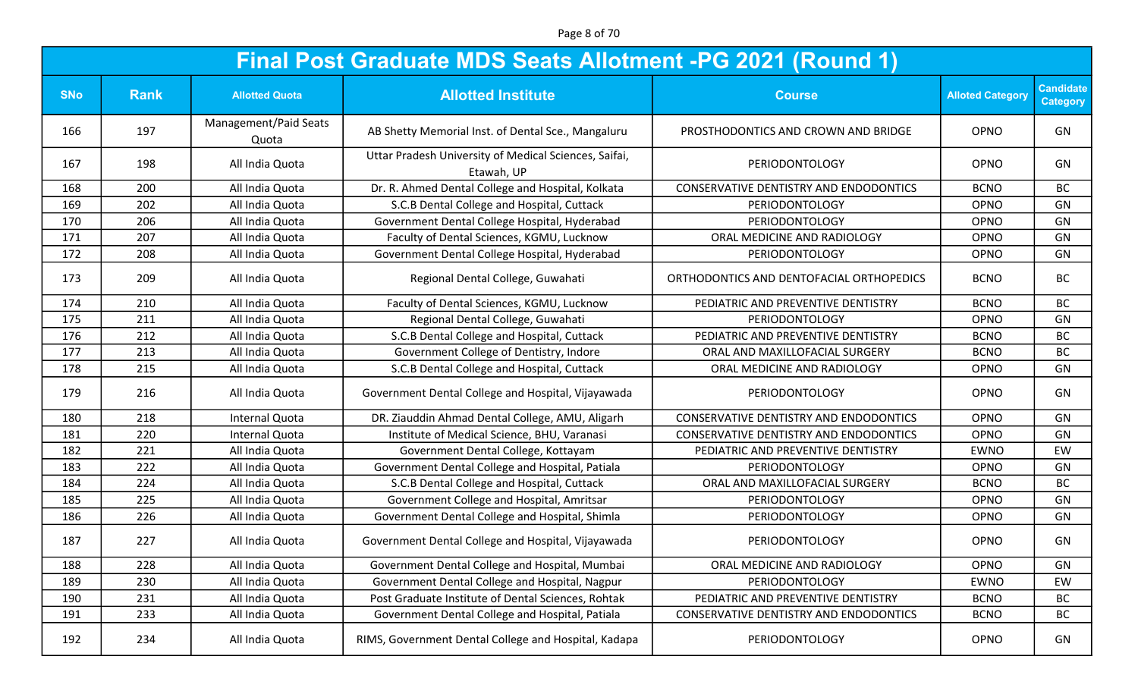Page 8 of 70

|            | Final Post Graduate MDS Seats Allotment -PG 2021 (Round 1) |                                |                                                                     |                                          |                         |                                     |  |  |  |
|------------|------------------------------------------------------------|--------------------------------|---------------------------------------------------------------------|------------------------------------------|-------------------------|-------------------------------------|--|--|--|
| <b>SNo</b> | <b>Rank</b>                                                | <b>Allotted Quota</b>          | <b>Allotted Institute</b>                                           | <b>Course</b>                            | <b>Alloted Category</b> | <b>Candidate</b><br><b>Category</b> |  |  |  |
| 166        | 197                                                        | Management/Paid Seats<br>Quota | AB Shetty Memorial Inst. of Dental Sce., Mangaluru                  | PROSTHODONTICS AND CROWN AND BRIDGE      | OPNO                    | GN                                  |  |  |  |
| 167        | 198                                                        | All India Quota                | Uttar Pradesh University of Medical Sciences, Saifai,<br>Etawah, UP | <b>PERIODONTOLOGY</b>                    | OPNO                    | GN                                  |  |  |  |
| 168        | 200                                                        | All India Quota                | Dr. R. Ahmed Dental College and Hospital, Kolkata                   | CONSERVATIVE DENTISTRY AND ENDODONTICS   | <b>BCNO</b>             | <b>BC</b>                           |  |  |  |
| 169        | 202                                                        | All India Quota                | S.C.B Dental College and Hospital, Cuttack                          | PERIODONTOLOGY                           | OPNO                    | GN                                  |  |  |  |
| 170        | 206                                                        | All India Quota                | Government Dental College Hospital, Hyderabad                       | PERIODONTOLOGY                           | OPNO                    | GN                                  |  |  |  |
| 171        | 207                                                        | All India Quota                | Faculty of Dental Sciences, KGMU, Lucknow                           | ORAL MEDICINE AND RADIOLOGY              | OPNO                    | GN                                  |  |  |  |
| 172        | 208                                                        | All India Quota                | Government Dental College Hospital, Hyderabad                       | PERIODONTOLOGY                           | <b>OPNO</b>             | GN                                  |  |  |  |
| 173        | 209                                                        | All India Quota                | Regional Dental College, Guwahati                                   | ORTHODONTICS AND DENTOFACIAL ORTHOPEDICS | <b>BCNO</b>             | <b>BC</b>                           |  |  |  |
| 174        | 210                                                        | All India Quota                | Faculty of Dental Sciences, KGMU, Lucknow                           | PEDIATRIC AND PREVENTIVE DENTISTRY       | <b>BCNO</b>             | <b>BC</b>                           |  |  |  |
| 175        | 211                                                        | All India Quota                | Regional Dental College, Guwahati                                   | PERIODONTOLOGY                           | OPNO                    | GN                                  |  |  |  |
| 176        | 212                                                        | All India Quota                | S.C.B Dental College and Hospital, Cuttack                          | PEDIATRIC AND PREVENTIVE DENTISTRY       | <b>BCNO</b>             | <b>BC</b>                           |  |  |  |
| 177        | 213                                                        | All India Quota                | Government College of Dentistry, Indore                             | ORAL AND MAXILLOFACIAL SURGERY           | <b>BCNO</b>             | <b>BC</b>                           |  |  |  |
| 178        | 215                                                        | All India Quota                | S.C.B Dental College and Hospital, Cuttack                          | ORAL MEDICINE AND RADIOLOGY              | OPNO                    | GN                                  |  |  |  |
| 179        | 216                                                        | All India Quota                | Government Dental College and Hospital, Vijayawada                  | PERIODONTOLOGY                           | OPNO                    | GN                                  |  |  |  |
| 180        | 218                                                        | Internal Quota                 | DR. Ziauddin Ahmad Dental College, AMU, Aligarh                     | CONSERVATIVE DENTISTRY AND ENDODONTICS   | OPNO                    | GN                                  |  |  |  |
| 181        | 220                                                        | Internal Quota                 | Institute of Medical Science, BHU, Varanasi                         | CONSERVATIVE DENTISTRY AND ENDODONTICS   | OPNO                    | GN                                  |  |  |  |
| 182        | 221                                                        | All India Quota                | Government Dental College, Kottayam                                 | PEDIATRIC AND PREVENTIVE DENTISTRY       | <b>EWNO</b>             | EW                                  |  |  |  |
| 183        | 222                                                        | All India Quota                | Government Dental College and Hospital, Patiala                     | PERIODONTOLOGY                           | <b>OPNO</b>             | GN                                  |  |  |  |
| 184        | 224                                                        | All India Quota                | S.C.B Dental College and Hospital, Cuttack                          | ORAL AND MAXILLOFACIAL SURGERY           | <b>BCNO</b>             | <b>BC</b>                           |  |  |  |
| 185        | 225                                                        | All India Quota                | Government College and Hospital, Amritsar                           | PERIODONTOLOGY                           | <b>OPNO</b>             | GN                                  |  |  |  |
| 186        | 226                                                        | All India Quota                | Government Dental College and Hospital, Shimla                      | PERIODONTOLOGY                           | OPNO                    | GN                                  |  |  |  |
| 187        | 227                                                        | All India Quota                | Government Dental College and Hospital, Vijayawada                  | PERIODONTOLOGY                           | OPNO                    | GN                                  |  |  |  |
| 188        | 228                                                        | All India Quota                | Government Dental College and Hospital, Mumbai                      | ORAL MEDICINE AND RADIOLOGY              | OPNO                    | GN                                  |  |  |  |
| 189        | 230                                                        | All India Quota                | Government Dental College and Hospital, Nagpur                      | PERIODONTOLOGY                           | EWNO                    | EW                                  |  |  |  |
| 190        | 231                                                        | All India Quota                | Post Graduate Institute of Dental Sciences, Rohtak                  | PEDIATRIC AND PREVENTIVE DENTISTRY       | <b>BCNO</b>             | <b>BC</b>                           |  |  |  |
| 191        | 233                                                        | All India Quota                | Government Dental College and Hospital, Patiala                     | CONSERVATIVE DENTISTRY AND ENDODONTICS   | <b>BCNO</b>             | <b>BC</b>                           |  |  |  |
| 192        | 234                                                        | All India Quota                | RIMS, Government Dental College and Hospital, Kadapa                | PERIODONTOLOGY                           | OPNO                    | GN                                  |  |  |  |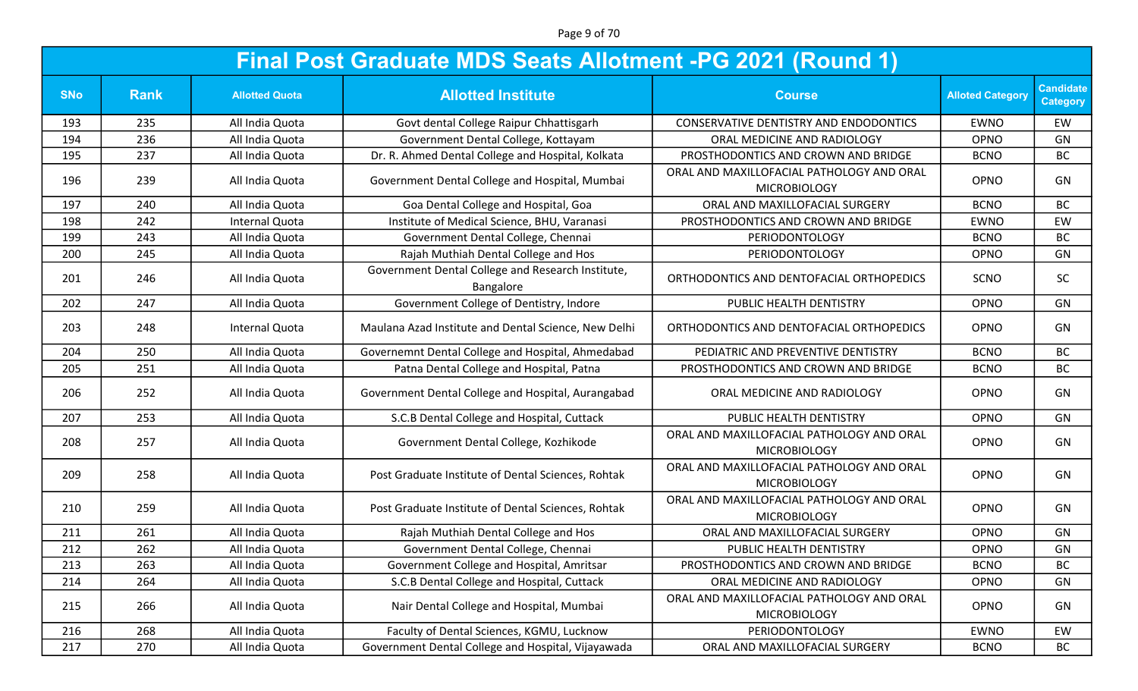Page 9 of 70

|            | <b>Final Post Graduate MDS Seats Allotment -PG 2021 (Round 1)</b> |                       |                                                                |                                                                  |                         |                                     |  |  |  |
|------------|-------------------------------------------------------------------|-----------------------|----------------------------------------------------------------|------------------------------------------------------------------|-------------------------|-------------------------------------|--|--|--|
| <b>SNo</b> | <b>Rank</b>                                                       | <b>Allotted Quota</b> | <b>Allotted Institute</b>                                      | <b>Course</b>                                                    | <b>Alloted Category</b> | <b>Candidate</b><br><b>Category</b> |  |  |  |
| 193        | 235                                                               | All India Quota       | Govt dental College Raipur Chhattisgarh                        | <b>CONSERVATIVE DENTISTRY AND ENDODONTICS</b>                    | <b>EWNO</b>             | EW                                  |  |  |  |
| 194        | 236                                                               | All India Quota       | Government Dental College, Kottayam                            | ORAL MEDICINE AND RADIOLOGY                                      | OPNO                    | GN                                  |  |  |  |
| 195        | 237                                                               | All India Quota       | Dr. R. Ahmed Dental College and Hospital, Kolkata              | PROSTHODONTICS AND CROWN AND BRIDGE                              | <b>BCNO</b>             | BC                                  |  |  |  |
| 196        | 239                                                               | All India Quota       | Government Dental College and Hospital, Mumbai                 | ORAL AND MAXILLOFACIAL PATHOLOGY AND ORAL<br><b>MICROBIOLOGY</b> | OPNO                    | GN                                  |  |  |  |
| 197        | 240                                                               | All India Quota       | Goa Dental College and Hospital, Goa                           | ORAL AND MAXILLOFACIAL SURGERY                                   | <b>BCNO</b>             | <b>BC</b>                           |  |  |  |
| 198        | 242                                                               | Internal Quota        | Institute of Medical Science, BHU, Varanasi                    | PROSTHODONTICS AND CROWN AND BRIDGE                              | <b>EWNO</b>             | EW                                  |  |  |  |
| 199        | 243                                                               | All India Quota       | Government Dental College, Chennai                             | PERIODONTOLOGY                                                   | <b>BCNO</b>             | <b>BC</b>                           |  |  |  |
| 200        | 245                                                               | All India Quota       | Rajah Muthiah Dental College and Hos                           | PERIODONTOLOGY                                                   | <b>OPNO</b>             | GN                                  |  |  |  |
| 201        | 246                                                               | All India Quota       | Government Dental College and Research Institute,<br>Bangalore | ORTHODONTICS AND DENTOFACIAL ORTHOPEDICS                         | SCNO                    | <b>SC</b>                           |  |  |  |
| 202        | 247                                                               | All India Quota       | Government College of Dentistry, Indore                        | PUBLIC HEALTH DENTISTRY                                          | OPNO                    | GN                                  |  |  |  |
| 203        | 248                                                               | Internal Quota        | Maulana Azad Institute and Dental Science, New Delhi           | ORTHODONTICS AND DENTOFACIAL ORTHOPEDICS                         | OPNO                    | GN                                  |  |  |  |
| 204        | 250                                                               | All India Quota       | Governemnt Dental College and Hospital, Ahmedabad              | PEDIATRIC AND PREVENTIVE DENTISTRY                               | <b>BCNO</b>             | BC                                  |  |  |  |
| 205        | 251                                                               | All India Quota       | Patna Dental College and Hospital, Patna                       | PROSTHODONTICS AND CROWN AND BRIDGE                              | <b>BCNO</b>             | BC                                  |  |  |  |
| 206        | 252                                                               | All India Quota       | Government Dental College and Hospital, Aurangabad             | ORAL MEDICINE AND RADIOLOGY                                      | <b>OPNO</b>             | GN                                  |  |  |  |
| 207        | 253                                                               | All India Quota       | S.C.B Dental College and Hospital, Cuttack                     | PUBLIC HEALTH DENTISTRY                                          | OPNO                    | GN                                  |  |  |  |
| 208        | 257                                                               | All India Quota       | Government Dental College, Kozhikode                           | ORAL AND MAXILLOFACIAL PATHOLOGY AND ORAL<br><b>MICROBIOLOGY</b> | OPNO                    | GN                                  |  |  |  |
| 209        | 258                                                               | All India Quota       | Post Graduate Institute of Dental Sciences, Rohtak             | ORAL AND MAXILLOFACIAL PATHOLOGY AND ORAL<br><b>MICROBIOLOGY</b> | OPNO                    | GN                                  |  |  |  |
| 210        | 259                                                               | All India Quota       | Post Graduate Institute of Dental Sciences, Rohtak             | ORAL AND MAXILLOFACIAL PATHOLOGY AND ORAL<br><b>MICROBIOLOGY</b> | OPNO                    | GN                                  |  |  |  |
| 211        | 261                                                               | All India Quota       | Rajah Muthiah Dental College and Hos                           | ORAL AND MAXILLOFACIAL SURGERY                                   | <b>OPNO</b>             | GN                                  |  |  |  |
| 212        | 262                                                               | All India Quota       | Government Dental College, Chennai                             | PUBLIC HEALTH DENTISTRY                                          | OPNO                    | GN                                  |  |  |  |
| 213        | 263                                                               | All India Quota       | Government College and Hospital, Amritsar                      | PROSTHODONTICS AND CROWN AND BRIDGE                              | <b>BCNO</b>             | BC                                  |  |  |  |
| 214        | 264                                                               | All India Quota       | S.C.B Dental College and Hospital, Cuttack                     | ORAL MEDICINE AND RADIOLOGY                                      | OPNO                    | GN                                  |  |  |  |
| 215        | 266                                                               | All India Quota       | Nair Dental College and Hospital, Mumbai                       | ORAL AND MAXILLOFACIAL PATHOLOGY AND ORAL<br><b>MICROBIOLOGY</b> | <b>OPNO</b>             | GN                                  |  |  |  |
| 216        | 268                                                               | All India Quota       | Faculty of Dental Sciences, KGMU, Lucknow                      | PERIODONTOLOGY                                                   | <b>EWNO</b>             | EW                                  |  |  |  |
| 217        | 270                                                               | All India Quota       | Government Dental College and Hospital, Vijayawada             | ORAL AND MAXILLOFACIAL SURGERY                                   | <b>BCNO</b>             | BC                                  |  |  |  |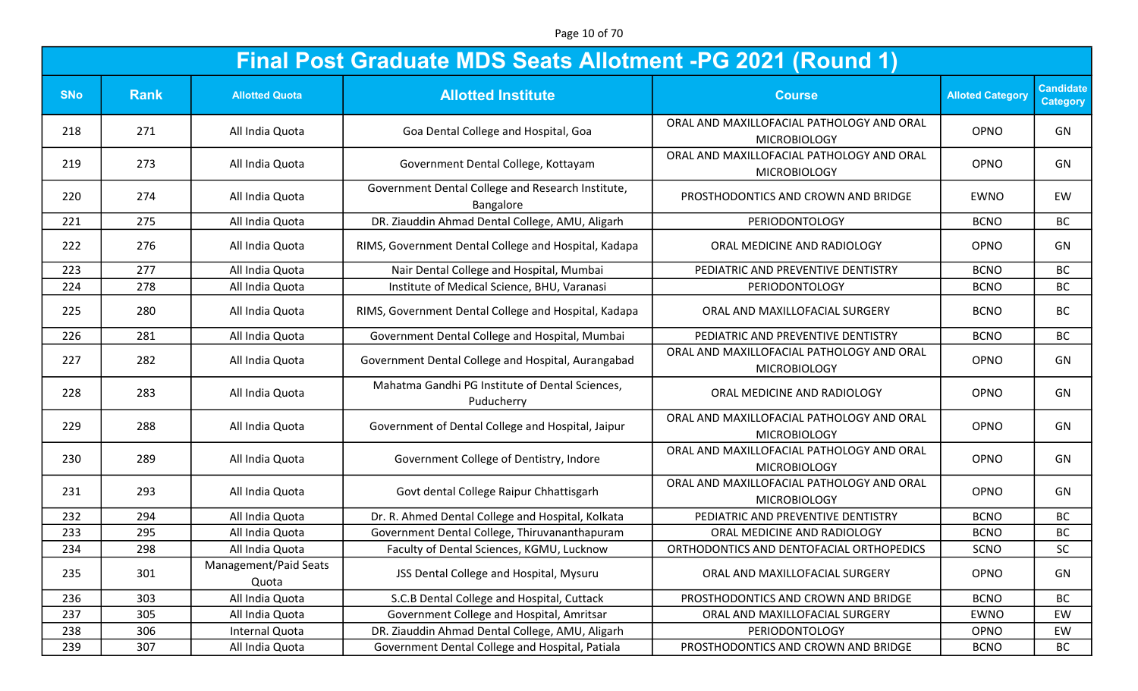Page 10 of 70

|            | <b>Final Post Graduate MDS Seats Allotment -PG 2021 (Round 1)</b> |                                |                                                                |                                                                  |                         |                                     |  |  |
|------------|-------------------------------------------------------------------|--------------------------------|----------------------------------------------------------------|------------------------------------------------------------------|-------------------------|-------------------------------------|--|--|
| <b>SNo</b> | <b>Rank</b>                                                       | <b>Allotted Quota</b>          | <b>Allotted Institute</b>                                      | <b>Course</b>                                                    | <b>Alloted Category</b> | <b>Candidate</b><br><b>Category</b> |  |  |
| 218        | 271                                                               | All India Quota                | Goa Dental College and Hospital, Goa                           | ORAL AND MAXILLOFACIAL PATHOLOGY AND ORAL<br><b>MICROBIOLOGY</b> | OPNO                    | GN                                  |  |  |
| 219        | 273                                                               | All India Quota                | Government Dental College, Kottayam                            | ORAL AND MAXILLOFACIAL PATHOLOGY AND ORAL<br><b>MICROBIOLOGY</b> | OPNO                    | GN                                  |  |  |
| 220        | 274                                                               | All India Quota                | Government Dental College and Research Institute,<br>Bangalore | PROSTHODONTICS AND CROWN AND BRIDGE                              | <b>EWNO</b>             | EW                                  |  |  |
| 221        | 275                                                               | All India Quota                | DR. Ziauddin Ahmad Dental College, AMU, Aligarh                | PERIODONTOLOGY                                                   | <b>BCNO</b>             | BC                                  |  |  |
| 222        | 276                                                               | All India Quota                | RIMS, Government Dental College and Hospital, Kadapa           | ORAL MEDICINE AND RADIOLOGY                                      | <b>OPNO</b>             | GN                                  |  |  |
| 223        | 277                                                               | All India Quota                | Nair Dental College and Hospital, Mumbai                       | PEDIATRIC AND PREVENTIVE DENTISTRY                               | <b>BCNO</b>             | <b>BC</b>                           |  |  |
| 224        | 278                                                               | All India Quota                | Institute of Medical Science, BHU, Varanasi                    | PERIODONTOLOGY                                                   | <b>BCNO</b>             | BC                                  |  |  |
| 225        | 280                                                               | All India Quota                | RIMS, Government Dental College and Hospital, Kadapa           | ORAL AND MAXILLOFACIAL SURGERY                                   | <b>BCNO</b>             | <b>BC</b>                           |  |  |
| 226        | 281                                                               | All India Quota                | Government Dental College and Hospital, Mumbai                 | PEDIATRIC AND PREVENTIVE DENTISTRY                               | <b>BCNO</b>             | <b>BC</b>                           |  |  |
| 227        | 282                                                               | All India Quota                | Government Dental College and Hospital, Aurangabad             | ORAL AND MAXILLOFACIAL PATHOLOGY AND ORAL<br><b>MICROBIOLOGY</b> | OPNO                    | GN                                  |  |  |
| 228        | 283                                                               | All India Quota                | Mahatma Gandhi PG Institute of Dental Sciences,<br>Puducherry  | ORAL MEDICINE AND RADIOLOGY                                      | OPNO                    | GN                                  |  |  |
| 229        | 288                                                               | All India Quota                | Government of Dental College and Hospital, Jaipur              | ORAL AND MAXILLOFACIAL PATHOLOGY AND ORAL<br><b>MICROBIOLOGY</b> | OPNO                    | GN                                  |  |  |
| 230        | 289                                                               | All India Quota                | Government College of Dentistry, Indore                        | ORAL AND MAXILLOFACIAL PATHOLOGY AND ORAL<br><b>MICROBIOLOGY</b> | OPNO                    | GN                                  |  |  |
| 231        | 293                                                               | All India Quota                | Govt dental College Raipur Chhattisgarh                        | ORAL AND MAXILLOFACIAL PATHOLOGY AND ORAL<br><b>MICROBIOLOGY</b> | OPNO                    | GN                                  |  |  |
| 232        | 294                                                               | All India Quota                | Dr. R. Ahmed Dental College and Hospital, Kolkata              | PEDIATRIC AND PREVENTIVE DENTISTRY                               | <b>BCNO</b>             | <b>BC</b>                           |  |  |
| 233        | 295                                                               | All India Quota                | Government Dental College, Thiruvananthapuram                  | ORAL MEDICINE AND RADIOLOGY                                      | <b>BCNO</b>             | <b>BC</b>                           |  |  |
| 234        | 298                                                               | All India Quota                | Faculty of Dental Sciences, KGMU, Lucknow                      | ORTHODONTICS AND DENTOFACIAL ORTHOPEDICS                         | <b>SCNO</b>             | SC                                  |  |  |
| 235        | 301                                                               | Management/Paid Seats<br>Quota | JSS Dental College and Hospital, Mysuru                        | ORAL AND MAXILLOFACIAL SURGERY                                   | OPNO                    | GN                                  |  |  |
| 236        | 303                                                               | All India Quota                | S.C.B Dental College and Hospital, Cuttack                     | PROSTHODONTICS AND CROWN AND BRIDGE                              | <b>BCNO</b>             | <b>BC</b>                           |  |  |
| 237        | 305                                                               | All India Quota                | Government College and Hospital, Amritsar                      | ORAL AND MAXILLOFACIAL SURGERY                                   | EWNO                    | EW                                  |  |  |
| 238        | 306                                                               | Internal Quota                 | DR. Ziauddin Ahmad Dental College, AMU, Aligarh                | PERIODONTOLOGY                                                   | OPNO                    | EW                                  |  |  |
| 239        | 307                                                               | All India Quota                | Government Dental College and Hospital, Patiala                | PROSTHODONTICS AND CROWN AND BRIDGE                              | <b>BCNO</b>             | <b>BC</b>                           |  |  |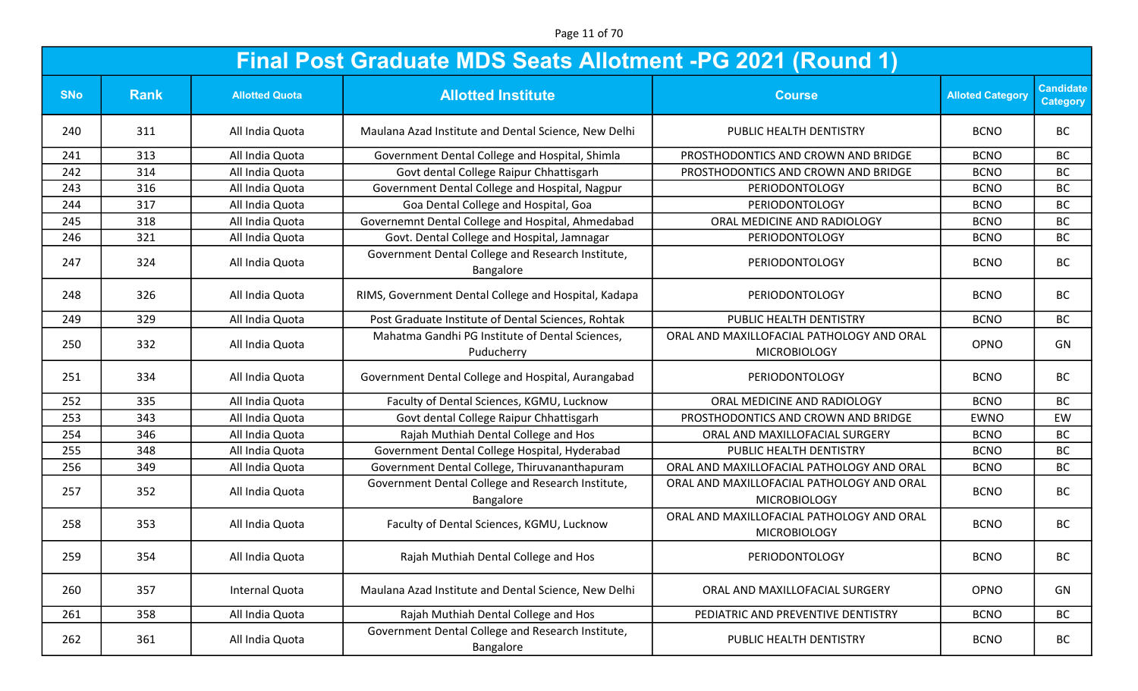Page 11 of 70

|            | <b>Final Post Graduate MDS Seats Allotment -PG 2021 (Round 1)</b> |                       |                                                                |                                                                  |                         |                                     |  |  |
|------------|-------------------------------------------------------------------|-----------------------|----------------------------------------------------------------|------------------------------------------------------------------|-------------------------|-------------------------------------|--|--|
| <b>SNo</b> | <b>Rank</b>                                                       | <b>Allotted Quota</b> | <b>Allotted Institute</b>                                      | <b>Course</b>                                                    | <b>Alloted Category</b> | <b>Candidate</b><br><b>Category</b> |  |  |
| 240        | 311                                                               | All India Quota       | Maulana Azad Institute and Dental Science, New Delhi           | PUBLIC HEALTH DENTISTRY                                          | <b>BCNO</b>             | <b>BC</b>                           |  |  |
| 241        | 313                                                               | All India Quota       | Government Dental College and Hospital, Shimla                 | PROSTHODONTICS AND CROWN AND BRIDGE                              | <b>BCNO</b>             | <b>BC</b>                           |  |  |
| 242        | 314                                                               | All India Quota       | Govt dental College Raipur Chhattisgarh                        | PROSTHODONTICS AND CROWN AND BRIDGE                              | <b>BCNO</b>             | <b>BC</b>                           |  |  |
| 243        | 316                                                               | All India Quota       | Government Dental College and Hospital, Nagpur                 | PERIODONTOLOGY                                                   | <b>BCNO</b>             | <b>BC</b>                           |  |  |
| 244        | 317                                                               | All India Quota       | Goa Dental College and Hospital, Goa                           | PERIODONTOLOGY                                                   | <b>BCNO</b>             | <b>BC</b>                           |  |  |
| 245        | 318                                                               | All India Quota       | Governemnt Dental College and Hospital, Ahmedabad              | ORAL MEDICINE AND RADIOLOGY                                      | <b>BCNO</b>             | <b>BC</b>                           |  |  |
| 246        | 321                                                               | All India Quota       | Govt. Dental College and Hospital, Jamnagar                    | PERIODONTOLOGY                                                   | <b>BCNO</b>             | <b>BC</b>                           |  |  |
| 247        | 324                                                               | All India Quota       | Government Dental College and Research Institute,<br>Bangalore | PERIODONTOLOGY                                                   | <b>BCNO</b>             | <b>BC</b>                           |  |  |
| 248        | 326                                                               | All India Quota       | RIMS, Government Dental College and Hospital, Kadapa           | PERIODONTOLOGY                                                   | <b>BCNO</b>             | <b>BC</b>                           |  |  |
| 249        | 329                                                               | All India Quota       | Post Graduate Institute of Dental Sciences, Rohtak             | PUBLIC HEALTH DENTISTRY                                          | <b>BCNO</b>             | <b>BC</b>                           |  |  |
| 250        | 332                                                               | All India Quota       | Mahatma Gandhi PG Institute of Dental Sciences,<br>Puducherry  | ORAL AND MAXILLOFACIAL PATHOLOGY AND ORAL<br><b>MICROBIOLOGY</b> | OPNO                    | GN                                  |  |  |
| 251        | 334                                                               | All India Quota       | Government Dental College and Hospital, Aurangabad             | PERIODONTOLOGY                                                   | <b>BCNO</b>             | <b>BC</b>                           |  |  |
| 252        | 335                                                               | All India Quota       | Faculty of Dental Sciences, KGMU, Lucknow                      | ORAL MEDICINE AND RADIOLOGY                                      | <b>BCNO</b>             | <b>BC</b>                           |  |  |
| 253        | 343                                                               | All India Quota       | Govt dental College Raipur Chhattisgarh                        | PROSTHODONTICS AND CROWN AND BRIDGE                              | <b>EWNO</b>             | EW                                  |  |  |
| 254        | 346                                                               | All India Quota       | Rajah Muthiah Dental College and Hos                           | ORAL AND MAXILLOFACIAL SURGERY                                   | <b>BCNO</b>             | <b>BC</b>                           |  |  |
| 255        | 348                                                               | All India Quota       | Government Dental College Hospital, Hyderabad                  | PUBLIC HEALTH DENTISTRY                                          | <b>BCNO</b>             | <b>BC</b>                           |  |  |
| 256        | 349                                                               | All India Quota       | Government Dental College, Thiruvananthapuram                  | ORAL AND MAXILLOFACIAL PATHOLOGY AND ORAL                        | <b>BCNO</b>             | <b>BC</b>                           |  |  |
| 257        | 352                                                               | All India Quota       | Government Dental College and Research Institute,<br>Bangalore | ORAL AND MAXILLOFACIAL PATHOLOGY AND ORAL<br><b>MICROBIOLOGY</b> | <b>BCNO</b>             | <b>BC</b>                           |  |  |
| 258        | 353                                                               | All India Quota       | Faculty of Dental Sciences, KGMU, Lucknow                      | ORAL AND MAXILLOFACIAL PATHOLOGY AND ORAL<br><b>MICROBIOLOGY</b> | <b>BCNO</b>             | BC                                  |  |  |
| 259        | 354                                                               | All India Quota       | Rajah Muthiah Dental College and Hos                           | PERIODONTOLOGY                                                   | <b>BCNO</b>             | BC                                  |  |  |
| 260        | 357                                                               | Internal Quota        | Maulana Azad Institute and Dental Science, New Delhi           | ORAL AND MAXILLOFACIAL SURGERY                                   | OPNO                    | GN                                  |  |  |
| 261        | 358                                                               | All India Quota       | Rajah Muthiah Dental College and Hos                           | PEDIATRIC AND PREVENTIVE DENTISTRY                               | <b>BCNO</b>             | <b>BC</b>                           |  |  |
| 262        | 361                                                               | All India Quota       | Government Dental College and Research Institute,<br>Bangalore | PUBLIC HEALTH DENTISTRY                                          | <b>BCNO</b>             | BC                                  |  |  |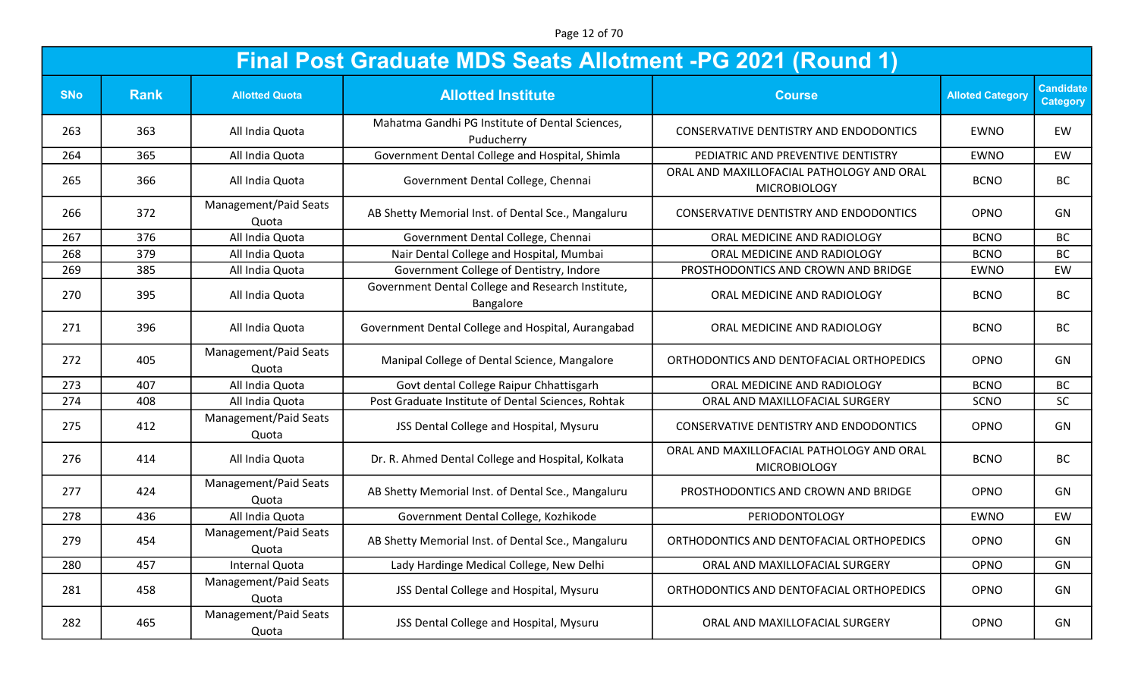Page 12 of 70

|            | <b>Final Post Graduate MDS Seats Allotment -PG 2021 (Round 1)</b> |                                |                                                                |                                                                  |                         |                                     |  |  |
|------------|-------------------------------------------------------------------|--------------------------------|----------------------------------------------------------------|------------------------------------------------------------------|-------------------------|-------------------------------------|--|--|
| <b>SNo</b> | <b>Rank</b>                                                       | <b>Allotted Quota</b>          | <b>Allotted Institute</b>                                      | <b>Course</b>                                                    | <b>Alloted Category</b> | <b>Candidate</b><br><b>Category</b> |  |  |
| 263        | 363                                                               | All India Quota                | Mahatma Gandhi PG Institute of Dental Sciences,<br>Puducherry  | CONSERVATIVE DENTISTRY AND ENDODONTICS                           | <b>EWNO</b>             | EW                                  |  |  |
| 264        | 365                                                               | All India Quota                | Government Dental College and Hospital, Shimla                 | PEDIATRIC AND PREVENTIVE DENTISTRY                               | <b>EWNO</b>             | EW                                  |  |  |
| 265        | 366                                                               | All India Quota                | Government Dental College, Chennai                             | ORAL AND MAXILLOFACIAL PATHOLOGY AND ORAL<br><b>MICROBIOLOGY</b> | <b>BCNO</b>             | BC                                  |  |  |
| 266        | 372                                                               | Management/Paid Seats<br>Quota | AB Shetty Memorial Inst. of Dental Sce., Mangaluru             | <b>CONSERVATIVE DENTISTRY AND ENDODONTICS</b>                    | OPNO                    | GN                                  |  |  |
| 267        | 376                                                               | All India Quota                | Government Dental College, Chennai                             | ORAL MEDICINE AND RADIOLOGY                                      | <b>BCNO</b>             | BC                                  |  |  |
| 268        | 379                                                               | All India Quota                | Nair Dental College and Hospital, Mumbai                       | ORAL MEDICINE AND RADIOLOGY                                      | <b>BCNO</b>             | <b>BC</b>                           |  |  |
| 269        | 385                                                               | All India Quota                | Government College of Dentistry, Indore                        | PROSTHODONTICS AND CROWN AND BRIDGE                              | <b>EWNO</b>             | EW                                  |  |  |
| 270        | 395                                                               | All India Quota                | Government Dental College and Research Institute,<br>Bangalore | ORAL MEDICINE AND RADIOLOGY                                      | <b>BCNO</b>             | <b>BC</b>                           |  |  |
| 271        | 396                                                               | All India Quota                | Government Dental College and Hospital, Aurangabad             | ORAL MEDICINE AND RADIOLOGY                                      | <b>BCNO</b>             | BC                                  |  |  |
| 272        | 405                                                               | Management/Paid Seats<br>Quota | Manipal College of Dental Science, Mangalore                   | ORTHODONTICS AND DENTOFACIAL ORTHOPEDICS                         | OPNO                    | GN                                  |  |  |
| 273        | 407                                                               | All India Quota                | Govt dental College Raipur Chhattisgarh                        | ORAL MEDICINE AND RADIOLOGY                                      | <b>BCNO</b>             | <b>BC</b>                           |  |  |
| 274        | 408                                                               | All India Quota                | Post Graduate Institute of Dental Sciences, Rohtak             | ORAL AND MAXILLOFACIAL SURGERY                                   | SCNO                    | SC                                  |  |  |
| 275        | 412                                                               | Management/Paid Seats<br>Quota | JSS Dental College and Hospital, Mysuru                        | CONSERVATIVE DENTISTRY AND ENDODONTICS                           | OPNO                    | GN                                  |  |  |
| 276        | 414                                                               | All India Quota                | Dr. R. Ahmed Dental College and Hospital, Kolkata              | ORAL AND MAXILLOFACIAL PATHOLOGY AND ORAL<br><b>MICROBIOLOGY</b> | <b>BCNO</b>             | <b>BC</b>                           |  |  |
| 277        | 424                                                               | Management/Paid Seats<br>Quota | AB Shetty Memorial Inst. of Dental Sce., Mangaluru             | PROSTHODONTICS AND CROWN AND BRIDGE                              | OPNO                    | GN                                  |  |  |
| 278        | 436                                                               | All India Quota                | Government Dental College, Kozhikode                           | PERIODONTOLOGY                                                   | <b>EWNO</b>             | EW                                  |  |  |
| 279        | 454                                                               | Management/Paid Seats<br>Quota | AB Shetty Memorial Inst. of Dental Sce., Mangaluru             | ORTHODONTICS AND DENTOFACIAL ORTHOPEDICS                         | OPNO                    | GN                                  |  |  |
| 280        | 457                                                               | Internal Quota                 | Lady Hardinge Medical College, New Delhi                       | ORAL AND MAXILLOFACIAL SURGERY                                   | OPNO                    | GN                                  |  |  |
| 281        | 458                                                               | Management/Paid Seats<br>Quota | JSS Dental College and Hospital, Mysuru                        | ORTHODONTICS AND DENTOFACIAL ORTHOPEDICS                         | OPNO                    | GN                                  |  |  |
| 282        | 465                                                               | Management/Paid Seats<br>Quota | JSS Dental College and Hospital, Mysuru                        | ORAL AND MAXILLOFACIAL SURGERY                                   | OPNO                    | GN                                  |  |  |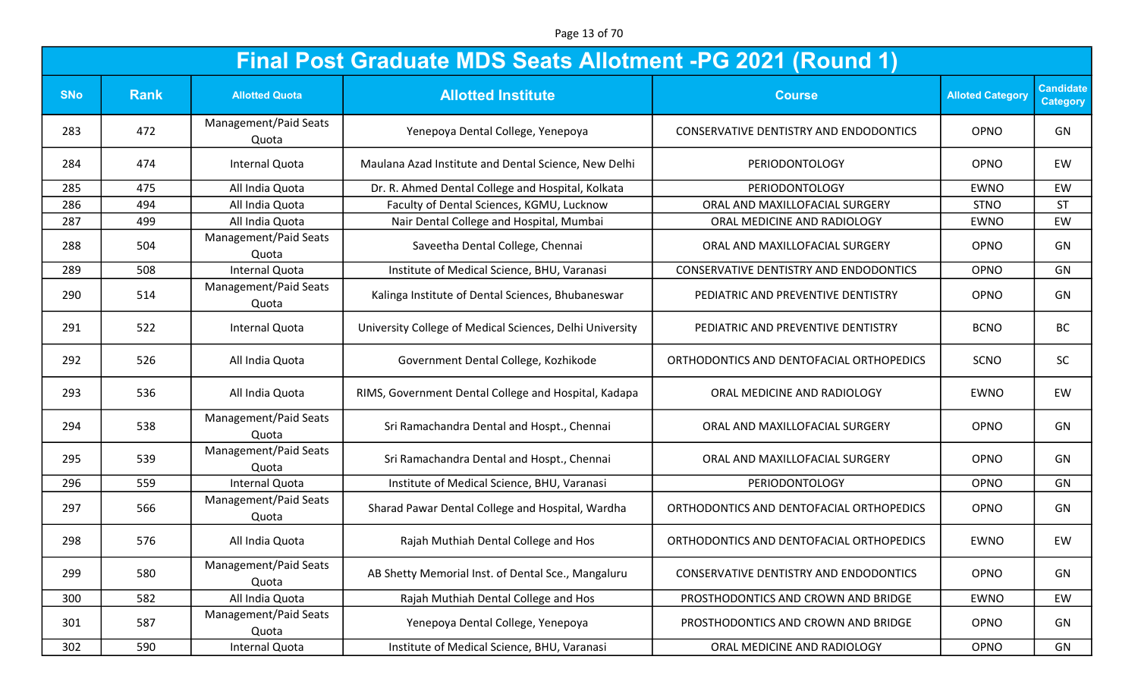Page 13 of 70

|            | Final Post Graduate MDS Seats Allotment -PG 2021 (Round 1) |                                |                                                          |                                          |                         |                                     |  |  |  |
|------------|------------------------------------------------------------|--------------------------------|----------------------------------------------------------|------------------------------------------|-------------------------|-------------------------------------|--|--|--|
| <b>SNo</b> | <b>Rank</b>                                                | <b>Allotted Quota</b>          | <b>Allotted Institute</b>                                | <b>Course</b>                            | <b>Alloted Category</b> | <b>Candidate</b><br><b>Category</b> |  |  |  |
| 283        | 472                                                        | Management/Paid Seats<br>Quota | Yenepoya Dental College, Yenepoya                        | CONSERVATIVE DENTISTRY AND ENDODONTICS   | OPNO                    | GN                                  |  |  |  |
| 284        | 474                                                        | Internal Quota                 | Maulana Azad Institute and Dental Science, New Delhi     | <b>PERIODONTOLOGY</b>                    | <b>OPNO</b>             | EW                                  |  |  |  |
| 285        | 475                                                        | All India Quota                | Dr. R. Ahmed Dental College and Hospital, Kolkata        | PERIODONTOLOGY                           | <b>EWNO</b>             | EW                                  |  |  |  |
| 286        | 494                                                        | All India Quota                | Faculty of Dental Sciences, KGMU, Lucknow                | ORAL AND MAXILLOFACIAL SURGERY           | <b>STNO</b>             | <b>ST</b>                           |  |  |  |
| 287        | 499                                                        | All India Quota                | Nair Dental College and Hospital, Mumbai                 | ORAL MEDICINE AND RADIOLOGY              | <b>EWNO</b>             | EW                                  |  |  |  |
| 288        | 504                                                        | Management/Paid Seats<br>Quota | Saveetha Dental College, Chennai                         | ORAL AND MAXILLOFACIAL SURGERY           | OPNO                    | GN                                  |  |  |  |
| 289        | 508                                                        | Internal Quota                 | Institute of Medical Science, BHU, Varanasi              | CONSERVATIVE DENTISTRY AND ENDODONTICS   | <b>OPNO</b>             | GN                                  |  |  |  |
| 290        | 514                                                        | Management/Paid Seats<br>Quota | Kalinga Institute of Dental Sciences, Bhubaneswar        | PEDIATRIC AND PREVENTIVE DENTISTRY       | <b>OPNO</b>             | GN                                  |  |  |  |
| 291        | 522                                                        | Internal Quota                 | University College of Medical Sciences, Delhi University | PEDIATRIC AND PREVENTIVE DENTISTRY       | <b>BCNO</b>             | <b>BC</b>                           |  |  |  |
| 292        | 526                                                        | All India Quota                | Government Dental College, Kozhikode                     | ORTHODONTICS AND DENTOFACIAL ORTHOPEDICS | SCNO                    | <b>SC</b>                           |  |  |  |
| 293        | 536                                                        | All India Quota                | RIMS, Government Dental College and Hospital, Kadapa     | ORAL MEDICINE AND RADIOLOGY              | <b>EWNO</b>             | EW                                  |  |  |  |
| 294        | 538                                                        | Management/Paid Seats<br>Quota | Sri Ramachandra Dental and Hospt., Chennai               | ORAL AND MAXILLOFACIAL SURGERY           | OPNO                    | GN                                  |  |  |  |
| 295        | 539                                                        | Management/Paid Seats<br>Quota | Sri Ramachandra Dental and Hospt., Chennai               | ORAL AND MAXILLOFACIAL SURGERY           | OPNO                    | GN                                  |  |  |  |
| 296        | 559                                                        | Internal Quota                 | Institute of Medical Science, BHU, Varanasi              | PERIODONTOLOGY                           | OPNO                    | GN                                  |  |  |  |
| 297        | 566                                                        | Management/Paid Seats<br>Quota | Sharad Pawar Dental College and Hospital, Wardha         | ORTHODONTICS AND DENTOFACIAL ORTHOPEDICS | OPNO                    | GN                                  |  |  |  |
| 298        | 576                                                        | All India Quota                | Rajah Muthiah Dental College and Hos                     | ORTHODONTICS AND DENTOFACIAL ORTHOPEDICS | <b>EWNO</b>             | EW                                  |  |  |  |
| 299        | 580                                                        | Management/Paid Seats<br>Quota | AB Shetty Memorial Inst. of Dental Sce., Mangaluru       | CONSERVATIVE DENTISTRY AND ENDODONTICS   | OPNO                    | GN                                  |  |  |  |
| 300        | 582                                                        | All India Quota                | Rajah Muthiah Dental College and Hos                     | PROSTHODONTICS AND CROWN AND BRIDGE      | <b>EWNO</b>             | EW                                  |  |  |  |
| 301        | 587                                                        | Management/Paid Seats<br>Quota | Yenepoya Dental College, Yenepoya                        | PROSTHODONTICS AND CROWN AND BRIDGE      | OPNO                    | GN                                  |  |  |  |
| 302        | 590                                                        | Internal Quota                 | Institute of Medical Science, BHU, Varanasi              | ORAL MEDICINE AND RADIOLOGY              | OPNO                    | GN                                  |  |  |  |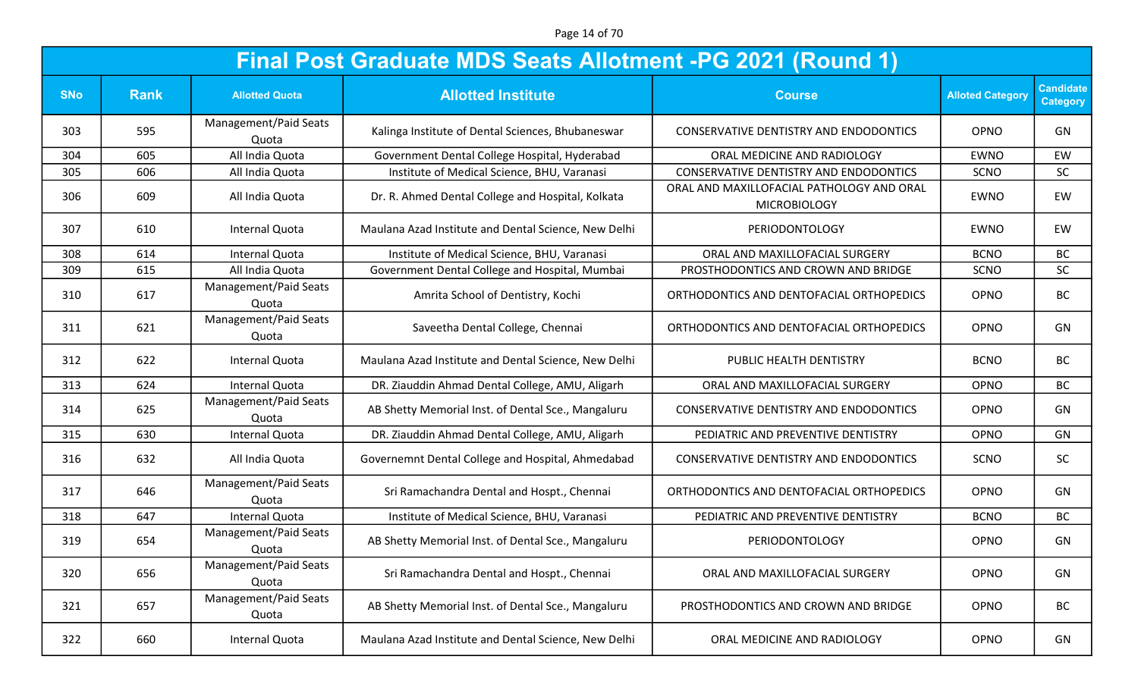Page 14 of 70

|            | <b>Final Post Graduate MDS Seats Allotment -PG 2021 (Round 1)</b> |                                |                                                      |                                                                  |                         |                                     |  |  |
|------------|-------------------------------------------------------------------|--------------------------------|------------------------------------------------------|------------------------------------------------------------------|-------------------------|-------------------------------------|--|--|
| <b>SNo</b> | <b>Rank</b>                                                       | <b>Allotted Quota</b>          | <b>Allotted Institute</b>                            | <b>Course</b>                                                    | <b>Alloted Category</b> | <b>Candidate</b><br><b>Category</b> |  |  |
| 303        | 595                                                               | Management/Paid Seats<br>Quota | Kalinga Institute of Dental Sciences, Bhubaneswar    | CONSERVATIVE DENTISTRY AND ENDODONTICS                           | OPNO                    | GN                                  |  |  |
| 304        | 605                                                               | All India Quota                | Government Dental College Hospital, Hyderabad        | ORAL MEDICINE AND RADIOLOGY                                      | <b>EWNO</b>             | EW                                  |  |  |
| 305        | 606                                                               | All India Quota                | Institute of Medical Science, BHU, Varanasi          | CONSERVATIVE DENTISTRY AND ENDODONTICS                           | <b>SCNO</b>             | SC                                  |  |  |
| 306        | 609                                                               | All India Quota                | Dr. R. Ahmed Dental College and Hospital, Kolkata    | ORAL AND MAXILLOFACIAL PATHOLOGY AND ORAL<br><b>MICROBIOLOGY</b> | <b>EWNO</b>             | EW                                  |  |  |
| 307        | 610                                                               | Internal Quota                 | Maulana Azad Institute and Dental Science, New Delhi | PERIODONTOLOGY                                                   | <b>EWNO</b>             | EW                                  |  |  |
| 308        | 614                                                               | <b>Internal Quota</b>          | Institute of Medical Science, BHU, Varanasi          | ORAL AND MAXILLOFACIAL SURGERY                                   | <b>BCNO</b>             | <b>BC</b>                           |  |  |
| 309        | 615                                                               | All India Quota                | Government Dental College and Hospital, Mumbai       | PROSTHODONTICS AND CROWN AND BRIDGE                              | SCNO                    | SC                                  |  |  |
| 310        | 617                                                               | Management/Paid Seats<br>Quota | Amrita School of Dentistry, Kochi                    | ORTHODONTICS AND DENTOFACIAL ORTHOPEDICS                         | OPNO                    | <b>BC</b>                           |  |  |
| 311        | 621                                                               | Management/Paid Seats<br>Quota | Saveetha Dental College, Chennai                     | ORTHODONTICS AND DENTOFACIAL ORTHOPEDICS                         | OPNO                    | GN                                  |  |  |
| 312        | 622                                                               | Internal Quota                 | Maulana Azad Institute and Dental Science, New Delhi | PUBLIC HEALTH DENTISTRY                                          | <b>BCNO</b>             | <b>BC</b>                           |  |  |
| 313        | 624                                                               | Internal Quota                 | DR. Ziauddin Ahmad Dental College, AMU, Aligarh      | ORAL AND MAXILLOFACIAL SURGERY                                   | OPNO                    | <b>BC</b>                           |  |  |
| 314        | 625                                                               | Management/Paid Seats<br>Quota | AB Shetty Memorial Inst. of Dental Sce., Mangaluru   | <b>CONSERVATIVE DENTISTRY AND ENDODONTICS</b>                    | <b>OPNO</b>             | GN                                  |  |  |
| 315        | 630                                                               | Internal Quota                 | DR. Ziauddin Ahmad Dental College, AMU, Aligarh      | PEDIATRIC AND PREVENTIVE DENTISTRY                               | OPNO                    | GN                                  |  |  |
| 316        | 632                                                               | All India Quota                | Governemnt Dental College and Hospital, Ahmedabad    | CONSERVATIVE DENTISTRY AND ENDODONTICS                           | SCNO                    | <b>SC</b>                           |  |  |
| 317        | 646                                                               | Management/Paid Seats<br>Quota | Sri Ramachandra Dental and Hospt., Chennai           | ORTHODONTICS AND DENTOFACIAL ORTHOPEDICS                         | OPNO                    | GN                                  |  |  |
| 318        | 647                                                               | Internal Quota                 | Institute of Medical Science, BHU, Varanasi          | PEDIATRIC AND PREVENTIVE DENTISTRY                               | <b>BCNO</b>             | <b>BC</b>                           |  |  |
| 319        | 654                                                               | Management/Paid Seats<br>Quota | AB Shetty Memorial Inst. of Dental Sce., Mangaluru   | PERIODONTOLOGY                                                   | OPNO                    | GN                                  |  |  |
| 320        | 656                                                               | Management/Paid Seats<br>Quota | Sri Ramachandra Dental and Hospt., Chennai           | ORAL AND MAXILLOFACIAL SURGERY                                   | OPNO                    | GN                                  |  |  |
| 321        | 657                                                               | Management/Paid Seats<br>Quota | AB Shetty Memorial Inst. of Dental Sce., Mangaluru   | PROSTHODONTICS AND CROWN AND BRIDGE                              | OPNO                    | BC                                  |  |  |
| 322        | 660                                                               | Internal Quota                 | Maulana Azad Institute and Dental Science, New Delhi | ORAL MEDICINE AND RADIOLOGY                                      | OPNO                    | GN                                  |  |  |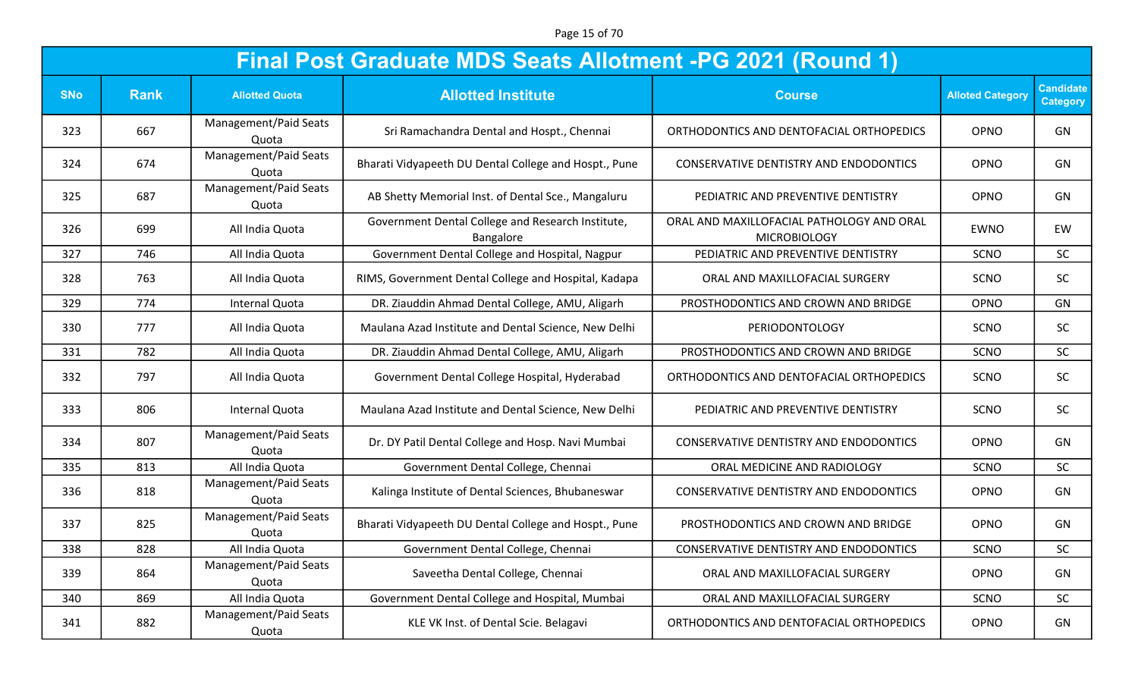Page 15 of 70

|            | <b>Final Post Graduate MDS Seats Allotment -PG 2021 (Round 1)</b> |                                |                                                                |                                                                  |                         |                                     |  |  |
|------------|-------------------------------------------------------------------|--------------------------------|----------------------------------------------------------------|------------------------------------------------------------------|-------------------------|-------------------------------------|--|--|
| <b>SNo</b> | <b>Rank</b>                                                       | <b>Allotted Quota</b>          | <b>Allotted Institute</b>                                      | <b>Course</b>                                                    | <b>Alloted Category</b> | <b>Candidate</b><br><b>Category</b> |  |  |
| 323        | 667                                                               | Management/Paid Seats<br>Quota | Sri Ramachandra Dental and Hospt., Chennai                     | ORTHODONTICS AND DENTOFACIAL ORTHOPEDICS                         | OPNO                    | GN                                  |  |  |
| 324        | 674                                                               | Management/Paid Seats<br>Quota | Bharati Vidyapeeth DU Dental College and Hospt., Pune          | CONSERVATIVE DENTISTRY AND ENDODONTICS                           | OPNO                    | GN                                  |  |  |
| 325        | 687                                                               | Management/Paid Seats<br>Quota | AB Shetty Memorial Inst. of Dental Sce., Mangaluru             | PEDIATRIC AND PREVENTIVE DENTISTRY                               | OPNO                    | GN                                  |  |  |
| 326        | 699                                                               | All India Quota                | Government Dental College and Research Institute,<br>Bangalore | ORAL AND MAXILLOFACIAL PATHOLOGY AND ORAL<br><b>MICROBIOLOGY</b> | <b>EWNO</b>             | EW                                  |  |  |
| 327        | 746                                                               | All India Quota                | Government Dental College and Hospital, Nagpur                 | PEDIATRIC AND PREVENTIVE DENTISTRY                               | <b>SCNO</b>             | SC                                  |  |  |
| 328        | 763                                                               | All India Quota                | RIMS, Government Dental College and Hospital, Kadapa           | ORAL AND MAXILLOFACIAL SURGERY                                   | SCNO                    | <b>SC</b>                           |  |  |
| 329        | 774                                                               | Internal Quota                 | DR. Ziauddin Ahmad Dental College, AMU, Aligarh                | PROSTHODONTICS AND CROWN AND BRIDGE                              | OPNO                    | GN                                  |  |  |
| 330        | 777                                                               | All India Quota                | Maulana Azad Institute and Dental Science, New Delhi           | PERIODONTOLOGY                                                   | SCNO                    | <b>SC</b>                           |  |  |
| 331        | 782                                                               | All India Quota                | DR. Ziauddin Ahmad Dental College, AMU, Aligarh                | PROSTHODONTICS AND CROWN AND BRIDGE                              | SCNO                    | SC                                  |  |  |
| 332        | 797                                                               | All India Quota                | Government Dental College Hospital, Hyderabad                  | ORTHODONTICS AND DENTOFACIAL ORTHOPEDICS                         | SCNO                    | SC                                  |  |  |
| 333        | 806                                                               | Internal Quota                 | Maulana Azad Institute and Dental Science, New Delhi           | PEDIATRIC AND PREVENTIVE DENTISTRY                               | SCNO                    | <b>SC</b>                           |  |  |
| 334        | 807                                                               | Management/Paid Seats<br>Quota | Dr. DY Patil Dental College and Hosp. Navi Mumbai              | <b>CONSERVATIVE DENTISTRY AND ENDODONTICS</b>                    | OPNO                    | GN                                  |  |  |
| 335        | 813                                                               | All India Quota                | Government Dental College, Chennai                             | ORAL MEDICINE AND RADIOLOGY                                      | SCNO                    | <b>SC</b>                           |  |  |
| 336        | 818                                                               | Management/Paid Seats<br>Quota | Kalinga Institute of Dental Sciences, Bhubaneswar              | CONSERVATIVE DENTISTRY AND ENDODONTICS                           | OPNO                    | GN                                  |  |  |
| 337        | 825                                                               | Management/Paid Seats<br>Quota | Bharati Vidyapeeth DU Dental College and Hospt., Pune          | PROSTHODONTICS AND CROWN AND BRIDGE                              | OPNO                    | GN                                  |  |  |
| 338        | 828                                                               | All India Quota                | Government Dental College, Chennai                             | CONSERVATIVE DENTISTRY AND ENDODONTICS                           | SCNO                    | SC                                  |  |  |
| 339        | 864                                                               | Management/Paid Seats<br>Quota | Saveetha Dental College, Chennai                               | ORAL AND MAXILLOFACIAL SURGERY                                   | OPNO                    | GN                                  |  |  |
| 340        | 869                                                               | All India Quota                | Government Dental College and Hospital, Mumbai                 | ORAL AND MAXILLOFACIAL SURGERY                                   | SCNO                    | SC                                  |  |  |
| 341        | 882                                                               | Management/Paid Seats<br>Quota | KLE VK Inst. of Dental Scie. Belagavi                          | ORTHODONTICS AND DENTOFACIAL ORTHOPEDICS                         | OPNO                    | GN                                  |  |  |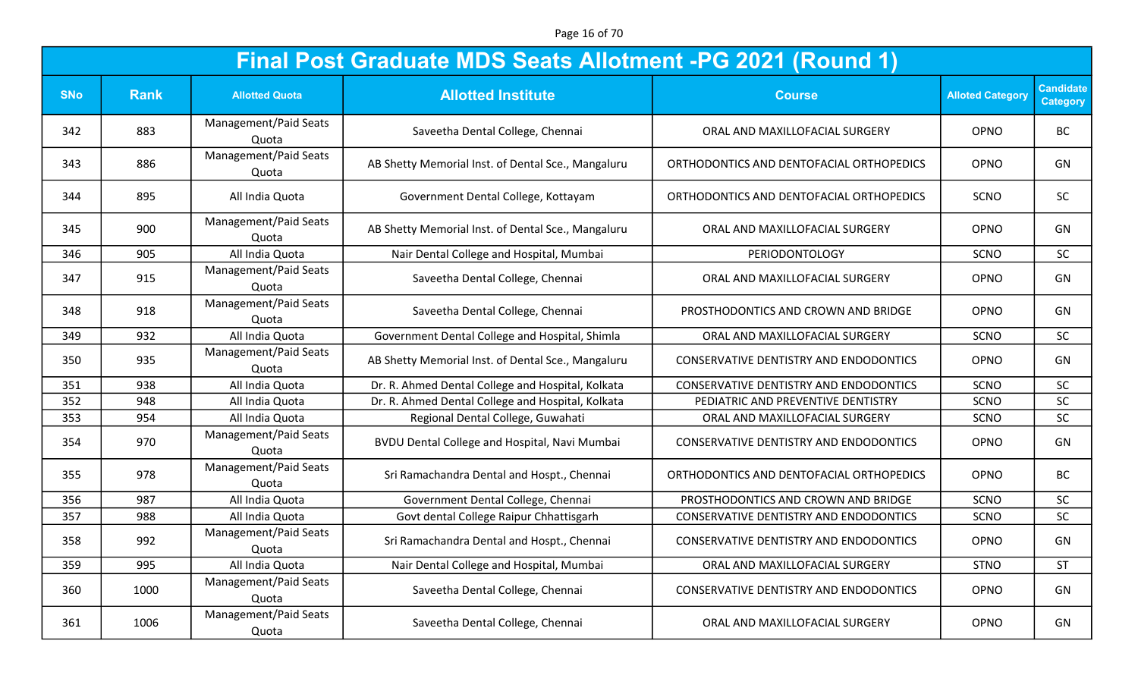Page 16 of 70

|            | <b>Final Post Graduate MDS Seats Allotment -PG 2021 (Round 1)</b> |                                |                                                    |                                               |                         |                                     |  |  |
|------------|-------------------------------------------------------------------|--------------------------------|----------------------------------------------------|-----------------------------------------------|-------------------------|-------------------------------------|--|--|
| <b>SNo</b> | <b>Rank</b>                                                       | <b>Allotted Quota</b>          | <b>Allotted Institute</b>                          | <b>Course</b>                                 | <b>Alloted Category</b> | <b>Candidate</b><br><b>Category</b> |  |  |
| 342        | 883                                                               | Management/Paid Seats<br>Quota | Saveetha Dental College, Chennai                   | ORAL AND MAXILLOFACIAL SURGERY                | OPNO                    | <b>BC</b>                           |  |  |
| 343        | 886                                                               | Management/Paid Seats<br>Quota | AB Shetty Memorial Inst. of Dental Sce., Mangaluru | ORTHODONTICS AND DENTOFACIAL ORTHOPEDICS      | OPNO                    | GN                                  |  |  |
| 344        | 895                                                               | All India Quota                | Government Dental College, Kottayam                | ORTHODONTICS AND DENTOFACIAL ORTHOPEDICS      | SCNO                    | <b>SC</b>                           |  |  |
| 345        | 900                                                               | Management/Paid Seats<br>Quota | AB Shetty Memorial Inst. of Dental Sce., Mangaluru | ORAL AND MAXILLOFACIAL SURGERY                | OPNO                    | GN                                  |  |  |
| 346        | 905                                                               | All India Quota                | Nair Dental College and Hospital, Mumbai           | PERIODONTOLOGY                                | <b>SCNO</b>             | SC                                  |  |  |
| 347        | 915                                                               | Management/Paid Seats<br>Quota | Saveetha Dental College, Chennai                   | ORAL AND MAXILLOFACIAL SURGERY                | OPNO                    | GN                                  |  |  |
| 348        | 918                                                               | Management/Paid Seats<br>Quota | Saveetha Dental College, Chennai                   | PROSTHODONTICS AND CROWN AND BRIDGE           | OPNO                    | GN                                  |  |  |
| 349        | 932                                                               | All India Quota                | Government Dental College and Hospital, Shimla     | ORAL AND MAXILLOFACIAL SURGERY                | SCNO                    | SC                                  |  |  |
| 350        | 935                                                               | Management/Paid Seats<br>Quota | AB Shetty Memorial Inst. of Dental Sce., Mangaluru | <b>CONSERVATIVE DENTISTRY AND ENDODONTICS</b> | OPNO                    | GN                                  |  |  |
| 351        | 938                                                               | All India Quota                | Dr. R. Ahmed Dental College and Hospital, Kolkata  | <b>CONSERVATIVE DENTISTRY AND ENDODONTICS</b> | <b>SCNO</b>             | <b>SC</b>                           |  |  |
| 352        | 948                                                               | All India Quota                | Dr. R. Ahmed Dental College and Hospital, Kolkata  | PEDIATRIC AND PREVENTIVE DENTISTRY            | SCNO                    | SC                                  |  |  |
| 353        | 954                                                               | All India Quota                | Regional Dental College, Guwahati                  | ORAL AND MAXILLOFACIAL SURGERY                | SCNO                    | SC                                  |  |  |
| 354        | 970                                                               | Management/Paid Seats<br>Quota | BVDU Dental College and Hospital, Navi Mumbai      | CONSERVATIVE DENTISTRY AND ENDODONTICS        | OPNO                    | GN                                  |  |  |
| 355        | 978                                                               | Management/Paid Seats<br>Quota | Sri Ramachandra Dental and Hospt., Chennai         | ORTHODONTICS AND DENTOFACIAL ORTHOPEDICS      | OPNO                    | BC                                  |  |  |
| 356        | 987                                                               | All India Quota                | Government Dental College, Chennai                 | PROSTHODONTICS AND CROWN AND BRIDGE           | SCNO                    | <b>SC</b>                           |  |  |
| 357        | 988                                                               | All India Quota                | Govt dental College Raipur Chhattisgarh            | CONSERVATIVE DENTISTRY AND ENDODONTICS        | SCNO                    | SC                                  |  |  |
| 358        | 992                                                               | Management/Paid Seats<br>Quota | Sri Ramachandra Dental and Hospt., Chennai         | CONSERVATIVE DENTISTRY AND ENDODONTICS        | OPNO                    | GN                                  |  |  |
| 359        | 995                                                               | All India Quota                | Nair Dental College and Hospital, Mumbai           | ORAL AND MAXILLOFACIAL SURGERY                | <b>STNO</b>             | <b>ST</b>                           |  |  |
| 360        | 1000                                                              | Management/Paid Seats<br>Quota | Saveetha Dental College, Chennai                   | CONSERVATIVE DENTISTRY AND ENDODONTICS        | OPNO                    | GN                                  |  |  |
| 361        | 1006                                                              | Management/Paid Seats<br>Quota | Saveetha Dental College, Chennai                   | ORAL AND MAXILLOFACIAL SURGERY                | OPNO                    | GN                                  |  |  |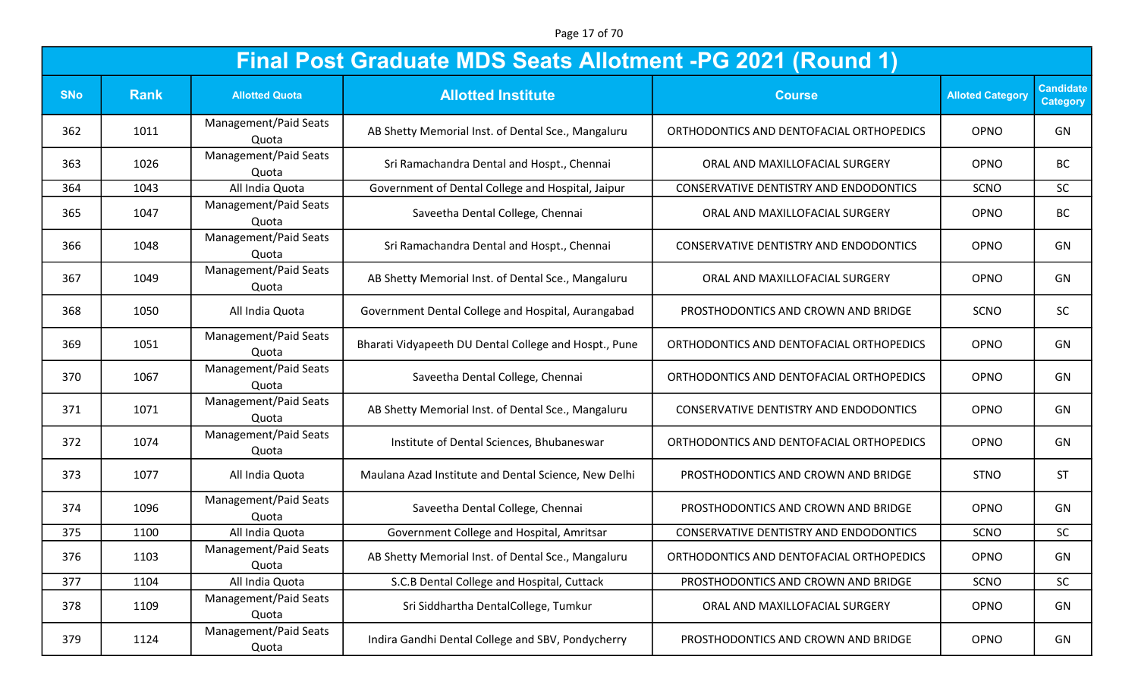Page 17 of 70

|            | <b>Final Post Graduate MDS Seats Allotment -PG 2021 (Round 1)</b> |                                |                                                       |                                               |                         |                                     |  |  |
|------------|-------------------------------------------------------------------|--------------------------------|-------------------------------------------------------|-----------------------------------------------|-------------------------|-------------------------------------|--|--|
| <b>SNo</b> | <b>Rank</b>                                                       | <b>Allotted Quota</b>          | <b>Allotted Institute</b>                             | <b>Course</b>                                 | <b>Alloted Category</b> | <b>Candidate</b><br><b>Category</b> |  |  |
| 362        | 1011                                                              | Management/Paid Seats<br>Quota | AB Shetty Memorial Inst. of Dental Sce., Mangaluru    | ORTHODONTICS AND DENTOFACIAL ORTHOPEDICS      | OPNO                    | GN                                  |  |  |
| 363        | 1026                                                              | Management/Paid Seats<br>Quota | Sri Ramachandra Dental and Hospt., Chennai            | ORAL AND MAXILLOFACIAL SURGERY                | OPNO                    | <b>BC</b>                           |  |  |
| 364        | 1043                                                              | All India Quota                | Government of Dental College and Hospital, Jaipur     | <b>CONSERVATIVE DENTISTRY AND ENDODONTICS</b> | <b>SCNO</b>             | SC                                  |  |  |
| 365        | 1047                                                              | Management/Paid Seats<br>Quota | Saveetha Dental College, Chennai                      | ORAL AND MAXILLOFACIAL SURGERY                | OPNO                    | <b>BC</b>                           |  |  |
| 366        | 1048                                                              | Management/Paid Seats<br>Quota | Sri Ramachandra Dental and Hospt., Chennai            | <b>CONSERVATIVE DENTISTRY AND ENDODONTICS</b> | OPNO                    | GN                                  |  |  |
| 367        | 1049                                                              | Management/Paid Seats<br>Quota | AB Shetty Memorial Inst. of Dental Sce., Mangaluru    | ORAL AND MAXILLOFACIAL SURGERY                | OPNO                    | GN                                  |  |  |
| 368        | 1050                                                              | All India Quota                | Government Dental College and Hospital, Aurangabad    | PROSTHODONTICS AND CROWN AND BRIDGE           | SCNO                    | SC                                  |  |  |
| 369        | 1051                                                              | Management/Paid Seats<br>Quota | Bharati Vidyapeeth DU Dental College and Hospt., Pune | ORTHODONTICS AND DENTOFACIAL ORTHOPEDICS      | OPNO                    | GN                                  |  |  |
| 370        | 1067                                                              | Management/Paid Seats<br>Quota | Saveetha Dental College, Chennai                      | ORTHODONTICS AND DENTOFACIAL ORTHOPEDICS      | OPNO                    | GN                                  |  |  |
| 371        | 1071                                                              | Management/Paid Seats<br>Quota | AB Shetty Memorial Inst. of Dental Sce., Mangaluru    | <b>CONSERVATIVE DENTISTRY AND ENDODONTICS</b> | OPNO                    | GN                                  |  |  |
| 372        | 1074                                                              | Management/Paid Seats<br>Quota | Institute of Dental Sciences, Bhubaneswar             | ORTHODONTICS AND DENTOFACIAL ORTHOPEDICS      | OPNO                    | GN                                  |  |  |
| 373        | 1077                                                              | All India Quota                | Maulana Azad Institute and Dental Science, New Delhi  | PROSTHODONTICS AND CROWN AND BRIDGE           | <b>STNO</b>             | <b>ST</b>                           |  |  |
| 374        | 1096                                                              | Management/Paid Seats<br>Quota | Saveetha Dental College, Chennai                      | PROSTHODONTICS AND CROWN AND BRIDGE           | OPNO                    | GN                                  |  |  |
| 375        | 1100                                                              | All India Quota                | Government College and Hospital, Amritsar             | CONSERVATIVE DENTISTRY AND ENDODONTICS        | <b>SCNO</b>             | SC                                  |  |  |
| 376        | 1103                                                              | Management/Paid Seats<br>Quota | AB Shetty Memorial Inst. of Dental Sce., Mangaluru    | ORTHODONTICS AND DENTOFACIAL ORTHOPEDICS      | <b>OPNO</b>             | GN                                  |  |  |
| 377        | 1104                                                              | All India Quota                | S.C.B Dental College and Hospital, Cuttack            | PROSTHODONTICS AND CROWN AND BRIDGE           | SCNO                    | <b>SC</b>                           |  |  |
| 378        | 1109                                                              | Management/Paid Seats<br>Quota | Sri Siddhartha DentalCollege, Tumkur                  | ORAL AND MAXILLOFACIAL SURGERY                | <b>OPNO</b>             | GN                                  |  |  |
| 379        | 1124                                                              | Management/Paid Seats<br>Quota | Indira Gandhi Dental College and SBV, Pondycherry     | PROSTHODONTICS AND CROWN AND BRIDGE           | OPNO                    | GN                                  |  |  |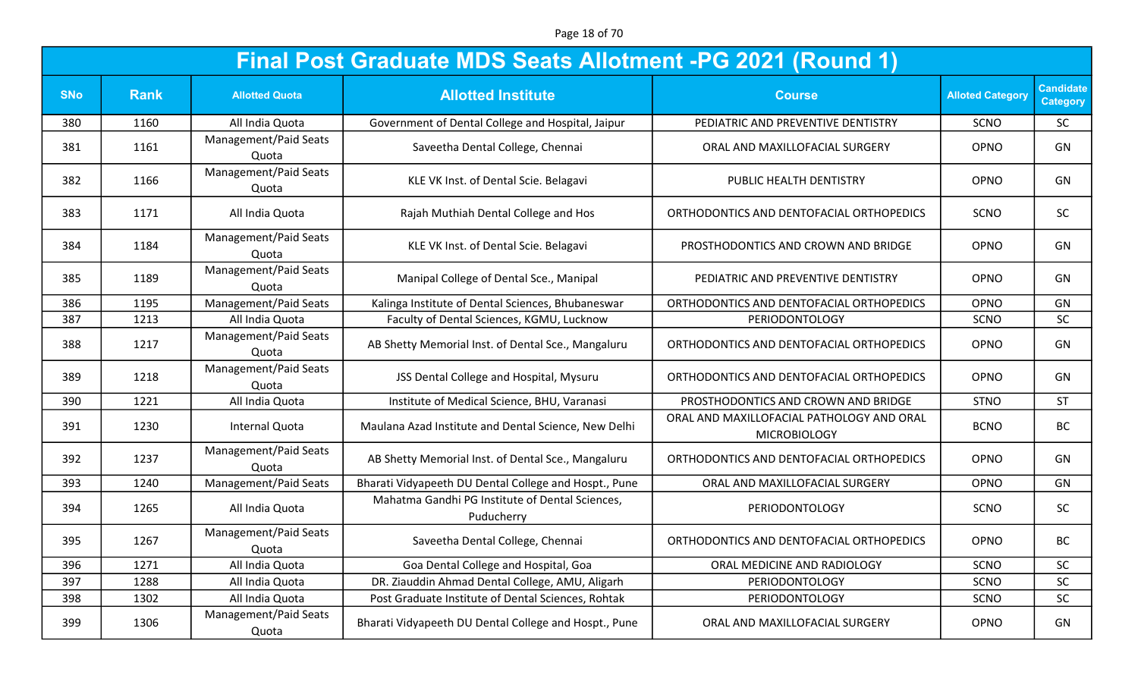Page 18 of 70

|            | <b>Final Post Graduate MDS Seats Allotment -PG 2021 (Round 1)</b> |                                |                                                               |                                                                  |                         |                                     |  |  |
|------------|-------------------------------------------------------------------|--------------------------------|---------------------------------------------------------------|------------------------------------------------------------------|-------------------------|-------------------------------------|--|--|
| <b>SNo</b> | <b>Rank</b>                                                       | <b>Allotted Quota</b>          | <b>Allotted Institute</b>                                     | <b>Course</b>                                                    | <b>Alloted Category</b> | <b>Candidate</b><br><b>Category</b> |  |  |
| 380        | 1160                                                              | All India Quota                | Government of Dental College and Hospital, Jaipur             | PEDIATRIC AND PREVENTIVE DENTISTRY                               | <b>SCNO</b>             | <b>SC</b>                           |  |  |
| 381        | 1161                                                              | Management/Paid Seats<br>Quota | Saveetha Dental College, Chennai                              | ORAL AND MAXILLOFACIAL SURGERY                                   | OPNO                    | GN                                  |  |  |
| 382        | 1166                                                              | Management/Paid Seats<br>Quota | KLE VK Inst. of Dental Scie. Belagavi                         | PUBLIC HEALTH DENTISTRY                                          | OPNO                    | GN                                  |  |  |
| 383        | 1171                                                              | All India Quota                | Rajah Muthiah Dental College and Hos                          | ORTHODONTICS AND DENTOFACIAL ORTHOPEDICS                         | SCNO                    | <b>SC</b>                           |  |  |
| 384        | 1184                                                              | Management/Paid Seats<br>Quota | KLE VK Inst. of Dental Scie. Belagavi                         | PROSTHODONTICS AND CROWN AND BRIDGE                              | OPNO                    | GN                                  |  |  |
| 385        | 1189                                                              | Management/Paid Seats<br>Quota | Manipal College of Dental Sce., Manipal                       | PEDIATRIC AND PREVENTIVE DENTISTRY                               | OPNO                    | GN                                  |  |  |
| 386        | 1195                                                              | Management/Paid Seats          | Kalinga Institute of Dental Sciences, Bhubaneswar             | ORTHODONTICS AND DENTOFACIAL ORTHOPEDICS                         | OPNO                    | GN                                  |  |  |
| 387        | 1213                                                              | All India Quota                | Faculty of Dental Sciences, KGMU, Lucknow                     | PERIODONTOLOGY                                                   | SCNO                    | <b>SC</b>                           |  |  |
| 388        | 1217                                                              | Management/Paid Seats<br>Quota | AB Shetty Memorial Inst. of Dental Sce., Mangaluru            | ORTHODONTICS AND DENTOFACIAL ORTHOPEDICS                         | OPNO                    | GN                                  |  |  |
| 389        | 1218                                                              | Management/Paid Seats<br>Quota | JSS Dental College and Hospital, Mysuru                       | ORTHODONTICS AND DENTOFACIAL ORTHOPEDICS                         | <b>OPNO</b>             | GN                                  |  |  |
| 390        | 1221                                                              | All India Quota                | Institute of Medical Science, BHU, Varanasi                   | PROSTHODONTICS AND CROWN AND BRIDGE                              | <b>STNO</b>             | <b>ST</b>                           |  |  |
| 391        | 1230                                                              | Internal Quota                 | Maulana Azad Institute and Dental Science, New Delhi          | ORAL AND MAXILLOFACIAL PATHOLOGY AND ORAL<br><b>MICROBIOLOGY</b> | <b>BCNO</b>             | <b>BC</b>                           |  |  |
| 392        | 1237                                                              | Management/Paid Seats<br>Quota | AB Shetty Memorial Inst. of Dental Sce., Mangaluru            | ORTHODONTICS AND DENTOFACIAL ORTHOPEDICS                         | OPNO                    | GN                                  |  |  |
| 393        | 1240                                                              | Management/Paid Seats          | Bharati Vidyapeeth DU Dental College and Hospt., Pune         | ORAL AND MAXILLOFACIAL SURGERY                                   | OPNO                    | GN                                  |  |  |
| 394        | 1265                                                              | All India Quota                | Mahatma Gandhi PG Institute of Dental Sciences,<br>Puducherry | PERIODONTOLOGY                                                   | SCNO                    | <b>SC</b>                           |  |  |
| 395        | 1267                                                              | Management/Paid Seats<br>Quota | Saveetha Dental College, Chennai                              | ORTHODONTICS AND DENTOFACIAL ORTHOPEDICS                         | OPNO                    | <b>BC</b>                           |  |  |
| 396        | 1271                                                              | All India Quota                | Goa Dental College and Hospital, Goa                          | ORAL MEDICINE AND RADIOLOGY                                      | SCNO                    | <b>SC</b>                           |  |  |
| 397        | 1288                                                              | All India Quota                | DR. Ziauddin Ahmad Dental College, AMU, Aligarh               | PERIODONTOLOGY                                                   | SCNO                    | <b>SC</b>                           |  |  |
| 398        | 1302                                                              | All India Quota                | Post Graduate Institute of Dental Sciences, Rohtak            | PERIODONTOLOGY                                                   | SCNO                    | <b>SC</b>                           |  |  |
| 399        | 1306                                                              | Management/Paid Seats<br>Quota | Bharati Vidyapeeth DU Dental College and Hospt., Pune         | ORAL AND MAXILLOFACIAL SURGERY                                   | OPNO                    | GN                                  |  |  |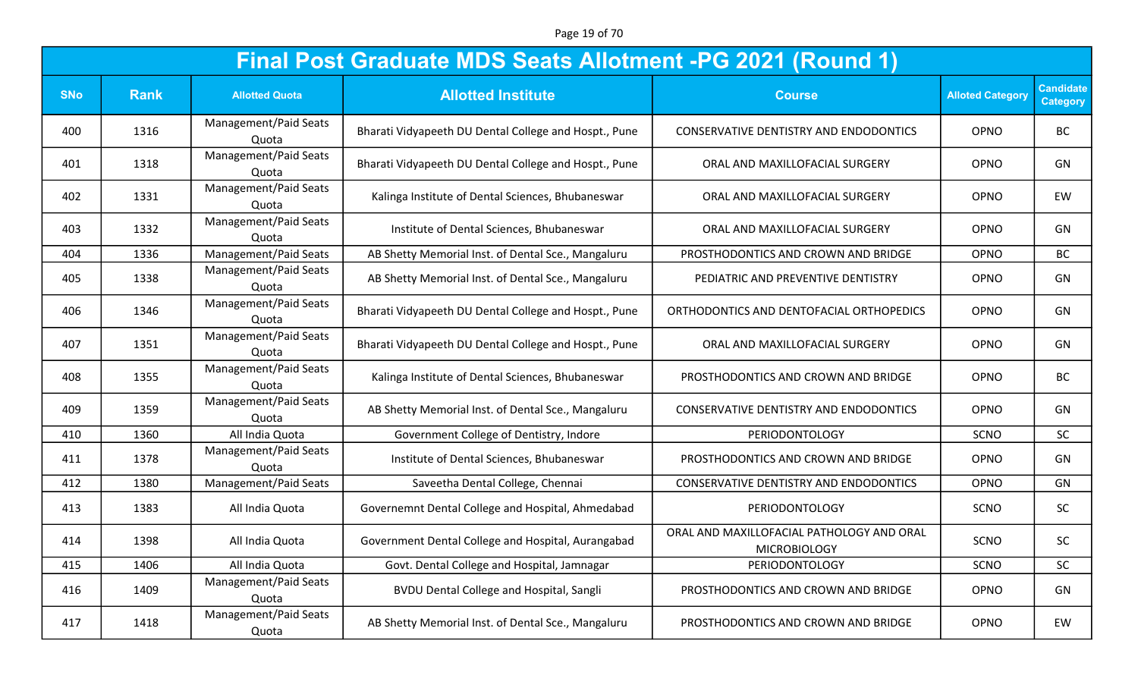Page 19 of 70

|            | <b>Final Post Graduate MDS Seats Allotment -PG 2021 (Round 1)</b> |                                |                                                       |                                                                  |                         |                                     |  |  |
|------------|-------------------------------------------------------------------|--------------------------------|-------------------------------------------------------|------------------------------------------------------------------|-------------------------|-------------------------------------|--|--|
| <b>SNo</b> | <b>Rank</b>                                                       | <b>Allotted Quota</b>          | <b>Allotted Institute</b>                             | <b>Course</b>                                                    | <b>Alloted Category</b> | <b>Candidate</b><br><b>Category</b> |  |  |
| 400        | 1316                                                              | Management/Paid Seats<br>Quota | Bharati Vidyapeeth DU Dental College and Hospt., Pune | CONSERVATIVE DENTISTRY AND ENDODONTICS                           | OPNO                    | <b>BC</b>                           |  |  |
| 401        | 1318                                                              | Management/Paid Seats<br>Quota | Bharati Vidyapeeth DU Dental College and Hospt., Pune | ORAL AND MAXILLOFACIAL SURGERY                                   | OPNO                    | GN                                  |  |  |
| 402        | 1331                                                              | Management/Paid Seats<br>Quota | Kalinga Institute of Dental Sciences, Bhubaneswar     | ORAL AND MAXILLOFACIAL SURGERY                                   | OPNO                    | EW                                  |  |  |
| 403        | 1332                                                              | Management/Paid Seats<br>Quota | Institute of Dental Sciences, Bhubaneswar             | ORAL AND MAXILLOFACIAL SURGERY                                   | OPNO                    | GN                                  |  |  |
| 404        | 1336                                                              | Management/Paid Seats          | AB Shetty Memorial Inst. of Dental Sce., Mangaluru    | PROSTHODONTICS AND CROWN AND BRIDGE                              | OPNO                    | <b>BC</b>                           |  |  |
| 405        | 1338                                                              | Management/Paid Seats<br>Quota | AB Shetty Memorial Inst. of Dental Sce., Mangaluru    | PEDIATRIC AND PREVENTIVE DENTISTRY                               | OPNO                    | GN                                  |  |  |
| 406        | 1346                                                              | Management/Paid Seats<br>Quota | Bharati Vidyapeeth DU Dental College and Hospt., Pune | ORTHODONTICS AND DENTOFACIAL ORTHOPEDICS                         | OPNO                    | GN                                  |  |  |
| 407        | 1351                                                              | Management/Paid Seats<br>Quota | Bharati Vidyapeeth DU Dental College and Hospt., Pune | ORAL AND MAXILLOFACIAL SURGERY                                   | OPNO                    | GN                                  |  |  |
| 408        | 1355                                                              | Management/Paid Seats<br>Quota | Kalinga Institute of Dental Sciences, Bhubaneswar     | PROSTHODONTICS AND CROWN AND BRIDGE                              | OPNO                    | <b>BC</b>                           |  |  |
| 409        | 1359                                                              | Management/Paid Seats<br>Quota | AB Shetty Memorial Inst. of Dental Sce., Mangaluru    | CONSERVATIVE DENTISTRY AND ENDODONTICS                           | OPNO                    | GN                                  |  |  |
| 410        | 1360                                                              | All India Quota                | Government College of Dentistry, Indore               | PERIODONTOLOGY                                                   | <b>SCNO</b>             | <b>SC</b>                           |  |  |
| 411        | 1378                                                              | Management/Paid Seats<br>Quota | Institute of Dental Sciences, Bhubaneswar             | PROSTHODONTICS AND CROWN AND BRIDGE                              | OPNO                    | GN                                  |  |  |
| 412        | 1380                                                              | Management/Paid Seats          | Saveetha Dental College, Chennai                      | CONSERVATIVE DENTISTRY AND ENDODONTICS                           | OPNO                    | GN                                  |  |  |
| 413        | 1383                                                              | All India Quota                | Governemnt Dental College and Hospital, Ahmedabad     | PERIODONTOLOGY                                                   | SCNO                    | <b>SC</b>                           |  |  |
| 414        | 1398                                                              | All India Quota                | Government Dental College and Hospital, Aurangabad    | ORAL AND MAXILLOFACIAL PATHOLOGY AND ORAL<br><b>MICROBIOLOGY</b> | SCNO                    | <b>SC</b>                           |  |  |
| 415        | 1406                                                              | All India Quota                | Govt. Dental College and Hospital, Jamnagar           | PERIODONTOLOGY                                                   | SCNO                    | <b>SC</b>                           |  |  |
| 416        | 1409                                                              | Management/Paid Seats<br>Quota | <b>BVDU Dental College and Hospital, Sangli</b>       | PROSTHODONTICS AND CROWN AND BRIDGE                              | OPNO                    | GN                                  |  |  |
| 417        | 1418                                                              | Management/Paid Seats<br>Quota | AB Shetty Memorial Inst. of Dental Sce., Mangaluru    | PROSTHODONTICS AND CROWN AND BRIDGE                              | OPNO                    | EW                                  |  |  |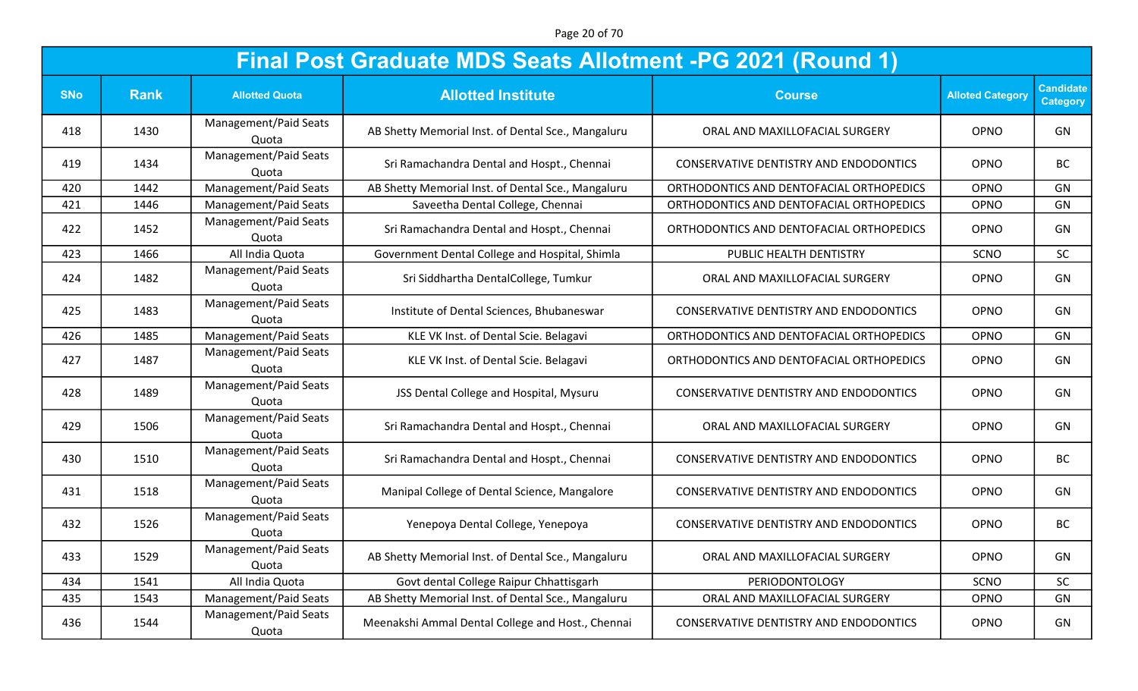Page 20 of 70

|            | <b>Final Post Graduate MDS Seats Allotment -PG 2021 (Round 1)</b> |                                |                                                    |                                               |                         |                                     |  |  |
|------------|-------------------------------------------------------------------|--------------------------------|----------------------------------------------------|-----------------------------------------------|-------------------------|-------------------------------------|--|--|
| <b>SNo</b> | <b>Rank</b>                                                       | <b>Allotted Quota</b>          | <b>Allotted Institute</b>                          | <b>Course</b>                                 | <b>Alloted Category</b> | <b>Candidate</b><br><b>Category</b> |  |  |
| 418        | 1430                                                              | Management/Paid Seats<br>Quota | AB Shetty Memorial Inst. of Dental Sce., Mangaluru | ORAL AND MAXILLOFACIAL SURGERY                | OPNO                    | GN                                  |  |  |
| 419        | 1434                                                              | Management/Paid Seats<br>Quota | Sri Ramachandra Dental and Hospt., Chennai         | CONSERVATIVE DENTISTRY AND ENDODONTICS        | OPNO                    | <b>BC</b>                           |  |  |
| 420        | 1442                                                              | Management/Paid Seats          | AB Shetty Memorial Inst. of Dental Sce., Mangaluru | ORTHODONTICS AND DENTOFACIAL ORTHOPEDICS      | <b>OPNO</b>             | GN                                  |  |  |
| 421        | 1446                                                              | Management/Paid Seats          | Saveetha Dental College, Chennai                   | ORTHODONTICS AND DENTOFACIAL ORTHOPEDICS      | OPNO                    | GN                                  |  |  |
| 422        | 1452                                                              | Management/Paid Seats<br>Quota | Sri Ramachandra Dental and Hospt., Chennai         | ORTHODONTICS AND DENTOFACIAL ORTHOPEDICS      | OPNO                    | GN                                  |  |  |
| 423        | 1466                                                              | All India Quota                | Government Dental College and Hospital, Shimla     | PUBLIC HEALTH DENTISTRY                       | <b>SCNO</b>             | SC                                  |  |  |
| 424        | 1482                                                              | Management/Paid Seats<br>Quota | Sri Siddhartha DentalCollege, Tumkur               | ORAL AND MAXILLOFACIAL SURGERY                | OPNO                    | GN                                  |  |  |
| 425        | 1483                                                              | Management/Paid Seats<br>Quota | Institute of Dental Sciences, Bhubaneswar          | <b>CONSERVATIVE DENTISTRY AND ENDODONTICS</b> | OPNO                    | GN                                  |  |  |
| 426        | 1485                                                              | Management/Paid Seats          | KLE VK Inst. of Dental Scie. Belagavi              | ORTHODONTICS AND DENTOFACIAL ORTHOPEDICS      | OPNO                    | GN                                  |  |  |
| 427        | 1487                                                              | Management/Paid Seats<br>Quota | KLE VK Inst. of Dental Scie. Belagavi              | ORTHODONTICS AND DENTOFACIAL ORTHOPEDICS      | OPNO                    | GN                                  |  |  |
| 428        | 1489                                                              | Management/Paid Seats<br>Quota | JSS Dental College and Hospital, Mysuru            | CONSERVATIVE DENTISTRY AND ENDODONTICS        | OPNO                    | GN                                  |  |  |
| 429        | 1506                                                              | Management/Paid Seats<br>Quota | Sri Ramachandra Dental and Hospt., Chennai         | ORAL AND MAXILLOFACIAL SURGERY                | OPNO                    | GN                                  |  |  |
| 430        | 1510                                                              | Management/Paid Seats<br>Quota | Sri Ramachandra Dental and Hospt., Chennai         | <b>CONSERVATIVE DENTISTRY AND ENDODONTICS</b> | OPNO                    | <b>BC</b>                           |  |  |
| 431        | 1518                                                              | Management/Paid Seats<br>Quota | Manipal College of Dental Science, Mangalore       | CONSERVATIVE DENTISTRY AND ENDODONTICS        | OPNO                    | GN                                  |  |  |
| 432        | 1526                                                              | Management/Paid Seats<br>Quota | Yenepoya Dental College, Yenepoya                  | <b>CONSERVATIVE DENTISTRY AND ENDODONTICS</b> | OPNO                    | <b>BC</b>                           |  |  |
| 433        | 1529                                                              | Management/Paid Seats<br>Quota | AB Shetty Memorial Inst. of Dental Sce., Mangaluru | ORAL AND MAXILLOFACIAL SURGERY                | OPNO                    | GN                                  |  |  |
| 434        | 1541                                                              | All India Quota                | Govt dental College Raipur Chhattisgarh            | PERIODONTOLOGY                                | SCNO                    | SC                                  |  |  |
| 435        | 1543                                                              | Management/Paid Seats          | AB Shetty Memorial Inst. of Dental Sce., Mangaluru | ORAL AND MAXILLOFACIAL SURGERY                | OPNO                    | GN                                  |  |  |
| 436        | 1544                                                              | Management/Paid Seats<br>Quota | Meenakshi Ammal Dental College and Host., Chennai  | CONSERVATIVE DENTISTRY AND ENDODONTICS        | OPNO                    | GN                                  |  |  |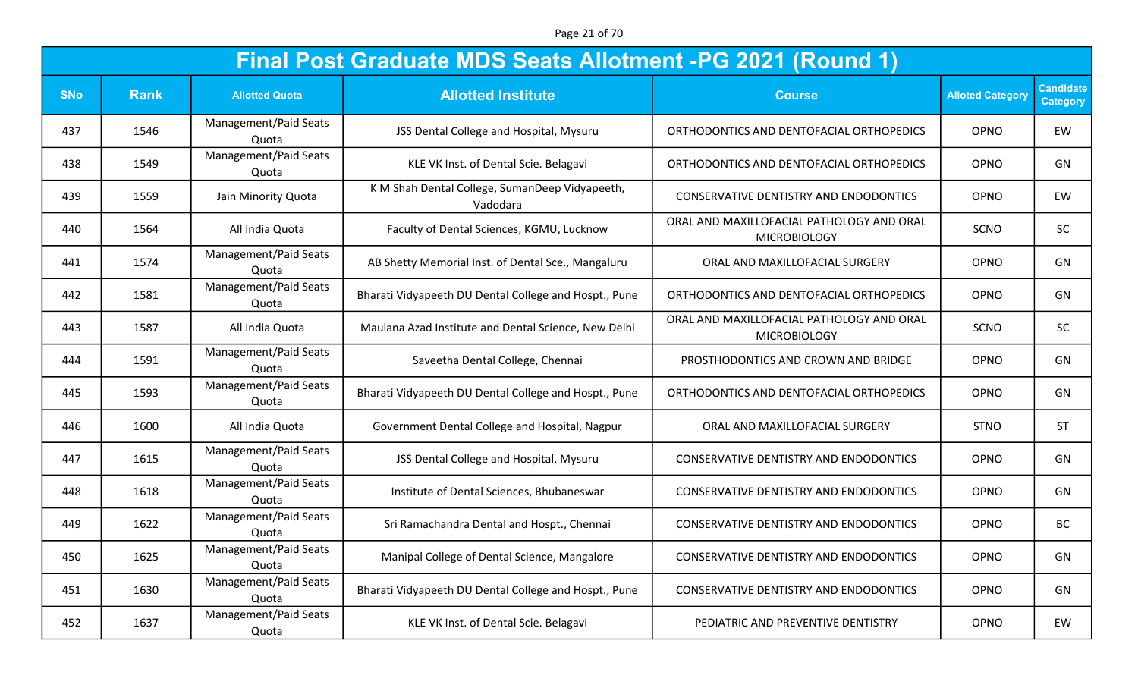Page 21 of 70

|            | <b>Final Post Graduate MDS Seats Allotment -PG 2021 (Round 1)</b> |                                |                                                            |                                                                  |                         |                                     |  |  |
|------------|-------------------------------------------------------------------|--------------------------------|------------------------------------------------------------|------------------------------------------------------------------|-------------------------|-------------------------------------|--|--|
| <b>SNo</b> | <b>Rank</b>                                                       | <b>Allotted Quota</b>          | <b>Allotted Institute</b>                                  | <b>Course</b>                                                    | <b>Alloted Category</b> | <b>Candidate</b><br><b>Category</b> |  |  |
| 437        | 1546                                                              | Management/Paid Seats<br>Quota | JSS Dental College and Hospital, Mysuru                    | ORTHODONTICS AND DENTOFACIAL ORTHOPEDICS                         | OPNO                    | EW                                  |  |  |
| 438        | 1549                                                              | Management/Paid Seats<br>Quota | KLE VK Inst. of Dental Scie. Belagavi                      | ORTHODONTICS AND DENTOFACIAL ORTHOPEDICS                         | OPNO                    | GN                                  |  |  |
| 439        | 1559                                                              | Jain Minority Quota            | K M Shah Dental College, SumanDeep Vidyapeeth,<br>Vadodara | <b>CONSERVATIVE DENTISTRY AND ENDODONTICS</b>                    | OPNO                    | EW                                  |  |  |
| 440        | 1564                                                              | All India Quota                | Faculty of Dental Sciences, KGMU, Lucknow                  | ORAL AND MAXILLOFACIAL PATHOLOGY AND ORAL<br><b>MICROBIOLOGY</b> | SCNO                    | <b>SC</b>                           |  |  |
| 441        | 1574                                                              | Management/Paid Seats<br>Quota | AB Shetty Memorial Inst. of Dental Sce., Mangaluru         | ORAL AND MAXILLOFACIAL SURGERY                                   | OPNO                    | GN                                  |  |  |
| 442        | 1581                                                              | Management/Paid Seats<br>Quota | Bharati Vidyapeeth DU Dental College and Hospt., Pune      | ORTHODONTICS AND DENTOFACIAL ORTHOPEDICS                         | OPNO                    | GN                                  |  |  |
| 443        | 1587                                                              | All India Quota                | Maulana Azad Institute and Dental Science, New Delhi       | ORAL AND MAXILLOFACIAL PATHOLOGY AND ORAL<br><b>MICROBIOLOGY</b> | SCNO                    | <b>SC</b>                           |  |  |
| 444        | 1591                                                              | Management/Paid Seats<br>Quota | Saveetha Dental College, Chennai                           | PROSTHODONTICS AND CROWN AND BRIDGE                              | OPNO                    | GN                                  |  |  |
| 445        | 1593                                                              | Management/Paid Seats<br>Quota | Bharati Vidyapeeth DU Dental College and Hospt., Pune      | ORTHODONTICS AND DENTOFACIAL ORTHOPEDICS                         | OPNO                    | GN                                  |  |  |
| 446        | 1600                                                              | All India Quota                | Government Dental College and Hospital, Nagpur             | ORAL AND MAXILLOFACIAL SURGERY                                   | <b>STNO</b>             | <b>ST</b>                           |  |  |
| 447        | 1615                                                              | Management/Paid Seats<br>Quota | JSS Dental College and Hospital, Mysuru                    | <b>CONSERVATIVE DENTISTRY AND ENDODONTICS</b>                    | OPNO                    | GN                                  |  |  |
| 448        | 1618                                                              | Management/Paid Seats<br>Quota | Institute of Dental Sciences, Bhubaneswar                  | <b>CONSERVATIVE DENTISTRY AND ENDODONTICS</b>                    | OPNO                    | GN                                  |  |  |
| 449        | 1622                                                              | Management/Paid Seats<br>Quota | Sri Ramachandra Dental and Hospt., Chennai                 | <b>CONSERVATIVE DENTISTRY AND ENDODONTICS</b>                    | OPNO                    | <b>BC</b>                           |  |  |
| 450        | 1625                                                              | Management/Paid Seats<br>Quota | Manipal College of Dental Science, Mangalore               | CONSERVATIVE DENTISTRY AND ENDODONTICS                           | OPNO                    | GN                                  |  |  |
| 451        | 1630                                                              | Management/Paid Seats<br>Quota | Bharati Vidyapeeth DU Dental College and Hospt., Pune      | <b>CONSERVATIVE DENTISTRY AND ENDODONTICS</b>                    | OPNO                    | GN                                  |  |  |
| 452        | 1637                                                              | Management/Paid Seats<br>Quota | KLE VK Inst. of Dental Scie. Belagavi                      | PEDIATRIC AND PREVENTIVE DENTISTRY                               | OPNO                    | EW                                  |  |  |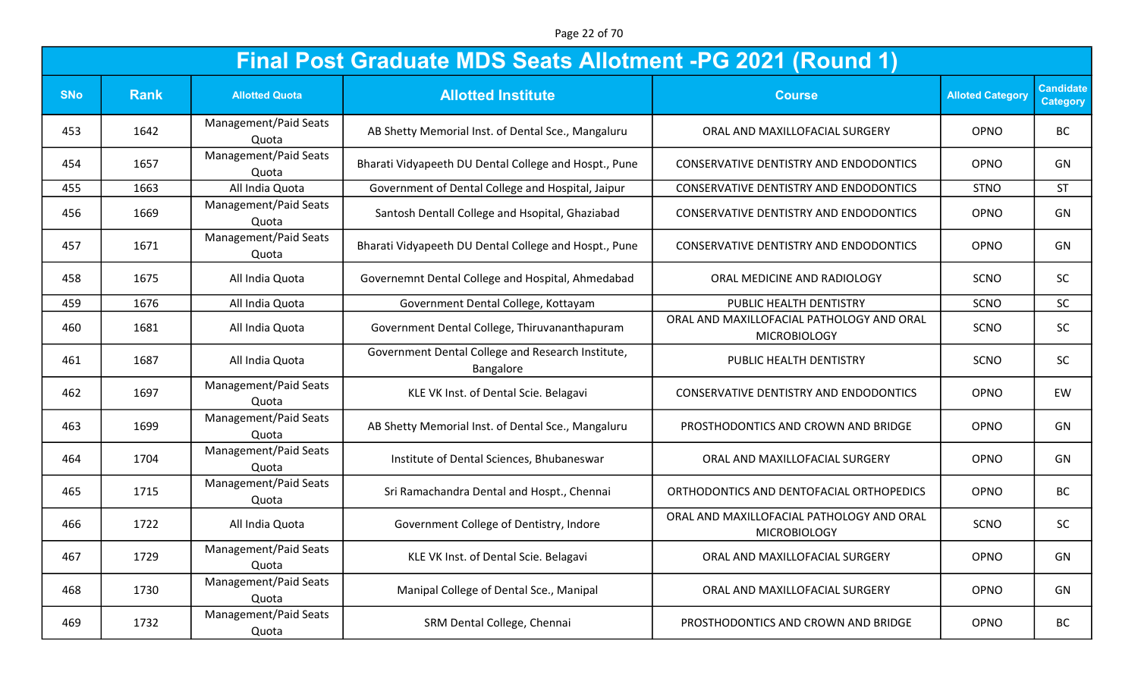Page 22 of 70

|            | <b>Final Post Graduate MDS Seats Allotment -PG 2021 (Round 1)</b> |                                |                                                                |                                                                  |                         |                                     |  |  |
|------------|-------------------------------------------------------------------|--------------------------------|----------------------------------------------------------------|------------------------------------------------------------------|-------------------------|-------------------------------------|--|--|
| <b>SNo</b> | <b>Rank</b>                                                       | <b>Allotted Quota</b>          | <b>Allotted Institute</b>                                      | <b>Course</b>                                                    | <b>Alloted Category</b> | <b>Candidate</b><br><b>Category</b> |  |  |
| 453        | 1642                                                              | Management/Paid Seats<br>Quota | AB Shetty Memorial Inst. of Dental Sce., Mangaluru             | ORAL AND MAXILLOFACIAL SURGERY                                   | <b>OPNO</b>             | <b>BC</b>                           |  |  |
| 454        | 1657                                                              | Management/Paid Seats<br>Quota | Bharati Vidyapeeth DU Dental College and Hospt., Pune          | CONSERVATIVE DENTISTRY AND ENDODONTICS                           | OPNO                    | GN                                  |  |  |
| 455        | 1663                                                              | All India Quota                | Government of Dental College and Hospital, Jaipur              | CONSERVATIVE DENTISTRY AND ENDODONTICS                           | <b>STNO</b>             | <b>ST</b>                           |  |  |
| 456        | 1669                                                              | Management/Paid Seats<br>Quota | Santosh Dentall College and Hsopital, Ghaziabad                | CONSERVATIVE DENTISTRY AND ENDODONTICS                           | OPNO                    | GN                                  |  |  |
| 457        | 1671                                                              | Management/Paid Seats<br>Quota | Bharati Vidyapeeth DU Dental College and Hospt., Pune          | CONSERVATIVE DENTISTRY AND ENDODONTICS                           | OPNO                    | GN                                  |  |  |
| 458        | 1675                                                              | All India Quota                | Governemnt Dental College and Hospital, Ahmedabad              | ORAL MEDICINE AND RADIOLOGY                                      | <b>SCNO</b>             | <b>SC</b>                           |  |  |
| 459        | 1676                                                              | All India Quota                | Government Dental College, Kottayam                            | PUBLIC HEALTH DENTISTRY                                          | SCNO                    | SC                                  |  |  |
| 460        | 1681                                                              | All India Quota                | Government Dental College, Thiruvananthapuram                  | ORAL AND MAXILLOFACIAL PATHOLOGY AND ORAL<br><b>MICROBIOLOGY</b> | SCNO                    | <b>SC</b>                           |  |  |
| 461        | 1687                                                              | All India Quota                | Government Dental College and Research Institute,<br>Bangalore | PUBLIC HEALTH DENTISTRY                                          | SCNO                    | <b>SC</b>                           |  |  |
| 462        | 1697                                                              | Management/Paid Seats<br>Quota | KLE VK Inst. of Dental Scie. Belagavi                          | CONSERVATIVE DENTISTRY AND ENDODONTICS                           | OPNO                    | EW                                  |  |  |
| 463        | 1699                                                              | Management/Paid Seats<br>Quota | AB Shetty Memorial Inst. of Dental Sce., Mangaluru             | PROSTHODONTICS AND CROWN AND BRIDGE                              | OPNO                    | GN                                  |  |  |
| 464        | 1704                                                              | Management/Paid Seats<br>Quota | Institute of Dental Sciences, Bhubaneswar                      | ORAL AND MAXILLOFACIAL SURGERY                                   | OPNO                    | GN                                  |  |  |
| 465        | 1715                                                              | Management/Paid Seats<br>Quota | Sri Ramachandra Dental and Hospt., Chennai                     | ORTHODONTICS AND DENTOFACIAL ORTHOPEDICS                         | OPNO                    | <b>BC</b>                           |  |  |
| 466        | 1722                                                              | All India Quota                | Government College of Dentistry, Indore                        | ORAL AND MAXILLOFACIAL PATHOLOGY AND ORAL<br><b>MICROBIOLOGY</b> | SCNO                    | <b>SC</b>                           |  |  |
| 467        | 1729                                                              | Management/Paid Seats<br>Quota | KLE VK Inst. of Dental Scie. Belagavi                          | ORAL AND MAXILLOFACIAL SURGERY                                   | OPNO                    | GN                                  |  |  |
| 468        | 1730                                                              | Management/Paid Seats<br>Quota | Manipal College of Dental Sce., Manipal                        | ORAL AND MAXILLOFACIAL SURGERY                                   | OPNO                    | GN                                  |  |  |
| 469        | 1732                                                              | Management/Paid Seats<br>Quota | SRM Dental College, Chennai                                    | PROSTHODONTICS AND CROWN AND BRIDGE                              | OPNO                    | BC                                  |  |  |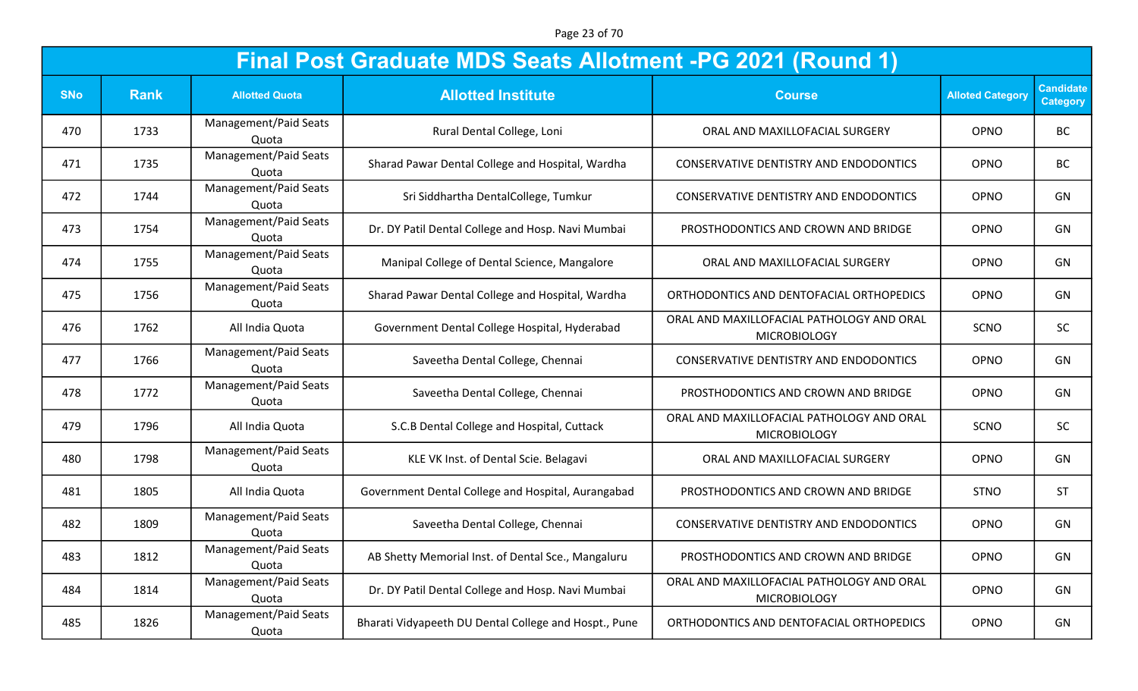Page 23 of 70

|            | <b>Final Post Graduate MDS Seats Allotment -PG 2021 (Round 1)</b> |                                |                                                       |                                                                  |                         |                                     |  |  |
|------------|-------------------------------------------------------------------|--------------------------------|-------------------------------------------------------|------------------------------------------------------------------|-------------------------|-------------------------------------|--|--|
| <b>SNo</b> | <b>Rank</b>                                                       | <b>Allotted Quota</b>          | <b>Allotted Institute</b>                             | <b>Course</b>                                                    | <b>Alloted Category</b> | <b>Candidate</b><br><b>Category</b> |  |  |
| 470        | 1733                                                              | Management/Paid Seats<br>Quota | Rural Dental College, Loni                            | ORAL AND MAXILLOFACIAL SURGERY                                   | OPNO                    | <b>BC</b>                           |  |  |
| 471        | 1735                                                              | Management/Paid Seats<br>Quota | Sharad Pawar Dental College and Hospital, Wardha      | CONSERVATIVE DENTISTRY AND ENDODONTICS                           | OPNO                    | <b>BC</b>                           |  |  |
| 472        | 1744                                                              | Management/Paid Seats<br>Quota | Sri Siddhartha DentalCollege, Tumkur                  | CONSERVATIVE DENTISTRY AND ENDODONTICS                           | OPNO                    | GN                                  |  |  |
| 473        | 1754                                                              | Management/Paid Seats<br>Quota | Dr. DY Patil Dental College and Hosp. Navi Mumbai     | PROSTHODONTICS AND CROWN AND BRIDGE                              | OPNO                    | GN                                  |  |  |
| 474        | 1755                                                              | Management/Paid Seats<br>Quota | Manipal College of Dental Science, Mangalore          | ORAL AND MAXILLOFACIAL SURGERY                                   | OPNO                    | GN                                  |  |  |
| 475        | 1756                                                              | Management/Paid Seats<br>Quota | Sharad Pawar Dental College and Hospital, Wardha      | ORTHODONTICS AND DENTOFACIAL ORTHOPEDICS                         | OPNO                    | GN                                  |  |  |
| 476        | 1762                                                              | All India Quota                | Government Dental College Hospital, Hyderabad         | ORAL AND MAXILLOFACIAL PATHOLOGY AND ORAL<br><b>MICROBIOLOGY</b> | SCNO                    | <b>SC</b>                           |  |  |
| 477        | 1766                                                              | Management/Paid Seats<br>Quota | Saveetha Dental College, Chennai                      | CONSERVATIVE DENTISTRY AND ENDODONTICS                           | OPNO                    | GN                                  |  |  |
| 478        | 1772                                                              | Management/Paid Seats<br>Quota | Saveetha Dental College, Chennai                      | PROSTHODONTICS AND CROWN AND BRIDGE                              | OPNO                    | GN                                  |  |  |
| 479        | 1796                                                              | All India Quota                | S.C.B Dental College and Hospital, Cuttack            | ORAL AND MAXILLOFACIAL PATHOLOGY AND ORAL<br><b>MICROBIOLOGY</b> | SCNO                    | SC                                  |  |  |
| 480        | 1798                                                              | Management/Paid Seats<br>Quota | KLE VK Inst. of Dental Scie. Belagavi                 | ORAL AND MAXILLOFACIAL SURGERY                                   | OPNO                    | GN                                  |  |  |
| 481        | 1805                                                              | All India Quota                | Government Dental College and Hospital, Aurangabad    | PROSTHODONTICS AND CROWN AND BRIDGE                              | <b>STNO</b>             | <b>ST</b>                           |  |  |
| 482        | 1809                                                              | Management/Paid Seats<br>Quota | Saveetha Dental College, Chennai                      | <b>CONSERVATIVE DENTISTRY AND ENDODONTICS</b>                    | OPNO                    | GN                                  |  |  |
| 483        | 1812                                                              | Management/Paid Seats<br>Quota | AB Shetty Memorial Inst. of Dental Sce., Mangaluru    | PROSTHODONTICS AND CROWN AND BRIDGE                              | OPNO                    | GN                                  |  |  |
| 484        | 1814                                                              | Management/Paid Seats<br>Quota | Dr. DY Patil Dental College and Hosp. Navi Mumbai     | ORAL AND MAXILLOFACIAL PATHOLOGY AND ORAL<br><b>MICROBIOLOGY</b> | OPNO                    | GN                                  |  |  |
| 485        | 1826                                                              | Management/Paid Seats<br>Quota | Bharati Vidyapeeth DU Dental College and Hospt., Pune | ORTHODONTICS AND DENTOFACIAL ORTHOPEDICS                         | OPNO                    | GN                                  |  |  |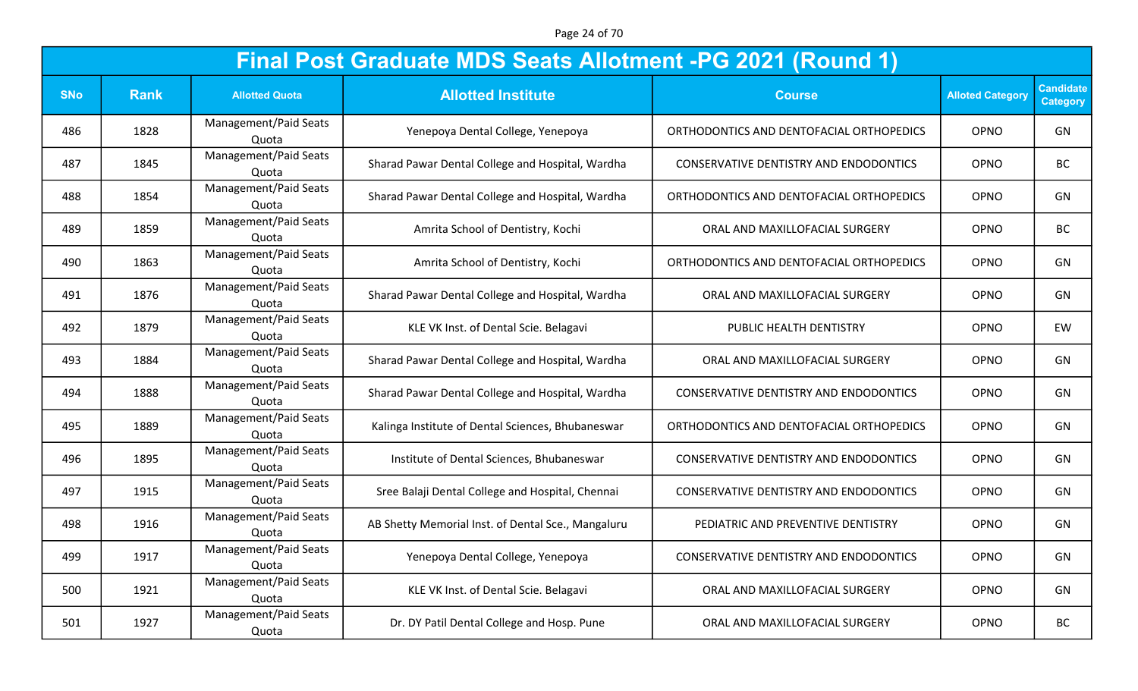Page 24 of 70

|            | <b>Final Post Graduate MDS Seats Allotment -PG 2021 (Round 1)</b> |                                |                                                    |                                               |                         |                                     |  |  |
|------------|-------------------------------------------------------------------|--------------------------------|----------------------------------------------------|-----------------------------------------------|-------------------------|-------------------------------------|--|--|
| <b>SNo</b> | <b>Rank</b>                                                       | <b>Allotted Quota</b>          | <b>Allotted Institute</b>                          | <b>Course</b>                                 | <b>Alloted Category</b> | <b>Candidate</b><br><b>Category</b> |  |  |
| 486        | 1828                                                              | Management/Paid Seats<br>Quota | Yenepoya Dental College, Yenepoya                  | ORTHODONTICS AND DENTOFACIAL ORTHOPEDICS      | OPNO                    | GN                                  |  |  |
| 487        | 1845                                                              | Management/Paid Seats<br>Quota | Sharad Pawar Dental College and Hospital, Wardha   | CONSERVATIVE DENTISTRY AND ENDODONTICS        | OPNO                    | <b>BC</b>                           |  |  |
| 488        | 1854                                                              | Management/Paid Seats<br>Quota | Sharad Pawar Dental College and Hospital, Wardha   | ORTHODONTICS AND DENTOFACIAL ORTHOPEDICS      | OPNO                    | GN                                  |  |  |
| 489        | 1859                                                              | Management/Paid Seats<br>Quota | Amrita School of Dentistry, Kochi                  | ORAL AND MAXILLOFACIAL SURGERY                | OPNO                    | <b>BC</b>                           |  |  |
| 490        | 1863                                                              | Management/Paid Seats<br>Quota | Amrita School of Dentistry, Kochi                  | ORTHODONTICS AND DENTOFACIAL ORTHOPEDICS      | OPNO                    | GN                                  |  |  |
| 491        | 1876                                                              | Management/Paid Seats<br>Quota | Sharad Pawar Dental College and Hospital, Wardha   | ORAL AND MAXILLOFACIAL SURGERY                | OPNO                    | GN                                  |  |  |
| 492        | 1879                                                              | Management/Paid Seats<br>Quota | KLE VK Inst. of Dental Scie. Belagavi              | PUBLIC HEALTH DENTISTRY                       | OPNO                    | EW                                  |  |  |
| 493        | 1884                                                              | Management/Paid Seats<br>Quota | Sharad Pawar Dental College and Hospital, Wardha   | ORAL AND MAXILLOFACIAL SURGERY                | OPNO                    | GN                                  |  |  |
| 494        | 1888                                                              | Management/Paid Seats<br>Quota | Sharad Pawar Dental College and Hospital, Wardha   | CONSERVATIVE DENTISTRY AND ENDODONTICS        | OPNO                    | GN                                  |  |  |
| 495        | 1889                                                              | Management/Paid Seats<br>Quota | Kalinga Institute of Dental Sciences, Bhubaneswar  | ORTHODONTICS AND DENTOFACIAL ORTHOPEDICS      | OPNO                    | GN                                  |  |  |
| 496        | 1895                                                              | Management/Paid Seats<br>Quota | Institute of Dental Sciences, Bhubaneswar          | CONSERVATIVE DENTISTRY AND ENDODONTICS        | OPNO                    | GN                                  |  |  |
| 497        | 1915                                                              | Management/Paid Seats<br>Quota | Sree Balaji Dental College and Hospital, Chennai   | <b>CONSERVATIVE DENTISTRY AND ENDODONTICS</b> | OPNO                    | GN                                  |  |  |
| 498        | 1916                                                              | Management/Paid Seats<br>Quota | AB Shetty Memorial Inst. of Dental Sce., Mangaluru | PEDIATRIC AND PREVENTIVE DENTISTRY            | OPNO                    | GN                                  |  |  |
| 499        | 1917                                                              | Management/Paid Seats<br>Quota | Yenepoya Dental College, Yenepoya                  | CONSERVATIVE DENTISTRY AND ENDODONTICS        | OPNO                    | GN                                  |  |  |
| 500        | 1921                                                              | Management/Paid Seats<br>Quota | KLE VK Inst. of Dental Scie. Belagavi              | ORAL AND MAXILLOFACIAL SURGERY                | OPNO                    | GN                                  |  |  |
| 501        | 1927                                                              | Management/Paid Seats<br>Quota | Dr. DY Patil Dental College and Hosp. Pune         | ORAL AND MAXILLOFACIAL SURGERY                | OPNO                    | BC                                  |  |  |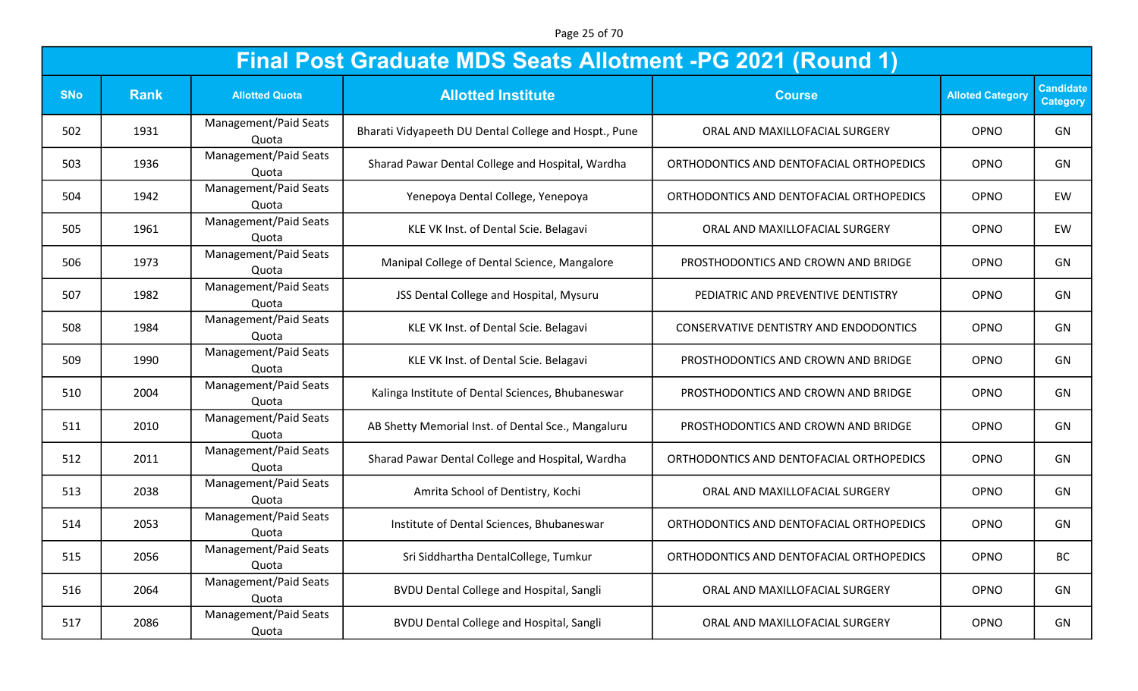Page 25 of 70

|            | <b>Final Post Graduate MDS Seats Allotment -PG 2021 (Round 1)</b> |                                |                                                       |                                          |                         |                                     |  |  |
|------------|-------------------------------------------------------------------|--------------------------------|-------------------------------------------------------|------------------------------------------|-------------------------|-------------------------------------|--|--|
| <b>SNo</b> | <b>Rank</b>                                                       | <b>Allotted Quota</b>          | <b>Allotted Institute</b>                             | <b>Course</b>                            | <b>Alloted Category</b> | <b>Candidate</b><br><b>Category</b> |  |  |
| 502        | 1931                                                              | Management/Paid Seats<br>Quota | Bharati Vidyapeeth DU Dental College and Hospt., Pune | ORAL AND MAXILLOFACIAL SURGERY           | OPNO                    | GN                                  |  |  |
| 503        | 1936                                                              | Management/Paid Seats<br>Quota | Sharad Pawar Dental College and Hospital, Wardha      | ORTHODONTICS AND DENTOFACIAL ORTHOPEDICS | OPNO                    | GN                                  |  |  |
| 504        | 1942                                                              | Management/Paid Seats<br>Quota | Yenepoya Dental College, Yenepoya                     | ORTHODONTICS AND DENTOFACIAL ORTHOPEDICS | OPNO                    | EW                                  |  |  |
| 505        | 1961                                                              | Management/Paid Seats<br>Quota | KLE VK Inst. of Dental Scie. Belagavi                 | ORAL AND MAXILLOFACIAL SURGERY           | OPNO                    | EW                                  |  |  |
| 506        | 1973                                                              | Management/Paid Seats<br>Quota | Manipal College of Dental Science, Mangalore          | PROSTHODONTICS AND CROWN AND BRIDGE      | OPNO                    | GN                                  |  |  |
| 507        | 1982                                                              | Management/Paid Seats<br>Quota | JSS Dental College and Hospital, Mysuru               | PEDIATRIC AND PREVENTIVE DENTISTRY       | OPNO                    | GN                                  |  |  |
| 508        | 1984                                                              | Management/Paid Seats<br>Quota | KLE VK Inst. of Dental Scie. Belagavi                 | CONSERVATIVE DENTISTRY AND ENDODONTICS   | OPNO                    | GN                                  |  |  |
| 509        | 1990                                                              | Management/Paid Seats<br>Quota | KLE VK Inst. of Dental Scie. Belagavi                 | PROSTHODONTICS AND CROWN AND BRIDGE      | OPNO                    | GN                                  |  |  |
| 510        | 2004                                                              | Management/Paid Seats<br>Quota | Kalinga Institute of Dental Sciences, Bhubaneswar     | PROSTHODONTICS AND CROWN AND BRIDGE      | OPNO                    | GN                                  |  |  |
| 511        | 2010                                                              | Management/Paid Seats<br>Quota | AB Shetty Memorial Inst. of Dental Sce., Mangaluru    | PROSTHODONTICS AND CROWN AND BRIDGE      | OPNO                    | GN                                  |  |  |
| 512        | 2011                                                              | Management/Paid Seats<br>Quota | Sharad Pawar Dental College and Hospital, Wardha      | ORTHODONTICS AND DENTOFACIAL ORTHOPEDICS | OPNO                    | GN                                  |  |  |
| 513        | 2038                                                              | Management/Paid Seats<br>Quota | Amrita School of Dentistry, Kochi                     | ORAL AND MAXILLOFACIAL SURGERY           | OPNO                    | GN                                  |  |  |
| 514        | 2053                                                              | Management/Paid Seats<br>Quota | Institute of Dental Sciences, Bhubaneswar             | ORTHODONTICS AND DENTOFACIAL ORTHOPEDICS | OPNO                    | GN                                  |  |  |
| 515        | 2056                                                              | Management/Paid Seats<br>Quota | Sri Siddhartha DentalCollege, Tumkur                  | ORTHODONTICS AND DENTOFACIAL ORTHOPEDICS | OPNO                    | BC                                  |  |  |
| 516        | 2064                                                              | Management/Paid Seats<br>Quota | <b>BVDU Dental College and Hospital, Sangli</b>       | ORAL AND MAXILLOFACIAL SURGERY           | OPNO                    | GN                                  |  |  |
| 517        | 2086                                                              | Management/Paid Seats<br>Quota | <b>BVDU Dental College and Hospital, Sangli</b>       | ORAL AND MAXILLOFACIAL SURGERY           | OPNO                    | GN                                  |  |  |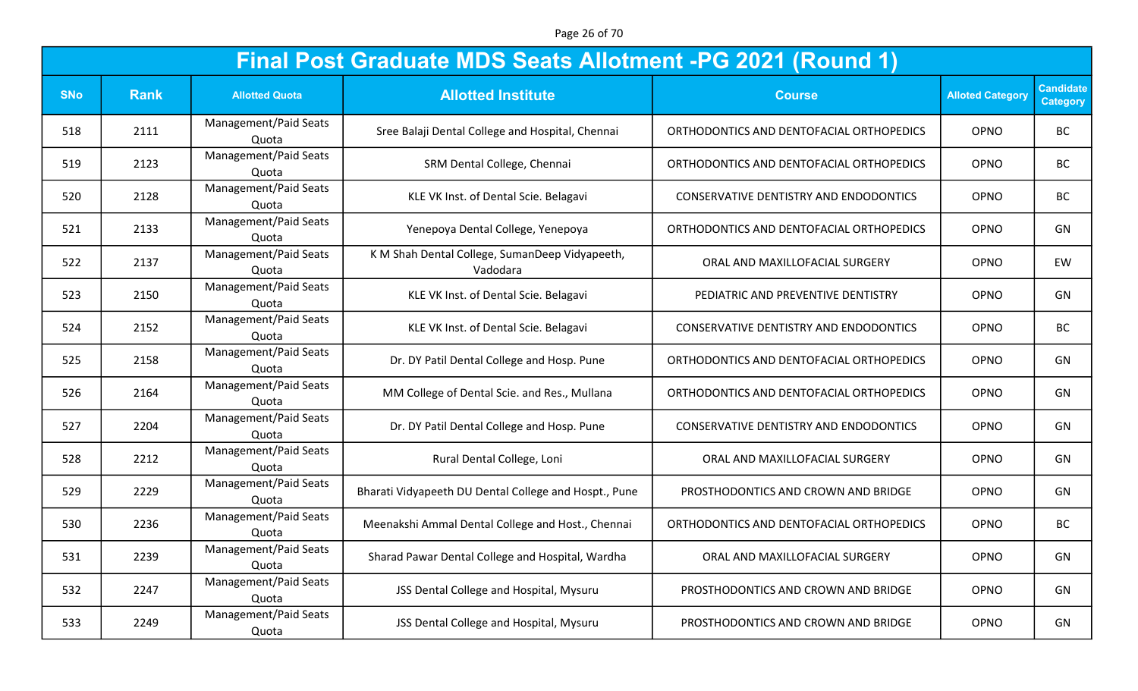Page 26 of 70

|            | <b>Final Post Graduate MDS Seats Allotment -PG 2021 (Round 1)</b> |                                |                                                            |                                               |                         |                                     |  |  |
|------------|-------------------------------------------------------------------|--------------------------------|------------------------------------------------------------|-----------------------------------------------|-------------------------|-------------------------------------|--|--|
| <b>SNo</b> | <b>Rank</b>                                                       | <b>Allotted Quota</b>          | <b>Allotted Institute</b>                                  | <b>Course</b>                                 | <b>Alloted Category</b> | <b>Candidate</b><br><b>Category</b> |  |  |
| 518        | 2111                                                              | Management/Paid Seats<br>Quota | Sree Balaji Dental College and Hospital, Chennai           | ORTHODONTICS AND DENTOFACIAL ORTHOPEDICS      | OPNO                    | <b>BC</b>                           |  |  |
| 519        | 2123                                                              | Management/Paid Seats<br>Quota | SRM Dental College, Chennai                                | ORTHODONTICS AND DENTOFACIAL ORTHOPEDICS      | OPNO                    | <b>BC</b>                           |  |  |
| 520        | 2128                                                              | Management/Paid Seats<br>Quota | KLE VK Inst. of Dental Scie. Belagavi                      | <b>CONSERVATIVE DENTISTRY AND ENDODONTICS</b> | OPNO                    | <b>BC</b>                           |  |  |
| 521        | 2133                                                              | Management/Paid Seats<br>Quota | Yenepoya Dental College, Yenepoya                          | ORTHODONTICS AND DENTOFACIAL ORTHOPEDICS      | OPNO                    | GN                                  |  |  |
| 522        | 2137                                                              | Management/Paid Seats<br>Quota | K M Shah Dental College, SumanDeep Vidyapeeth,<br>Vadodara | ORAL AND MAXILLOFACIAL SURGERY                | OPNO                    | EW                                  |  |  |
| 523        | 2150                                                              | Management/Paid Seats<br>Quota | KLE VK Inst. of Dental Scie. Belagavi                      | PEDIATRIC AND PREVENTIVE DENTISTRY            | OPNO                    | GN                                  |  |  |
| 524        | 2152                                                              | Management/Paid Seats<br>Quota | KLE VK Inst. of Dental Scie. Belagavi                      | <b>CONSERVATIVE DENTISTRY AND ENDODONTICS</b> | OPNO                    | <b>BC</b>                           |  |  |
| 525        | 2158                                                              | Management/Paid Seats<br>Quota | Dr. DY Patil Dental College and Hosp. Pune                 | ORTHODONTICS AND DENTOFACIAL ORTHOPEDICS      | OPNO                    | GN                                  |  |  |
| 526        | 2164                                                              | Management/Paid Seats<br>Quota | MM College of Dental Scie. and Res., Mullana               | ORTHODONTICS AND DENTOFACIAL ORTHOPEDICS      | OPNO                    | GN                                  |  |  |
| 527        | 2204                                                              | Management/Paid Seats<br>Quota | Dr. DY Patil Dental College and Hosp. Pune                 | CONSERVATIVE DENTISTRY AND ENDODONTICS        | OPNO                    | GN                                  |  |  |
| 528        | 2212                                                              | Management/Paid Seats<br>Quota | Rural Dental College, Loni                                 | ORAL AND MAXILLOFACIAL SURGERY                | OPNO                    | GN                                  |  |  |
| 529        | 2229                                                              | Management/Paid Seats<br>Quota | Bharati Vidyapeeth DU Dental College and Hospt., Pune      | PROSTHODONTICS AND CROWN AND BRIDGE           | OPNO                    | GN                                  |  |  |
| 530        | 2236                                                              | Management/Paid Seats<br>Quota | Meenakshi Ammal Dental College and Host., Chennai          | ORTHODONTICS AND DENTOFACIAL ORTHOPEDICS      | OPNO                    | <b>BC</b>                           |  |  |
| 531        | 2239                                                              | Management/Paid Seats<br>Quota | Sharad Pawar Dental College and Hospital, Wardha           | ORAL AND MAXILLOFACIAL SURGERY                | OPNO                    | GN                                  |  |  |
| 532        | 2247                                                              | Management/Paid Seats<br>Quota | JSS Dental College and Hospital, Mysuru                    | PROSTHODONTICS AND CROWN AND BRIDGE           | OPNO                    | GN                                  |  |  |
| 533        | 2249                                                              | Management/Paid Seats<br>Quota | JSS Dental College and Hospital, Mysuru                    | PROSTHODONTICS AND CROWN AND BRIDGE           | OPNO                    | GN                                  |  |  |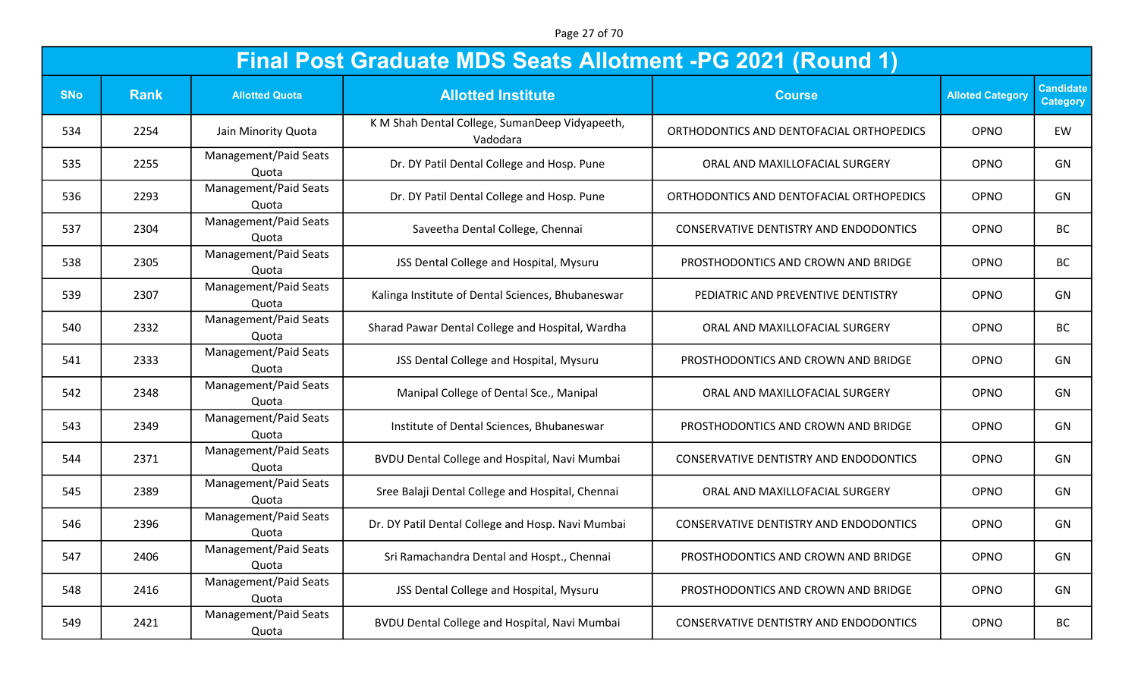Page 27 of 70

|            | Final Post Graduate MDS Seats Allotment -PG 2021 (Round 1) |                                |                                                            |                                               |                         |                                     |  |  |
|------------|------------------------------------------------------------|--------------------------------|------------------------------------------------------------|-----------------------------------------------|-------------------------|-------------------------------------|--|--|
| <b>SNo</b> | <b>Rank</b>                                                | <b>Allotted Quota</b>          | <b>Allotted Institute</b>                                  | <b>Course</b>                                 | <b>Alloted Category</b> | <b>Candidate</b><br><b>Category</b> |  |  |
| 534        | 2254                                                       | Jain Minority Quota            | K M Shah Dental College, SumanDeep Vidyapeeth,<br>Vadodara | ORTHODONTICS AND DENTOFACIAL ORTHOPEDICS      | OPNO                    | EW                                  |  |  |
| 535        | 2255                                                       | Management/Paid Seats<br>Quota | Dr. DY Patil Dental College and Hosp. Pune                 | ORAL AND MAXILLOFACIAL SURGERY                | OPNO                    | GN                                  |  |  |
| 536        | 2293                                                       | Management/Paid Seats<br>Quota | Dr. DY Patil Dental College and Hosp. Pune                 | ORTHODONTICS AND DENTOFACIAL ORTHOPEDICS      | OPNO                    | GN                                  |  |  |
| 537        | 2304                                                       | Management/Paid Seats<br>Quota | Saveetha Dental College, Chennai                           | CONSERVATIVE DENTISTRY AND ENDODONTICS        | OPNO                    | <b>BC</b>                           |  |  |
| 538        | 2305                                                       | Management/Paid Seats<br>Quota | JSS Dental College and Hospital, Mysuru                    | PROSTHODONTICS AND CROWN AND BRIDGE           | OPNO                    | <b>BC</b>                           |  |  |
| 539        | 2307                                                       | Management/Paid Seats<br>Quota | Kalinga Institute of Dental Sciences, Bhubaneswar          | PEDIATRIC AND PREVENTIVE DENTISTRY            | OPNO                    | GN                                  |  |  |
| 540        | 2332                                                       | Management/Paid Seats<br>Quota | Sharad Pawar Dental College and Hospital, Wardha           | ORAL AND MAXILLOFACIAL SURGERY                | OPNO                    | <b>BC</b>                           |  |  |
| 541        | 2333                                                       | Management/Paid Seats<br>Quota | JSS Dental College and Hospital, Mysuru                    | PROSTHODONTICS AND CROWN AND BRIDGE           | OPNO                    | GN                                  |  |  |
| 542        | 2348                                                       | Management/Paid Seats<br>Quota | Manipal College of Dental Sce., Manipal                    | ORAL AND MAXILLOFACIAL SURGERY                | <b>OPNO</b>             | GN                                  |  |  |
| 543        | 2349                                                       | Management/Paid Seats<br>Quota | Institute of Dental Sciences, Bhubaneswar                  | PROSTHODONTICS AND CROWN AND BRIDGE           | OPNO                    | GN                                  |  |  |
| 544        | 2371                                                       | Management/Paid Seats<br>Quota | BVDU Dental College and Hospital, Navi Mumbai              | CONSERVATIVE DENTISTRY AND ENDODONTICS        | OPNO                    | GN                                  |  |  |
| 545        | 2389                                                       | Management/Paid Seats<br>Quota | Sree Balaji Dental College and Hospital, Chennai           | ORAL AND MAXILLOFACIAL SURGERY                | OPNO                    | GN                                  |  |  |
| 546        | 2396                                                       | Management/Paid Seats<br>Quota | Dr. DY Patil Dental College and Hosp. Navi Mumbai          | <b>CONSERVATIVE DENTISTRY AND ENDODONTICS</b> | OPNO                    | GN                                  |  |  |
| 547        | 2406                                                       | Management/Paid Seats<br>Quota | Sri Ramachandra Dental and Hospt., Chennai                 | PROSTHODONTICS AND CROWN AND BRIDGE           | OPNO                    | GN                                  |  |  |
| 548        | 2416                                                       | Management/Paid Seats<br>Quota | JSS Dental College and Hospital, Mysuru                    | PROSTHODONTICS AND CROWN AND BRIDGE           | OPNO                    | GN                                  |  |  |
| 549        | 2421                                                       | Management/Paid Seats<br>Quota | BVDU Dental College and Hospital, Navi Mumbai              | CONSERVATIVE DENTISTRY AND ENDODONTICS        | OPNO                    | BC                                  |  |  |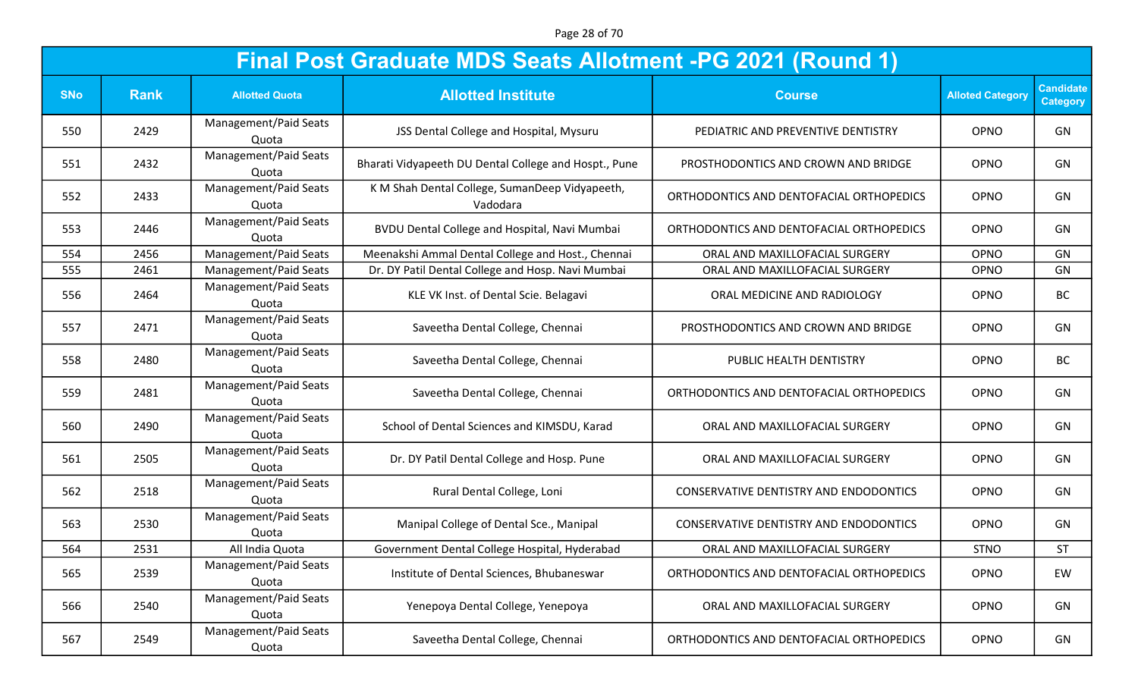Page 28 of 70

|            | <b>Final Post Graduate MDS Seats Allotment -PG 2021 (Round 1)</b> |                                |                                                            |                                          |                         |                                     |  |  |
|------------|-------------------------------------------------------------------|--------------------------------|------------------------------------------------------------|------------------------------------------|-------------------------|-------------------------------------|--|--|
| <b>SNo</b> | <b>Rank</b>                                                       | <b>Allotted Quota</b>          | <b>Allotted Institute</b>                                  | <b>Course</b>                            | <b>Alloted Category</b> | <b>Candidate</b><br><b>Category</b> |  |  |
| 550        | 2429                                                              | Management/Paid Seats<br>Quota | JSS Dental College and Hospital, Mysuru                    | PEDIATRIC AND PREVENTIVE DENTISTRY       | OPNO                    | GN                                  |  |  |
| 551        | 2432                                                              | Management/Paid Seats<br>Quota | Bharati Vidyapeeth DU Dental College and Hospt., Pune      | PROSTHODONTICS AND CROWN AND BRIDGE      | OPNO                    | GN                                  |  |  |
| 552        | 2433                                                              | Management/Paid Seats<br>Quota | K M Shah Dental College, SumanDeep Vidyapeeth,<br>Vadodara | ORTHODONTICS AND DENTOFACIAL ORTHOPEDICS | OPNO                    | GN                                  |  |  |
| 553        | 2446                                                              | Management/Paid Seats<br>Quota | BVDU Dental College and Hospital, Navi Mumbai              | ORTHODONTICS AND DENTOFACIAL ORTHOPEDICS | OPNO                    | GN                                  |  |  |
| 554        | 2456                                                              | Management/Paid Seats          | Meenakshi Ammal Dental College and Host., Chennai          | ORAL AND MAXILLOFACIAL SURGERY           | OPNO                    | GN                                  |  |  |
| 555        | 2461                                                              | Management/Paid Seats          | Dr. DY Patil Dental College and Hosp. Navi Mumbai          | ORAL AND MAXILLOFACIAL SURGERY           | OPNO                    | GN                                  |  |  |
| 556        | 2464                                                              | Management/Paid Seats<br>Quota | KLE VK Inst. of Dental Scie. Belagavi                      | ORAL MEDICINE AND RADIOLOGY              | OPNO                    | <b>BC</b>                           |  |  |
| 557        | 2471                                                              | Management/Paid Seats<br>Quota | Saveetha Dental College, Chennai                           | PROSTHODONTICS AND CROWN AND BRIDGE      | OPNO                    | GN                                  |  |  |
| 558        | 2480                                                              | Management/Paid Seats<br>Quota | Saveetha Dental College, Chennai                           | PUBLIC HEALTH DENTISTRY                  | OPNO                    | <b>BC</b>                           |  |  |
| 559        | 2481                                                              | Management/Paid Seats<br>Quota | Saveetha Dental College, Chennai                           | ORTHODONTICS AND DENTOFACIAL ORTHOPEDICS | OPNO                    | GN                                  |  |  |
| 560        | 2490                                                              | Management/Paid Seats<br>Quota | School of Dental Sciences and KIMSDU, Karad                | ORAL AND MAXILLOFACIAL SURGERY           | OPNO                    | GN                                  |  |  |
| 561        | 2505                                                              | Management/Paid Seats<br>Quota | Dr. DY Patil Dental College and Hosp. Pune                 | ORAL AND MAXILLOFACIAL SURGERY           | OPNO                    | GN                                  |  |  |
| 562        | 2518                                                              | Management/Paid Seats<br>Quota | Rural Dental College, Loni                                 | CONSERVATIVE DENTISTRY AND ENDODONTICS   | OPNO                    | GN                                  |  |  |
| 563        | 2530                                                              | Management/Paid Seats<br>Quota | Manipal College of Dental Sce., Manipal                    | CONSERVATIVE DENTISTRY AND ENDODONTICS   | OPNO                    | GN                                  |  |  |
| 564        | 2531                                                              | All India Quota                | Government Dental College Hospital, Hyderabad              | ORAL AND MAXILLOFACIAL SURGERY           | <b>STNO</b>             | <b>ST</b>                           |  |  |
| 565        | 2539                                                              | Management/Paid Seats<br>Quota | Institute of Dental Sciences, Bhubaneswar                  | ORTHODONTICS AND DENTOFACIAL ORTHOPEDICS | OPNO                    | EW                                  |  |  |
| 566        | 2540                                                              | Management/Paid Seats<br>Quota | Yenepoya Dental College, Yenepoya                          | ORAL AND MAXILLOFACIAL SURGERY           | OPNO                    | GN                                  |  |  |
| 567        | 2549                                                              | Management/Paid Seats<br>Quota | Saveetha Dental College, Chennai                           | ORTHODONTICS AND DENTOFACIAL ORTHOPEDICS | OPNO                    | GN                                  |  |  |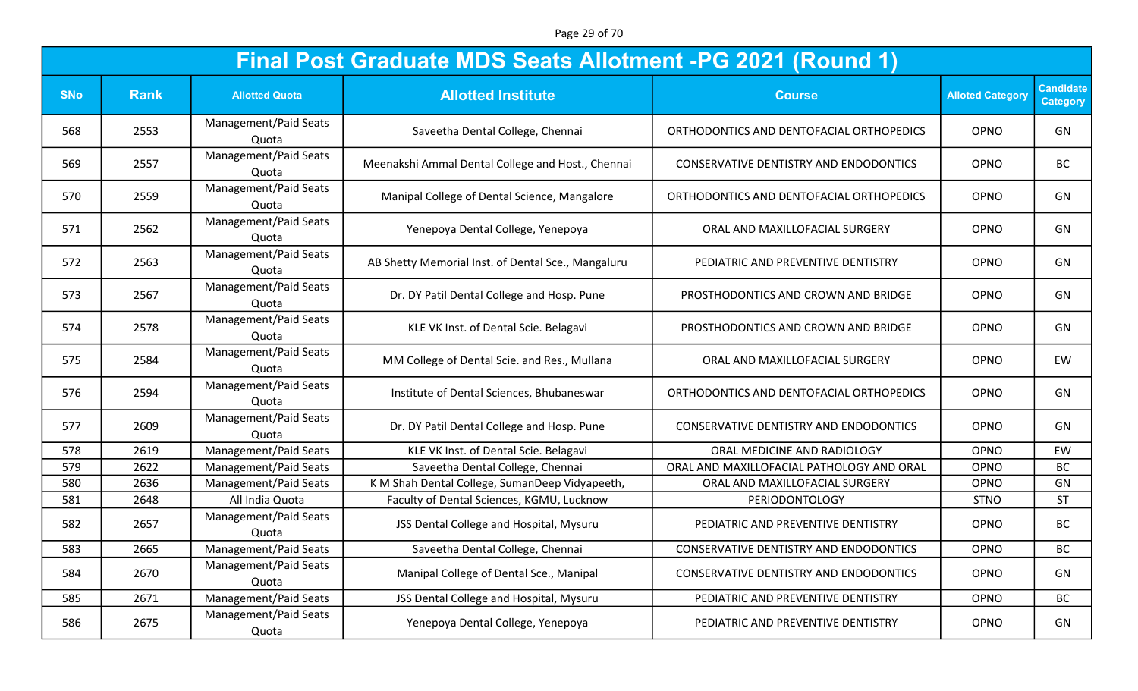Page 29 of 70

|            | Final Post Graduate MDS Seats Allotment -PG 2021 (Round 1) |                                |                                                    |                                               |                         |                                     |  |  |
|------------|------------------------------------------------------------|--------------------------------|----------------------------------------------------|-----------------------------------------------|-------------------------|-------------------------------------|--|--|
| <b>SNo</b> | <b>Rank</b>                                                | <b>Allotted Quota</b>          | <b>Allotted Institute</b>                          | <b>Course</b>                                 | <b>Alloted Category</b> | <b>Candidate</b><br><b>Category</b> |  |  |
| 568        | 2553                                                       | Management/Paid Seats<br>Quota | Saveetha Dental College, Chennai                   | ORTHODONTICS AND DENTOFACIAL ORTHOPEDICS      | OPNO                    | GN                                  |  |  |
| 569        | 2557                                                       | Management/Paid Seats<br>Quota | Meenakshi Ammal Dental College and Host., Chennai  | CONSERVATIVE DENTISTRY AND ENDODONTICS        | OPNO                    | <b>BC</b>                           |  |  |
| 570        | 2559                                                       | Management/Paid Seats<br>Quota | Manipal College of Dental Science, Mangalore       | ORTHODONTICS AND DENTOFACIAL ORTHOPEDICS      | OPNO                    | GN                                  |  |  |
| 571        | 2562                                                       | Management/Paid Seats<br>Quota | Yenepoya Dental College, Yenepoya                  | ORAL AND MAXILLOFACIAL SURGERY                | OPNO                    | GN                                  |  |  |
| 572        | 2563                                                       | Management/Paid Seats<br>Quota | AB Shetty Memorial Inst. of Dental Sce., Mangaluru | PEDIATRIC AND PREVENTIVE DENTISTRY            | OPNO                    | GN                                  |  |  |
| 573        | 2567                                                       | Management/Paid Seats<br>Quota | Dr. DY Patil Dental College and Hosp. Pune         | PROSTHODONTICS AND CROWN AND BRIDGE           | OPNO                    | GN                                  |  |  |
| 574        | 2578                                                       | Management/Paid Seats<br>Quota | KLE VK Inst. of Dental Scie. Belagavi              | PROSTHODONTICS AND CROWN AND BRIDGE           | OPNO                    | GN                                  |  |  |
| 575        | 2584                                                       | Management/Paid Seats<br>Quota | MM College of Dental Scie. and Res., Mullana       | ORAL AND MAXILLOFACIAL SURGERY                | OPNO                    | EW                                  |  |  |
| 576        | 2594                                                       | Management/Paid Seats<br>Quota | Institute of Dental Sciences, Bhubaneswar          | ORTHODONTICS AND DENTOFACIAL ORTHOPEDICS      | OPNO                    | GN                                  |  |  |
| 577        | 2609                                                       | Management/Paid Seats<br>Quota | Dr. DY Patil Dental College and Hosp. Pune         | <b>CONSERVATIVE DENTISTRY AND ENDODONTICS</b> | OPNO                    | GN                                  |  |  |
| 578        | 2619                                                       | Management/Paid Seats          | KLE VK Inst. of Dental Scie. Belagavi              | ORAL MEDICINE AND RADIOLOGY                   | OPNO                    | EW                                  |  |  |
| 579        | 2622                                                       | Management/Paid Seats          | Saveetha Dental College, Chennai                   | ORAL AND MAXILLOFACIAL PATHOLOGY AND ORAL     | OPNO                    | <b>BC</b>                           |  |  |
| 580        | 2636                                                       | Management/Paid Seats          | K M Shah Dental College, SumanDeep Vidyapeeth,     | ORAL AND MAXILLOFACIAL SURGERY                | OPNO                    | GN                                  |  |  |
| 581        | 2648                                                       | All India Quota                | Faculty of Dental Sciences, KGMU, Lucknow          | PERIODONTOLOGY                                | <b>STNO</b>             | <b>ST</b>                           |  |  |
| 582        | 2657                                                       | Management/Paid Seats<br>Quota | JSS Dental College and Hospital, Mysuru            | PEDIATRIC AND PREVENTIVE DENTISTRY            | OPNO                    | <b>BC</b>                           |  |  |
| 583        | 2665                                                       | Management/Paid Seats          | Saveetha Dental College, Chennai                   | CONSERVATIVE DENTISTRY AND ENDODONTICS        | OPNO                    | BC                                  |  |  |
| 584        | 2670                                                       | Management/Paid Seats<br>Quota | Manipal College of Dental Sce., Manipal            | CONSERVATIVE DENTISTRY AND ENDODONTICS        | OPNO                    | GN                                  |  |  |
| 585        | 2671                                                       | Management/Paid Seats          | JSS Dental College and Hospital, Mysuru            | PEDIATRIC AND PREVENTIVE DENTISTRY            | OPNO                    | BC                                  |  |  |
| 586        | 2675                                                       | Management/Paid Seats<br>Quota | Yenepoya Dental College, Yenepoya                  | PEDIATRIC AND PREVENTIVE DENTISTRY            | OPNO                    | GN                                  |  |  |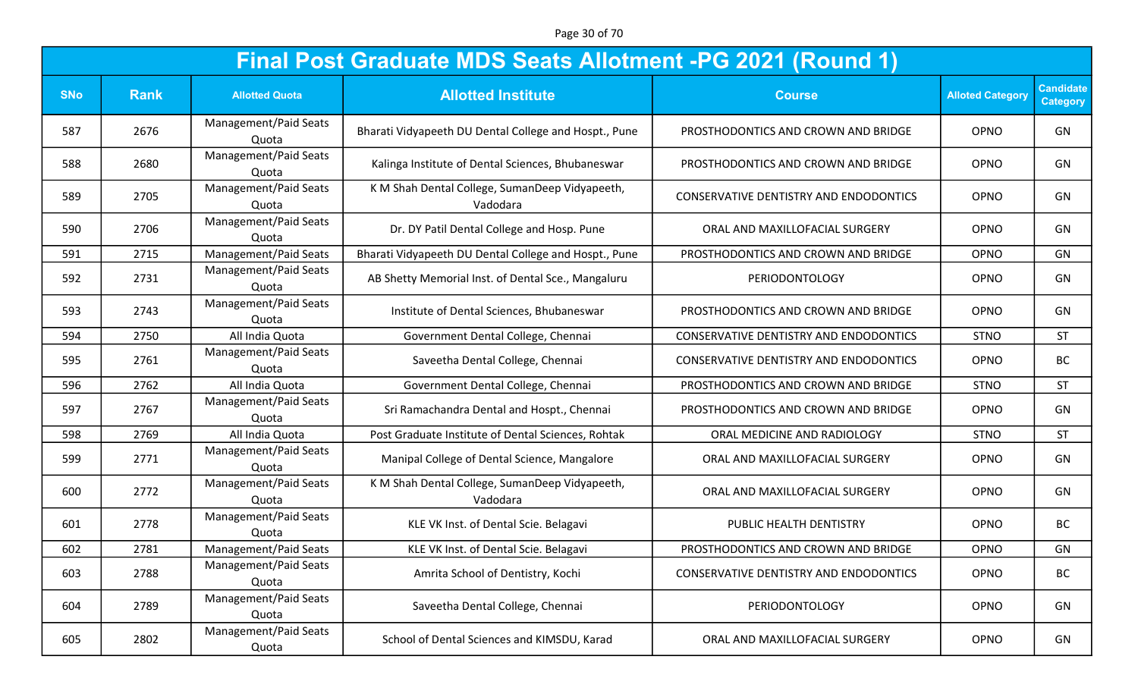Page 30 of 70

|            | <b>Final Post Graduate MDS Seats Allotment -PG 2021 (Round 1)</b> |                                |                                                            |                                               |                         |                                     |  |  |
|------------|-------------------------------------------------------------------|--------------------------------|------------------------------------------------------------|-----------------------------------------------|-------------------------|-------------------------------------|--|--|
| <b>SNo</b> | <b>Rank</b>                                                       | <b>Allotted Quota</b>          | <b>Allotted Institute</b>                                  | <b>Course</b>                                 | <b>Alloted Category</b> | <b>Candidate</b><br><b>Category</b> |  |  |
| 587        | 2676                                                              | Management/Paid Seats<br>Quota | Bharati Vidyapeeth DU Dental College and Hospt., Pune      | PROSTHODONTICS AND CROWN AND BRIDGE           | OPNO                    | GN                                  |  |  |
| 588        | 2680                                                              | Management/Paid Seats<br>Quota | Kalinga Institute of Dental Sciences, Bhubaneswar          | PROSTHODONTICS AND CROWN AND BRIDGE           | OPNO                    | GN                                  |  |  |
| 589        | 2705                                                              | Management/Paid Seats<br>Quota | K M Shah Dental College, SumanDeep Vidyapeeth,<br>Vadodara | CONSERVATIVE DENTISTRY AND ENDODONTICS        | OPNO                    | GN                                  |  |  |
| 590        | 2706                                                              | Management/Paid Seats<br>Quota | Dr. DY Patil Dental College and Hosp. Pune                 | ORAL AND MAXILLOFACIAL SURGERY                | OPNO                    | GN                                  |  |  |
| 591        | 2715                                                              | Management/Paid Seats          | Bharati Vidyapeeth DU Dental College and Hospt., Pune      | PROSTHODONTICS AND CROWN AND BRIDGE           | OPNO                    | GN                                  |  |  |
| 592        | 2731                                                              | Management/Paid Seats<br>Quota | AB Shetty Memorial Inst. of Dental Sce., Mangaluru         | PERIODONTOLOGY                                | OPNO                    | GN                                  |  |  |
| 593        | 2743                                                              | Management/Paid Seats<br>Quota | Institute of Dental Sciences, Bhubaneswar                  | PROSTHODONTICS AND CROWN AND BRIDGE           | OPNO                    | GN                                  |  |  |
| 594        | 2750                                                              | All India Quota                | Government Dental College, Chennai                         | CONSERVATIVE DENTISTRY AND ENDODONTICS        | <b>STNO</b>             | <b>ST</b>                           |  |  |
| 595        | 2761                                                              | Management/Paid Seats<br>Quota | Saveetha Dental College, Chennai                           | <b>CONSERVATIVE DENTISTRY AND ENDODONTICS</b> | OPNO                    | <b>BC</b>                           |  |  |
| 596        | 2762                                                              | All India Quota                | Government Dental College, Chennai                         | PROSTHODONTICS AND CROWN AND BRIDGE           | <b>STNO</b>             | <b>ST</b>                           |  |  |
| 597        | 2767                                                              | Management/Paid Seats<br>Quota | Sri Ramachandra Dental and Hospt., Chennai                 | PROSTHODONTICS AND CROWN AND BRIDGE           | OPNO                    | GN                                  |  |  |
| 598        | 2769                                                              | All India Quota                | Post Graduate Institute of Dental Sciences, Rohtak         | ORAL MEDICINE AND RADIOLOGY                   | <b>STNO</b>             | <b>ST</b>                           |  |  |
| 599        | 2771                                                              | Management/Paid Seats<br>Quota | Manipal College of Dental Science, Mangalore               | ORAL AND MAXILLOFACIAL SURGERY                | OPNO                    | GN                                  |  |  |
| 600        | 2772                                                              | Management/Paid Seats<br>Quota | K M Shah Dental College, SumanDeep Vidyapeeth,<br>Vadodara | ORAL AND MAXILLOFACIAL SURGERY                | OPNO                    | GN                                  |  |  |
| 601        | 2778                                                              | Management/Paid Seats<br>Quota | KLE VK Inst. of Dental Scie. Belagavi                      | PUBLIC HEALTH DENTISTRY                       | OPNO                    | <b>BC</b>                           |  |  |
| 602        | 2781                                                              | Management/Paid Seats          | KLE VK Inst. of Dental Scie. Belagavi                      | PROSTHODONTICS AND CROWN AND BRIDGE           | OPNO                    | GN                                  |  |  |
| 603        | 2788                                                              | Management/Paid Seats<br>Quota | Amrita School of Dentistry, Kochi                          | CONSERVATIVE DENTISTRY AND ENDODONTICS        | OPNO                    | BC                                  |  |  |
| 604        | 2789                                                              | Management/Paid Seats<br>Quota | Saveetha Dental College, Chennai                           | PERIODONTOLOGY                                | OPNO                    | GN                                  |  |  |
| 605        | 2802                                                              | Management/Paid Seats<br>Quota | School of Dental Sciences and KIMSDU, Karad                | ORAL AND MAXILLOFACIAL SURGERY                | OPNO                    | GN                                  |  |  |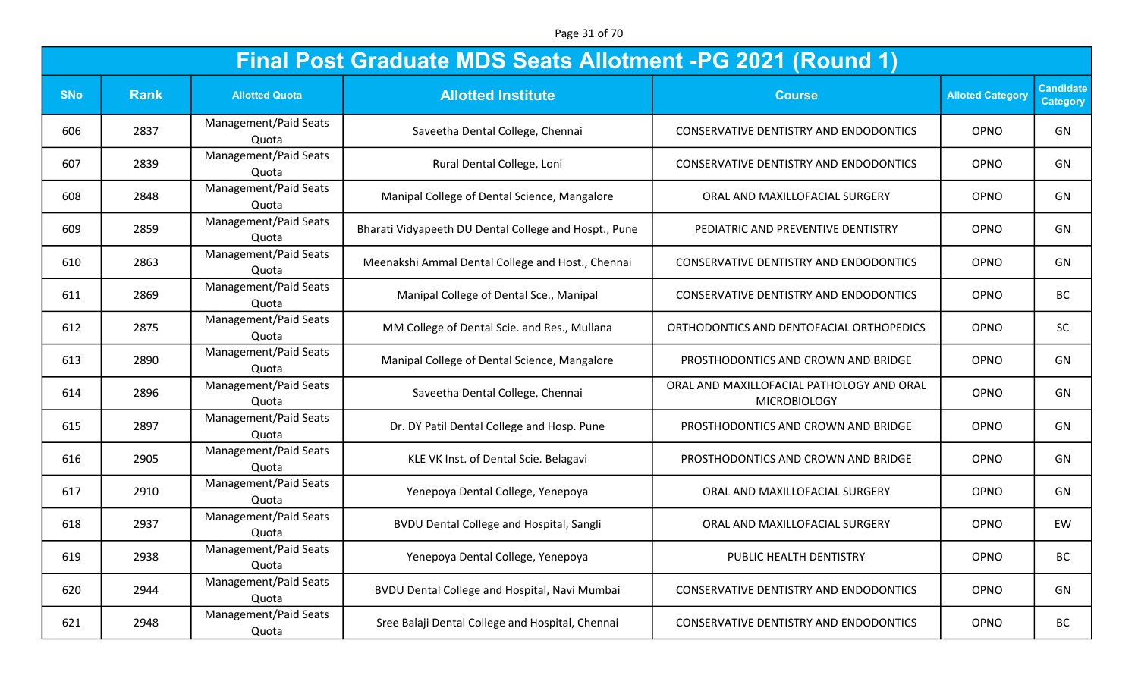Page 31 of 70

|            | <b>Final Post Graduate MDS Seats Allotment -PG 2021 (Round 1)</b> |                                |                                                       |                                                                  |                         |                                     |  |  |  |
|------------|-------------------------------------------------------------------|--------------------------------|-------------------------------------------------------|------------------------------------------------------------------|-------------------------|-------------------------------------|--|--|--|
| <b>SNo</b> | <b>Rank</b>                                                       | <b>Allotted Quota</b>          | <b>Allotted Institute</b>                             | <b>Course</b>                                                    | <b>Alloted Category</b> | <b>Candidate</b><br><b>Category</b> |  |  |  |
| 606        | 2837                                                              | Management/Paid Seats<br>Quota | Saveetha Dental College, Chennai                      | CONSERVATIVE DENTISTRY AND ENDODONTICS                           | OPNO                    | GN                                  |  |  |  |
| 607        | 2839                                                              | Management/Paid Seats<br>Quota | Rural Dental College, Loni                            | CONSERVATIVE DENTISTRY AND ENDODONTICS                           | OPNO                    | GN                                  |  |  |  |
| 608        | 2848                                                              | Management/Paid Seats<br>Quota | Manipal College of Dental Science, Mangalore          | ORAL AND MAXILLOFACIAL SURGERY                                   | OPNO                    | GN                                  |  |  |  |
| 609        | 2859                                                              | Management/Paid Seats<br>Quota | Bharati Vidyapeeth DU Dental College and Hospt., Pune | PEDIATRIC AND PREVENTIVE DENTISTRY                               | OPNO                    | GN                                  |  |  |  |
| 610        | 2863                                                              | Management/Paid Seats<br>Quota | Meenakshi Ammal Dental College and Host., Chennai     | <b>CONSERVATIVE DENTISTRY AND ENDODONTICS</b>                    | OPNO                    | GN                                  |  |  |  |
| 611        | 2869                                                              | Management/Paid Seats<br>Quota | Manipal College of Dental Sce., Manipal               | CONSERVATIVE DENTISTRY AND ENDODONTICS                           | OPNO                    | <b>BC</b>                           |  |  |  |
| 612        | 2875                                                              | Management/Paid Seats<br>Quota | MM College of Dental Scie. and Res., Mullana          | ORTHODONTICS AND DENTOFACIAL ORTHOPEDICS                         | OPNO                    | SC                                  |  |  |  |
| 613        | 2890                                                              | Management/Paid Seats<br>Quota | Manipal College of Dental Science, Mangalore          | PROSTHODONTICS AND CROWN AND BRIDGE                              | OPNO                    | GN                                  |  |  |  |
| 614        | 2896                                                              | Management/Paid Seats<br>Quota | Saveetha Dental College, Chennai                      | ORAL AND MAXILLOFACIAL PATHOLOGY AND ORAL<br><b>MICROBIOLOGY</b> | OPNO                    | GN                                  |  |  |  |
| 615        | 2897                                                              | Management/Paid Seats<br>Quota | Dr. DY Patil Dental College and Hosp. Pune            | PROSTHODONTICS AND CROWN AND BRIDGE                              | OPNO                    | GN                                  |  |  |  |
| 616        | 2905                                                              | Management/Paid Seats<br>Quota | KLE VK Inst. of Dental Scie. Belagavi                 | PROSTHODONTICS AND CROWN AND BRIDGE                              | OPNO                    | GN                                  |  |  |  |
| 617        | 2910                                                              | Management/Paid Seats<br>Quota | Yenepoya Dental College, Yenepoya                     | ORAL AND MAXILLOFACIAL SURGERY                                   | OPNO                    | GN                                  |  |  |  |
| 618        | 2937                                                              | Management/Paid Seats<br>Quota | <b>BVDU Dental College and Hospital, Sangli</b>       | ORAL AND MAXILLOFACIAL SURGERY                                   | OPNO                    | EW                                  |  |  |  |
| 619        | 2938                                                              | Management/Paid Seats<br>Quota | Yenepoya Dental College, Yenepoya                     | PUBLIC HEALTH DENTISTRY                                          | OPNO                    | BC                                  |  |  |  |
| 620        | 2944                                                              | Management/Paid Seats<br>Quota | BVDU Dental College and Hospital, Navi Mumbai         | <b>CONSERVATIVE DENTISTRY AND ENDODONTICS</b>                    | OPNO                    | GN                                  |  |  |  |
| 621        | 2948                                                              | Management/Paid Seats<br>Quota | Sree Balaji Dental College and Hospital, Chennai      | CONSERVATIVE DENTISTRY AND ENDODONTICS                           | OPNO                    | BC                                  |  |  |  |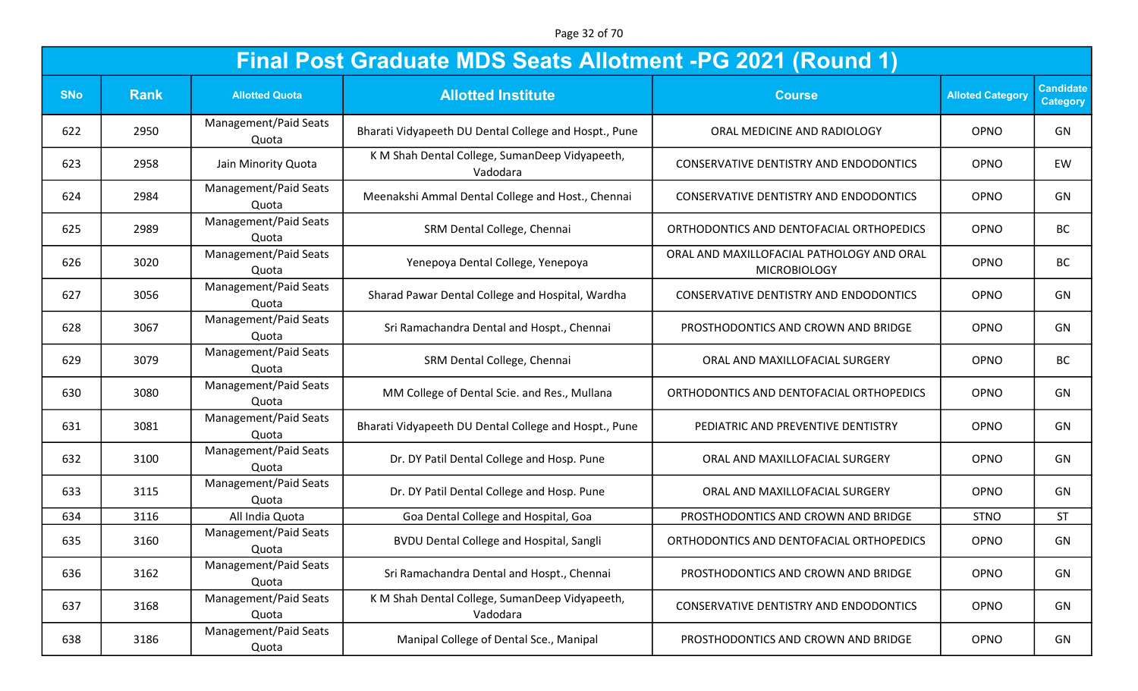Page 32 of 70

|            | <b>Final Post Graduate MDS Seats Allotment -PG 2021 (Round 1)</b> |                                |                                                            |                                                                  |                         |                                     |  |  |
|------------|-------------------------------------------------------------------|--------------------------------|------------------------------------------------------------|------------------------------------------------------------------|-------------------------|-------------------------------------|--|--|
| <b>SNo</b> | <b>Rank</b>                                                       | <b>Allotted Quota</b>          | <b>Allotted Institute</b>                                  | <b>Course</b>                                                    | <b>Alloted Category</b> | <b>Candidate</b><br><b>Category</b> |  |  |
| 622        | 2950                                                              | Management/Paid Seats<br>Quota | Bharati Vidyapeeth DU Dental College and Hospt., Pune      | ORAL MEDICINE AND RADIOLOGY                                      | OPNO                    | GN                                  |  |  |
| 623        | 2958                                                              | Jain Minority Quota            | K M Shah Dental College, SumanDeep Vidyapeeth,<br>Vadodara | CONSERVATIVE DENTISTRY AND ENDODONTICS                           | OPNO                    | EW                                  |  |  |
| 624        | 2984                                                              | Management/Paid Seats<br>Quota | Meenakshi Ammal Dental College and Host., Chennai          | CONSERVATIVE DENTISTRY AND ENDODONTICS                           | OPNO                    | GN                                  |  |  |
| 625        | 2989                                                              | Management/Paid Seats<br>Quota | SRM Dental College, Chennai                                | ORTHODONTICS AND DENTOFACIAL ORTHOPEDICS                         | OPNO                    | <b>BC</b>                           |  |  |
| 626        | 3020                                                              | Management/Paid Seats<br>Quota | Yenepoya Dental College, Yenepoya                          | ORAL AND MAXILLOFACIAL PATHOLOGY AND ORAL<br><b>MICROBIOLOGY</b> | OPNO                    | BC                                  |  |  |
| 627        | 3056                                                              | Management/Paid Seats<br>Quota | Sharad Pawar Dental College and Hospital, Wardha           | <b>CONSERVATIVE DENTISTRY AND ENDODONTICS</b>                    | OPNO                    | GN                                  |  |  |
| 628        | 3067                                                              | Management/Paid Seats<br>Quota | Sri Ramachandra Dental and Hospt., Chennai                 | PROSTHODONTICS AND CROWN AND BRIDGE                              | OPNO                    | GN                                  |  |  |
| 629        | 3079                                                              | Management/Paid Seats<br>Quota | SRM Dental College, Chennai                                | ORAL AND MAXILLOFACIAL SURGERY                                   | OPNO                    | <b>BC</b>                           |  |  |
| 630        | 3080                                                              | Management/Paid Seats<br>Quota | MM College of Dental Scie. and Res., Mullana               | ORTHODONTICS AND DENTOFACIAL ORTHOPEDICS                         | OPNO                    | GN                                  |  |  |
| 631        | 3081                                                              | Management/Paid Seats<br>Quota | Bharati Vidyapeeth DU Dental College and Hospt., Pune      | PEDIATRIC AND PREVENTIVE DENTISTRY                               | OPNO                    | GN                                  |  |  |
| 632        | 3100                                                              | Management/Paid Seats<br>Quota | Dr. DY Patil Dental College and Hosp. Pune                 | ORAL AND MAXILLOFACIAL SURGERY                                   | OPNO                    | GN                                  |  |  |
| 633        | 3115                                                              | Management/Paid Seats<br>Quota | Dr. DY Patil Dental College and Hosp. Pune                 | ORAL AND MAXILLOFACIAL SURGERY                                   | OPNO                    | GN                                  |  |  |
| 634        | 3116                                                              | All India Quota                | Goa Dental College and Hospital, Goa                       | PROSTHODONTICS AND CROWN AND BRIDGE                              | <b>STNO</b>             | <b>ST</b>                           |  |  |
| 635        | 3160                                                              | Management/Paid Seats<br>Quota | <b>BVDU Dental College and Hospital, Sangli</b>            | ORTHODONTICS AND DENTOFACIAL ORTHOPEDICS                         | OPNO                    | GN                                  |  |  |
| 636        | 3162                                                              | Management/Paid Seats<br>Quota | Sri Ramachandra Dental and Hospt., Chennai                 | PROSTHODONTICS AND CROWN AND BRIDGE                              | OPNO                    | GN                                  |  |  |
| 637        | 3168                                                              | Management/Paid Seats<br>Quota | K M Shah Dental College, SumanDeep Vidyapeeth,<br>Vadodara | CONSERVATIVE DENTISTRY AND ENDODONTICS                           | OPNO                    | GN                                  |  |  |
| 638        | 3186                                                              | Management/Paid Seats<br>Quota | Manipal College of Dental Sce., Manipal                    | PROSTHODONTICS AND CROWN AND BRIDGE                              | OPNO                    | GN                                  |  |  |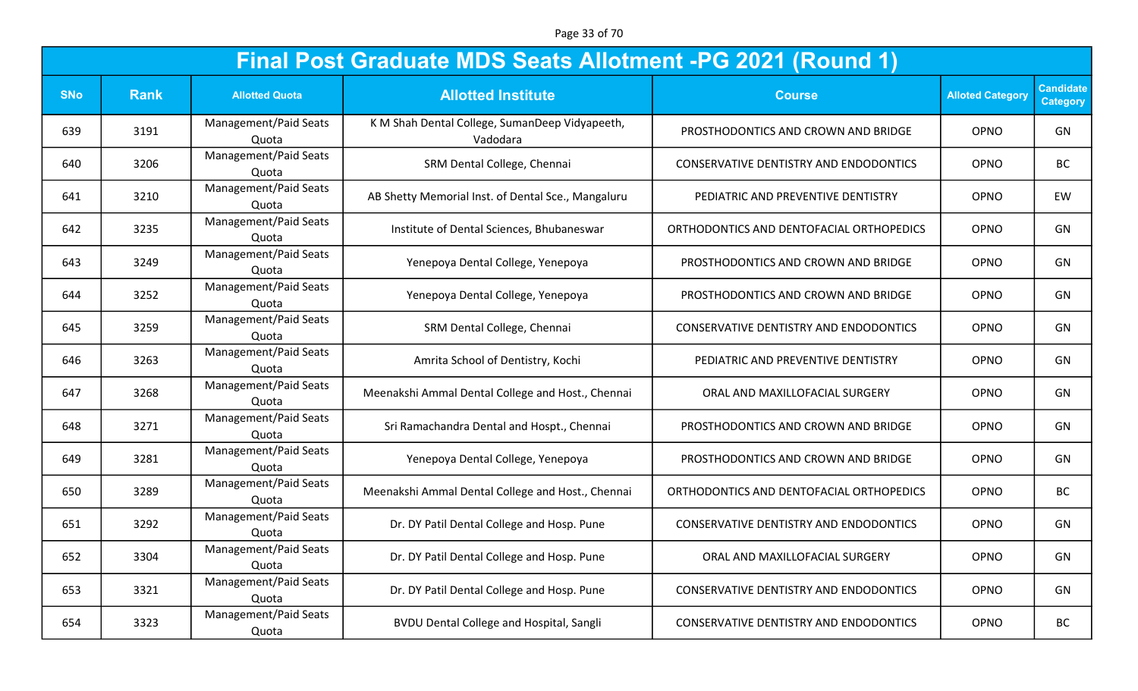Page 33 of 70

|            | <b>Final Post Graduate MDS Seats Allotment -PG 2021 (Round 1)</b> |                                |                                                            |                                               |                         |                                     |  |  |
|------------|-------------------------------------------------------------------|--------------------------------|------------------------------------------------------------|-----------------------------------------------|-------------------------|-------------------------------------|--|--|
| <b>SNo</b> | <b>Rank</b>                                                       | <b>Allotted Quota</b>          | <b>Allotted Institute</b>                                  | <b>Course</b>                                 | <b>Alloted Category</b> | <b>Candidate</b><br><b>Category</b> |  |  |
| 639        | 3191                                                              | Management/Paid Seats<br>Quota | K M Shah Dental College, SumanDeep Vidyapeeth,<br>Vadodara | PROSTHODONTICS AND CROWN AND BRIDGE           | OPNO                    | GN                                  |  |  |
| 640        | 3206                                                              | Management/Paid Seats<br>Quota | SRM Dental College, Chennai                                | <b>CONSERVATIVE DENTISTRY AND ENDODONTICS</b> | OPNO                    | <b>BC</b>                           |  |  |
| 641        | 3210                                                              | Management/Paid Seats<br>Quota | AB Shetty Memorial Inst. of Dental Sce., Mangaluru         | PEDIATRIC AND PREVENTIVE DENTISTRY            | OPNO                    | EW                                  |  |  |
| 642        | 3235                                                              | Management/Paid Seats<br>Quota | Institute of Dental Sciences, Bhubaneswar                  | ORTHODONTICS AND DENTOFACIAL ORTHOPEDICS      | OPNO                    | GN                                  |  |  |
| 643        | 3249                                                              | Management/Paid Seats<br>Quota | Yenepoya Dental College, Yenepoya                          | PROSTHODONTICS AND CROWN AND BRIDGE           | OPNO                    | GN                                  |  |  |
| 644        | 3252                                                              | Management/Paid Seats<br>Quota | Yenepoya Dental College, Yenepoya                          | PROSTHODONTICS AND CROWN AND BRIDGE           | OPNO                    | GN                                  |  |  |
| 645        | 3259                                                              | Management/Paid Seats<br>Quota | SRM Dental College, Chennai                                | <b>CONSERVATIVE DENTISTRY AND ENDODONTICS</b> | OPNO                    | GN                                  |  |  |
| 646        | 3263                                                              | Management/Paid Seats<br>Quota | Amrita School of Dentistry, Kochi                          | PEDIATRIC AND PREVENTIVE DENTISTRY            | OPNO                    | GN                                  |  |  |
| 647        | 3268                                                              | Management/Paid Seats<br>Quota | Meenakshi Ammal Dental College and Host., Chennai          | ORAL AND MAXILLOFACIAL SURGERY                | OPNO                    | GN                                  |  |  |
| 648        | 3271                                                              | Management/Paid Seats<br>Quota | Sri Ramachandra Dental and Hospt., Chennai                 | PROSTHODONTICS AND CROWN AND BRIDGE           | OPNO                    | GN                                  |  |  |
| 649        | 3281                                                              | Management/Paid Seats<br>Quota | Yenepoya Dental College, Yenepoya                          | PROSTHODONTICS AND CROWN AND BRIDGE           | OPNO                    | GN                                  |  |  |
| 650        | 3289                                                              | Management/Paid Seats<br>Quota | Meenakshi Ammal Dental College and Host., Chennai          | ORTHODONTICS AND DENTOFACIAL ORTHOPEDICS      | OPNO                    | <b>BC</b>                           |  |  |
| 651        | 3292                                                              | Management/Paid Seats<br>Quota | Dr. DY Patil Dental College and Hosp. Pune                 | <b>CONSERVATIVE DENTISTRY AND ENDODONTICS</b> | OPNO                    | GN                                  |  |  |
| 652        | 3304                                                              | Management/Paid Seats<br>Quota | Dr. DY Patil Dental College and Hosp. Pune                 | ORAL AND MAXILLOFACIAL SURGERY                | OPNO                    | GN                                  |  |  |
| 653        | 3321                                                              | Management/Paid Seats<br>Quota | Dr. DY Patil Dental College and Hosp. Pune                 | CONSERVATIVE DENTISTRY AND ENDODONTICS        | OPNO                    | GN                                  |  |  |
| 654        | 3323                                                              | Management/Paid Seats<br>Quota | BVDU Dental College and Hospital, Sangli                   | <b>CONSERVATIVE DENTISTRY AND ENDODONTICS</b> | OPNO                    | BC                                  |  |  |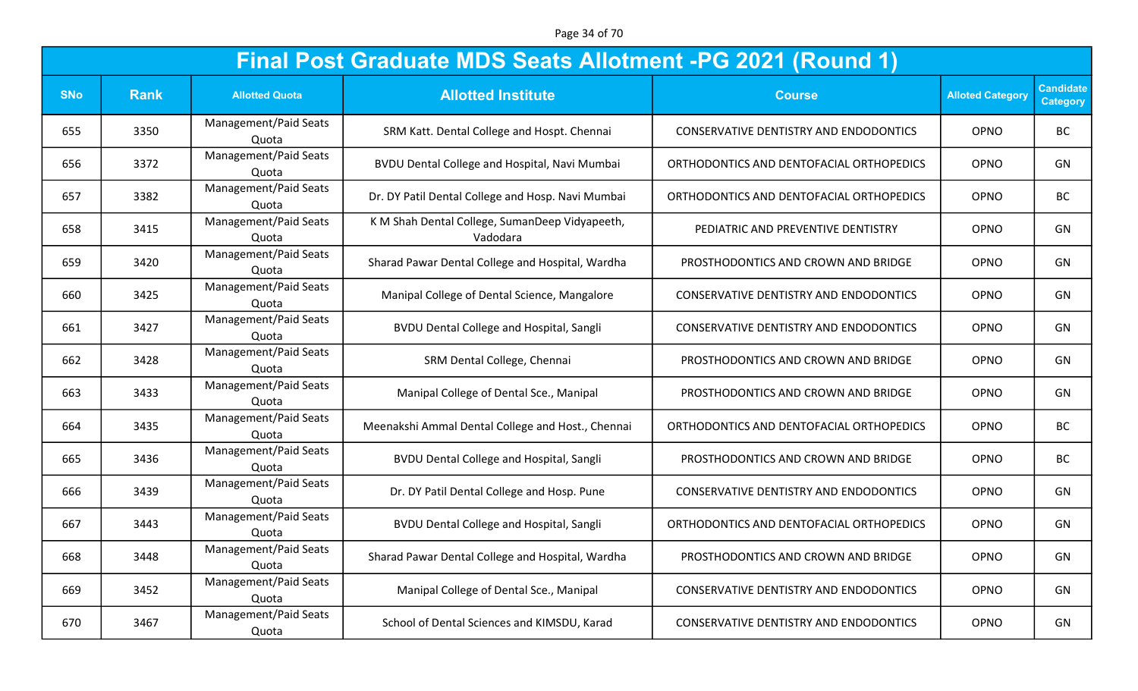Page 34 of 70

|            | <b>Final Post Graduate MDS Seats Allotment -PG 2021 (Round 1)</b> |                                |                                                            |                                               |                         |                                     |  |  |
|------------|-------------------------------------------------------------------|--------------------------------|------------------------------------------------------------|-----------------------------------------------|-------------------------|-------------------------------------|--|--|
| <b>SNo</b> | <b>Rank</b>                                                       | <b>Allotted Quota</b>          | <b>Allotted Institute</b>                                  | <b>Course</b>                                 | <b>Alloted Category</b> | <b>Candidate</b><br><b>Category</b> |  |  |
| 655        | 3350                                                              | Management/Paid Seats<br>Quota | SRM Katt. Dental College and Hospt. Chennai                | CONSERVATIVE DENTISTRY AND ENDODONTICS        | OPNO                    | <b>BC</b>                           |  |  |
| 656        | 3372                                                              | Management/Paid Seats<br>Quota | BVDU Dental College and Hospital, Navi Mumbai              | ORTHODONTICS AND DENTOFACIAL ORTHOPEDICS      | OPNO                    | GN                                  |  |  |
| 657        | 3382                                                              | Management/Paid Seats<br>Quota | Dr. DY Patil Dental College and Hosp. Navi Mumbai          | ORTHODONTICS AND DENTOFACIAL ORTHOPEDICS      | OPNO                    | <b>BC</b>                           |  |  |
| 658        | 3415                                                              | Management/Paid Seats<br>Quota | K M Shah Dental College, SumanDeep Vidyapeeth,<br>Vadodara | PEDIATRIC AND PREVENTIVE DENTISTRY            | OPNO                    | GN                                  |  |  |
| 659        | 3420                                                              | Management/Paid Seats<br>Quota | Sharad Pawar Dental College and Hospital, Wardha           | PROSTHODONTICS AND CROWN AND BRIDGE           | OPNO                    | GN                                  |  |  |
| 660        | 3425                                                              | Management/Paid Seats<br>Quota | Manipal College of Dental Science, Mangalore               | <b>CONSERVATIVE DENTISTRY AND ENDODONTICS</b> | OPNO                    | GN                                  |  |  |
| 661        | 3427                                                              | Management/Paid Seats<br>Quota | <b>BVDU Dental College and Hospital, Sangli</b>            | <b>CONSERVATIVE DENTISTRY AND ENDODONTICS</b> | OPNO                    | GN                                  |  |  |
| 662        | 3428                                                              | Management/Paid Seats<br>Quota | SRM Dental College, Chennai                                | PROSTHODONTICS AND CROWN AND BRIDGE           | OPNO                    | GN                                  |  |  |
| 663        | 3433                                                              | Management/Paid Seats<br>Quota | Manipal College of Dental Sce., Manipal                    | PROSTHODONTICS AND CROWN AND BRIDGE           | OPNO                    | GN                                  |  |  |
| 664        | 3435                                                              | Management/Paid Seats<br>Quota | Meenakshi Ammal Dental College and Host., Chennai          | ORTHODONTICS AND DENTOFACIAL ORTHOPEDICS      | OPNO                    | <b>BC</b>                           |  |  |
| 665        | 3436                                                              | Management/Paid Seats<br>Quota | <b>BVDU Dental College and Hospital, Sangli</b>            | PROSTHODONTICS AND CROWN AND BRIDGE           | OPNO                    | <b>BC</b>                           |  |  |
| 666        | 3439                                                              | Management/Paid Seats<br>Quota | Dr. DY Patil Dental College and Hosp. Pune                 | <b>CONSERVATIVE DENTISTRY AND ENDODONTICS</b> | OPNO                    | GN                                  |  |  |
| 667        | 3443                                                              | Management/Paid Seats<br>Quota | <b>BVDU Dental College and Hospital, Sangli</b>            | ORTHODONTICS AND DENTOFACIAL ORTHOPEDICS      | OPNO                    | GN                                  |  |  |
| 668        | 3448                                                              | Management/Paid Seats<br>Quota | Sharad Pawar Dental College and Hospital, Wardha           | PROSTHODONTICS AND CROWN AND BRIDGE           | OPNO                    | GN                                  |  |  |
| 669        | 3452                                                              | Management/Paid Seats<br>Quota | Manipal College of Dental Sce., Manipal                    | <b>CONSERVATIVE DENTISTRY AND ENDODONTICS</b> | OPNO                    | GN                                  |  |  |
| 670        | 3467                                                              | Management/Paid Seats<br>Quota | School of Dental Sciences and KIMSDU, Karad                | CONSERVATIVE DENTISTRY AND ENDODONTICS        | OPNO                    | GN                                  |  |  |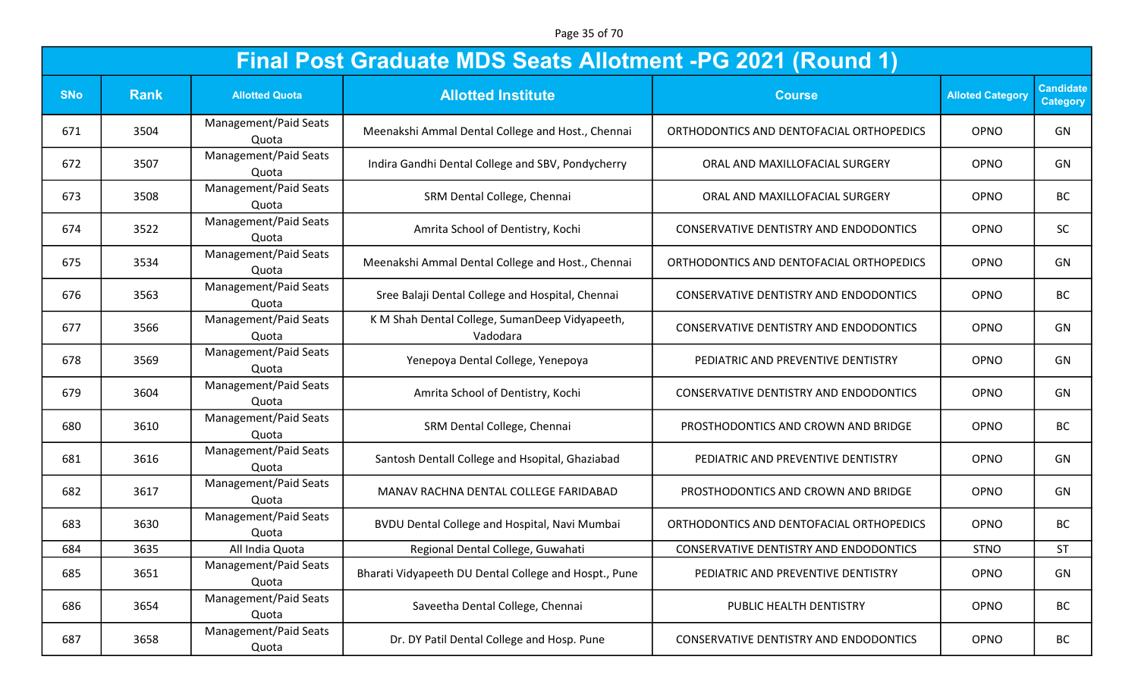Page 35 of 70

|            | <b>Final Post Graduate MDS Seats Allotment -PG 2021 (Round 1)</b> |                                |                                                            |                                               |                         |                                     |  |  |
|------------|-------------------------------------------------------------------|--------------------------------|------------------------------------------------------------|-----------------------------------------------|-------------------------|-------------------------------------|--|--|
| <b>SNo</b> | <b>Rank</b>                                                       | <b>Allotted Quota</b>          | <b>Allotted Institute</b>                                  | <b>Course</b>                                 | <b>Alloted Category</b> | <b>Candidate</b><br><b>Category</b> |  |  |
| 671        | 3504                                                              | Management/Paid Seats<br>Quota | Meenakshi Ammal Dental College and Host., Chennai          | ORTHODONTICS AND DENTOFACIAL ORTHOPEDICS      | OPNO                    | GN                                  |  |  |
| 672        | 3507                                                              | Management/Paid Seats<br>Quota | Indira Gandhi Dental College and SBV, Pondycherry          | ORAL AND MAXILLOFACIAL SURGERY                | OPNO                    | GN                                  |  |  |
| 673        | 3508                                                              | Management/Paid Seats<br>Quota | SRM Dental College, Chennai                                | ORAL AND MAXILLOFACIAL SURGERY                | OPNO                    | <b>BC</b>                           |  |  |
| 674        | 3522                                                              | Management/Paid Seats<br>Quota | Amrita School of Dentistry, Kochi                          | CONSERVATIVE DENTISTRY AND ENDODONTICS        | OPNO                    | <b>SC</b>                           |  |  |
| 675        | 3534                                                              | Management/Paid Seats<br>Quota | Meenakshi Ammal Dental College and Host., Chennai          | ORTHODONTICS AND DENTOFACIAL ORTHOPEDICS      | OPNO                    | GN                                  |  |  |
| 676        | 3563                                                              | Management/Paid Seats<br>Quota | Sree Balaji Dental College and Hospital, Chennai           | CONSERVATIVE DENTISTRY AND ENDODONTICS        | OPNO                    | <b>BC</b>                           |  |  |
| 677        | 3566                                                              | Management/Paid Seats<br>Quota | K M Shah Dental College, SumanDeep Vidyapeeth,<br>Vadodara | CONSERVATIVE DENTISTRY AND ENDODONTICS        | OPNO                    | GN                                  |  |  |
| 678        | 3569                                                              | Management/Paid Seats<br>Quota | Yenepoya Dental College, Yenepoya                          | PEDIATRIC AND PREVENTIVE DENTISTRY            | OPNO                    | GN                                  |  |  |
| 679        | 3604                                                              | Management/Paid Seats<br>Quota | Amrita School of Dentistry, Kochi                          | CONSERVATIVE DENTISTRY AND ENDODONTICS        | OPNO                    | GN                                  |  |  |
| 680        | 3610                                                              | Management/Paid Seats<br>Quota | SRM Dental College, Chennai                                | PROSTHODONTICS AND CROWN AND BRIDGE           | OPNO                    | <b>BC</b>                           |  |  |
| 681        | 3616                                                              | Management/Paid Seats<br>Quota | Santosh Dentall College and Hsopital, Ghaziabad            | PEDIATRIC AND PREVENTIVE DENTISTRY            | OPNO                    | GN                                  |  |  |
| 682        | 3617                                                              | Management/Paid Seats<br>Quota | MANAV RACHNA DENTAL COLLEGE FARIDABAD                      | PROSTHODONTICS AND CROWN AND BRIDGE           | OPNO                    | GN                                  |  |  |
| 683        | 3630                                                              | Management/Paid Seats<br>Quota | BVDU Dental College and Hospital, Navi Mumbai              | ORTHODONTICS AND DENTOFACIAL ORTHOPEDICS      | OPNO                    | <b>BC</b>                           |  |  |
| 684        | 3635                                                              | All India Quota                | Regional Dental College, Guwahati                          | CONSERVATIVE DENTISTRY AND ENDODONTICS        | <b>STNO</b>             | <b>ST</b>                           |  |  |
| 685        | 3651                                                              | Management/Paid Seats<br>Quota | Bharati Vidyapeeth DU Dental College and Hospt., Pune      | PEDIATRIC AND PREVENTIVE DENTISTRY            | OPNO                    | GN                                  |  |  |
| 686        | 3654                                                              | Management/Paid Seats<br>Quota | Saveetha Dental College, Chennai                           | PUBLIC HEALTH DENTISTRY                       | OPNO                    | BC                                  |  |  |
| 687        | 3658                                                              | Management/Paid Seats<br>Quota | Dr. DY Patil Dental College and Hosp. Pune                 | <b>CONSERVATIVE DENTISTRY AND ENDODONTICS</b> | OPNO                    | BC                                  |  |  |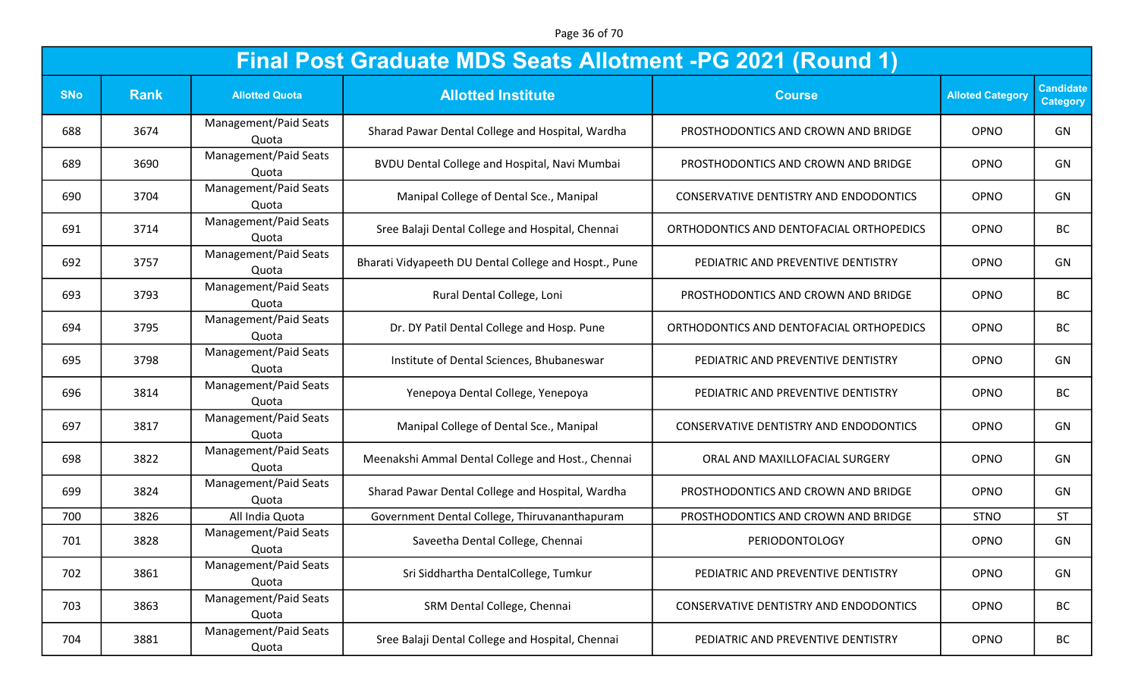Page 36 of 70

|            | <b>Final Post Graduate MDS Seats Allotment -PG 2021 (Round 1)</b> |                                |                                                       |                                               |                         |                                     |  |  |
|------------|-------------------------------------------------------------------|--------------------------------|-------------------------------------------------------|-----------------------------------------------|-------------------------|-------------------------------------|--|--|
| <b>SNo</b> | <b>Rank</b>                                                       | <b>Allotted Quota</b>          | <b>Allotted Institute</b>                             | <b>Course</b>                                 | <b>Alloted Category</b> | <b>Candidate</b><br><b>Category</b> |  |  |
| 688        | 3674                                                              | Management/Paid Seats<br>Quota | Sharad Pawar Dental College and Hospital, Wardha      | PROSTHODONTICS AND CROWN AND BRIDGE           | OPNO                    | GN                                  |  |  |
| 689        | 3690                                                              | Management/Paid Seats<br>Quota | BVDU Dental College and Hospital, Navi Mumbai         | PROSTHODONTICS AND CROWN AND BRIDGE           | OPNO                    | GN                                  |  |  |
| 690        | 3704                                                              | Management/Paid Seats<br>Quota | Manipal College of Dental Sce., Manipal               | <b>CONSERVATIVE DENTISTRY AND ENDODONTICS</b> | OPNO                    | GN                                  |  |  |
| 691        | 3714                                                              | Management/Paid Seats<br>Quota | Sree Balaji Dental College and Hospital, Chennai      | ORTHODONTICS AND DENTOFACIAL ORTHOPEDICS      | OPNO                    | <b>BC</b>                           |  |  |
| 692        | 3757                                                              | Management/Paid Seats<br>Quota | Bharati Vidyapeeth DU Dental College and Hospt., Pune | PEDIATRIC AND PREVENTIVE DENTISTRY            | OPNO                    | GN                                  |  |  |
| 693        | 3793                                                              | Management/Paid Seats<br>Quota | Rural Dental College, Loni                            | PROSTHODONTICS AND CROWN AND BRIDGE           | OPNO                    | <b>BC</b>                           |  |  |
| 694        | 3795                                                              | Management/Paid Seats<br>Quota | Dr. DY Patil Dental College and Hosp. Pune            | ORTHODONTICS AND DENTOFACIAL ORTHOPEDICS      | OPNO                    | <b>BC</b>                           |  |  |
| 695        | 3798                                                              | Management/Paid Seats<br>Quota | Institute of Dental Sciences, Bhubaneswar             | PEDIATRIC AND PREVENTIVE DENTISTRY            | OPNO                    | GN                                  |  |  |
| 696        | 3814                                                              | Management/Paid Seats<br>Quota | Yenepoya Dental College, Yenepoya                     | PEDIATRIC AND PREVENTIVE DENTISTRY            | OPNO                    | BC                                  |  |  |
| 697        | 3817                                                              | Management/Paid Seats<br>Quota | Manipal College of Dental Sce., Manipal               | CONSERVATIVE DENTISTRY AND ENDODONTICS        | OPNO                    | GN                                  |  |  |
| 698        | 3822                                                              | Management/Paid Seats<br>Quota | Meenakshi Ammal Dental College and Host., Chennai     | ORAL AND MAXILLOFACIAL SURGERY                | OPNO                    | GN                                  |  |  |
| 699        | 3824                                                              | Management/Paid Seats<br>Quota | Sharad Pawar Dental College and Hospital, Wardha      | PROSTHODONTICS AND CROWN AND BRIDGE           | OPNO                    | GN                                  |  |  |
| 700        | 3826                                                              | All India Quota                | Government Dental College, Thiruvananthapuram         | PROSTHODONTICS AND CROWN AND BRIDGE           | <b>STNO</b>             | <b>ST</b>                           |  |  |
| 701        | 3828                                                              | Management/Paid Seats<br>Quota | Saveetha Dental College, Chennai                      | PERIODONTOLOGY                                | OPNO                    | GN                                  |  |  |
| 702        | 3861                                                              | Management/Paid Seats<br>Quota | Sri Siddhartha DentalCollege, Tumkur                  | PEDIATRIC AND PREVENTIVE DENTISTRY            | OPNO                    | GN                                  |  |  |
| 703        | 3863                                                              | Management/Paid Seats<br>Quota | SRM Dental College, Chennai                           | CONSERVATIVE DENTISTRY AND ENDODONTICS        | OPNO                    | BC                                  |  |  |
| 704        | 3881                                                              | Management/Paid Seats<br>Quota | Sree Balaji Dental College and Hospital, Chennai      | PEDIATRIC AND PREVENTIVE DENTISTRY            | OPNO                    | <b>BC</b>                           |  |  |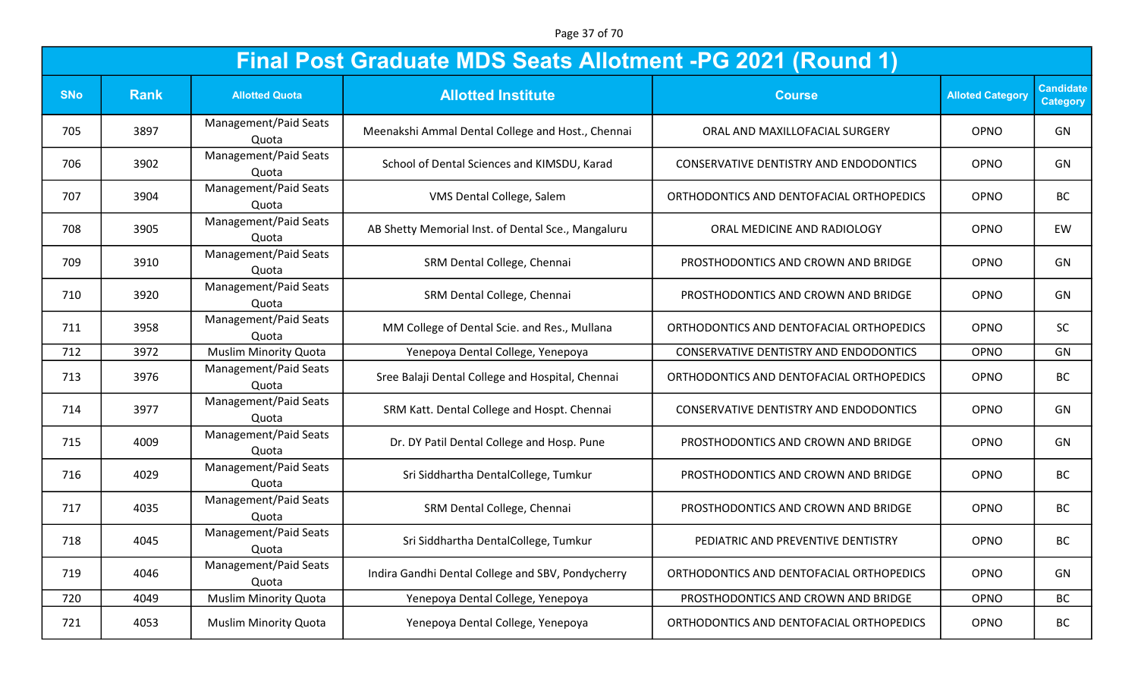Page 37 of 70

|            | <b>Final Post Graduate MDS Seats Allotment -PG 2021 (Round 1)</b> |                                |                                                    |                                          |                         |                                     |  |  |
|------------|-------------------------------------------------------------------|--------------------------------|----------------------------------------------------|------------------------------------------|-------------------------|-------------------------------------|--|--|
| <b>SNo</b> | <b>Rank</b>                                                       | <b>Allotted Quota</b>          | <b>Allotted Institute</b>                          | <b>Course</b>                            | <b>Alloted Category</b> | <b>Candidate</b><br><b>Category</b> |  |  |
| 705        | 3897                                                              | Management/Paid Seats<br>Quota | Meenakshi Ammal Dental College and Host., Chennai  | ORAL AND MAXILLOFACIAL SURGERY           | OPNO                    | GN                                  |  |  |
| 706        | 3902                                                              | Management/Paid Seats<br>Quota | School of Dental Sciences and KIMSDU, Karad        | CONSERVATIVE DENTISTRY AND ENDODONTICS   | OPNO                    | GN                                  |  |  |
| 707        | 3904                                                              | Management/Paid Seats<br>Quota | VMS Dental College, Salem                          | ORTHODONTICS AND DENTOFACIAL ORTHOPEDICS | OPNO                    | <b>BC</b>                           |  |  |
| 708        | 3905                                                              | Management/Paid Seats<br>Quota | AB Shetty Memorial Inst. of Dental Sce., Mangaluru | ORAL MEDICINE AND RADIOLOGY              | OPNO                    | EW                                  |  |  |
| 709        | 3910                                                              | Management/Paid Seats<br>Quota | SRM Dental College, Chennai                        | PROSTHODONTICS AND CROWN AND BRIDGE      | OPNO                    | GN                                  |  |  |
| 710        | 3920                                                              | Management/Paid Seats<br>Quota | SRM Dental College, Chennai                        | PROSTHODONTICS AND CROWN AND BRIDGE      | OPNO                    | GN                                  |  |  |
| 711        | 3958                                                              | Management/Paid Seats<br>Quota | MM College of Dental Scie. and Res., Mullana       | ORTHODONTICS AND DENTOFACIAL ORTHOPEDICS | OPNO                    | SC                                  |  |  |
| 712        | 3972                                                              | <b>Muslim Minority Quota</b>   | Yenepoya Dental College, Yenepoya                  | CONSERVATIVE DENTISTRY AND ENDODONTICS   | OPNO                    | GN                                  |  |  |
| 713        | 3976                                                              | Management/Paid Seats<br>Quota | Sree Balaji Dental College and Hospital, Chennai   | ORTHODONTICS AND DENTOFACIAL ORTHOPEDICS | OPNO                    | <b>BC</b>                           |  |  |
| 714        | 3977                                                              | Management/Paid Seats<br>Quota | SRM Katt. Dental College and Hospt. Chennai        | CONSERVATIVE DENTISTRY AND ENDODONTICS   | OPNO                    | GN                                  |  |  |
| 715        | 4009                                                              | Management/Paid Seats<br>Quota | Dr. DY Patil Dental College and Hosp. Pune         | PROSTHODONTICS AND CROWN AND BRIDGE      | OPNO                    | GN                                  |  |  |
| 716        | 4029                                                              | Management/Paid Seats<br>Quota | Sri Siddhartha DentalCollege, Tumkur               | PROSTHODONTICS AND CROWN AND BRIDGE      | OPNO                    | <b>BC</b>                           |  |  |
| 717        | 4035                                                              | Management/Paid Seats<br>Quota | SRM Dental College, Chennai                        | PROSTHODONTICS AND CROWN AND BRIDGE      | OPNO                    | <b>BC</b>                           |  |  |
| 718        | 4045                                                              | Management/Paid Seats<br>Quota | Sri Siddhartha DentalCollege, Tumkur               | PEDIATRIC AND PREVENTIVE DENTISTRY       | OPNO                    | <b>BC</b>                           |  |  |
| 719        | 4046                                                              | Management/Paid Seats<br>Quota | Indira Gandhi Dental College and SBV, Pondycherry  | ORTHODONTICS AND DENTOFACIAL ORTHOPEDICS | OPNO                    | GN                                  |  |  |
| 720        | 4049                                                              | <b>Muslim Minority Quota</b>   | Yenepoya Dental College, Yenepoya                  | PROSTHODONTICS AND CROWN AND BRIDGE      | OPNO                    | <b>BC</b>                           |  |  |
| 721        | 4053                                                              | <b>Muslim Minority Quota</b>   | Yenepoya Dental College, Yenepoya                  | ORTHODONTICS AND DENTOFACIAL ORTHOPEDICS | OPNO                    | BC                                  |  |  |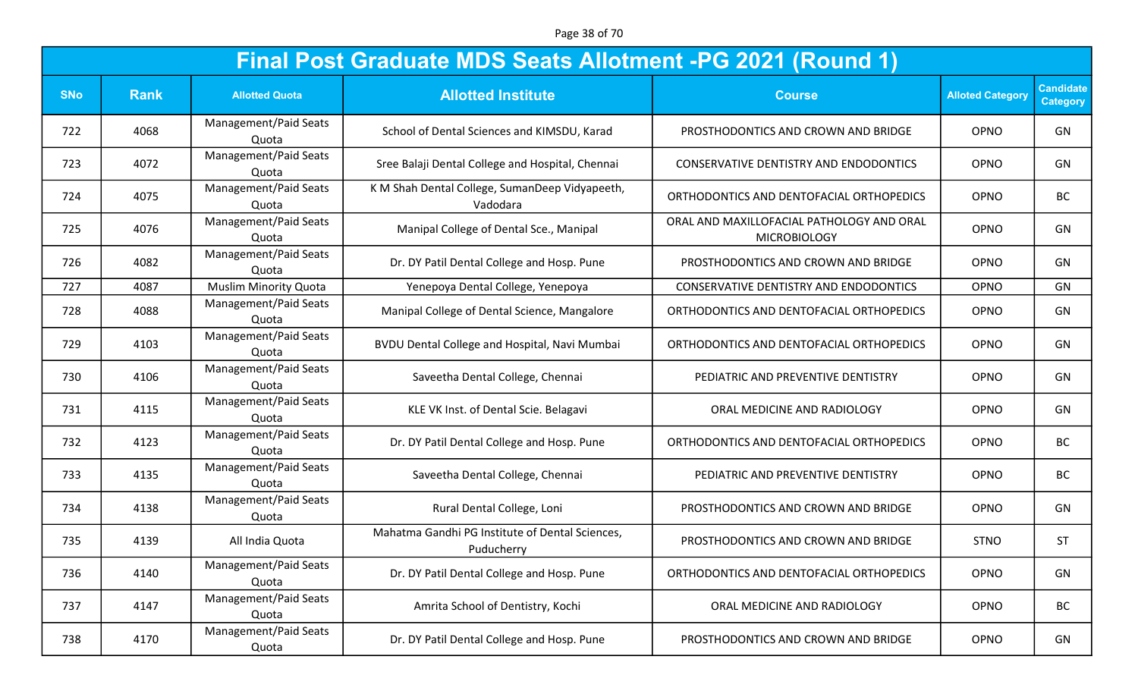Page 38 of 70

|            | <b>Final Post Graduate MDS Seats Allotment -PG 2021 (Round 1)</b> |                                |                                                               |                                                                  |                         |                                     |  |  |  |
|------------|-------------------------------------------------------------------|--------------------------------|---------------------------------------------------------------|------------------------------------------------------------------|-------------------------|-------------------------------------|--|--|--|
| <b>SNo</b> | <b>Rank</b>                                                       | <b>Allotted Quota</b>          | <b>Allotted Institute</b>                                     | <b>Course</b>                                                    | <b>Alloted Category</b> | <b>Candidate</b><br><b>Category</b> |  |  |  |
| 722        | 4068                                                              | Management/Paid Seats<br>Quota | School of Dental Sciences and KIMSDU, Karad                   | PROSTHODONTICS AND CROWN AND BRIDGE                              | OPNO                    | GN                                  |  |  |  |
| 723        | 4072                                                              | Management/Paid Seats<br>Quota | Sree Balaji Dental College and Hospital, Chennai              | <b>CONSERVATIVE DENTISTRY AND ENDODONTICS</b>                    | OPNO                    | GN                                  |  |  |  |
| 724        | 4075                                                              | Management/Paid Seats<br>Quota | K M Shah Dental College, SumanDeep Vidyapeeth,<br>Vadodara    | ORTHODONTICS AND DENTOFACIAL ORTHOPEDICS                         | OPNO                    | <b>BC</b>                           |  |  |  |
| 725        | 4076                                                              | Management/Paid Seats<br>Quota | Manipal College of Dental Sce., Manipal                       | ORAL AND MAXILLOFACIAL PATHOLOGY AND ORAL<br><b>MICROBIOLOGY</b> | OPNO                    | GN                                  |  |  |  |
| 726        | 4082                                                              | Management/Paid Seats<br>Quota | Dr. DY Patil Dental College and Hosp. Pune                    | PROSTHODONTICS AND CROWN AND BRIDGE                              | OPNO                    | GN                                  |  |  |  |
| 727        | 4087                                                              | <b>Muslim Minority Quota</b>   | Yenepoya Dental College, Yenepoya                             | CONSERVATIVE DENTISTRY AND ENDODONTICS                           | OPNO                    | GN                                  |  |  |  |
| 728        | 4088                                                              | Management/Paid Seats<br>Quota | Manipal College of Dental Science, Mangalore                  | ORTHODONTICS AND DENTOFACIAL ORTHOPEDICS                         | OPNO                    | GN                                  |  |  |  |
| 729        | 4103                                                              | Management/Paid Seats<br>Quota | BVDU Dental College and Hospital, Navi Mumbai                 | ORTHODONTICS AND DENTOFACIAL ORTHOPEDICS                         | OPNO                    | GN                                  |  |  |  |
| 730        | 4106                                                              | Management/Paid Seats<br>Quota | Saveetha Dental College, Chennai                              | PEDIATRIC AND PREVENTIVE DENTISTRY                               | OPNO                    | GN                                  |  |  |  |
| 731        | 4115                                                              | Management/Paid Seats<br>Quota | KLE VK Inst. of Dental Scie. Belagavi                         | ORAL MEDICINE AND RADIOLOGY                                      | OPNO                    | GN                                  |  |  |  |
| 732        | 4123                                                              | Management/Paid Seats<br>Quota | Dr. DY Patil Dental College and Hosp. Pune                    | ORTHODONTICS AND DENTOFACIAL ORTHOPEDICS                         | OPNO                    | <b>BC</b>                           |  |  |  |
| 733        | 4135                                                              | Management/Paid Seats<br>Quota | Saveetha Dental College, Chennai                              | PEDIATRIC AND PREVENTIVE DENTISTRY                               | OPNO                    | <b>BC</b>                           |  |  |  |
| 734        | 4138                                                              | Management/Paid Seats<br>Quota | Rural Dental College, Loni                                    | PROSTHODONTICS AND CROWN AND BRIDGE                              | OPNO                    | GN                                  |  |  |  |
| 735        | 4139                                                              | All India Quota                | Mahatma Gandhi PG Institute of Dental Sciences,<br>Puducherry | PROSTHODONTICS AND CROWN AND BRIDGE                              | <b>STNO</b>             | <b>ST</b>                           |  |  |  |
| 736        | 4140                                                              | Management/Paid Seats<br>Quota | Dr. DY Patil Dental College and Hosp. Pune                    | ORTHODONTICS AND DENTOFACIAL ORTHOPEDICS                         | OPNO                    | GN                                  |  |  |  |
| 737        | 4147                                                              | Management/Paid Seats<br>Quota | Amrita School of Dentistry, Kochi                             | ORAL MEDICINE AND RADIOLOGY                                      | OPNO                    | BC                                  |  |  |  |
| 738        | 4170                                                              | Management/Paid Seats<br>Quota | Dr. DY Patil Dental College and Hosp. Pune                    | PROSTHODONTICS AND CROWN AND BRIDGE                              | OPNO                    | GN                                  |  |  |  |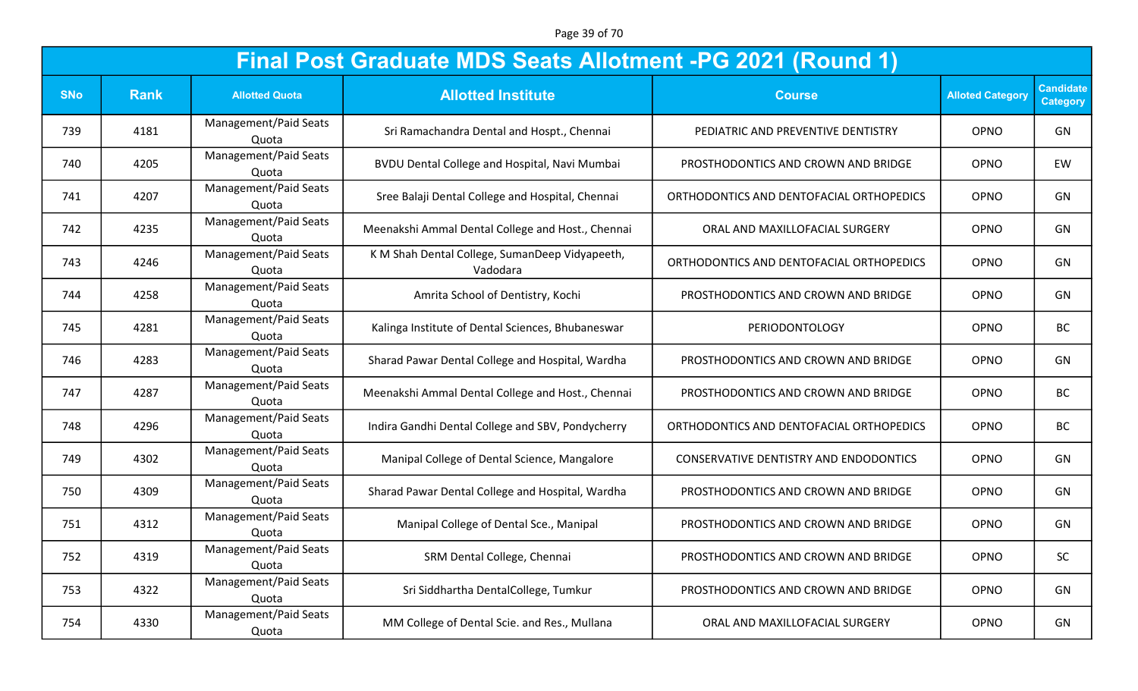Page 39 of 70

|            | <b>Final Post Graduate MDS Seats Allotment -PG 2021 (Round 1)</b> |                                |                                                            |                                          |                         |                                     |  |  |
|------------|-------------------------------------------------------------------|--------------------------------|------------------------------------------------------------|------------------------------------------|-------------------------|-------------------------------------|--|--|
| <b>SNo</b> | <b>Rank</b>                                                       | <b>Allotted Quota</b>          | <b>Allotted Institute</b>                                  | <b>Course</b>                            | <b>Alloted Category</b> | <b>Candidate</b><br><b>Category</b> |  |  |
| 739        | 4181                                                              | Management/Paid Seats<br>Quota | Sri Ramachandra Dental and Hospt., Chennai                 | PEDIATRIC AND PREVENTIVE DENTISTRY       | OPNO                    | GN                                  |  |  |
| 740        | 4205                                                              | Management/Paid Seats<br>Quota | BVDU Dental College and Hospital, Navi Mumbai              | PROSTHODONTICS AND CROWN AND BRIDGE      | OPNO                    | EW                                  |  |  |
| 741        | 4207                                                              | Management/Paid Seats<br>Quota | Sree Balaji Dental College and Hospital, Chennai           | ORTHODONTICS AND DENTOFACIAL ORTHOPEDICS | OPNO                    | GN                                  |  |  |
| 742        | 4235                                                              | Management/Paid Seats<br>Quota | Meenakshi Ammal Dental College and Host., Chennai          | ORAL AND MAXILLOFACIAL SURGERY           | <b>OPNO</b>             | GN                                  |  |  |
| 743        | 4246                                                              | Management/Paid Seats<br>Quota | K M Shah Dental College, SumanDeep Vidyapeeth,<br>Vadodara | ORTHODONTICS AND DENTOFACIAL ORTHOPEDICS | OPNO                    | GN                                  |  |  |
| 744        | 4258                                                              | Management/Paid Seats<br>Quota | Amrita School of Dentistry, Kochi                          | PROSTHODONTICS AND CROWN AND BRIDGE      | OPNO                    | GN                                  |  |  |
| 745        | 4281                                                              | Management/Paid Seats<br>Quota | Kalinga Institute of Dental Sciences, Bhubaneswar          | PERIODONTOLOGY                           | OPNO                    | <b>BC</b>                           |  |  |
| 746        | 4283                                                              | Management/Paid Seats<br>Quota | Sharad Pawar Dental College and Hospital, Wardha           | PROSTHODONTICS AND CROWN AND BRIDGE      | OPNO                    | GN                                  |  |  |
| 747        | 4287                                                              | Management/Paid Seats<br>Quota | Meenakshi Ammal Dental College and Host., Chennai          | PROSTHODONTICS AND CROWN AND BRIDGE      | <b>OPNO</b>             | <b>BC</b>                           |  |  |
| 748        | 4296                                                              | Management/Paid Seats<br>Quota | Indira Gandhi Dental College and SBV, Pondycherry          | ORTHODONTICS AND DENTOFACIAL ORTHOPEDICS | OPNO                    | <b>BC</b>                           |  |  |
| 749        | 4302                                                              | Management/Paid Seats<br>Quota | Manipal College of Dental Science, Mangalore               | CONSERVATIVE DENTISTRY AND ENDODONTICS   | OPNO                    | GN                                  |  |  |
| 750        | 4309                                                              | Management/Paid Seats<br>Quota | Sharad Pawar Dental College and Hospital, Wardha           | PROSTHODONTICS AND CROWN AND BRIDGE      | OPNO                    | GN                                  |  |  |
| 751        | 4312                                                              | Management/Paid Seats<br>Quota | Manipal College of Dental Sce., Manipal                    | PROSTHODONTICS AND CROWN AND BRIDGE      | OPNO                    | GN                                  |  |  |
| 752        | 4319                                                              | Management/Paid Seats<br>Quota | SRM Dental College, Chennai                                | PROSTHODONTICS AND CROWN AND BRIDGE      | OPNO                    | <b>SC</b>                           |  |  |
| 753        | 4322                                                              | Management/Paid Seats<br>Quota | Sri Siddhartha DentalCollege, Tumkur                       | PROSTHODONTICS AND CROWN AND BRIDGE      | OPNO                    | GN                                  |  |  |
| 754        | 4330                                                              | Management/Paid Seats<br>Quota | MM College of Dental Scie. and Res., Mullana               | ORAL AND MAXILLOFACIAL SURGERY           | OPNO                    | GN                                  |  |  |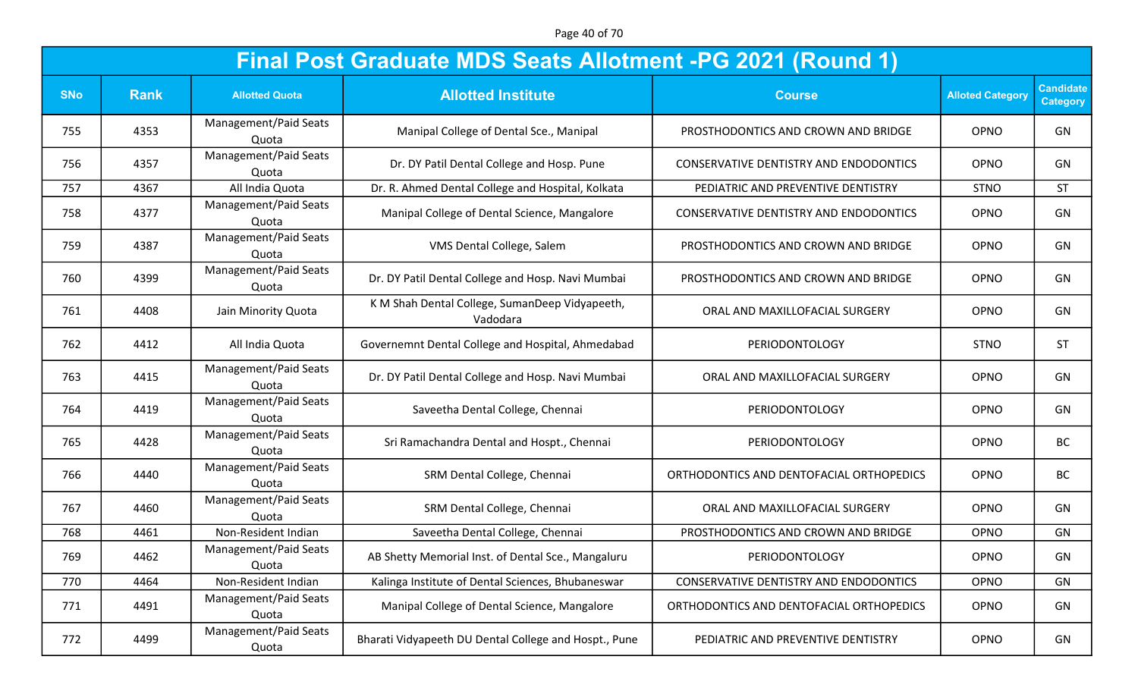Page 40 of 70

|            | <b>Final Post Graduate MDS Seats Allotment -PG 2021 (Round 1)</b> |                                |                                                            |                                               |                         |                                     |  |  |
|------------|-------------------------------------------------------------------|--------------------------------|------------------------------------------------------------|-----------------------------------------------|-------------------------|-------------------------------------|--|--|
| <b>SNo</b> | <b>Rank</b>                                                       | <b>Allotted Quota</b>          | <b>Allotted Institute</b>                                  | <b>Course</b>                                 | <b>Alloted Category</b> | <b>Candidate</b><br><b>Category</b> |  |  |
| 755        | 4353                                                              | Management/Paid Seats<br>Quota | Manipal College of Dental Sce., Manipal                    | PROSTHODONTICS AND CROWN AND BRIDGE           | OPNO                    | GN                                  |  |  |
| 756        | 4357                                                              | Management/Paid Seats<br>Quota | Dr. DY Patil Dental College and Hosp. Pune                 | <b>CONSERVATIVE DENTISTRY AND ENDODONTICS</b> | OPNO                    | GN                                  |  |  |
| 757        | 4367                                                              | All India Quota                | Dr. R. Ahmed Dental College and Hospital, Kolkata          | PEDIATRIC AND PREVENTIVE DENTISTRY            | <b>STNO</b>             | <b>ST</b>                           |  |  |
| 758        | 4377                                                              | Management/Paid Seats<br>Quota | Manipal College of Dental Science, Mangalore               | <b>CONSERVATIVE DENTISTRY AND ENDODONTICS</b> | OPNO                    | GN                                  |  |  |
| 759        | 4387                                                              | Management/Paid Seats<br>Quota | VMS Dental College, Salem                                  | PROSTHODONTICS AND CROWN AND BRIDGE           | OPNO                    | GN                                  |  |  |
| 760        | 4399                                                              | Management/Paid Seats<br>Quota | Dr. DY Patil Dental College and Hosp. Navi Mumbai          | PROSTHODONTICS AND CROWN AND BRIDGE           | OPNO                    | GN                                  |  |  |
| 761        | 4408                                                              | Jain Minority Quota            | K M Shah Dental College, SumanDeep Vidyapeeth,<br>Vadodara | ORAL AND MAXILLOFACIAL SURGERY                | OPNO                    | GN                                  |  |  |
| 762        | 4412                                                              | All India Quota                | Governemnt Dental College and Hospital, Ahmedabad          | PERIODONTOLOGY                                | <b>STNO</b>             | <b>ST</b>                           |  |  |
| 763        | 4415                                                              | Management/Paid Seats<br>Quota | Dr. DY Patil Dental College and Hosp. Navi Mumbai          | ORAL AND MAXILLOFACIAL SURGERY                | OPNO                    | GN                                  |  |  |
| 764        | 4419                                                              | Management/Paid Seats<br>Quota | Saveetha Dental College, Chennai                           | PERIODONTOLOGY                                | OPNO                    | GN                                  |  |  |
| 765        | 4428                                                              | Management/Paid Seats<br>Quota | Sri Ramachandra Dental and Hospt., Chennai                 | PERIODONTOLOGY                                | OPNO                    | <b>BC</b>                           |  |  |
| 766        | 4440                                                              | Management/Paid Seats<br>Quota | SRM Dental College, Chennai                                | ORTHODONTICS AND DENTOFACIAL ORTHOPEDICS      | OPNO                    | <b>BC</b>                           |  |  |
| 767        | 4460                                                              | Management/Paid Seats<br>Quota | SRM Dental College, Chennai                                | ORAL AND MAXILLOFACIAL SURGERY                | OPNO                    | GN                                  |  |  |
| 768        | 4461                                                              | Non-Resident Indian            | Saveetha Dental College, Chennai                           | PROSTHODONTICS AND CROWN AND BRIDGE           | OPNO                    | GN                                  |  |  |
| 769        | 4462                                                              | Management/Paid Seats<br>Quota | AB Shetty Memorial Inst. of Dental Sce., Mangaluru         | PERIODONTOLOGY                                | OPNO                    | GN                                  |  |  |
| 770        | 4464                                                              | Non-Resident Indian            | Kalinga Institute of Dental Sciences, Bhubaneswar          | CONSERVATIVE DENTISTRY AND ENDODONTICS        | OPNO                    | GN                                  |  |  |
| 771        | 4491                                                              | Management/Paid Seats<br>Quota | Manipal College of Dental Science, Mangalore               | ORTHODONTICS AND DENTOFACIAL ORTHOPEDICS      | OPNO                    | GN                                  |  |  |
| 772        | 4499                                                              | Management/Paid Seats<br>Quota | Bharati Vidyapeeth DU Dental College and Hospt., Pune      | PEDIATRIC AND PREVENTIVE DENTISTRY            | OPNO                    | GN                                  |  |  |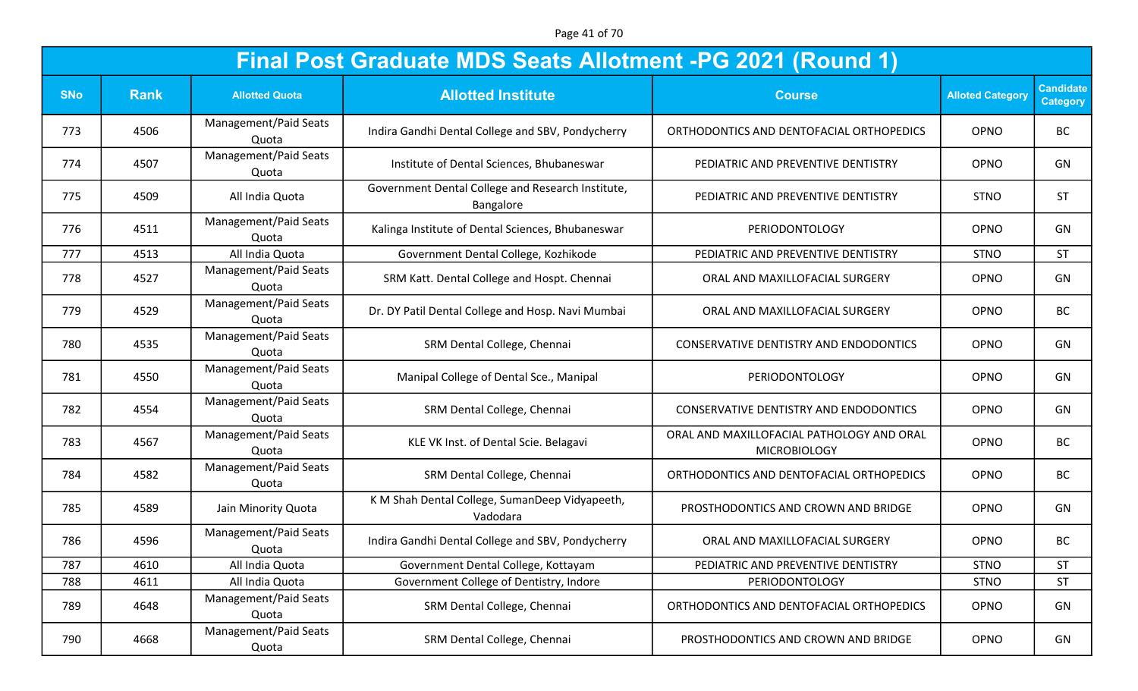Page 41 of 70

|            | <b>Final Post Graduate MDS Seats Allotment -PG 2021 (Round 1)</b> |                                |                                                                |                                                                  |                         |                                     |  |  |  |
|------------|-------------------------------------------------------------------|--------------------------------|----------------------------------------------------------------|------------------------------------------------------------------|-------------------------|-------------------------------------|--|--|--|
| <b>SNo</b> | <b>Rank</b>                                                       | <b>Allotted Quota</b>          | <b>Allotted Institute</b>                                      | <b>Course</b>                                                    | <b>Alloted Category</b> | <b>Candidate</b><br><b>Category</b> |  |  |  |
| 773        | 4506                                                              | Management/Paid Seats<br>Quota | Indira Gandhi Dental College and SBV, Pondycherry              | ORTHODONTICS AND DENTOFACIAL ORTHOPEDICS                         | OPNO                    | <b>BC</b>                           |  |  |  |
| 774        | 4507                                                              | Management/Paid Seats<br>Quota | Institute of Dental Sciences, Bhubaneswar                      | PEDIATRIC AND PREVENTIVE DENTISTRY                               | OPNO                    | GN                                  |  |  |  |
| 775        | 4509                                                              | All India Quota                | Government Dental College and Research Institute,<br>Bangalore | PEDIATRIC AND PREVENTIVE DENTISTRY                               | <b>STNO</b>             | <b>ST</b>                           |  |  |  |
| 776        | 4511                                                              | Management/Paid Seats<br>Quota | Kalinga Institute of Dental Sciences, Bhubaneswar              | PERIODONTOLOGY                                                   | OPNO                    | GN                                  |  |  |  |
| 777        | 4513                                                              | All India Quota                | Government Dental College, Kozhikode                           | PEDIATRIC AND PREVENTIVE DENTISTRY                               | <b>STNO</b>             | <b>ST</b>                           |  |  |  |
| 778        | 4527                                                              | Management/Paid Seats<br>Quota | SRM Katt. Dental College and Hospt. Chennai                    | ORAL AND MAXILLOFACIAL SURGERY                                   | OPNO                    | GN                                  |  |  |  |
| 779        | 4529                                                              | Management/Paid Seats<br>Quota | Dr. DY Patil Dental College and Hosp. Navi Mumbai              | ORAL AND MAXILLOFACIAL SURGERY                                   | OPNO                    | <b>BC</b>                           |  |  |  |
| 780        | 4535                                                              | Management/Paid Seats<br>Quota | SRM Dental College, Chennai                                    | <b>CONSERVATIVE DENTISTRY AND ENDODONTICS</b>                    | OPNO                    | GN                                  |  |  |  |
| 781        | 4550                                                              | Management/Paid Seats<br>Quota | Manipal College of Dental Sce., Manipal                        | PERIODONTOLOGY                                                   | OPNO                    | GN                                  |  |  |  |
| 782        | 4554                                                              | Management/Paid Seats<br>Quota | SRM Dental College, Chennai                                    | CONSERVATIVE DENTISTRY AND ENDODONTICS                           | OPNO                    | GN                                  |  |  |  |
| 783        | 4567                                                              | Management/Paid Seats<br>Quota | KLE VK Inst. of Dental Scie. Belagavi                          | ORAL AND MAXILLOFACIAL PATHOLOGY AND ORAL<br><b>MICROBIOLOGY</b> | OPNO                    | <b>BC</b>                           |  |  |  |
| 784        | 4582                                                              | Management/Paid Seats<br>Quota | SRM Dental College, Chennai                                    | ORTHODONTICS AND DENTOFACIAL ORTHOPEDICS                         | OPNO                    | <b>BC</b>                           |  |  |  |
| 785        | 4589                                                              | Jain Minority Quota            | K M Shah Dental College, SumanDeep Vidyapeeth,<br>Vadodara     | PROSTHODONTICS AND CROWN AND BRIDGE                              | OPNO                    | GN                                  |  |  |  |
| 786        | 4596                                                              | Management/Paid Seats<br>Quota | Indira Gandhi Dental College and SBV, Pondycherry              | ORAL AND MAXILLOFACIAL SURGERY                                   | OPNO                    | <b>BC</b>                           |  |  |  |
| 787        | 4610                                                              | All India Quota                | Government Dental College, Kottayam                            | PEDIATRIC AND PREVENTIVE DENTISTRY                               | <b>STNO</b>             | <b>ST</b>                           |  |  |  |
| 788        | 4611                                                              | All India Quota                | Government College of Dentistry, Indore                        | PERIODONTOLOGY                                                   | <b>STNO</b>             | <b>ST</b>                           |  |  |  |
| 789        | 4648                                                              | Management/Paid Seats<br>Quota | SRM Dental College, Chennai                                    | ORTHODONTICS AND DENTOFACIAL ORTHOPEDICS                         | <b>OPNO</b>             | GN                                  |  |  |  |
| 790        | 4668                                                              | Management/Paid Seats<br>Quota | SRM Dental College, Chennai                                    | PROSTHODONTICS AND CROWN AND BRIDGE                              | OPNO                    | GN                                  |  |  |  |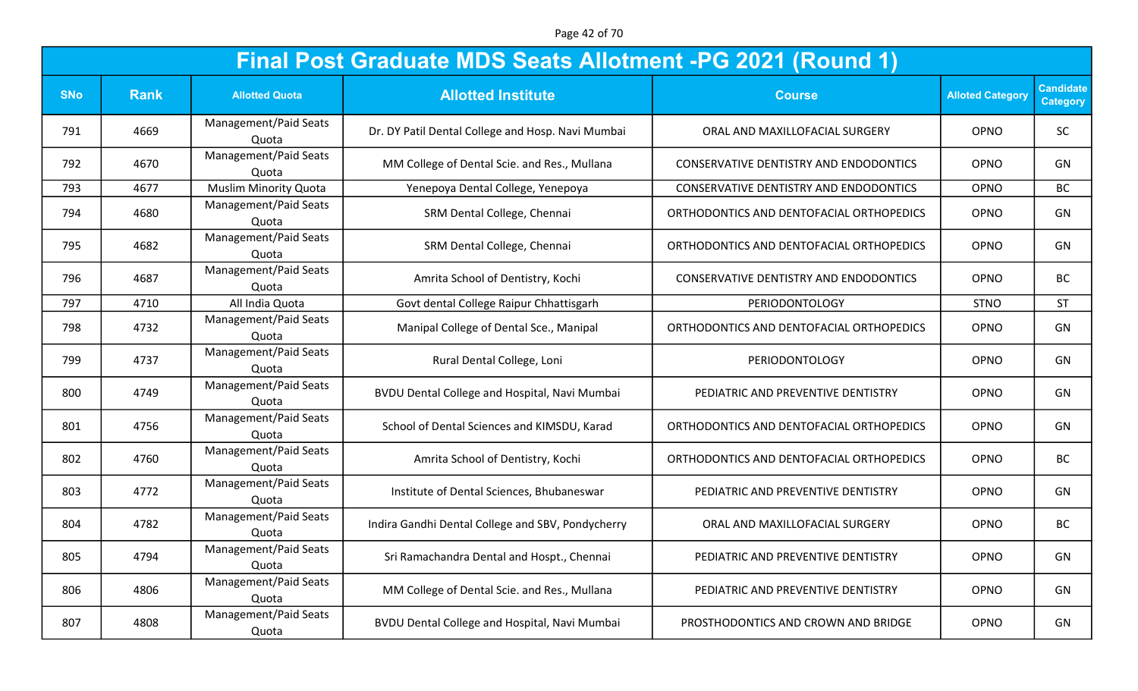Page 42 of 70

|            | <b>Final Post Graduate MDS Seats Allotment -PG 2021 (Round 1)</b> |                                |                                                   |                                          |                         |                                     |  |  |
|------------|-------------------------------------------------------------------|--------------------------------|---------------------------------------------------|------------------------------------------|-------------------------|-------------------------------------|--|--|
| <b>SNo</b> | <b>Rank</b>                                                       | <b>Allotted Quota</b>          | <b>Allotted Institute</b>                         | <b>Course</b>                            | <b>Alloted Category</b> | <b>Candidate</b><br><b>Category</b> |  |  |
| 791        | 4669                                                              | Management/Paid Seats<br>Quota | Dr. DY Patil Dental College and Hosp. Navi Mumbai | ORAL AND MAXILLOFACIAL SURGERY           | OPNO                    | <b>SC</b>                           |  |  |
| 792        | 4670                                                              | Management/Paid Seats<br>Quota | MM College of Dental Scie. and Res., Mullana      | CONSERVATIVE DENTISTRY AND ENDODONTICS   | OPNO                    | GN                                  |  |  |
| 793        | 4677                                                              | <b>Muslim Minority Quota</b>   | Yenepoya Dental College, Yenepoya                 | CONSERVATIVE DENTISTRY AND ENDODONTICS   | OPNO                    | <b>BC</b>                           |  |  |
| 794        | 4680                                                              | Management/Paid Seats<br>Quota | SRM Dental College, Chennai                       | ORTHODONTICS AND DENTOFACIAL ORTHOPEDICS | OPNO                    | GN                                  |  |  |
| 795        | 4682                                                              | Management/Paid Seats<br>Quota | SRM Dental College, Chennai                       | ORTHODONTICS AND DENTOFACIAL ORTHOPEDICS | OPNO                    | GN                                  |  |  |
| 796        | 4687                                                              | Management/Paid Seats<br>Quota | Amrita School of Dentistry, Kochi                 | CONSERVATIVE DENTISTRY AND ENDODONTICS   | OPNO                    | <b>BC</b>                           |  |  |
| 797        | 4710                                                              | All India Quota                | Govt dental College Raipur Chhattisgarh           | PERIODONTOLOGY                           | <b>STNO</b>             | <b>ST</b>                           |  |  |
| 798        | 4732                                                              | Management/Paid Seats<br>Quota | Manipal College of Dental Sce., Manipal           | ORTHODONTICS AND DENTOFACIAL ORTHOPEDICS | OPNO                    | GN                                  |  |  |
| 799        | 4737                                                              | Management/Paid Seats<br>Quota | Rural Dental College, Loni                        | PERIODONTOLOGY                           | OPNO                    | GN                                  |  |  |
| 800        | 4749                                                              | Management/Paid Seats<br>Quota | BVDU Dental College and Hospital, Navi Mumbai     | PEDIATRIC AND PREVENTIVE DENTISTRY       | OPNO                    | GN                                  |  |  |
| 801        | 4756                                                              | Management/Paid Seats<br>Quota | School of Dental Sciences and KIMSDU, Karad       | ORTHODONTICS AND DENTOFACIAL ORTHOPEDICS | OPNO                    | GN                                  |  |  |
| 802        | 4760                                                              | Management/Paid Seats<br>Quota | Amrita School of Dentistry, Kochi                 | ORTHODONTICS AND DENTOFACIAL ORTHOPEDICS | OPNO                    | <b>BC</b>                           |  |  |
| 803        | 4772                                                              | Management/Paid Seats<br>Quota | Institute of Dental Sciences, Bhubaneswar         | PEDIATRIC AND PREVENTIVE DENTISTRY       | OPNO                    | GN                                  |  |  |
| 804        | 4782                                                              | Management/Paid Seats<br>Quota | Indira Gandhi Dental College and SBV, Pondycherry | ORAL AND MAXILLOFACIAL SURGERY           | OPNO                    | <b>BC</b>                           |  |  |
| 805        | 4794                                                              | Management/Paid Seats<br>Quota | Sri Ramachandra Dental and Hospt., Chennai        | PEDIATRIC AND PREVENTIVE DENTISTRY       | OPNO                    | GN                                  |  |  |
| 806        | 4806                                                              | Management/Paid Seats<br>Quota | MM College of Dental Scie. and Res., Mullana      | PEDIATRIC AND PREVENTIVE DENTISTRY       | OPNO                    | GN                                  |  |  |
| 807        | 4808                                                              | Management/Paid Seats<br>Quota | BVDU Dental College and Hospital, Navi Mumbai     | PROSTHODONTICS AND CROWN AND BRIDGE      | OPNO                    | GN                                  |  |  |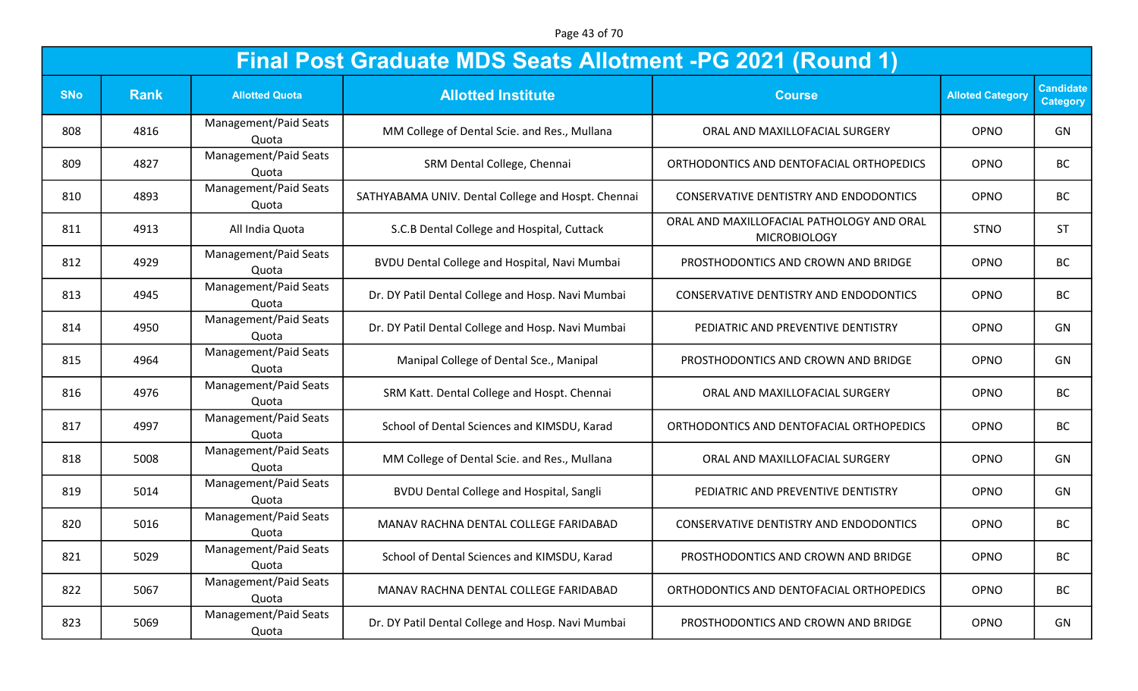Page 43 of 70

|            | <b>Final Post Graduate MDS Seats Allotment -PG 2021 (Round 1)</b> |                                |                                                    |                                                                  |                         |                                     |  |  |
|------------|-------------------------------------------------------------------|--------------------------------|----------------------------------------------------|------------------------------------------------------------------|-------------------------|-------------------------------------|--|--|
| <b>SNo</b> | <b>Rank</b>                                                       | <b>Allotted Quota</b>          | <b>Allotted Institute</b>                          | <b>Course</b>                                                    | <b>Alloted Category</b> | <b>Candidate</b><br><b>Category</b> |  |  |
| 808        | 4816                                                              | Management/Paid Seats<br>Quota | MM College of Dental Scie. and Res., Mullana       | ORAL AND MAXILLOFACIAL SURGERY                                   | OPNO                    | GN                                  |  |  |
| 809        | 4827                                                              | Management/Paid Seats<br>Quota | SRM Dental College, Chennai                        | ORTHODONTICS AND DENTOFACIAL ORTHOPEDICS                         | OPNO                    | <b>BC</b>                           |  |  |
| 810        | 4893                                                              | Management/Paid Seats<br>Quota | SATHYABAMA UNIV. Dental College and Hospt. Chennai | CONSERVATIVE DENTISTRY AND ENDODONTICS                           | OPNO                    | <b>BC</b>                           |  |  |
| 811        | 4913                                                              | All India Quota                | S.C.B Dental College and Hospital, Cuttack         | ORAL AND MAXILLOFACIAL PATHOLOGY AND ORAL<br><b>MICROBIOLOGY</b> | <b>STNO</b>             | <b>ST</b>                           |  |  |
| 812        | 4929                                                              | Management/Paid Seats<br>Quota | BVDU Dental College and Hospital, Navi Mumbai      | PROSTHODONTICS AND CROWN AND BRIDGE                              | OPNO                    | <b>BC</b>                           |  |  |
| 813        | 4945                                                              | Management/Paid Seats<br>Quota | Dr. DY Patil Dental College and Hosp. Navi Mumbai  | CONSERVATIVE DENTISTRY AND ENDODONTICS                           | OPNO                    | <b>BC</b>                           |  |  |
| 814        | 4950                                                              | Management/Paid Seats<br>Quota | Dr. DY Patil Dental College and Hosp. Navi Mumbai  | PEDIATRIC AND PREVENTIVE DENTISTRY                               | OPNO                    | GN                                  |  |  |
| 815        | 4964                                                              | Management/Paid Seats<br>Quota | Manipal College of Dental Sce., Manipal            | PROSTHODONTICS AND CROWN AND BRIDGE                              | OPNO                    | GN                                  |  |  |
| 816        | 4976                                                              | Management/Paid Seats<br>Quota | SRM Katt. Dental College and Hospt. Chennai        | ORAL AND MAXILLOFACIAL SURGERY                                   | OPNO                    | <b>BC</b>                           |  |  |
| 817        | 4997                                                              | Management/Paid Seats<br>Quota | School of Dental Sciences and KIMSDU, Karad        | ORTHODONTICS AND DENTOFACIAL ORTHOPEDICS                         | OPNO                    | <b>BC</b>                           |  |  |
| 818        | 5008                                                              | Management/Paid Seats<br>Quota | MM College of Dental Scie. and Res., Mullana       | ORAL AND MAXILLOFACIAL SURGERY                                   | OPNO                    | GN                                  |  |  |
| 819        | 5014                                                              | Management/Paid Seats<br>Quota | <b>BVDU Dental College and Hospital, Sangli</b>    | PEDIATRIC AND PREVENTIVE DENTISTRY                               | OPNO                    | GN                                  |  |  |
| 820        | 5016                                                              | Management/Paid Seats<br>Quota | MANAV RACHNA DENTAL COLLEGE FARIDABAD              | <b>CONSERVATIVE DENTISTRY AND ENDODONTICS</b>                    | OPNO                    | <b>BC</b>                           |  |  |
| 821        | 5029                                                              | Management/Paid Seats<br>Quota | School of Dental Sciences and KIMSDU, Karad        | PROSTHODONTICS AND CROWN AND BRIDGE                              | <b>OPNO</b>             | <b>BC</b>                           |  |  |
| 822        | 5067                                                              | Management/Paid Seats<br>Quota | MANAV RACHNA DENTAL COLLEGE FARIDABAD              | ORTHODONTICS AND DENTOFACIAL ORTHOPEDICS                         | OPNO                    | BC                                  |  |  |
| 823        | 5069                                                              | Management/Paid Seats<br>Quota | Dr. DY Patil Dental College and Hosp. Navi Mumbai  | PROSTHODONTICS AND CROWN AND BRIDGE                              | OPNO                    | GN                                  |  |  |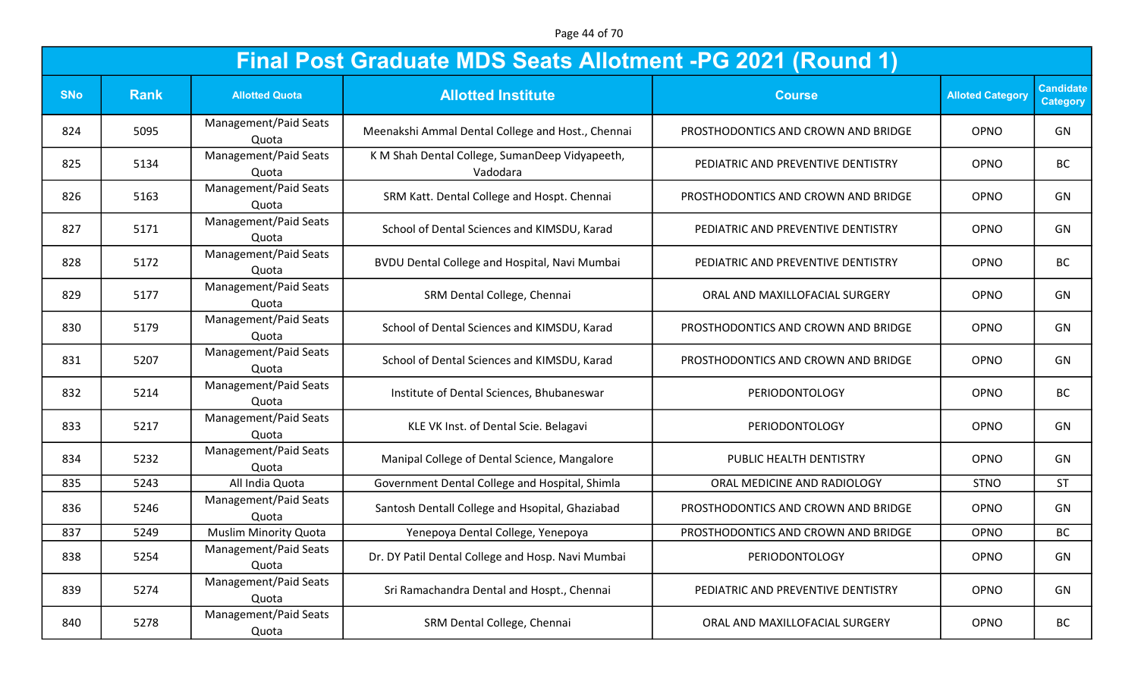Page 44 of 70

|            | <b>Final Post Graduate MDS Seats Allotment -PG 2021 (Round 1)</b> |                                |                                                            |                                     |                         |                                     |  |  |  |
|------------|-------------------------------------------------------------------|--------------------------------|------------------------------------------------------------|-------------------------------------|-------------------------|-------------------------------------|--|--|--|
| <b>SNo</b> | <b>Rank</b>                                                       | <b>Allotted Quota</b>          | <b>Allotted Institute</b>                                  | <b>Course</b>                       | <b>Alloted Category</b> | <b>Candidate</b><br><b>Category</b> |  |  |  |
| 824        | 5095                                                              | Management/Paid Seats<br>Quota | Meenakshi Ammal Dental College and Host., Chennai          | PROSTHODONTICS AND CROWN AND BRIDGE | OPNO                    | GN                                  |  |  |  |
| 825        | 5134                                                              | Management/Paid Seats<br>Quota | K M Shah Dental College, SumanDeep Vidyapeeth,<br>Vadodara | PEDIATRIC AND PREVENTIVE DENTISTRY  | OPNO                    | <b>BC</b>                           |  |  |  |
| 826        | 5163                                                              | Management/Paid Seats<br>Quota | SRM Katt. Dental College and Hospt. Chennai                | PROSTHODONTICS AND CROWN AND BRIDGE | OPNO                    | GN                                  |  |  |  |
| 827        | 5171                                                              | Management/Paid Seats<br>Quota | School of Dental Sciences and KIMSDU, Karad                | PEDIATRIC AND PREVENTIVE DENTISTRY  | OPNO                    | GN                                  |  |  |  |
| 828        | 5172                                                              | Management/Paid Seats<br>Quota | BVDU Dental College and Hospital, Navi Mumbai              | PEDIATRIC AND PREVENTIVE DENTISTRY  | OPNO                    | <b>BC</b>                           |  |  |  |
| 829        | 5177                                                              | Management/Paid Seats<br>Quota | SRM Dental College, Chennai                                | ORAL AND MAXILLOFACIAL SURGERY      | OPNO                    | GN                                  |  |  |  |
| 830        | 5179                                                              | Management/Paid Seats<br>Quota | School of Dental Sciences and KIMSDU, Karad                | PROSTHODONTICS AND CROWN AND BRIDGE | OPNO                    | GN                                  |  |  |  |
| 831        | 5207                                                              | Management/Paid Seats<br>Quota | School of Dental Sciences and KIMSDU, Karad                | PROSTHODONTICS AND CROWN AND BRIDGE | OPNO                    | GN                                  |  |  |  |
| 832        | 5214                                                              | Management/Paid Seats<br>Quota | Institute of Dental Sciences, Bhubaneswar                  | PERIODONTOLOGY                      | OPNO                    | <b>BC</b>                           |  |  |  |
| 833        | 5217                                                              | Management/Paid Seats<br>Quota | KLE VK Inst. of Dental Scie. Belagavi                      | PERIODONTOLOGY                      | OPNO                    | GN                                  |  |  |  |
| 834        | 5232                                                              | Management/Paid Seats<br>Quota | Manipal College of Dental Science, Mangalore               | PUBLIC HEALTH DENTISTRY             | OPNO                    | GN                                  |  |  |  |
| 835        | 5243                                                              | All India Quota                | Government Dental College and Hospital, Shimla             | ORAL MEDICINE AND RADIOLOGY         | <b>STNO</b>             | <b>ST</b>                           |  |  |  |
| 836        | 5246                                                              | Management/Paid Seats<br>Quota | Santosh Dentall College and Hsopital, Ghaziabad            | PROSTHODONTICS AND CROWN AND BRIDGE | OPNO                    | GN                                  |  |  |  |
| 837        | 5249                                                              | <b>Muslim Minority Quota</b>   | Yenepoya Dental College, Yenepoya                          | PROSTHODONTICS AND CROWN AND BRIDGE | OPNO                    | <b>BC</b>                           |  |  |  |
| 838        | 5254                                                              | Management/Paid Seats<br>Quota | Dr. DY Patil Dental College and Hosp. Navi Mumbai          | PERIODONTOLOGY                      | OPNO                    | GN                                  |  |  |  |
| 839        | 5274                                                              | Management/Paid Seats<br>Quota | Sri Ramachandra Dental and Hospt., Chennai                 | PEDIATRIC AND PREVENTIVE DENTISTRY  | OPNO                    | GN                                  |  |  |  |
| 840        | 5278                                                              | Management/Paid Seats<br>Quota | SRM Dental College, Chennai                                | ORAL AND MAXILLOFACIAL SURGERY      | OPNO                    | BC                                  |  |  |  |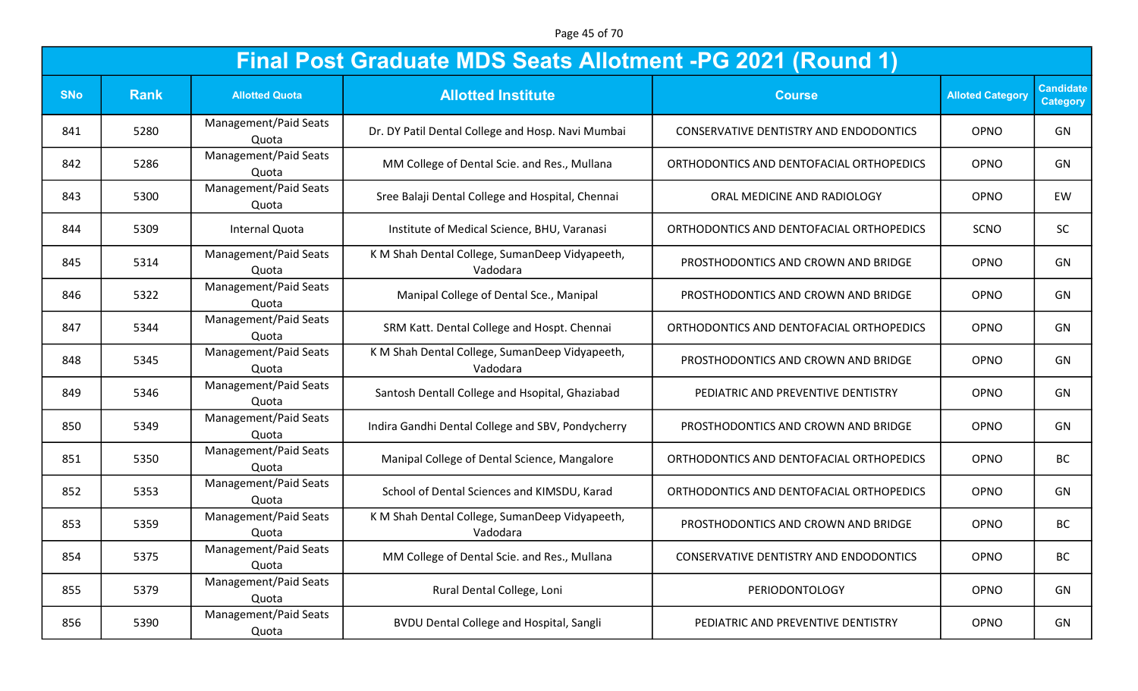Page 45 of 70

|            | Final Post Graduate MDS Seats Allotment -PG 2021 (Round 1) |                                |                                                            |                                          |                         |                                     |  |  |
|------------|------------------------------------------------------------|--------------------------------|------------------------------------------------------------|------------------------------------------|-------------------------|-------------------------------------|--|--|
| <b>SNo</b> | <b>Rank</b>                                                | <b>Allotted Quota</b>          | <b>Allotted Institute</b>                                  | <b>Course</b>                            | <b>Alloted Category</b> | <b>Candidate</b><br><b>Category</b> |  |  |
| 841        | 5280                                                       | Management/Paid Seats<br>Quota | Dr. DY Patil Dental College and Hosp. Navi Mumbai          | CONSERVATIVE DENTISTRY AND ENDODONTICS   | OPNO                    | GN                                  |  |  |
| 842        | 5286                                                       | Management/Paid Seats<br>Quota | MM College of Dental Scie. and Res., Mullana               | ORTHODONTICS AND DENTOFACIAL ORTHOPEDICS | OPNO                    | GN                                  |  |  |
| 843        | 5300                                                       | Management/Paid Seats<br>Quota | Sree Balaji Dental College and Hospital, Chennai           | ORAL MEDICINE AND RADIOLOGY              | OPNO                    | EW                                  |  |  |
| 844        | 5309                                                       | Internal Quota                 | Institute of Medical Science, BHU, Varanasi                | ORTHODONTICS AND DENTOFACIAL ORTHOPEDICS | SCNO                    | <b>SC</b>                           |  |  |
| 845        | 5314                                                       | Management/Paid Seats<br>Quota | K M Shah Dental College, SumanDeep Vidyapeeth,<br>Vadodara | PROSTHODONTICS AND CROWN AND BRIDGE      | OPNO                    | GN                                  |  |  |
| 846        | 5322                                                       | Management/Paid Seats<br>Quota | Manipal College of Dental Sce., Manipal                    | PROSTHODONTICS AND CROWN AND BRIDGE      | OPNO                    | GN                                  |  |  |
| 847        | 5344                                                       | Management/Paid Seats<br>Quota | SRM Katt. Dental College and Hospt. Chennai                | ORTHODONTICS AND DENTOFACIAL ORTHOPEDICS | OPNO                    | GN                                  |  |  |
| 848        | 5345                                                       | Management/Paid Seats<br>Quota | K M Shah Dental College, SumanDeep Vidyapeeth,<br>Vadodara | PROSTHODONTICS AND CROWN AND BRIDGE      | OPNO                    | GN                                  |  |  |
| 849        | 5346                                                       | Management/Paid Seats<br>Quota | Santosh Dentall College and Hsopital, Ghaziabad            | PEDIATRIC AND PREVENTIVE DENTISTRY       | <b>OPNO</b>             | GN                                  |  |  |
| 850        | 5349                                                       | Management/Paid Seats<br>Quota | Indira Gandhi Dental College and SBV, Pondycherry          | PROSTHODONTICS AND CROWN AND BRIDGE      | OPNO                    | GN                                  |  |  |
| 851        | 5350                                                       | Management/Paid Seats<br>Quota | Manipal College of Dental Science, Mangalore               | ORTHODONTICS AND DENTOFACIAL ORTHOPEDICS | OPNO                    | <b>BC</b>                           |  |  |
| 852        | 5353                                                       | Management/Paid Seats<br>Quota | School of Dental Sciences and KIMSDU, Karad                | ORTHODONTICS AND DENTOFACIAL ORTHOPEDICS | OPNO                    | GN                                  |  |  |
| 853        | 5359                                                       | Management/Paid Seats<br>Quota | K M Shah Dental College, SumanDeep Vidyapeeth,<br>Vadodara | PROSTHODONTICS AND CROWN AND BRIDGE      | OPNO                    | <b>BC</b>                           |  |  |
| 854        | 5375                                                       | Management/Paid Seats<br>Quota | MM College of Dental Scie. and Res., Mullana               | CONSERVATIVE DENTISTRY AND ENDODONTICS   | OPNO                    | BC                                  |  |  |
| 855        | 5379                                                       | Management/Paid Seats<br>Quota | Rural Dental College, Loni                                 | PERIODONTOLOGY                           | OPNO                    | GN                                  |  |  |
| 856        | 5390                                                       | Management/Paid Seats<br>Quota | <b>BVDU Dental College and Hospital, Sangli</b>            | PEDIATRIC AND PREVENTIVE DENTISTRY       | OPNO                    | GN                                  |  |  |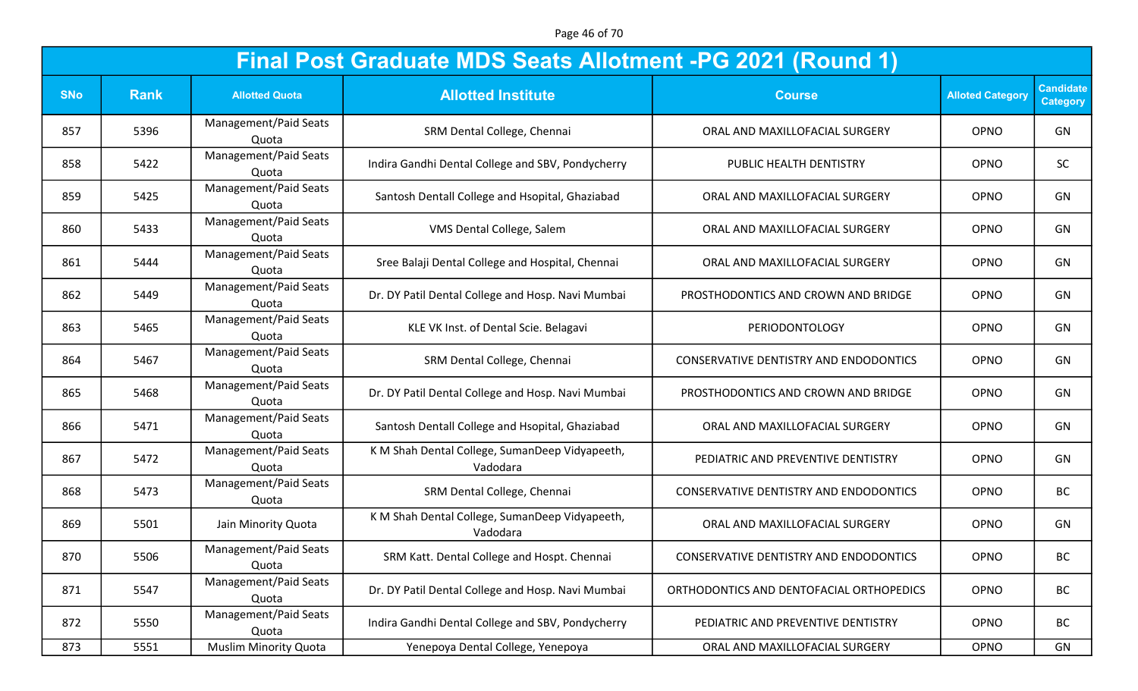Page 46 of 70

|            | <b>Final Post Graduate MDS Seats Allotment -PG 2021 (Round 1)</b> |                                |                                                            |                                          |                         |                                     |  |  |  |
|------------|-------------------------------------------------------------------|--------------------------------|------------------------------------------------------------|------------------------------------------|-------------------------|-------------------------------------|--|--|--|
| <b>SNo</b> | <b>Rank</b>                                                       | <b>Allotted Quota</b>          | <b>Allotted Institute</b>                                  | <b>Course</b>                            | <b>Alloted Category</b> | <b>Candidate</b><br><b>Category</b> |  |  |  |
| 857        | 5396                                                              | Management/Paid Seats<br>Quota | SRM Dental College, Chennai                                | ORAL AND MAXILLOFACIAL SURGERY           | OPNO                    | GN                                  |  |  |  |
| 858        | 5422                                                              | Management/Paid Seats<br>Quota | Indira Gandhi Dental College and SBV, Pondycherry          | PUBLIC HEALTH DENTISTRY                  | OPNO                    | <b>SC</b>                           |  |  |  |
| 859        | 5425                                                              | Management/Paid Seats<br>Quota | Santosh Dentall College and Hsopital, Ghaziabad            | ORAL AND MAXILLOFACIAL SURGERY           | OPNO                    | GN                                  |  |  |  |
| 860        | 5433                                                              | Management/Paid Seats<br>Quota | VMS Dental College, Salem                                  | ORAL AND MAXILLOFACIAL SURGERY           | <b>OPNO</b>             | GN                                  |  |  |  |
| 861        | 5444                                                              | Management/Paid Seats<br>Quota | Sree Balaji Dental College and Hospital, Chennai           | ORAL AND MAXILLOFACIAL SURGERY           | OPNO                    | GN                                  |  |  |  |
| 862        | 5449                                                              | Management/Paid Seats<br>Quota | Dr. DY Patil Dental College and Hosp. Navi Mumbai          | PROSTHODONTICS AND CROWN AND BRIDGE      | OPNO                    | GN                                  |  |  |  |
| 863        | 5465                                                              | Management/Paid Seats<br>Quota | KLE VK Inst. of Dental Scie. Belagavi                      | PERIODONTOLOGY                           | OPNO                    | GN                                  |  |  |  |
| 864        | 5467                                                              | Management/Paid Seats<br>Quota | SRM Dental College, Chennai                                | CONSERVATIVE DENTISTRY AND ENDODONTICS   | OPNO                    | GN                                  |  |  |  |
| 865        | 5468                                                              | Management/Paid Seats<br>Quota | Dr. DY Patil Dental College and Hosp. Navi Mumbai          | PROSTHODONTICS AND CROWN AND BRIDGE      | OPNO                    | GN                                  |  |  |  |
| 866        | 5471                                                              | Management/Paid Seats<br>Quota | Santosh Dentall College and Hsopital, Ghaziabad            | ORAL AND MAXILLOFACIAL SURGERY           | OPNO                    | GN                                  |  |  |  |
| 867        | 5472                                                              | Management/Paid Seats<br>Quota | K M Shah Dental College, SumanDeep Vidyapeeth,<br>Vadodara | PEDIATRIC AND PREVENTIVE DENTISTRY       | OPNO                    | GN                                  |  |  |  |
| 868        | 5473                                                              | Management/Paid Seats<br>Quota | SRM Dental College, Chennai                                | CONSERVATIVE DENTISTRY AND ENDODONTICS   | OPNO                    | <b>BC</b>                           |  |  |  |
| 869        | 5501                                                              | Jain Minority Quota            | K M Shah Dental College, SumanDeep Vidyapeeth,<br>Vadodara | ORAL AND MAXILLOFACIAL SURGERY           | OPNO                    | GN                                  |  |  |  |
| 870        | 5506                                                              | Management/Paid Seats<br>Quota | SRM Katt. Dental College and Hospt. Chennai                | CONSERVATIVE DENTISTRY AND ENDODONTICS   | OPNO                    | BC                                  |  |  |  |
| 871        | 5547                                                              | Management/Paid Seats<br>Quota | Dr. DY Patil Dental College and Hosp. Navi Mumbai          | ORTHODONTICS AND DENTOFACIAL ORTHOPEDICS | OPNO                    | <b>BC</b>                           |  |  |  |
| 872        | 5550                                                              | Management/Paid Seats<br>Quota | Indira Gandhi Dental College and SBV, Pondycherry          | PEDIATRIC AND PREVENTIVE DENTISTRY       | OPNO                    | BC                                  |  |  |  |
| 873        | 5551                                                              | <b>Muslim Minority Quota</b>   | Yenepoya Dental College, Yenepoya                          | ORAL AND MAXILLOFACIAL SURGERY           | OPNO                    | GN                                  |  |  |  |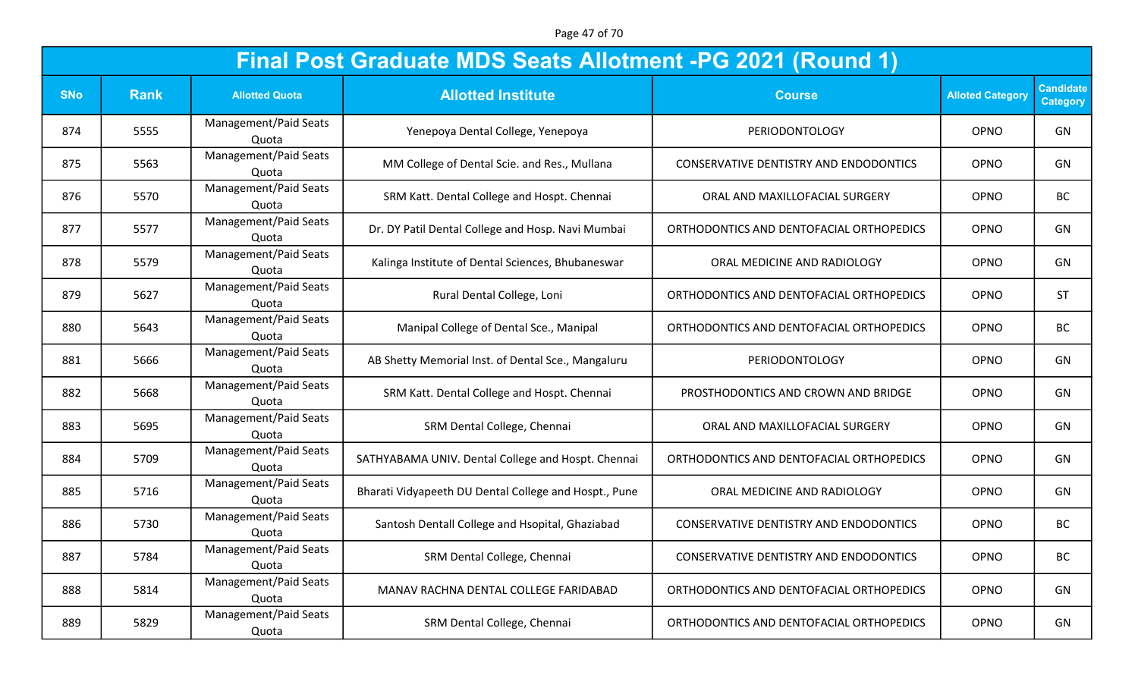Page 47 of 70

|            | <b>Final Post Graduate MDS Seats Allotment -PG 2021 (Round 1)</b> |                                |                                                       |                                               |                         |                                     |  |  |
|------------|-------------------------------------------------------------------|--------------------------------|-------------------------------------------------------|-----------------------------------------------|-------------------------|-------------------------------------|--|--|
| <b>SNo</b> | <b>Rank</b>                                                       | <b>Allotted Quota</b>          | <b>Allotted Institute</b>                             | <b>Course</b>                                 | <b>Alloted Category</b> | <b>Candidate</b><br><b>Category</b> |  |  |
| 874        | 5555                                                              | Management/Paid Seats<br>Quota | Yenepoya Dental College, Yenepoya                     | PERIODONTOLOGY                                | OPNO                    | GN                                  |  |  |
| 875        | 5563                                                              | Management/Paid Seats<br>Quota | MM College of Dental Scie. and Res., Mullana          | CONSERVATIVE DENTISTRY AND ENDODONTICS        | OPNO                    | GN                                  |  |  |
| 876        | 5570                                                              | Management/Paid Seats<br>Quota | SRM Katt. Dental College and Hospt. Chennai           | ORAL AND MAXILLOFACIAL SURGERY                | OPNO                    | <b>BC</b>                           |  |  |
| 877        | 5577                                                              | Management/Paid Seats<br>Quota | Dr. DY Patil Dental College and Hosp. Navi Mumbai     | ORTHODONTICS AND DENTOFACIAL ORTHOPEDICS      | OPNO                    | GN                                  |  |  |
| 878        | 5579                                                              | Management/Paid Seats<br>Quota | Kalinga Institute of Dental Sciences, Bhubaneswar     | ORAL MEDICINE AND RADIOLOGY                   | OPNO                    | GN                                  |  |  |
| 879        | 5627                                                              | Management/Paid Seats<br>Quota | Rural Dental College, Loni                            | ORTHODONTICS AND DENTOFACIAL ORTHOPEDICS      | OPNO                    | <b>ST</b>                           |  |  |
| 880        | 5643                                                              | Management/Paid Seats<br>Quota | Manipal College of Dental Sce., Manipal               | ORTHODONTICS AND DENTOFACIAL ORTHOPEDICS      | OPNO                    | <b>BC</b>                           |  |  |
| 881        | 5666                                                              | Management/Paid Seats<br>Quota | AB Shetty Memorial Inst. of Dental Sce., Mangaluru    | PERIODONTOLOGY                                | OPNO                    | GN                                  |  |  |
| 882        | 5668                                                              | Management/Paid Seats<br>Quota | SRM Katt. Dental College and Hospt. Chennai           | PROSTHODONTICS AND CROWN AND BRIDGE           | OPNO                    | GN                                  |  |  |
| 883        | 5695                                                              | Management/Paid Seats<br>Quota | SRM Dental College, Chennai                           | ORAL AND MAXILLOFACIAL SURGERY                | OPNO                    | GN                                  |  |  |
| 884        | 5709                                                              | Management/Paid Seats<br>Quota | SATHYABAMA UNIV. Dental College and Hospt. Chennai    | ORTHODONTICS AND DENTOFACIAL ORTHOPEDICS      | OPNO                    | GN                                  |  |  |
| 885        | 5716                                                              | Management/Paid Seats<br>Quota | Bharati Vidyapeeth DU Dental College and Hospt., Pune | ORAL MEDICINE AND RADIOLOGY                   | OPNO                    | GN                                  |  |  |
| 886        | 5730                                                              | Management/Paid Seats<br>Quota | Santosh Dentall College and Hsopital, Ghaziabad       | CONSERVATIVE DENTISTRY AND ENDODONTICS        | <b>OPNO</b>             | <b>BC</b>                           |  |  |
| 887        | 5784                                                              | Management/Paid Seats<br>Quota | SRM Dental College, Chennai                           | <b>CONSERVATIVE DENTISTRY AND ENDODONTICS</b> | <b>OPNO</b>             | BC                                  |  |  |
| 888        | 5814                                                              | Management/Paid Seats<br>Quota | MANAV RACHNA DENTAL COLLEGE FARIDABAD                 | ORTHODONTICS AND DENTOFACIAL ORTHOPEDICS      | OPNO                    | GN                                  |  |  |
| 889        | 5829                                                              | Management/Paid Seats<br>Quota | SRM Dental College, Chennai                           | ORTHODONTICS AND DENTOFACIAL ORTHOPEDICS      | OPNO                    | GN                                  |  |  |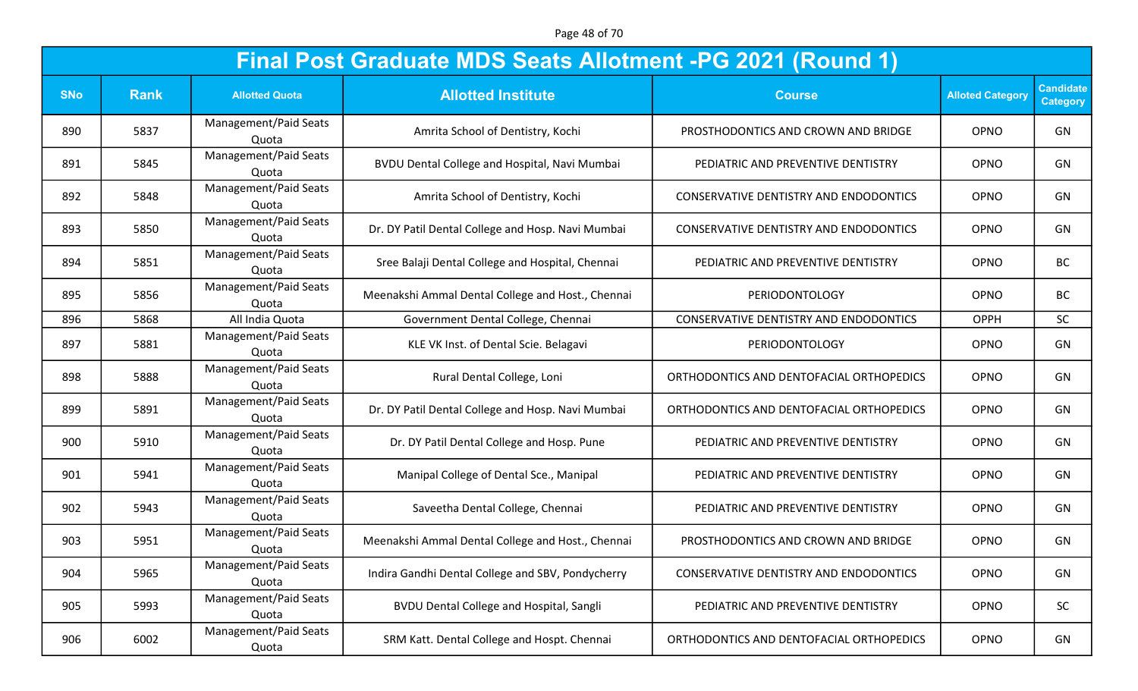Page 48 of 70

|            | <b>Final Post Graduate MDS Seats Allotment -PG 2021 (Round 1)</b> |                                |                                                   |                                               |                         |                                     |  |  |
|------------|-------------------------------------------------------------------|--------------------------------|---------------------------------------------------|-----------------------------------------------|-------------------------|-------------------------------------|--|--|
| <b>SNo</b> | <b>Rank</b>                                                       | <b>Allotted Quota</b>          | <b>Allotted Institute</b>                         | <b>Course</b>                                 | <b>Alloted Category</b> | <b>Candidate</b><br><b>Category</b> |  |  |
| 890        | 5837                                                              | Management/Paid Seats<br>Quota | Amrita School of Dentistry, Kochi                 | PROSTHODONTICS AND CROWN AND BRIDGE           | OPNO                    | GN                                  |  |  |
| 891        | 5845                                                              | Management/Paid Seats<br>Quota | BVDU Dental College and Hospital, Navi Mumbai     | PEDIATRIC AND PREVENTIVE DENTISTRY            | OPNO                    | GN                                  |  |  |
| 892        | 5848                                                              | Management/Paid Seats<br>Quota | Amrita School of Dentistry, Kochi                 | <b>CONSERVATIVE DENTISTRY AND ENDODONTICS</b> | OPNO                    | GN                                  |  |  |
| 893        | 5850                                                              | Management/Paid Seats<br>Quota | Dr. DY Patil Dental College and Hosp. Navi Mumbai | <b>CONSERVATIVE DENTISTRY AND ENDODONTICS</b> | OPNO                    | GN                                  |  |  |
| 894        | 5851                                                              | Management/Paid Seats<br>Quota | Sree Balaji Dental College and Hospital, Chennai  | PEDIATRIC AND PREVENTIVE DENTISTRY            | OPNO                    | <b>BC</b>                           |  |  |
| 895        | 5856                                                              | Management/Paid Seats<br>Quota | Meenakshi Ammal Dental College and Host., Chennai | PERIODONTOLOGY                                | OPNO                    | <b>BC</b>                           |  |  |
| 896        | 5868                                                              | All India Quota                | Government Dental College, Chennai                | CONSERVATIVE DENTISTRY AND ENDODONTICS        | <b>OPPH</b>             | <b>SC</b>                           |  |  |
| 897        | 5881                                                              | Management/Paid Seats<br>Quota | KLE VK Inst. of Dental Scie. Belagavi             | PERIODONTOLOGY                                | OPNO                    | GN                                  |  |  |
| 898        | 5888                                                              | Management/Paid Seats<br>Quota | Rural Dental College, Loni                        | ORTHODONTICS AND DENTOFACIAL ORTHOPEDICS      | OPNO                    | GN                                  |  |  |
| 899        | 5891                                                              | Management/Paid Seats<br>Quota | Dr. DY Patil Dental College and Hosp. Navi Mumbai | ORTHODONTICS AND DENTOFACIAL ORTHOPEDICS      | OPNO                    | GN                                  |  |  |
| 900        | 5910                                                              | Management/Paid Seats<br>Quota | Dr. DY Patil Dental College and Hosp. Pune        | PEDIATRIC AND PREVENTIVE DENTISTRY            | OPNO                    | GN                                  |  |  |
| 901        | 5941                                                              | Management/Paid Seats<br>Quota | Manipal College of Dental Sce., Manipal           | PEDIATRIC AND PREVENTIVE DENTISTRY            | OPNO                    | GN                                  |  |  |
| 902        | 5943                                                              | Management/Paid Seats<br>Quota | Saveetha Dental College, Chennai                  | PEDIATRIC AND PREVENTIVE DENTISTRY            | OPNO                    | GN                                  |  |  |
| 903        | 5951                                                              | Management/Paid Seats<br>Quota | Meenakshi Ammal Dental College and Host., Chennai | PROSTHODONTICS AND CROWN AND BRIDGE           | OPNO                    | GN                                  |  |  |
| 904        | 5965                                                              | Management/Paid Seats<br>Quota | Indira Gandhi Dental College and SBV, Pondycherry | CONSERVATIVE DENTISTRY AND ENDODONTICS        | OPNO                    | GN                                  |  |  |
| 905        | 5993                                                              | Management/Paid Seats<br>Quota | <b>BVDU Dental College and Hospital, Sangli</b>   | PEDIATRIC AND PREVENTIVE DENTISTRY            | OPNO                    | SC                                  |  |  |
| 906        | 6002                                                              | Management/Paid Seats<br>Quota | SRM Katt. Dental College and Hospt. Chennai       | ORTHODONTICS AND DENTOFACIAL ORTHOPEDICS      | OPNO                    | GN                                  |  |  |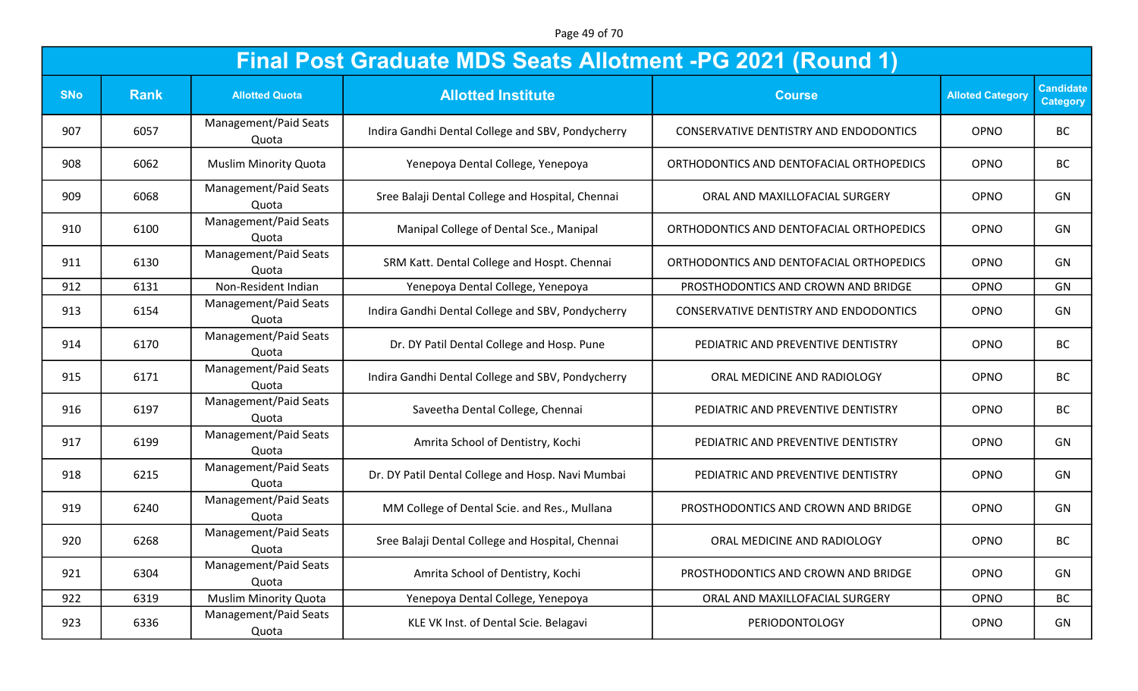Page 49 of 70

|            | <b>Final Post Graduate MDS Seats Allotment -PG 2021 (Round 1)</b> |                                |                                                   |                                          |                         |                                     |  |  |
|------------|-------------------------------------------------------------------|--------------------------------|---------------------------------------------------|------------------------------------------|-------------------------|-------------------------------------|--|--|
| <b>SNo</b> | <b>Rank</b>                                                       | <b>Allotted Quota</b>          | <b>Allotted Institute</b>                         | <b>Course</b>                            | <b>Alloted Category</b> | <b>Candidate</b><br><b>Category</b> |  |  |
| 907        | 6057                                                              | Management/Paid Seats<br>Quota | Indira Gandhi Dental College and SBV, Pondycherry | CONSERVATIVE DENTISTRY AND ENDODONTICS   | OPNO                    | <b>BC</b>                           |  |  |
| 908        | 6062                                                              | <b>Muslim Minority Quota</b>   | Yenepoya Dental College, Yenepoya                 | ORTHODONTICS AND DENTOFACIAL ORTHOPEDICS | OPNO                    | <b>BC</b>                           |  |  |
| 909        | 6068                                                              | Management/Paid Seats<br>Quota | Sree Balaji Dental College and Hospital, Chennai  | ORAL AND MAXILLOFACIAL SURGERY           | OPNO                    | GN                                  |  |  |
| 910        | 6100                                                              | Management/Paid Seats<br>Quota | Manipal College of Dental Sce., Manipal           | ORTHODONTICS AND DENTOFACIAL ORTHOPEDICS | OPNO                    | GN                                  |  |  |
| 911        | 6130                                                              | Management/Paid Seats<br>Quota | SRM Katt. Dental College and Hospt. Chennai       | ORTHODONTICS AND DENTOFACIAL ORTHOPEDICS | OPNO                    | GN                                  |  |  |
| 912        | 6131                                                              | Non-Resident Indian            | Yenepoya Dental College, Yenepoya                 | PROSTHODONTICS AND CROWN AND BRIDGE      | OPNO                    | GN                                  |  |  |
| 913        | 6154                                                              | Management/Paid Seats<br>Quota | Indira Gandhi Dental College and SBV, Pondycherry | CONSERVATIVE DENTISTRY AND ENDODONTICS   | OPNO                    | GN                                  |  |  |
| 914        | 6170                                                              | Management/Paid Seats<br>Quota | Dr. DY Patil Dental College and Hosp. Pune        | PEDIATRIC AND PREVENTIVE DENTISTRY       | OPNO                    | <b>BC</b>                           |  |  |
| 915        | 6171                                                              | Management/Paid Seats<br>Quota | Indira Gandhi Dental College and SBV, Pondycherry | ORAL MEDICINE AND RADIOLOGY              | OPNO                    | <b>BC</b>                           |  |  |
| 916        | 6197                                                              | Management/Paid Seats<br>Quota | Saveetha Dental College, Chennai                  | PEDIATRIC AND PREVENTIVE DENTISTRY       | OPNO                    | <b>BC</b>                           |  |  |
| 917        | 6199                                                              | Management/Paid Seats<br>Quota | Amrita School of Dentistry, Kochi                 | PEDIATRIC AND PREVENTIVE DENTISTRY       | OPNO                    | GN                                  |  |  |
| 918        | 6215                                                              | Management/Paid Seats<br>Quota | Dr. DY Patil Dental College and Hosp. Navi Mumbai | PEDIATRIC AND PREVENTIVE DENTISTRY       | OPNO                    | GN                                  |  |  |
| 919        | 6240                                                              | Management/Paid Seats<br>Quota | MM College of Dental Scie. and Res., Mullana      | PROSTHODONTICS AND CROWN AND BRIDGE      | OPNO                    | GN                                  |  |  |
| 920        | 6268                                                              | Management/Paid Seats<br>Quota | Sree Balaji Dental College and Hospital, Chennai  | ORAL MEDICINE AND RADIOLOGY              | OPNO                    | <b>BC</b>                           |  |  |
| 921        | 6304                                                              | Management/Paid Seats<br>Quota | Amrita School of Dentistry, Kochi                 | PROSTHODONTICS AND CROWN AND BRIDGE      | OPNO                    | GN                                  |  |  |
| 922        | 6319                                                              | <b>Muslim Minority Quota</b>   | Yenepoya Dental College, Yenepoya                 | ORAL AND MAXILLOFACIAL SURGERY           | OPNO                    | BC                                  |  |  |
| 923        | 6336                                                              | Management/Paid Seats<br>Quota | KLE VK Inst. of Dental Scie. Belagavi             | PERIODONTOLOGY                           | OPNO                    | GN                                  |  |  |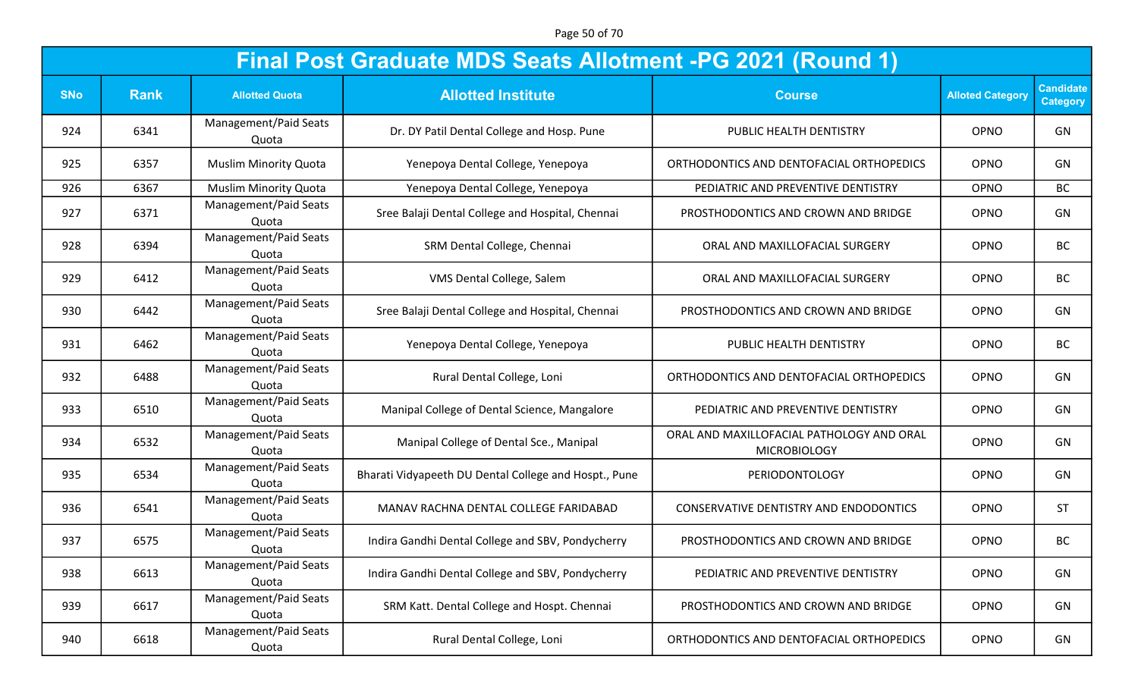Page 50 of 70

|            | <b>Final Post Graduate MDS Seats Allotment -PG 2021 (Round 1)</b> |                                |                                                       |                                                                  |                         |                                     |  |  |
|------------|-------------------------------------------------------------------|--------------------------------|-------------------------------------------------------|------------------------------------------------------------------|-------------------------|-------------------------------------|--|--|
| <b>SNo</b> | <b>Rank</b>                                                       | <b>Allotted Quota</b>          | <b>Allotted Institute</b>                             | <b>Course</b>                                                    | <b>Alloted Category</b> | <b>Candidate</b><br><b>Category</b> |  |  |
| 924        | 6341                                                              | Management/Paid Seats<br>Quota | Dr. DY Patil Dental College and Hosp. Pune            | PUBLIC HEALTH DENTISTRY                                          | OPNO                    | GN                                  |  |  |
| 925        | 6357                                                              | <b>Muslim Minority Quota</b>   | Yenepoya Dental College, Yenepoya                     | ORTHODONTICS AND DENTOFACIAL ORTHOPEDICS                         | OPNO                    | GN                                  |  |  |
| 926        | 6367                                                              | <b>Muslim Minority Quota</b>   | Yenepoya Dental College, Yenepoya                     | PEDIATRIC AND PREVENTIVE DENTISTRY                               | OPNO                    | <b>BC</b>                           |  |  |
| 927        | 6371                                                              | Management/Paid Seats<br>Quota | Sree Balaji Dental College and Hospital, Chennai      | PROSTHODONTICS AND CROWN AND BRIDGE                              | OPNO                    | GN                                  |  |  |
| 928        | 6394                                                              | Management/Paid Seats<br>Quota | SRM Dental College, Chennai                           | ORAL AND MAXILLOFACIAL SURGERY                                   | OPNO                    | <b>BC</b>                           |  |  |
| 929        | 6412                                                              | Management/Paid Seats<br>Quota | VMS Dental College, Salem                             | ORAL AND MAXILLOFACIAL SURGERY                                   | OPNO                    | <b>BC</b>                           |  |  |
| 930        | 6442                                                              | Management/Paid Seats<br>Quota | Sree Balaji Dental College and Hospital, Chennai      | PROSTHODONTICS AND CROWN AND BRIDGE                              | OPNO                    | GN                                  |  |  |
| 931        | 6462                                                              | Management/Paid Seats<br>Quota | Yenepoya Dental College, Yenepoya                     | PUBLIC HEALTH DENTISTRY                                          | OPNO                    | <b>BC</b>                           |  |  |
| 932        | 6488                                                              | Management/Paid Seats<br>Quota | Rural Dental College, Loni                            | ORTHODONTICS AND DENTOFACIAL ORTHOPEDICS                         | OPNO                    | GN                                  |  |  |
| 933        | 6510                                                              | Management/Paid Seats<br>Quota | Manipal College of Dental Science, Mangalore          | PEDIATRIC AND PREVENTIVE DENTISTRY                               | OPNO                    | GN                                  |  |  |
| 934        | 6532                                                              | Management/Paid Seats<br>Quota | Manipal College of Dental Sce., Manipal               | ORAL AND MAXILLOFACIAL PATHOLOGY AND ORAL<br><b>MICROBIOLOGY</b> | OPNO                    | GN                                  |  |  |
| 935        | 6534                                                              | Management/Paid Seats<br>Quota | Bharati Vidyapeeth DU Dental College and Hospt., Pune | PERIODONTOLOGY                                                   | OPNO                    | GN                                  |  |  |
| 936        | 6541                                                              | Management/Paid Seats<br>Quota | MANAV RACHNA DENTAL COLLEGE FARIDABAD                 | <b>CONSERVATIVE DENTISTRY AND ENDODONTICS</b>                    | OPNO                    | <b>ST</b>                           |  |  |
| 937        | 6575                                                              | Management/Paid Seats<br>Quota | Indira Gandhi Dental College and SBV, Pondycherry     | PROSTHODONTICS AND CROWN AND BRIDGE                              | OPNO                    | <b>BC</b>                           |  |  |
| 938        | 6613                                                              | Management/Paid Seats<br>Quota | Indira Gandhi Dental College and SBV, Pondycherry     | PEDIATRIC AND PREVENTIVE DENTISTRY                               | OPNO                    | GN                                  |  |  |
| 939        | 6617                                                              | Management/Paid Seats<br>Quota | SRM Katt. Dental College and Hospt. Chennai           | PROSTHODONTICS AND CROWN AND BRIDGE                              | OPNO                    | GN                                  |  |  |
| 940        | 6618                                                              | Management/Paid Seats<br>Quota | Rural Dental College, Loni                            | ORTHODONTICS AND DENTOFACIAL ORTHOPEDICS                         | OPNO                    | GN                                  |  |  |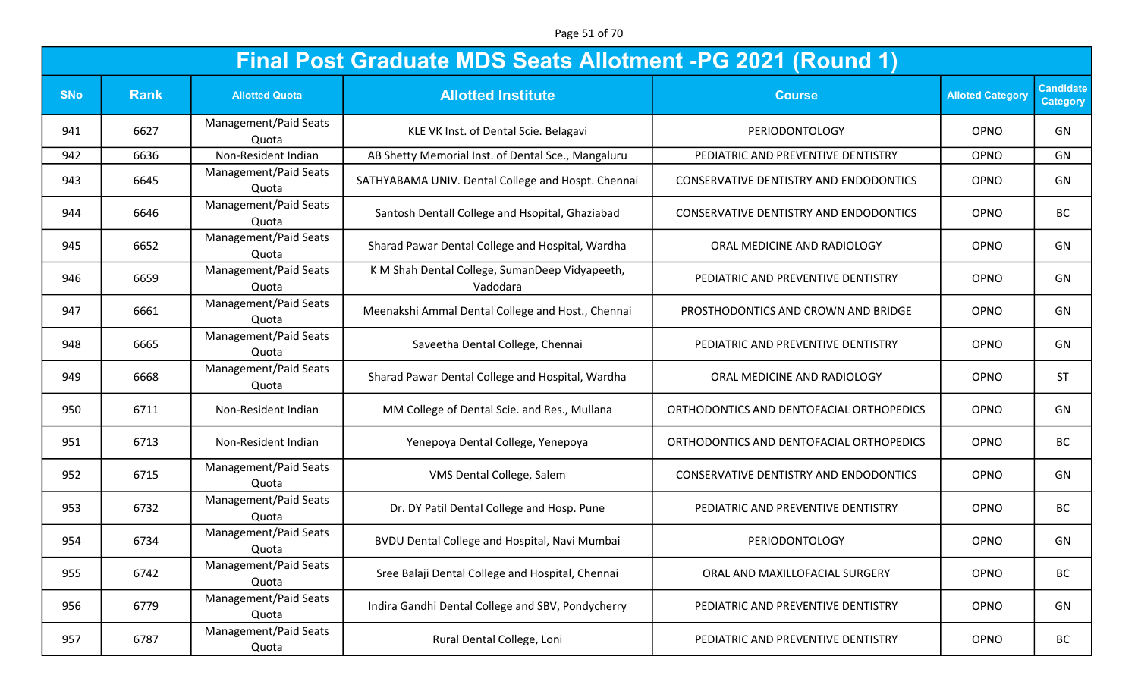Page 51 of 70

|            | <b>Final Post Graduate MDS Seats Allotment -PG 2021 (Round 1)</b> |                                |                                                            |                                               |                         |                                     |  |  |
|------------|-------------------------------------------------------------------|--------------------------------|------------------------------------------------------------|-----------------------------------------------|-------------------------|-------------------------------------|--|--|
| <b>SNo</b> | <b>Rank</b>                                                       | <b>Allotted Quota</b>          | <b>Allotted Institute</b>                                  | <b>Course</b>                                 | <b>Alloted Category</b> | <b>Candidate</b><br><b>Category</b> |  |  |
| 941        | 6627                                                              | Management/Paid Seats<br>Quota | KLE VK Inst. of Dental Scie. Belagavi                      | PERIODONTOLOGY                                | OPNO                    | GN                                  |  |  |
| 942        | 6636                                                              | Non-Resident Indian            | AB Shetty Memorial Inst. of Dental Sce., Mangaluru         | PEDIATRIC AND PREVENTIVE DENTISTRY            | OPNO                    | GN                                  |  |  |
| 943        | 6645                                                              | Management/Paid Seats<br>Quota | SATHYABAMA UNIV. Dental College and Hospt. Chennai         | <b>CONSERVATIVE DENTISTRY AND ENDODONTICS</b> | OPNO                    | GN                                  |  |  |
| 944        | 6646                                                              | Management/Paid Seats<br>Quota | Santosh Dentall College and Hsopital, Ghaziabad            | CONSERVATIVE DENTISTRY AND ENDODONTICS        | OPNO                    | <b>BC</b>                           |  |  |
| 945        | 6652                                                              | Management/Paid Seats<br>Quota | Sharad Pawar Dental College and Hospital, Wardha           | ORAL MEDICINE AND RADIOLOGY                   | OPNO                    | GN                                  |  |  |
| 946        | 6659                                                              | Management/Paid Seats<br>Quota | K M Shah Dental College, SumanDeep Vidyapeeth,<br>Vadodara | PEDIATRIC AND PREVENTIVE DENTISTRY            | OPNO                    | GN                                  |  |  |
| 947        | 6661                                                              | Management/Paid Seats<br>Quota | Meenakshi Ammal Dental College and Host., Chennai          | PROSTHODONTICS AND CROWN AND BRIDGE           | <b>OPNO</b>             | GN                                  |  |  |
| 948        | 6665                                                              | Management/Paid Seats<br>Quota | Saveetha Dental College, Chennai                           | PEDIATRIC AND PREVENTIVE DENTISTRY            | OPNO                    | GN                                  |  |  |
| 949        | 6668                                                              | Management/Paid Seats<br>Quota | Sharad Pawar Dental College and Hospital, Wardha           | ORAL MEDICINE AND RADIOLOGY                   | OPNO                    | <b>ST</b>                           |  |  |
| 950        | 6711                                                              | Non-Resident Indian            | MM College of Dental Scie. and Res., Mullana               | ORTHODONTICS AND DENTOFACIAL ORTHOPEDICS      | OPNO                    | GN                                  |  |  |
| 951        | 6713                                                              | Non-Resident Indian            | Yenepoya Dental College, Yenepoya                          | ORTHODONTICS AND DENTOFACIAL ORTHOPEDICS      | OPNO                    | <b>BC</b>                           |  |  |
| 952        | 6715                                                              | Management/Paid Seats<br>Quota | VMS Dental College, Salem                                  | <b>CONSERVATIVE DENTISTRY AND ENDODONTICS</b> | OPNO                    | GN                                  |  |  |
| 953        | 6732                                                              | Management/Paid Seats<br>Quota | Dr. DY Patil Dental College and Hosp. Pune                 | PEDIATRIC AND PREVENTIVE DENTISTRY            | OPNO                    | <b>BC</b>                           |  |  |
| 954        | 6734                                                              | Management/Paid Seats<br>Quota | BVDU Dental College and Hospital, Navi Mumbai              | PERIODONTOLOGY                                | OPNO                    | GN                                  |  |  |
| 955        | 6742                                                              | Management/Paid Seats<br>Quota | Sree Balaji Dental College and Hospital, Chennai           | ORAL AND MAXILLOFACIAL SURGERY                | OPNO                    | <b>BC</b>                           |  |  |
| 956        | 6779                                                              | Management/Paid Seats<br>Quota | Indira Gandhi Dental College and SBV, Pondycherry          | PEDIATRIC AND PREVENTIVE DENTISTRY            | OPNO                    | GN                                  |  |  |
| 957        | 6787                                                              | Management/Paid Seats<br>Quota | Rural Dental College, Loni                                 | PEDIATRIC AND PREVENTIVE DENTISTRY            | OPNO                    | <b>BC</b>                           |  |  |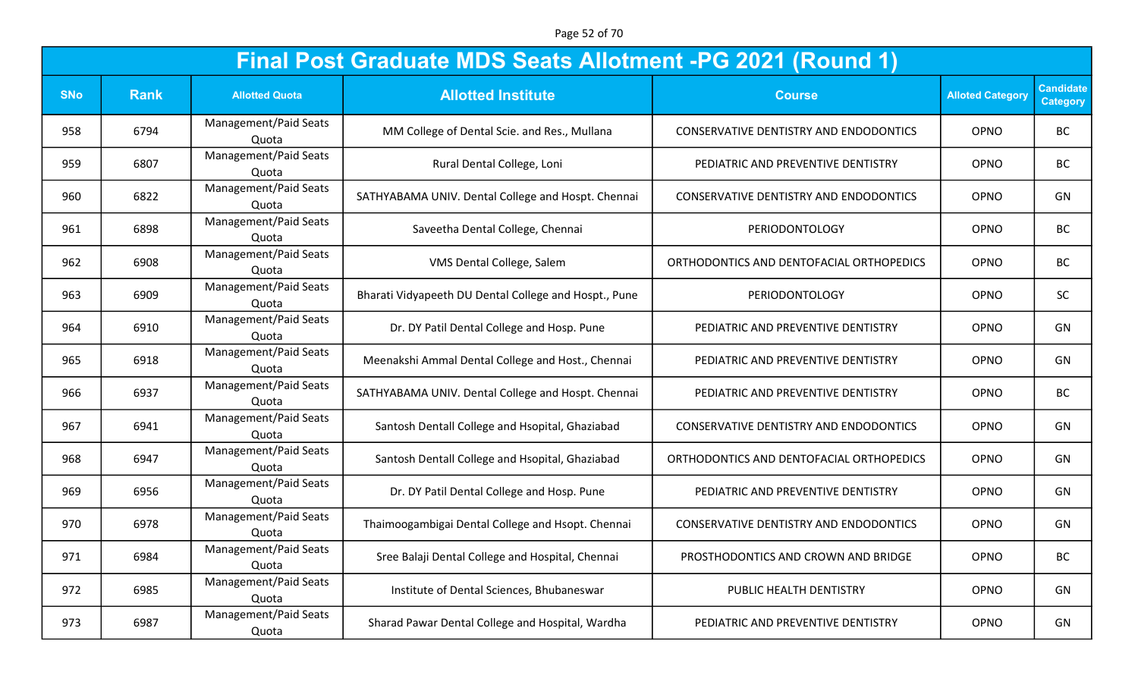Page 52 of 70

|            | <b>Final Post Graduate MDS Seats Allotment -PG 2021 (Round 1)</b> |                                |                                                       |                                               |                         |                                     |  |  |
|------------|-------------------------------------------------------------------|--------------------------------|-------------------------------------------------------|-----------------------------------------------|-------------------------|-------------------------------------|--|--|
| <b>SNo</b> | <b>Rank</b>                                                       | <b>Allotted Quota</b>          | <b>Allotted Institute</b>                             | <b>Course</b>                                 | <b>Alloted Category</b> | <b>Candidate</b><br><b>Category</b> |  |  |
| 958        | 6794                                                              | Management/Paid Seats<br>Quota | MM College of Dental Scie. and Res., Mullana          | CONSERVATIVE DENTISTRY AND ENDODONTICS        | OPNO                    | <b>BC</b>                           |  |  |
| 959        | 6807                                                              | Management/Paid Seats<br>Quota | Rural Dental College, Loni                            | PEDIATRIC AND PREVENTIVE DENTISTRY            | OPNO                    | <b>BC</b>                           |  |  |
| 960        | 6822                                                              | Management/Paid Seats<br>Quota | SATHYABAMA UNIV. Dental College and Hospt. Chennai    | CONSERVATIVE DENTISTRY AND ENDODONTICS        | OPNO                    | GN                                  |  |  |
| 961        | 6898                                                              | Management/Paid Seats<br>Quota | Saveetha Dental College, Chennai                      | PERIODONTOLOGY                                | OPNO                    | <b>BC</b>                           |  |  |
| 962        | 6908                                                              | Management/Paid Seats<br>Quota | VMS Dental College, Salem                             | ORTHODONTICS AND DENTOFACIAL ORTHOPEDICS      | OPNO                    | <b>BC</b>                           |  |  |
| 963        | 6909                                                              | Management/Paid Seats<br>Quota | Bharati Vidyapeeth DU Dental College and Hospt., Pune | PERIODONTOLOGY                                | <b>OPNO</b>             | <b>SC</b>                           |  |  |
| 964        | 6910                                                              | Management/Paid Seats<br>Quota | Dr. DY Patil Dental College and Hosp. Pune            | PEDIATRIC AND PREVENTIVE DENTISTRY            | OPNO                    | GN                                  |  |  |
| 965        | 6918                                                              | Management/Paid Seats<br>Quota | Meenakshi Ammal Dental College and Host., Chennai     | PEDIATRIC AND PREVENTIVE DENTISTRY            | OPNO                    | GN                                  |  |  |
| 966        | 6937                                                              | Management/Paid Seats<br>Quota | SATHYABAMA UNIV. Dental College and Hospt. Chennai    | PEDIATRIC AND PREVENTIVE DENTISTRY            | OPNO                    | <b>BC</b>                           |  |  |
| 967        | 6941                                                              | Management/Paid Seats<br>Quota | Santosh Dentall College and Hsopital, Ghaziabad       | <b>CONSERVATIVE DENTISTRY AND ENDODONTICS</b> | OPNO                    | GN                                  |  |  |
| 968        | 6947                                                              | Management/Paid Seats<br>Quota | Santosh Dentall College and Hsopital, Ghaziabad       | ORTHODONTICS AND DENTOFACIAL ORTHOPEDICS      | OPNO                    | GN                                  |  |  |
| 969        | 6956                                                              | Management/Paid Seats<br>Quota | Dr. DY Patil Dental College and Hosp. Pune            | PEDIATRIC AND PREVENTIVE DENTISTRY            | OPNO                    | GN                                  |  |  |
| 970        | 6978                                                              | Management/Paid Seats<br>Quota | Thaimoogambigai Dental College and Hsopt. Chennai     | CONSERVATIVE DENTISTRY AND ENDODONTICS        | OPNO                    | GN                                  |  |  |
| 971        | 6984                                                              | Management/Paid Seats<br>Quota | Sree Balaji Dental College and Hospital, Chennai      | PROSTHODONTICS AND CROWN AND BRIDGE           | <b>OPNO</b>             | BC                                  |  |  |
| 972        | 6985                                                              | Management/Paid Seats<br>Quota | Institute of Dental Sciences, Bhubaneswar             | PUBLIC HEALTH DENTISTRY                       | OPNO                    | GN                                  |  |  |
| 973        | 6987                                                              | Management/Paid Seats<br>Quota | Sharad Pawar Dental College and Hospital, Wardha      | PEDIATRIC AND PREVENTIVE DENTISTRY            | OPNO                    | GN                                  |  |  |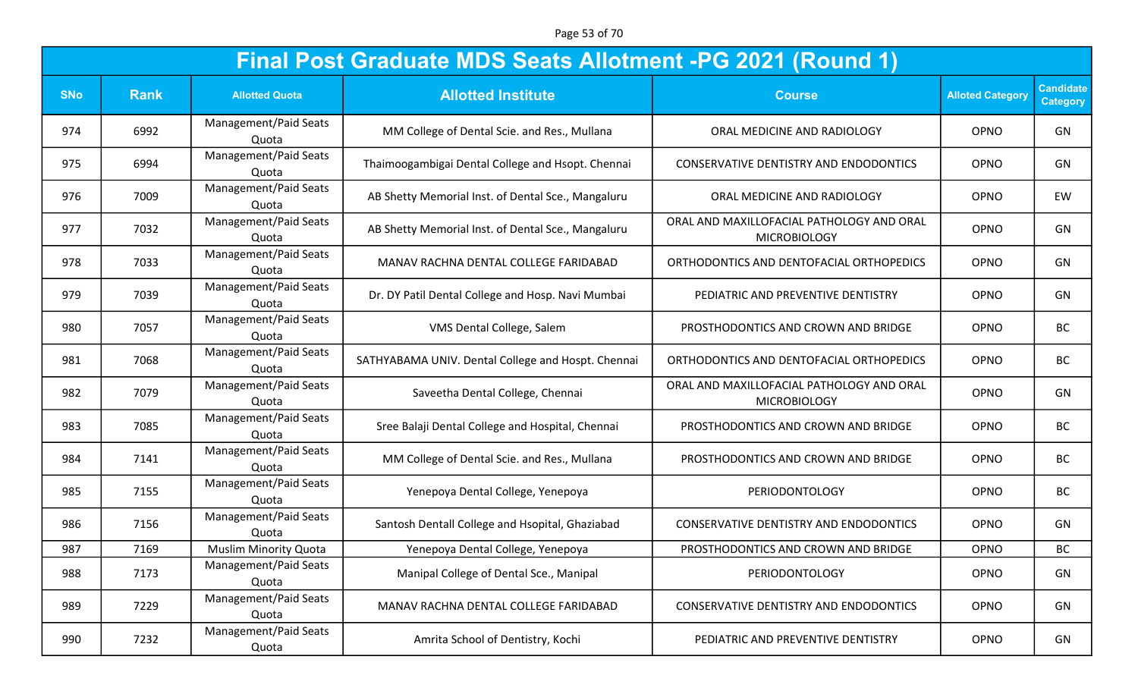Page 53 of 70

|            | <b>Final Post Graduate MDS Seats Allotment -PG 2021 (Round 1)</b> |                                |                                                    |                                                                  |                         |                                     |  |  |
|------------|-------------------------------------------------------------------|--------------------------------|----------------------------------------------------|------------------------------------------------------------------|-------------------------|-------------------------------------|--|--|
| <b>SNo</b> | <b>Rank</b>                                                       | <b>Allotted Quota</b>          | <b>Allotted Institute</b>                          | <b>Course</b>                                                    | <b>Alloted Category</b> | <b>Candidate</b><br><b>Category</b> |  |  |
| 974        | 6992                                                              | Management/Paid Seats<br>Quota | MM College of Dental Scie. and Res., Mullana       | ORAL MEDICINE AND RADIOLOGY                                      | OPNO                    | GN                                  |  |  |
| 975        | 6994                                                              | Management/Paid Seats<br>Quota | Thaimoogambigai Dental College and Hsopt. Chennai  | CONSERVATIVE DENTISTRY AND ENDODONTICS                           | OPNO                    | GN                                  |  |  |
| 976        | 7009                                                              | Management/Paid Seats<br>Quota | AB Shetty Memorial Inst. of Dental Sce., Mangaluru | ORAL MEDICINE AND RADIOLOGY                                      | OPNO                    | EW                                  |  |  |
| 977        | 7032                                                              | Management/Paid Seats<br>Quota | AB Shetty Memorial Inst. of Dental Sce., Mangaluru | ORAL AND MAXILLOFACIAL PATHOLOGY AND ORAL<br><b>MICROBIOLOGY</b> | OPNO                    | GN                                  |  |  |
| 978        | 7033                                                              | Management/Paid Seats<br>Quota | MANAV RACHNA DENTAL COLLEGE FARIDABAD              | ORTHODONTICS AND DENTOFACIAL ORTHOPEDICS                         | OPNO                    | GN                                  |  |  |
| 979        | 7039                                                              | Management/Paid Seats<br>Quota | Dr. DY Patil Dental College and Hosp. Navi Mumbai  | PEDIATRIC AND PREVENTIVE DENTISTRY                               | OPNO                    | GN                                  |  |  |
| 980        | 7057                                                              | Management/Paid Seats<br>Quota | VMS Dental College, Salem                          | PROSTHODONTICS AND CROWN AND BRIDGE                              | OPNO                    | <b>BC</b>                           |  |  |
| 981        | 7068                                                              | Management/Paid Seats<br>Quota | SATHYABAMA UNIV. Dental College and Hospt. Chennai | ORTHODONTICS AND DENTOFACIAL ORTHOPEDICS                         | OPNO                    | <b>BC</b>                           |  |  |
| 982        | 7079                                                              | Management/Paid Seats<br>Quota | Saveetha Dental College, Chennai                   | ORAL AND MAXILLOFACIAL PATHOLOGY AND ORAL<br><b>MICROBIOLOGY</b> | OPNO                    | GN                                  |  |  |
| 983        | 7085                                                              | Management/Paid Seats<br>Quota | Sree Balaji Dental College and Hospital, Chennai   | PROSTHODONTICS AND CROWN AND BRIDGE                              | OPNO                    | <b>BC</b>                           |  |  |
| 984        | 7141                                                              | Management/Paid Seats<br>Quota | MM College of Dental Scie. and Res., Mullana       | PROSTHODONTICS AND CROWN AND BRIDGE                              | OPNO                    | <b>BC</b>                           |  |  |
| 985        | 7155                                                              | Management/Paid Seats<br>Quota | Yenepoya Dental College, Yenepoya                  | PERIODONTOLOGY                                                   | OPNO                    | <b>BC</b>                           |  |  |
| 986        | 7156                                                              | Management/Paid Seats<br>Quota | Santosh Dentall College and Hsopital, Ghaziabad    | CONSERVATIVE DENTISTRY AND ENDODONTICS                           | OPNO                    | GN                                  |  |  |
| 987        | 7169                                                              | <b>Muslim Minority Quota</b>   | Yenepoya Dental College, Yenepoya                  | PROSTHODONTICS AND CROWN AND BRIDGE                              | OPNO                    | <b>BC</b>                           |  |  |
| 988        | 7173                                                              | Management/Paid Seats<br>Quota | Manipal College of Dental Sce., Manipal            | PERIODONTOLOGY                                                   | OPNO                    | GN                                  |  |  |
| 989        | 7229                                                              | Management/Paid Seats<br>Quota | MANAV RACHNA DENTAL COLLEGE FARIDABAD              | CONSERVATIVE DENTISTRY AND ENDODONTICS                           | OPNO                    | GN                                  |  |  |
| 990        | 7232                                                              | Management/Paid Seats<br>Quota | Amrita School of Dentistry, Kochi                  | PEDIATRIC AND PREVENTIVE DENTISTRY                               | OPNO                    | GN                                  |  |  |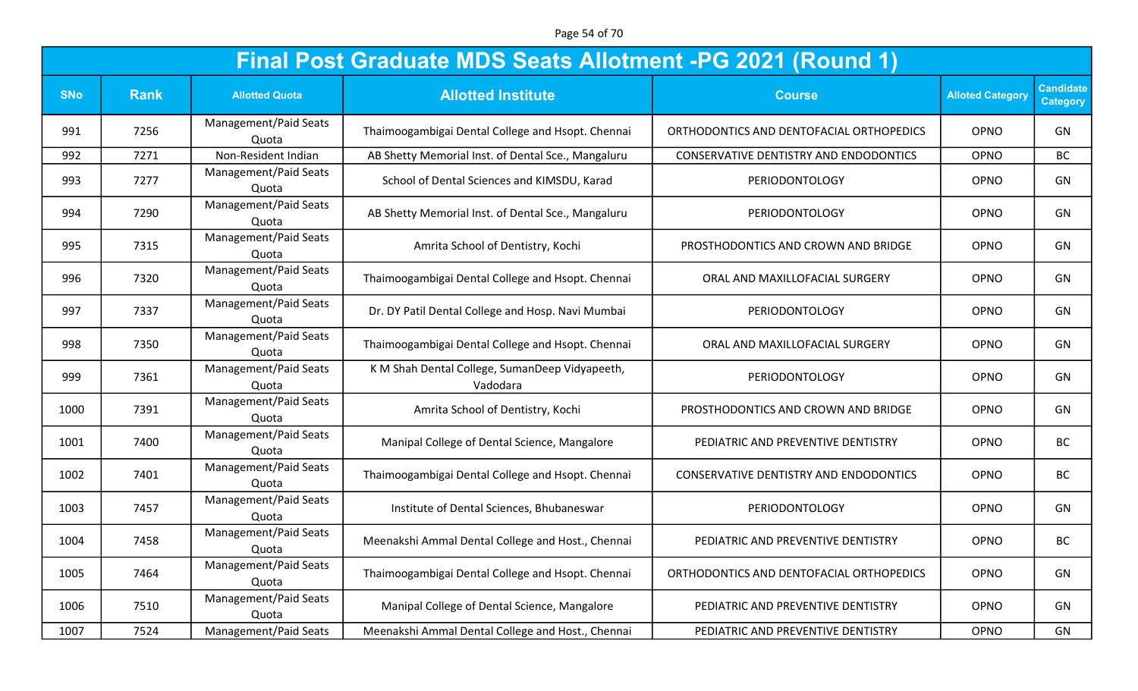Page 54 of 70

|            | <b>Final Post Graduate MDS Seats Allotment -PG 2021 (Round 1)</b> |                                |                                                            |                                          |                         |                                     |  |  |
|------------|-------------------------------------------------------------------|--------------------------------|------------------------------------------------------------|------------------------------------------|-------------------------|-------------------------------------|--|--|
| <b>SNo</b> | <b>Rank</b>                                                       | <b>Allotted Quota</b>          | <b>Allotted Institute</b>                                  | <b>Course</b>                            | <b>Alloted Category</b> | <b>Candidate</b><br><b>Category</b> |  |  |
| 991        | 7256                                                              | Management/Paid Seats<br>Quota | Thaimoogambigai Dental College and Hsopt. Chennai          | ORTHODONTICS AND DENTOFACIAL ORTHOPEDICS | OPNO                    | GN                                  |  |  |
| 992        | 7271                                                              | Non-Resident Indian            | AB Shetty Memorial Inst. of Dental Sce., Mangaluru         | CONSERVATIVE DENTISTRY AND ENDODONTICS   | OPNO                    | <b>BC</b>                           |  |  |
| 993        | 7277                                                              | Management/Paid Seats<br>Quota | School of Dental Sciences and KIMSDU, Karad                | PERIODONTOLOGY                           | OPNO                    | GN                                  |  |  |
| 994        | 7290                                                              | Management/Paid Seats<br>Quota | AB Shetty Memorial Inst. of Dental Sce., Mangaluru         | PERIODONTOLOGY                           | <b>OPNO</b>             | GN                                  |  |  |
| 995        | 7315                                                              | Management/Paid Seats<br>Quota | Amrita School of Dentistry, Kochi                          | PROSTHODONTICS AND CROWN AND BRIDGE      | OPNO                    | GN                                  |  |  |
| 996        | 7320                                                              | Management/Paid Seats<br>Quota | Thaimoogambigai Dental College and Hsopt. Chennai          | ORAL AND MAXILLOFACIAL SURGERY           | OPNO                    | GN                                  |  |  |
| 997        | 7337                                                              | Management/Paid Seats<br>Quota | Dr. DY Patil Dental College and Hosp. Navi Mumbai          | PERIODONTOLOGY                           | OPNO                    | GN                                  |  |  |
| 998        | 7350                                                              | Management/Paid Seats<br>Quota | Thaimoogambigai Dental College and Hsopt. Chennai          | ORAL AND MAXILLOFACIAL SURGERY           | OPNO                    | GN                                  |  |  |
| 999        | 7361                                                              | Management/Paid Seats<br>Quota | K M Shah Dental College, SumanDeep Vidyapeeth,<br>Vadodara | PERIODONTOLOGY                           | OPNO                    | GN                                  |  |  |
| 1000       | 7391                                                              | Management/Paid Seats<br>Quota | Amrita School of Dentistry, Kochi                          | PROSTHODONTICS AND CROWN AND BRIDGE      | OPNO                    | GN                                  |  |  |
| 1001       | 7400                                                              | Management/Paid Seats<br>Quota | Manipal College of Dental Science, Mangalore               | PEDIATRIC AND PREVENTIVE DENTISTRY       | OPNO                    | <b>BC</b>                           |  |  |
| 1002       | 7401                                                              | Management/Paid Seats<br>Quota | Thaimoogambigai Dental College and Hsopt. Chennai          | CONSERVATIVE DENTISTRY AND ENDODONTICS   | OPNO                    | BC                                  |  |  |
| 1003       | 7457                                                              | Management/Paid Seats<br>Quota | Institute of Dental Sciences, Bhubaneswar                  | PERIODONTOLOGY                           | OPNO                    | GN                                  |  |  |
| 1004       | 7458                                                              | Management/Paid Seats<br>Quota | Meenakshi Ammal Dental College and Host., Chennai          | PEDIATRIC AND PREVENTIVE DENTISTRY       | OPNO                    | BC                                  |  |  |
| 1005       | 7464                                                              | Management/Paid Seats<br>Quota | Thaimoogambigai Dental College and Hsopt. Chennai          | ORTHODONTICS AND DENTOFACIAL ORTHOPEDICS | OPNO                    | GN                                  |  |  |
| 1006       | 7510                                                              | Management/Paid Seats<br>Quota | Manipal College of Dental Science, Mangalore               | PEDIATRIC AND PREVENTIVE DENTISTRY       | OPNO                    | GN                                  |  |  |
| 1007       | 7524                                                              | Management/Paid Seats          | Meenakshi Ammal Dental College and Host., Chennai          | PEDIATRIC AND PREVENTIVE DENTISTRY       | OPNO                    | GN                                  |  |  |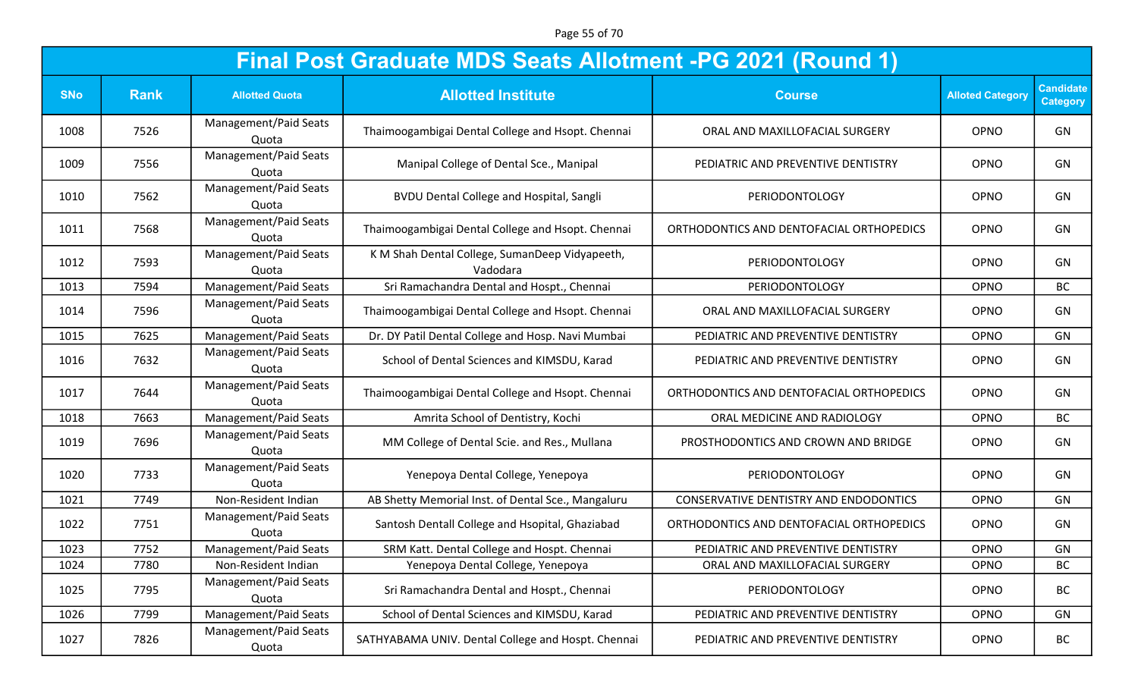Page 55 of 70

|            | <b>Final Post Graduate MDS Seats Allotment -PG 2021 (Round 1)</b> |                                |                                                            |                                          |                         |                                     |  |  |
|------------|-------------------------------------------------------------------|--------------------------------|------------------------------------------------------------|------------------------------------------|-------------------------|-------------------------------------|--|--|
| <b>SNo</b> | <b>Rank</b>                                                       | <b>Allotted Quota</b>          | <b>Allotted Institute</b>                                  | <b>Course</b>                            | <b>Alloted Category</b> | <b>Candidate</b><br><b>Category</b> |  |  |
| 1008       | 7526                                                              | Management/Paid Seats<br>Quota | Thaimoogambigai Dental College and Hsopt. Chennai          | ORAL AND MAXILLOFACIAL SURGERY           | OPNO                    | GN                                  |  |  |
| 1009       | 7556                                                              | Management/Paid Seats<br>Quota | Manipal College of Dental Sce., Manipal                    | PEDIATRIC AND PREVENTIVE DENTISTRY       | OPNO                    | GN                                  |  |  |
| 1010       | 7562                                                              | Management/Paid Seats<br>Quota | <b>BVDU Dental College and Hospital, Sangli</b>            | PERIODONTOLOGY                           | OPNO                    | GN                                  |  |  |
| 1011       | 7568                                                              | Management/Paid Seats<br>Quota | Thaimoogambigai Dental College and Hsopt. Chennai          | ORTHODONTICS AND DENTOFACIAL ORTHOPEDICS | OPNO                    | GN                                  |  |  |
| 1012       | 7593                                                              | Management/Paid Seats<br>Quota | K M Shah Dental College, SumanDeep Vidyapeeth,<br>Vadodara | PERIODONTOLOGY                           | <b>OPNO</b>             | GN                                  |  |  |
| 1013       | 7594                                                              | Management/Paid Seats          | Sri Ramachandra Dental and Hospt., Chennai                 | PERIODONTOLOGY                           | OPNO                    | <b>BC</b>                           |  |  |
| 1014       | 7596                                                              | Management/Paid Seats<br>Quota | Thaimoogambigai Dental College and Hsopt. Chennai          | ORAL AND MAXILLOFACIAL SURGERY           | OPNO                    | GN                                  |  |  |
| 1015       | 7625                                                              | Management/Paid Seats          | Dr. DY Patil Dental College and Hosp. Navi Mumbai          | PEDIATRIC AND PREVENTIVE DENTISTRY       | OPNO                    | GN                                  |  |  |
| 1016       | 7632                                                              | Management/Paid Seats<br>Quota | School of Dental Sciences and KIMSDU, Karad                | PEDIATRIC AND PREVENTIVE DENTISTRY       | OPNO                    | GN                                  |  |  |
| 1017       | 7644                                                              | Management/Paid Seats<br>Quota | Thaimoogambigai Dental College and Hsopt. Chennai          | ORTHODONTICS AND DENTOFACIAL ORTHOPEDICS | OPNO                    | GN                                  |  |  |
| 1018       | 7663                                                              | Management/Paid Seats          | Amrita School of Dentistry, Kochi                          | ORAL MEDICINE AND RADIOLOGY              | OPNO                    | <b>BC</b>                           |  |  |
| 1019       | 7696                                                              | Management/Paid Seats<br>Quota | MM College of Dental Scie. and Res., Mullana               | PROSTHODONTICS AND CROWN AND BRIDGE      | OPNO                    | GN                                  |  |  |
| 1020       | 7733                                                              | Management/Paid Seats<br>Quota | Yenepoya Dental College, Yenepoya                          | PERIODONTOLOGY                           | OPNO                    | GN                                  |  |  |
| 1021       | 7749                                                              | Non-Resident Indian            | AB Shetty Memorial Inst. of Dental Sce., Mangaluru         | CONSERVATIVE DENTISTRY AND ENDODONTICS   | OPNO                    | GN                                  |  |  |
| 1022       | 7751                                                              | Management/Paid Seats<br>Quota | Santosh Dentall College and Hsopital, Ghaziabad            | ORTHODONTICS AND DENTOFACIAL ORTHOPEDICS | OPNO                    | GN                                  |  |  |
| 1023       | 7752                                                              | Management/Paid Seats          | SRM Katt. Dental College and Hospt. Chennai                | PEDIATRIC AND PREVENTIVE DENTISTRY       | OPNO                    | GN                                  |  |  |
| 1024       | 7780                                                              | Non-Resident Indian            | Yenepoya Dental College, Yenepoya                          | ORAL AND MAXILLOFACIAL SURGERY           | OPNO                    | <b>BC</b>                           |  |  |
| 1025       | 7795                                                              | Management/Paid Seats<br>Quota | Sri Ramachandra Dental and Hospt., Chennai                 | PERIODONTOLOGY                           | OPNO                    | BC                                  |  |  |
| 1026       | 7799                                                              | Management/Paid Seats          | School of Dental Sciences and KIMSDU, Karad                | PEDIATRIC AND PREVENTIVE DENTISTRY       | OPNO                    | GN                                  |  |  |
| 1027       | 7826                                                              | Management/Paid Seats<br>Quota | SATHYABAMA UNIV. Dental College and Hospt. Chennai         | PEDIATRIC AND PREVENTIVE DENTISTRY       | OPNO                    | BC                                  |  |  |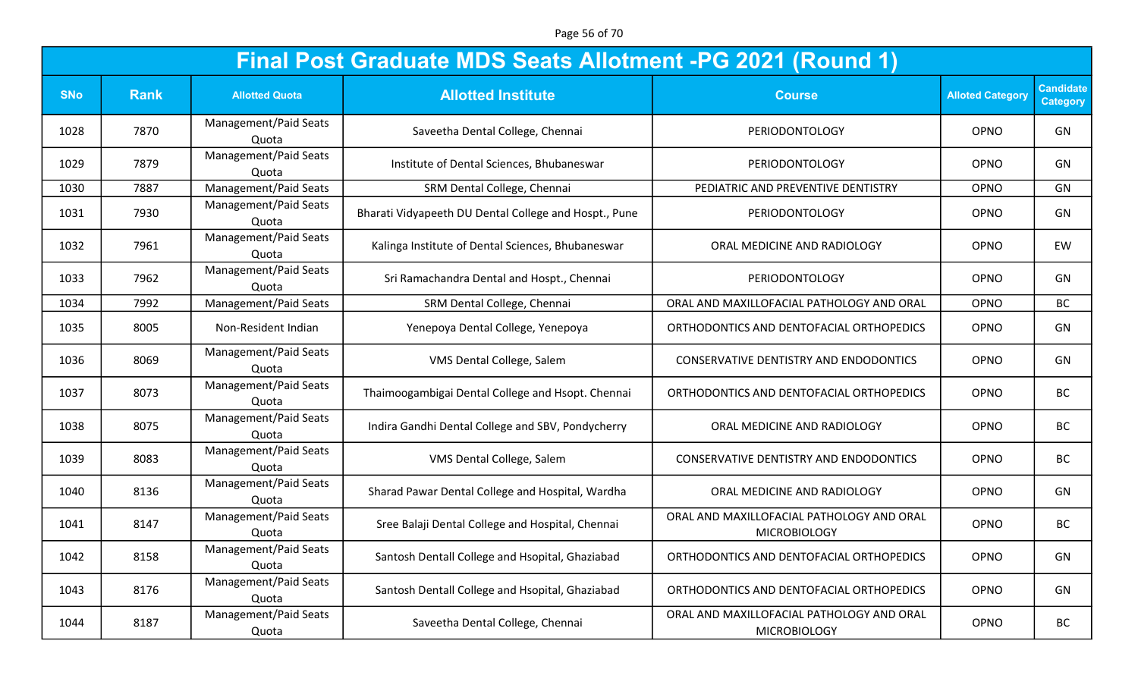Page 56 of 70

|            | <b>Final Post Graduate MDS Seats Allotment -PG 2021 (Round 1)</b> |                                |                                                       |                                                                  |                         |                                     |  |  |
|------------|-------------------------------------------------------------------|--------------------------------|-------------------------------------------------------|------------------------------------------------------------------|-------------------------|-------------------------------------|--|--|
| <b>SNo</b> | <b>Rank</b>                                                       | <b>Allotted Quota</b>          | <b>Allotted Institute</b>                             | <b>Course</b>                                                    | <b>Alloted Category</b> | <b>Candidate</b><br><b>Category</b> |  |  |
| 1028       | 7870                                                              | Management/Paid Seats<br>Quota | Saveetha Dental College, Chennai                      | PERIODONTOLOGY                                                   | OPNO                    | GN                                  |  |  |
| 1029       | 7879                                                              | Management/Paid Seats<br>Quota | Institute of Dental Sciences, Bhubaneswar             | PERIODONTOLOGY                                                   | OPNO                    | GN                                  |  |  |
| 1030       | 7887                                                              | Management/Paid Seats          | SRM Dental College, Chennai                           | PEDIATRIC AND PREVENTIVE DENTISTRY                               | OPNO                    | GN                                  |  |  |
| 1031       | 7930                                                              | Management/Paid Seats<br>Quota | Bharati Vidyapeeth DU Dental College and Hospt., Pune | PERIODONTOLOGY                                                   | <b>OPNO</b>             | GN                                  |  |  |
| 1032       | 7961                                                              | Management/Paid Seats<br>Quota | Kalinga Institute of Dental Sciences, Bhubaneswar     | ORAL MEDICINE AND RADIOLOGY                                      | OPNO                    | EW                                  |  |  |
| 1033       | 7962                                                              | Management/Paid Seats<br>Quota | Sri Ramachandra Dental and Hospt., Chennai            | PERIODONTOLOGY                                                   | OPNO                    | GN                                  |  |  |
| 1034       | 7992                                                              | Management/Paid Seats          | SRM Dental College, Chennai                           | ORAL AND MAXILLOFACIAL PATHOLOGY AND ORAL                        | OPNO                    | <b>BC</b>                           |  |  |
| 1035       | 8005                                                              | Non-Resident Indian            | Yenepoya Dental College, Yenepoya                     | ORTHODONTICS AND DENTOFACIAL ORTHOPEDICS                         | OPNO                    | GN                                  |  |  |
| 1036       | 8069                                                              | Management/Paid Seats<br>Quota | VMS Dental College, Salem                             | CONSERVATIVE DENTISTRY AND ENDODONTICS                           | OPNO                    | GN                                  |  |  |
| 1037       | 8073                                                              | Management/Paid Seats<br>Quota | Thaimoogambigai Dental College and Hsopt. Chennai     | ORTHODONTICS AND DENTOFACIAL ORTHOPEDICS                         | OPNO                    | <b>BC</b>                           |  |  |
| 1038       | 8075                                                              | Management/Paid Seats<br>Quota | Indira Gandhi Dental College and SBV, Pondycherry     | ORAL MEDICINE AND RADIOLOGY                                      | OPNO                    | <b>BC</b>                           |  |  |
| 1039       | 8083                                                              | Management/Paid Seats<br>Quota | VMS Dental College, Salem                             | CONSERVATIVE DENTISTRY AND ENDODONTICS                           | OPNO                    | <b>BC</b>                           |  |  |
| 1040       | 8136                                                              | Management/Paid Seats<br>Quota | Sharad Pawar Dental College and Hospital, Wardha      | ORAL MEDICINE AND RADIOLOGY                                      | OPNO                    | GN                                  |  |  |
| 1041       | 8147                                                              | Management/Paid Seats<br>Quota | Sree Balaji Dental College and Hospital, Chennai      | ORAL AND MAXILLOFACIAL PATHOLOGY AND ORAL<br><b>MICROBIOLOGY</b> | OPNO                    | <b>BC</b>                           |  |  |
| 1042       | 8158                                                              | Management/Paid Seats<br>Quota | Santosh Dentall College and Hsopital, Ghaziabad       | ORTHODONTICS AND DENTOFACIAL ORTHOPEDICS                         | OPNO                    | GN                                  |  |  |
| 1043       | 8176                                                              | Management/Paid Seats<br>Quota | Santosh Dentall College and Hsopital, Ghaziabad       | ORTHODONTICS AND DENTOFACIAL ORTHOPEDICS                         | OPNO                    | GN                                  |  |  |
| 1044       | 8187                                                              | Management/Paid Seats<br>Quota | Saveetha Dental College, Chennai                      | ORAL AND MAXILLOFACIAL PATHOLOGY AND ORAL<br><b>MICROBIOLOGY</b> | OPNO                    | BC                                  |  |  |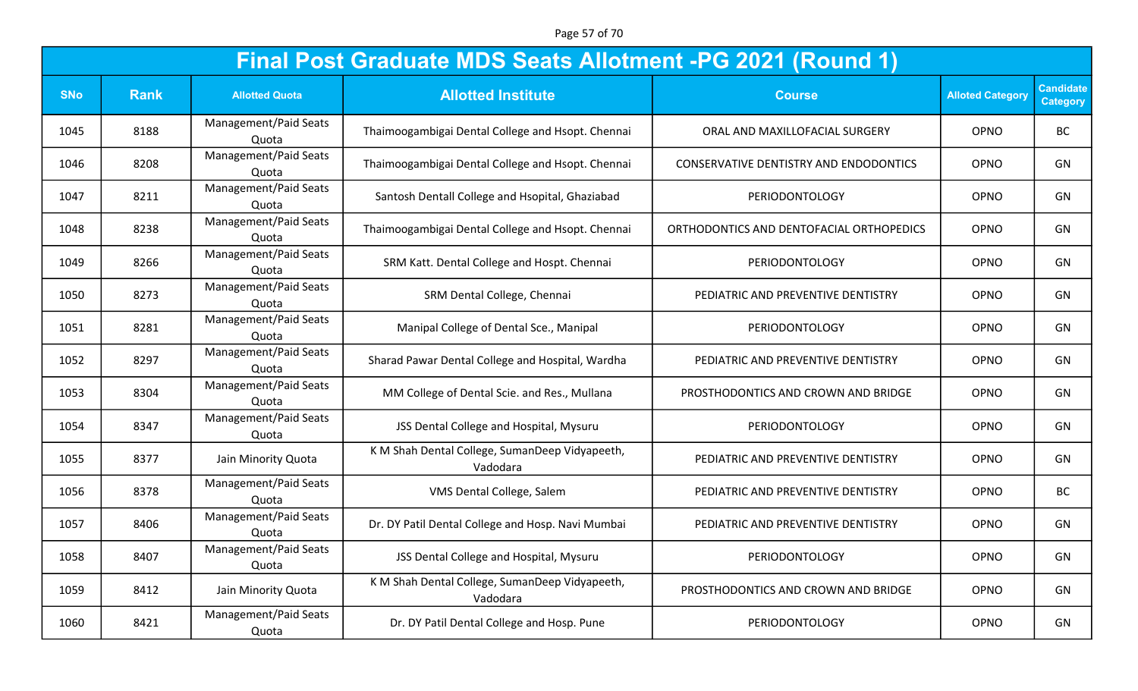Page 57 of 70

|            | <b>Final Post Graduate MDS Seats Allotment -PG 2021 (Round 1)</b> |                                |                                                            |                                               |                         |                                     |  |  |
|------------|-------------------------------------------------------------------|--------------------------------|------------------------------------------------------------|-----------------------------------------------|-------------------------|-------------------------------------|--|--|
| <b>SNo</b> | <b>Rank</b>                                                       | <b>Allotted Quota</b>          | <b>Allotted Institute</b>                                  | <b>Course</b>                                 | <b>Alloted Category</b> | <b>Candidate</b><br><b>Category</b> |  |  |
| 1045       | 8188                                                              | Management/Paid Seats<br>Quota | Thaimoogambigai Dental College and Hsopt. Chennai          | ORAL AND MAXILLOFACIAL SURGERY                | OPNO                    | <b>BC</b>                           |  |  |
| 1046       | 8208                                                              | Management/Paid Seats<br>Quota | Thaimoogambigai Dental College and Hsopt. Chennai          | <b>CONSERVATIVE DENTISTRY AND ENDODONTICS</b> | OPNO                    | GN                                  |  |  |
| 1047       | 8211                                                              | Management/Paid Seats<br>Quota | Santosh Dentall College and Hsopital, Ghaziabad            | PERIODONTOLOGY                                | OPNO                    | GN                                  |  |  |
| 1048       | 8238                                                              | Management/Paid Seats<br>Quota | Thaimoogambigai Dental College and Hsopt. Chennai          | ORTHODONTICS AND DENTOFACIAL ORTHOPEDICS      | OPNO                    | GN                                  |  |  |
| 1049       | 8266                                                              | Management/Paid Seats<br>Quota | SRM Katt. Dental College and Hospt. Chennai                | PERIODONTOLOGY                                | OPNO                    | GN                                  |  |  |
| 1050       | 8273                                                              | Management/Paid Seats<br>Quota | SRM Dental College, Chennai                                | PEDIATRIC AND PREVENTIVE DENTISTRY            | OPNO                    | GN                                  |  |  |
| 1051       | 8281                                                              | Management/Paid Seats<br>Quota | Manipal College of Dental Sce., Manipal                    | PERIODONTOLOGY                                | OPNO                    | GN                                  |  |  |
| 1052       | 8297                                                              | Management/Paid Seats<br>Quota | Sharad Pawar Dental College and Hospital, Wardha           | PEDIATRIC AND PREVENTIVE DENTISTRY            | OPNO                    | GN                                  |  |  |
| 1053       | 8304                                                              | Management/Paid Seats<br>Quota | MM College of Dental Scie. and Res., Mullana               | PROSTHODONTICS AND CROWN AND BRIDGE           | OPNO                    | GN                                  |  |  |
| 1054       | 8347                                                              | Management/Paid Seats<br>Quota | JSS Dental College and Hospital, Mysuru                    | PERIODONTOLOGY                                | OPNO                    | GN                                  |  |  |
| 1055       | 8377                                                              | Jain Minority Quota            | K M Shah Dental College, SumanDeep Vidyapeeth,<br>Vadodara | PEDIATRIC AND PREVENTIVE DENTISTRY            | OPNO                    | GN                                  |  |  |
| 1056       | 8378                                                              | Management/Paid Seats<br>Quota | VMS Dental College, Salem                                  | PEDIATRIC AND PREVENTIVE DENTISTRY            | OPNO                    | <b>BC</b>                           |  |  |
| 1057       | 8406                                                              | Management/Paid Seats<br>Quota | Dr. DY Patil Dental College and Hosp. Navi Mumbai          | PEDIATRIC AND PREVENTIVE DENTISTRY            | OPNO                    | GN                                  |  |  |
| 1058       | 8407                                                              | Management/Paid Seats<br>Quota | JSS Dental College and Hospital, Mysuru                    | PERIODONTOLOGY                                | OPNO                    | GN                                  |  |  |
| 1059       | 8412                                                              | Jain Minority Quota            | K M Shah Dental College, SumanDeep Vidyapeeth,<br>Vadodara | PROSTHODONTICS AND CROWN AND BRIDGE           | OPNO                    | GN                                  |  |  |
| 1060       | 8421                                                              | Management/Paid Seats<br>Quota | Dr. DY Patil Dental College and Hosp. Pune                 | PERIODONTOLOGY                                | OPNO                    | GN                                  |  |  |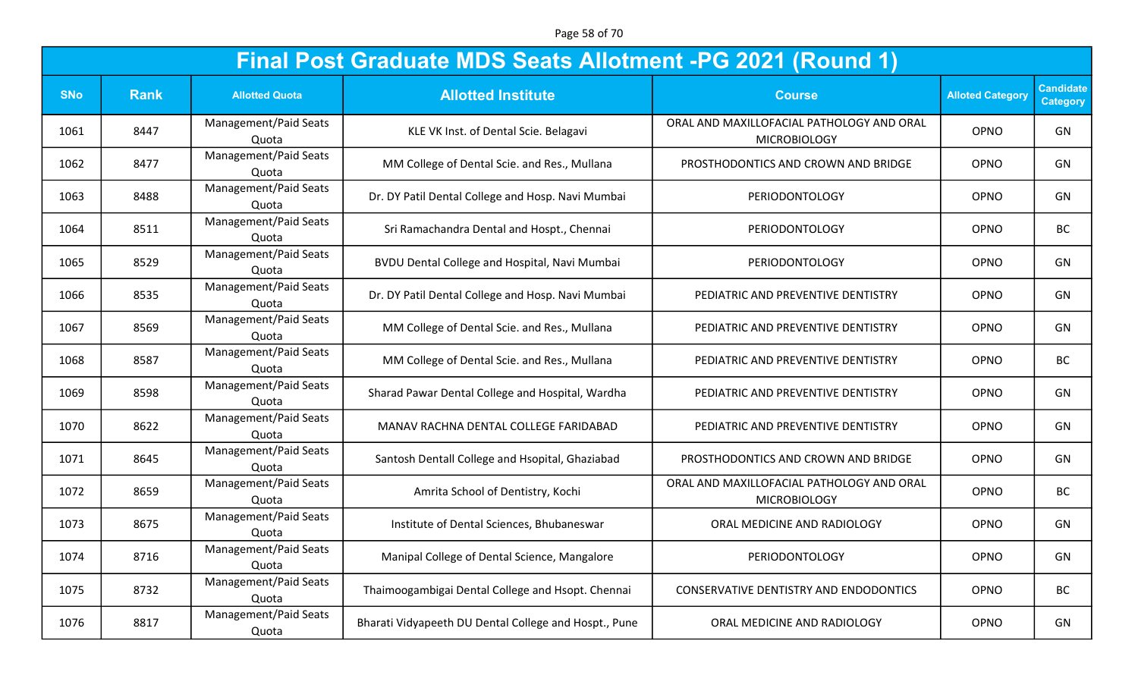Page 58 of 70

|            | <b>Final Post Graduate MDS Seats Allotment -PG 2021 (Round 1)</b> |                                |                                                       |                                                                  |                         |                                     |  |  |
|------------|-------------------------------------------------------------------|--------------------------------|-------------------------------------------------------|------------------------------------------------------------------|-------------------------|-------------------------------------|--|--|
| <b>SNo</b> | <b>Rank</b>                                                       | <b>Allotted Quota</b>          | <b>Allotted Institute</b>                             | <b>Course</b>                                                    | <b>Alloted Category</b> | <b>Candidate</b><br><b>Category</b> |  |  |
| 1061       | 8447                                                              | Management/Paid Seats<br>Quota | KLE VK Inst. of Dental Scie. Belagavi                 | ORAL AND MAXILLOFACIAL PATHOLOGY AND ORAL<br><b>MICROBIOLOGY</b> | OPNO                    | GN                                  |  |  |
| 1062       | 8477                                                              | Management/Paid Seats<br>Quota | MM College of Dental Scie. and Res., Mullana          | PROSTHODONTICS AND CROWN AND BRIDGE                              | OPNO                    | GN                                  |  |  |
| 1063       | 8488                                                              | Management/Paid Seats<br>Quota | Dr. DY Patil Dental College and Hosp. Navi Mumbai     | PERIODONTOLOGY                                                   | OPNO                    | GN                                  |  |  |
| 1064       | 8511                                                              | Management/Paid Seats<br>Quota | Sri Ramachandra Dental and Hospt., Chennai            | PERIODONTOLOGY                                                   | OPNO                    | <b>BC</b>                           |  |  |
| 1065       | 8529                                                              | Management/Paid Seats<br>Quota | BVDU Dental College and Hospital, Navi Mumbai         | PERIODONTOLOGY                                                   | OPNO                    | GN                                  |  |  |
| 1066       | 8535                                                              | Management/Paid Seats<br>Quota | Dr. DY Patil Dental College and Hosp. Navi Mumbai     | PEDIATRIC AND PREVENTIVE DENTISTRY                               | OPNO                    | GN                                  |  |  |
| 1067       | 8569                                                              | Management/Paid Seats<br>Quota | MM College of Dental Scie. and Res., Mullana          | PEDIATRIC AND PREVENTIVE DENTISTRY                               | OPNO                    | GN                                  |  |  |
| 1068       | 8587                                                              | Management/Paid Seats<br>Quota | MM College of Dental Scie. and Res., Mullana          | PEDIATRIC AND PREVENTIVE DENTISTRY                               | OPNO                    | <b>BC</b>                           |  |  |
| 1069       | 8598                                                              | Management/Paid Seats<br>Quota | Sharad Pawar Dental College and Hospital, Wardha      | PEDIATRIC AND PREVENTIVE DENTISTRY                               | OPNO                    | GN                                  |  |  |
| 1070       | 8622                                                              | Management/Paid Seats<br>Quota | MANAV RACHNA DENTAL COLLEGE FARIDABAD                 | PEDIATRIC AND PREVENTIVE DENTISTRY                               | OPNO                    | GN                                  |  |  |
| 1071       | 8645                                                              | Management/Paid Seats<br>Quota | Santosh Dentall College and Hsopital, Ghaziabad       | PROSTHODONTICS AND CROWN AND BRIDGE                              | OPNO                    | GN                                  |  |  |
| 1072       | 8659                                                              | Management/Paid Seats<br>Quota | Amrita School of Dentistry, Kochi                     | ORAL AND MAXILLOFACIAL PATHOLOGY AND ORAL<br><b>MICROBIOLOGY</b> | OPNO                    | <b>BC</b>                           |  |  |
| 1073       | 8675                                                              | Management/Paid Seats<br>Quota | Institute of Dental Sciences, Bhubaneswar             | ORAL MEDICINE AND RADIOLOGY                                      | OPNO                    | GN                                  |  |  |
| 1074       | 8716                                                              | Management/Paid Seats<br>Quota | Manipal College of Dental Science, Mangalore          | PERIODONTOLOGY                                                   | OPNO                    | GN                                  |  |  |
| 1075       | 8732                                                              | Management/Paid Seats<br>Quota | Thaimoogambigai Dental College and Hsopt. Chennai     | CONSERVATIVE DENTISTRY AND ENDODONTICS                           | OPNO                    | BC                                  |  |  |
| 1076       | 8817                                                              | Management/Paid Seats<br>Quota | Bharati Vidyapeeth DU Dental College and Hospt., Pune | ORAL MEDICINE AND RADIOLOGY                                      | OPNO                    | GN                                  |  |  |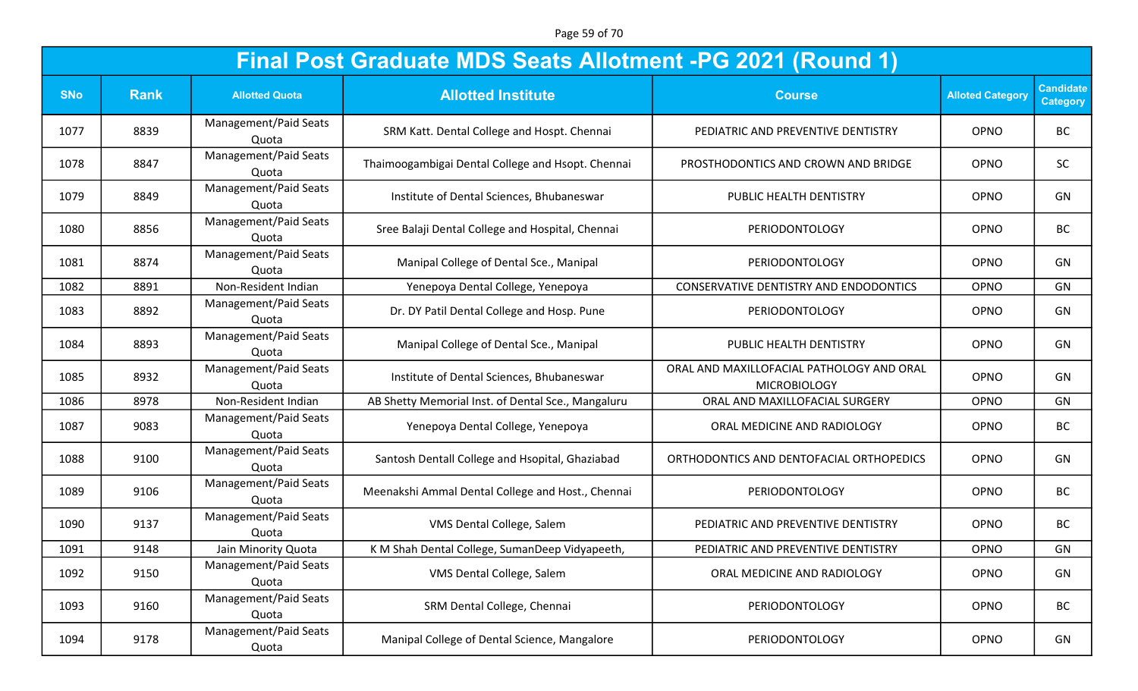Page 59 of 70

|            | <b>Final Post Graduate MDS Seats Allotment -PG 2021 (Round 1)</b> |                                |                                                    |                                                                  |                         |                                     |  |  |  |
|------------|-------------------------------------------------------------------|--------------------------------|----------------------------------------------------|------------------------------------------------------------------|-------------------------|-------------------------------------|--|--|--|
| <b>SNo</b> | <b>Rank</b>                                                       | <b>Allotted Quota</b>          | <b>Allotted Institute</b>                          | <b>Course</b>                                                    | <b>Alloted Category</b> | <b>Candidate</b><br><b>Category</b> |  |  |  |
| 1077       | 8839                                                              | Management/Paid Seats<br>Quota | SRM Katt. Dental College and Hospt. Chennai        | PEDIATRIC AND PREVENTIVE DENTISTRY                               | OPNO                    | <b>BC</b>                           |  |  |  |
| 1078       | 8847                                                              | Management/Paid Seats<br>Quota | Thaimoogambigai Dental College and Hsopt. Chennai  | PROSTHODONTICS AND CROWN AND BRIDGE                              | OPNO                    | <b>SC</b>                           |  |  |  |
| 1079       | 8849                                                              | Management/Paid Seats<br>Quota | Institute of Dental Sciences, Bhubaneswar          | PUBLIC HEALTH DENTISTRY                                          | OPNO                    | GN                                  |  |  |  |
| 1080       | 8856                                                              | Management/Paid Seats<br>Quota | Sree Balaji Dental College and Hospital, Chennai   | PERIODONTOLOGY                                                   | OPNO                    | <b>BC</b>                           |  |  |  |
| 1081       | 8874                                                              | Management/Paid Seats<br>Quota | Manipal College of Dental Sce., Manipal            | PERIODONTOLOGY                                                   | OPNO                    | GN                                  |  |  |  |
| 1082       | 8891                                                              | Non-Resident Indian            | Yenepoya Dental College, Yenepoya                  | CONSERVATIVE DENTISTRY AND ENDODONTICS                           | OPNO                    | GN                                  |  |  |  |
| 1083       | 8892                                                              | Management/Paid Seats<br>Quota | Dr. DY Patil Dental College and Hosp. Pune         | PERIODONTOLOGY                                                   | OPNO                    | GN                                  |  |  |  |
| 1084       | 8893                                                              | Management/Paid Seats<br>Quota | Manipal College of Dental Sce., Manipal            | PUBLIC HEALTH DENTISTRY                                          | OPNO                    | GN                                  |  |  |  |
| 1085       | 8932                                                              | Management/Paid Seats<br>Quota | Institute of Dental Sciences, Bhubaneswar          | ORAL AND MAXILLOFACIAL PATHOLOGY AND ORAL<br><b>MICROBIOLOGY</b> | OPNO                    | GN                                  |  |  |  |
| 1086       | 8978                                                              | Non-Resident Indian            | AB Shetty Memorial Inst. of Dental Sce., Mangaluru | ORAL AND MAXILLOFACIAL SURGERY                                   | OPNO                    | GN                                  |  |  |  |
| 1087       | 9083                                                              | Management/Paid Seats<br>Quota | Yenepoya Dental College, Yenepoya                  | ORAL MEDICINE AND RADIOLOGY                                      | OPNO                    | <b>BC</b>                           |  |  |  |
| 1088       | 9100                                                              | Management/Paid Seats<br>Quota | Santosh Dentall College and Hsopital, Ghaziabad    | ORTHODONTICS AND DENTOFACIAL ORTHOPEDICS                         | OPNO                    | GN                                  |  |  |  |
| 1089       | 9106                                                              | Management/Paid Seats<br>Quota | Meenakshi Ammal Dental College and Host., Chennai  | PERIODONTOLOGY                                                   | OPNO                    | <b>BC</b>                           |  |  |  |
| 1090       | 9137                                                              | Management/Paid Seats<br>Quota | VMS Dental College, Salem                          | PEDIATRIC AND PREVENTIVE DENTISTRY                               | OPNO                    | <b>BC</b>                           |  |  |  |
| 1091       | 9148                                                              | Jain Minority Quota            | K M Shah Dental College, SumanDeep Vidyapeeth,     | PEDIATRIC AND PREVENTIVE DENTISTRY                               | OPNO                    | GN                                  |  |  |  |
| 1092       | 9150                                                              | Management/Paid Seats<br>Quota | VMS Dental College, Salem                          | ORAL MEDICINE AND RADIOLOGY                                      | OPNO                    | GN                                  |  |  |  |
| 1093       | 9160                                                              | Management/Paid Seats<br>Quota | SRM Dental College, Chennai                        | PERIODONTOLOGY                                                   | OPNO                    | BC                                  |  |  |  |
| 1094       | 9178                                                              | Management/Paid Seats<br>Quota | Manipal College of Dental Science, Mangalore       | PERIODONTOLOGY                                                   | OPNO                    | GN                                  |  |  |  |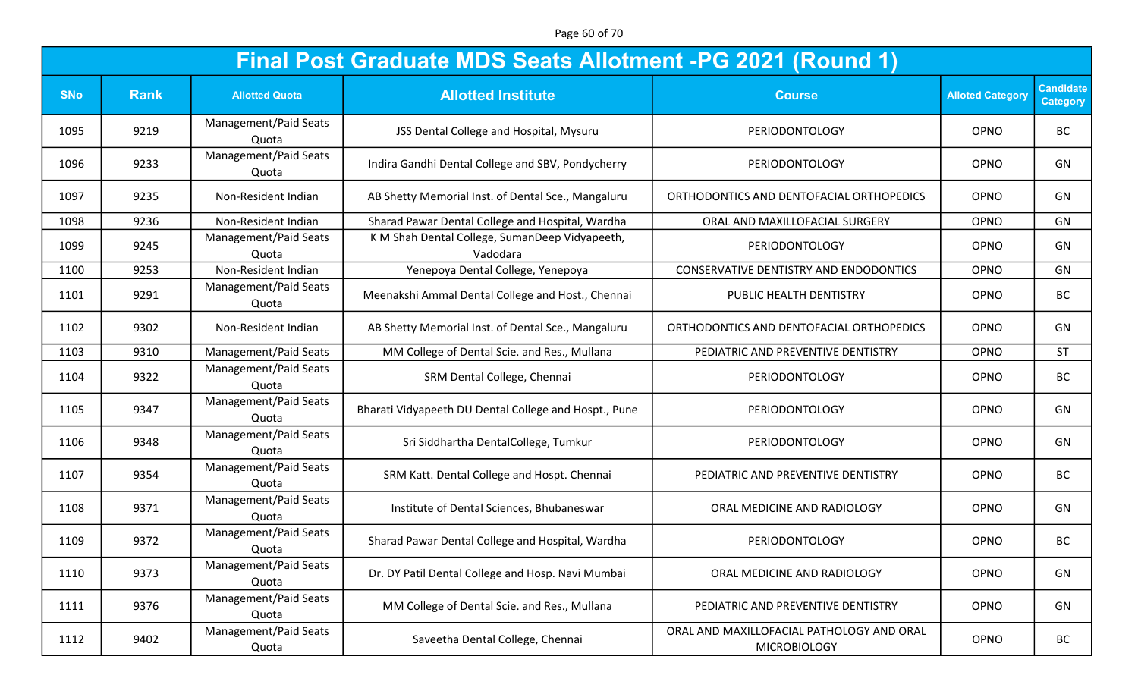Page 60 of 70

|            | <b>Final Post Graduate MDS Seats Allotment -PG 2021 (Round 1)</b> |                                |                                                            |                                                                  |                         |                                     |  |  |
|------------|-------------------------------------------------------------------|--------------------------------|------------------------------------------------------------|------------------------------------------------------------------|-------------------------|-------------------------------------|--|--|
| <b>SNo</b> | <b>Rank</b>                                                       | <b>Allotted Quota</b>          | <b>Allotted Institute</b>                                  | <b>Course</b>                                                    | <b>Alloted Category</b> | <b>Candidate</b><br><b>Category</b> |  |  |
| 1095       | 9219                                                              | Management/Paid Seats<br>Quota | JSS Dental College and Hospital, Mysuru                    | PERIODONTOLOGY                                                   | OPNO                    | <b>BC</b>                           |  |  |
| 1096       | 9233                                                              | Management/Paid Seats<br>Quota | Indira Gandhi Dental College and SBV, Pondycherry          | PERIODONTOLOGY                                                   | OPNO                    | GN                                  |  |  |
| 1097       | 9235                                                              | Non-Resident Indian            | AB Shetty Memorial Inst. of Dental Sce., Mangaluru         | ORTHODONTICS AND DENTOFACIAL ORTHOPEDICS                         | OPNO                    | GN                                  |  |  |
| 1098       | 9236                                                              | Non-Resident Indian            | Sharad Pawar Dental College and Hospital, Wardha           | ORAL AND MAXILLOFACIAL SURGERY                                   | OPNO                    | GN                                  |  |  |
| 1099       | 9245                                                              | Management/Paid Seats<br>Quota | K M Shah Dental College, SumanDeep Vidyapeeth,<br>Vadodara | PERIODONTOLOGY                                                   | OPNO                    | GN                                  |  |  |
| 1100       | 9253                                                              | Non-Resident Indian            | Yenepoya Dental College, Yenepoya                          | CONSERVATIVE DENTISTRY AND ENDODONTICS                           | OPNO                    | GN                                  |  |  |
| 1101       | 9291                                                              | Management/Paid Seats<br>Quota | Meenakshi Ammal Dental College and Host., Chennai          | PUBLIC HEALTH DENTISTRY                                          | OPNO                    | <b>BC</b>                           |  |  |
| 1102       | 9302                                                              | Non-Resident Indian            | AB Shetty Memorial Inst. of Dental Sce., Mangaluru         | ORTHODONTICS AND DENTOFACIAL ORTHOPEDICS                         | OPNO                    | GN                                  |  |  |
| 1103       | 9310                                                              | Management/Paid Seats          | MM College of Dental Scie. and Res., Mullana               | PEDIATRIC AND PREVENTIVE DENTISTRY                               | OPNO                    | <b>ST</b>                           |  |  |
| 1104       | 9322                                                              | Management/Paid Seats<br>Quota | SRM Dental College, Chennai                                | PERIODONTOLOGY                                                   | OPNO                    | <b>BC</b>                           |  |  |
| 1105       | 9347                                                              | Management/Paid Seats<br>Quota | Bharati Vidyapeeth DU Dental College and Hospt., Pune      | PERIODONTOLOGY                                                   | OPNO                    | GN                                  |  |  |
| 1106       | 9348                                                              | Management/Paid Seats<br>Quota | Sri Siddhartha DentalCollege, Tumkur                       | PERIODONTOLOGY                                                   | OPNO                    | GN                                  |  |  |
| 1107       | 9354                                                              | Management/Paid Seats<br>Quota | SRM Katt. Dental College and Hospt. Chennai                | PEDIATRIC AND PREVENTIVE DENTISTRY                               | OPNO                    | <b>BC</b>                           |  |  |
| 1108       | 9371                                                              | Management/Paid Seats<br>Quota | Institute of Dental Sciences, Bhubaneswar                  | ORAL MEDICINE AND RADIOLOGY                                      | OPNO                    | GN                                  |  |  |
| 1109       | 9372                                                              | Management/Paid Seats<br>Quota | Sharad Pawar Dental College and Hospital, Wardha           | <b>PERIODONTOLOGY</b>                                            | OPNO                    | BC                                  |  |  |
| 1110       | 9373                                                              | Management/Paid Seats<br>Quota | Dr. DY Patil Dental College and Hosp. Navi Mumbai          | ORAL MEDICINE AND RADIOLOGY                                      | OPNO                    | GN                                  |  |  |
| 1111       | 9376                                                              | Management/Paid Seats<br>Quota | MM College of Dental Scie. and Res., Mullana               | PEDIATRIC AND PREVENTIVE DENTISTRY                               | OPNO                    | GN                                  |  |  |
| 1112       | 9402                                                              | Management/Paid Seats<br>Quota | Saveetha Dental College, Chennai                           | ORAL AND MAXILLOFACIAL PATHOLOGY AND ORAL<br><b>MICROBIOLOGY</b> | OPNO                    | BC                                  |  |  |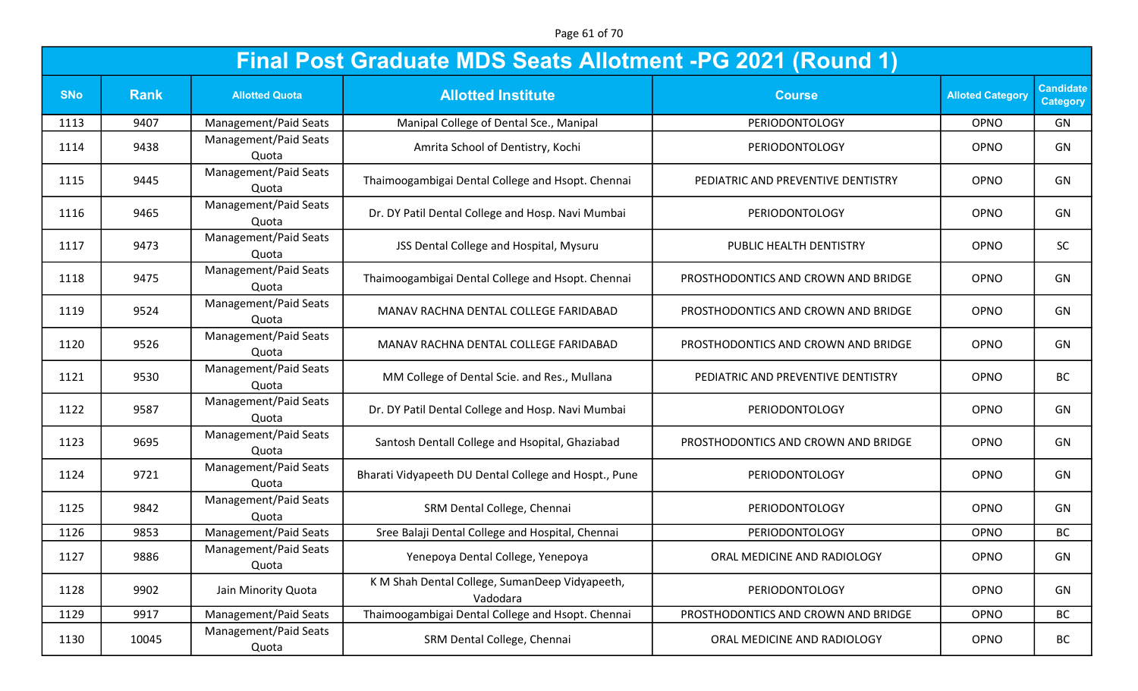Page 61 of 70

|            |             |                                | <b>Final Post Graduate MDS Seats Allotment -PG 2021 (Round 1)</b> |                                     |                         |                                     |
|------------|-------------|--------------------------------|-------------------------------------------------------------------|-------------------------------------|-------------------------|-------------------------------------|
| <b>SNo</b> | <b>Rank</b> | <b>Allotted Quota</b>          | <b>Allotted Institute</b>                                         | <b>Course</b>                       | <b>Alloted Category</b> | <b>Candidate</b><br><b>Category</b> |
| 1113       | 9407        | Management/Paid Seats          | Manipal College of Dental Sce., Manipal                           | PERIODONTOLOGY                      | OPNO                    | GN                                  |
| 1114       | 9438        | Management/Paid Seats<br>Quota | Amrita School of Dentistry, Kochi                                 | PERIODONTOLOGY                      | OPNO                    | GN                                  |
| 1115       | 9445        | Management/Paid Seats<br>Quota | Thaimoogambigai Dental College and Hsopt. Chennai                 | PEDIATRIC AND PREVENTIVE DENTISTRY  | OPNO                    | GN                                  |
| 1116       | 9465        | Management/Paid Seats<br>Quota | Dr. DY Patil Dental College and Hosp. Navi Mumbai                 | PERIODONTOLOGY                      | OPNO                    | GN                                  |
| 1117       | 9473        | Management/Paid Seats<br>Quota | JSS Dental College and Hospital, Mysuru                           | PUBLIC HEALTH DENTISTRY             | OPNO                    | <b>SC</b>                           |
| 1118       | 9475        | Management/Paid Seats<br>Quota | Thaimoogambigai Dental College and Hsopt. Chennai                 | PROSTHODONTICS AND CROWN AND BRIDGE | OPNO                    | GN                                  |
| 1119       | 9524        | Management/Paid Seats<br>Quota | MANAV RACHNA DENTAL COLLEGE FARIDABAD                             | PROSTHODONTICS AND CROWN AND BRIDGE | OPNO                    | GN                                  |
| 1120       | 9526        | Management/Paid Seats<br>Quota | MANAV RACHNA DENTAL COLLEGE FARIDABAD                             | PROSTHODONTICS AND CROWN AND BRIDGE | OPNO                    | GN                                  |
| 1121       | 9530        | Management/Paid Seats<br>Quota | MM College of Dental Scie. and Res., Mullana                      | PEDIATRIC AND PREVENTIVE DENTISTRY  | OPNO                    | <b>BC</b>                           |
| 1122       | 9587        | Management/Paid Seats<br>Quota | Dr. DY Patil Dental College and Hosp. Navi Mumbai                 | PERIODONTOLOGY                      | <b>OPNO</b>             | GN                                  |
| 1123       | 9695        | Management/Paid Seats<br>Quota | Santosh Dentall College and Hsopital, Ghaziabad                   | PROSTHODONTICS AND CROWN AND BRIDGE | OPNO                    | GN                                  |
| 1124       | 9721        | Management/Paid Seats<br>Quota | Bharati Vidyapeeth DU Dental College and Hospt., Pune             | PERIODONTOLOGY                      | OPNO                    | GN                                  |
| 1125       | 9842        | Management/Paid Seats<br>Quota | SRM Dental College, Chennai                                       | PERIODONTOLOGY                      | OPNO                    | GN                                  |
| 1126       | 9853        | Management/Paid Seats          | Sree Balaji Dental College and Hospital, Chennai                  | PERIODONTOLOGY                      | OPNO                    | <b>BC</b>                           |
| 1127       | 9886        | Management/Paid Seats<br>Quota | Yenepoya Dental College, Yenepoya                                 | ORAL MEDICINE AND RADIOLOGY         | OPNO                    | GN                                  |
| 1128       | 9902        | Jain Minority Quota            | K M Shah Dental College, SumanDeep Vidyapeeth,<br>Vadodara        | PERIODONTOLOGY                      | OPNO                    | GN                                  |
| 1129       | 9917        | Management/Paid Seats          | Thaimoogambigai Dental College and Hsopt. Chennai                 | PROSTHODONTICS AND CROWN AND BRIDGE | OPNO                    | <b>BC</b>                           |
| 1130       | 10045       | Management/Paid Seats<br>Quota | SRM Dental College, Chennai                                       | ORAL MEDICINE AND RADIOLOGY         | OPNO                    | BC                                  |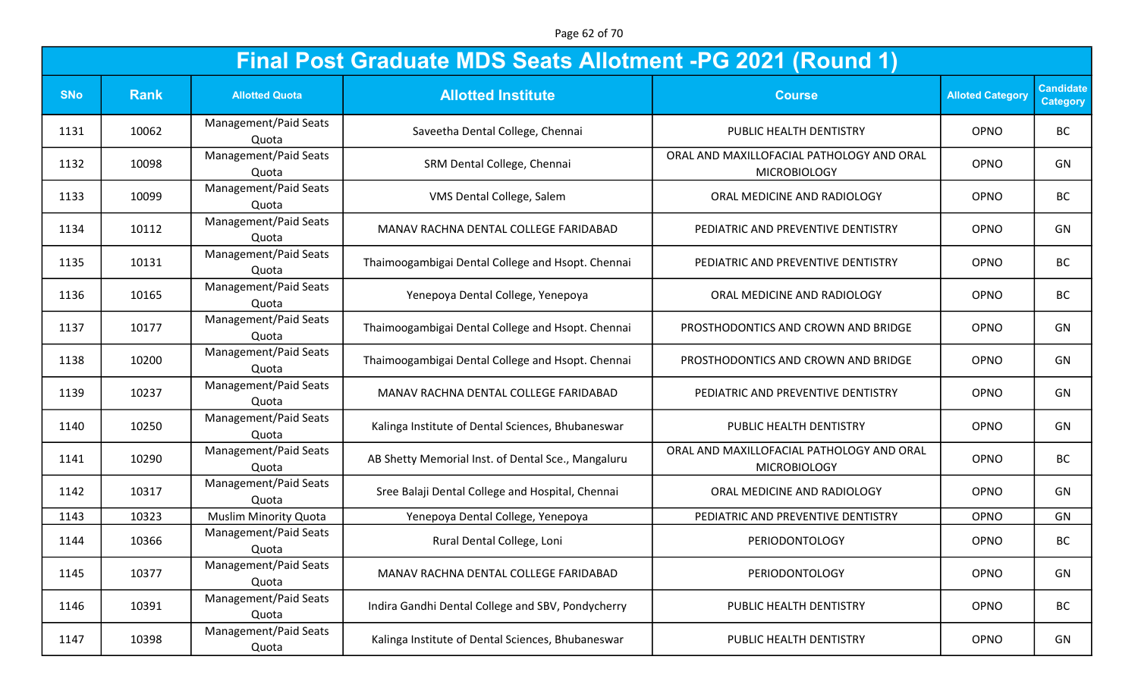Page 62 of 70

|            |             |                                | <b>Final Post Graduate MDS Seats Allotment -PG 2021 (Round 1)</b> |                                                                  |                         |                                     |
|------------|-------------|--------------------------------|-------------------------------------------------------------------|------------------------------------------------------------------|-------------------------|-------------------------------------|
| <b>SNo</b> | <b>Rank</b> | <b>Allotted Quota</b>          | <b>Allotted Institute</b>                                         | <b>Course</b>                                                    | <b>Alloted Category</b> | <b>Candidate</b><br><b>Category</b> |
| 1131       | 10062       | Management/Paid Seats<br>Quota | Saveetha Dental College, Chennai                                  | PUBLIC HEALTH DENTISTRY                                          | OPNO                    | <b>BC</b>                           |
| 1132       | 10098       | Management/Paid Seats<br>Quota | SRM Dental College, Chennai                                       | ORAL AND MAXILLOFACIAL PATHOLOGY AND ORAL<br><b>MICROBIOLOGY</b> | OPNO                    | GN                                  |
| 1133       | 10099       | Management/Paid Seats<br>Quota | VMS Dental College, Salem                                         | ORAL MEDICINE AND RADIOLOGY                                      | OPNO                    | <b>BC</b>                           |
| 1134       | 10112       | Management/Paid Seats<br>Quota | MANAV RACHNA DENTAL COLLEGE FARIDABAD                             | PEDIATRIC AND PREVENTIVE DENTISTRY                               | <b>OPNO</b>             | GN                                  |
| 1135       | 10131       | Management/Paid Seats<br>Quota | Thaimoogambigai Dental College and Hsopt. Chennai                 | PEDIATRIC AND PREVENTIVE DENTISTRY                               | OPNO                    | <b>BC</b>                           |
| 1136       | 10165       | Management/Paid Seats<br>Quota | Yenepoya Dental College, Yenepoya                                 | ORAL MEDICINE AND RADIOLOGY                                      | OPNO                    | <b>BC</b>                           |
| 1137       | 10177       | Management/Paid Seats<br>Quota | Thaimoogambigai Dental College and Hsopt. Chennai                 | PROSTHODONTICS AND CROWN AND BRIDGE                              | OPNO                    | GN                                  |
| 1138       | 10200       | Management/Paid Seats<br>Quota | Thaimoogambigai Dental College and Hsopt. Chennai                 | PROSTHODONTICS AND CROWN AND BRIDGE                              | OPNO                    | GN                                  |
| 1139       | 10237       | Management/Paid Seats<br>Quota | MANAV RACHNA DENTAL COLLEGE FARIDABAD                             | PEDIATRIC AND PREVENTIVE DENTISTRY                               | OPNO                    | GN                                  |
| 1140       | 10250       | Management/Paid Seats<br>Quota | Kalinga Institute of Dental Sciences, Bhubaneswar                 | PUBLIC HEALTH DENTISTRY                                          | OPNO                    | GN                                  |
| 1141       | 10290       | Management/Paid Seats<br>Quota | AB Shetty Memorial Inst. of Dental Sce., Mangaluru                | ORAL AND MAXILLOFACIAL PATHOLOGY AND ORAL<br><b>MICROBIOLOGY</b> | OPNO                    | BC                                  |
| 1142       | 10317       | Management/Paid Seats<br>Quota | Sree Balaji Dental College and Hospital, Chennai                  | ORAL MEDICINE AND RADIOLOGY                                      | OPNO                    | GN                                  |
| 1143       | 10323       | <b>Muslim Minority Quota</b>   | Yenepoya Dental College, Yenepoya                                 | PEDIATRIC AND PREVENTIVE DENTISTRY                               | OPNO                    | GN                                  |
| 1144       | 10366       | Management/Paid Seats<br>Quota | Rural Dental College, Loni                                        | PERIODONTOLOGY                                                   | OPNO                    | BC                                  |
| 1145       | 10377       | Management/Paid Seats<br>Quota | MANAV RACHNA DENTAL COLLEGE FARIDABAD                             | PERIODONTOLOGY                                                   | OPNO                    | GN                                  |
| 1146       | 10391       | Management/Paid Seats<br>Quota | Indira Gandhi Dental College and SBV, Pondycherry                 | PUBLIC HEALTH DENTISTRY                                          | OPNO                    | BC                                  |
| 1147       | 10398       | Management/Paid Seats<br>Quota | Kalinga Institute of Dental Sciences, Bhubaneswar                 | PUBLIC HEALTH DENTISTRY                                          | OPNO                    | GN                                  |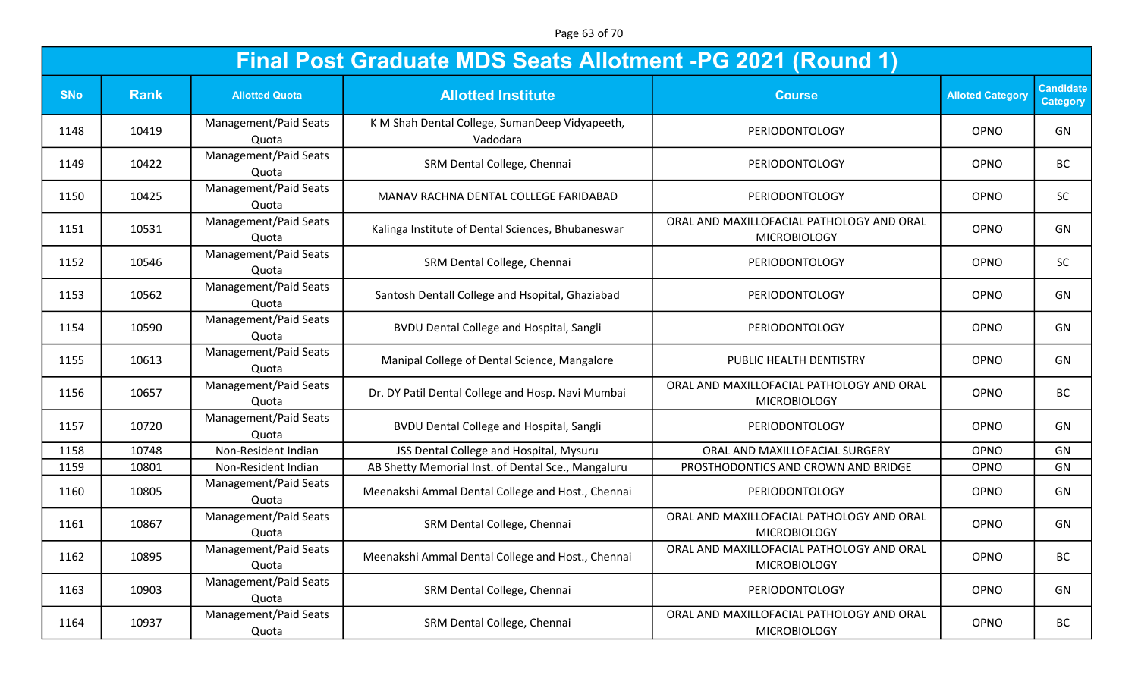Page 63 of 70

|            |             |                                | <b>Final Post Graduate MDS Seats Allotment -PG 2021 (Round 1)</b> |                                                                  |                         |                                     |
|------------|-------------|--------------------------------|-------------------------------------------------------------------|------------------------------------------------------------------|-------------------------|-------------------------------------|
| <b>SNo</b> | <b>Rank</b> | <b>Allotted Quota</b>          | <b>Allotted Institute</b>                                         | <b>Course</b>                                                    | <b>Alloted Category</b> | <b>Candidate</b><br><b>Category</b> |
| 1148       | 10419       | Management/Paid Seats<br>Quota | K M Shah Dental College, SumanDeep Vidyapeeth,<br>Vadodara        | PERIODONTOLOGY                                                   | OPNO                    | GN                                  |
| 1149       | 10422       | Management/Paid Seats<br>Quota | SRM Dental College, Chennai                                       | PERIODONTOLOGY                                                   | OPNO                    | <b>BC</b>                           |
| 1150       | 10425       | Management/Paid Seats<br>Quota | MANAV RACHNA DENTAL COLLEGE FARIDABAD                             | PERIODONTOLOGY                                                   | OPNO                    | SC                                  |
| 1151       | 10531       | Management/Paid Seats<br>Quota | Kalinga Institute of Dental Sciences, Bhubaneswar                 | ORAL AND MAXILLOFACIAL PATHOLOGY AND ORAL<br><b>MICROBIOLOGY</b> | OPNO                    | GN                                  |
| 1152       | 10546       | Management/Paid Seats<br>Quota | SRM Dental College, Chennai                                       | PERIODONTOLOGY                                                   | OPNO                    | <b>SC</b>                           |
| 1153       | 10562       | Management/Paid Seats<br>Quota | Santosh Dentall College and Hsopital, Ghaziabad                   | PERIODONTOLOGY                                                   | OPNO                    | GN                                  |
| 1154       | 10590       | Management/Paid Seats<br>Quota | <b>BVDU Dental College and Hospital, Sangli</b>                   | PERIODONTOLOGY                                                   | OPNO                    | GN                                  |
| 1155       | 10613       | Management/Paid Seats<br>Quota | Manipal College of Dental Science, Mangalore                      | PUBLIC HEALTH DENTISTRY                                          | OPNO                    | GN                                  |
| 1156       | 10657       | Management/Paid Seats<br>Quota | Dr. DY Patil Dental College and Hosp. Navi Mumbai                 | ORAL AND MAXILLOFACIAL PATHOLOGY AND ORAL<br><b>MICROBIOLOGY</b> | OPNO                    | BC                                  |
| 1157       | 10720       | Management/Paid Seats<br>Quota | <b>BVDU Dental College and Hospital, Sangli</b>                   | PERIODONTOLOGY                                                   | OPNO                    | GN                                  |
| 1158       | 10748       | Non-Resident Indian            | JSS Dental College and Hospital, Mysuru                           | ORAL AND MAXILLOFACIAL SURGERY                                   | OPNO                    | GN                                  |
| 1159       | 10801       | Non-Resident Indian            | AB Shetty Memorial Inst. of Dental Sce., Mangaluru                | PROSTHODONTICS AND CROWN AND BRIDGE                              | OPNO                    | GN                                  |
| 1160       | 10805       | Management/Paid Seats<br>Quota | Meenakshi Ammal Dental College and Host., Chennai                 | PERIODONTOLOGY                                                   | OPNO                    | GN                                  |
| 1161       | 10867       | Management/Paid Seats<br>Quota | SRM Dental College, Chennai                                       | ORAL AND MAXILLOFACIAL PATHOLOGY AND ORAL<br><b>MICROBIOLOGY</b> | OPNO                    | GN                                  |
| 1162       | 10895       | Management/Paid Seats<br>Quota | Meenakshi Ammal Dental College and Host., Chennai                 | ORAL AND MAXILLOFACIAL PATHOLOGY AND ORAL<br><b>MICROBIOLOGY</b> | OPNO                    | BC                                  |
| 1163       | 10903       | Management/Paid Seats<br>Quota | SRM Dental College, Chennai                                       | PERIODONTOLOGY                                                   | OPNO                    | GN                                  |
| 1164       | 10937       | Management/Paid Seats<br>Quota | SRM Dental College, Chennai                                       | ORAL AND MAXILLOFACIAL PATHOLOGY AND ORAL<br><b>MICROBIOLOGY</b> | OPNO                    | BC                                  |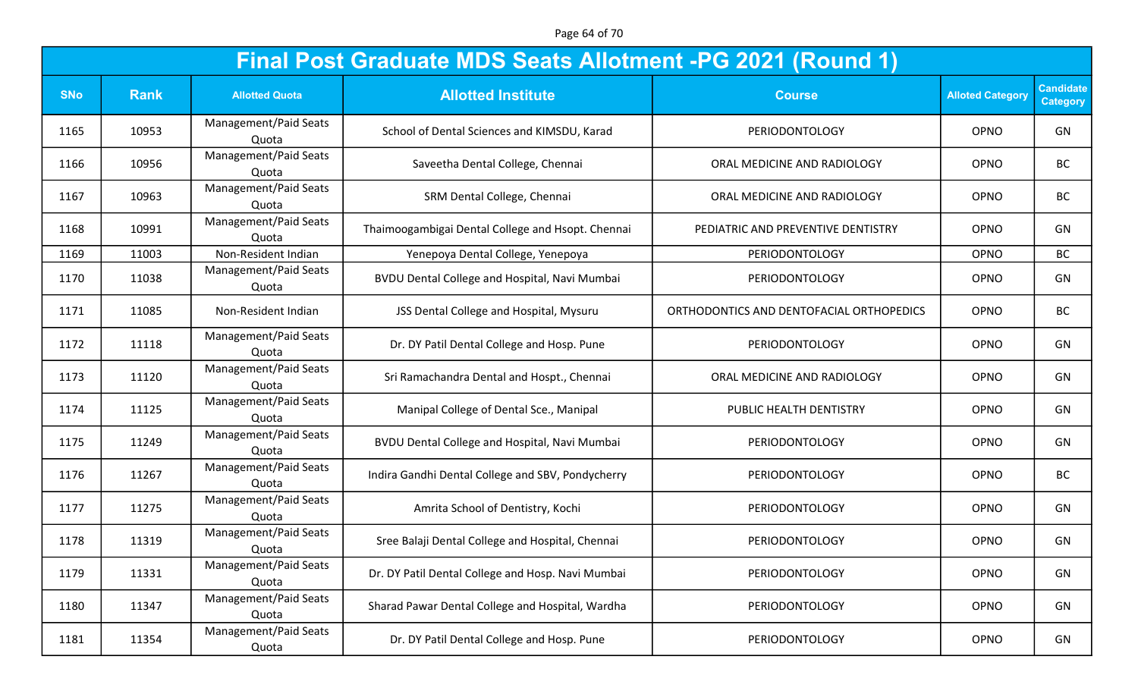Page 64 of 70

|            |             |                                | <b>Final Post Graduate MDS Seats Allotment -PG 2021 (Round 1)</b> |                                          |                         |                                     |
|------------|-------------|--------------------------------|-------------------------------------------------------------------|------------------------------------------|-------------------------|-------------------------------------|
| <b>SNo</b> | <b>Rank</b> | <b>Allotted Quota</b>          | <b>Allotted Institute</b>                                         | <b>Course</b>                            | <b>Alloted Category</b> | <b>Candidate</b><br><b>Category</b> |
| 1165       | 10953       | Management/Paid Seats<br>Quota | School of Dental Sciences and KIMSDU, Karad                       | PERIODONTOLOGY                           | OPNO                    | GN                                  |
| 1166       | 10956       | Management/Paid Seats<br>Quota | Saveetha Dental College, Chennai                                  | ORAL MEDICINE AND RADIOLOGY              | <b>OPNO</b>             | <b>BC</b>                           |
| 1167       | 10963       | Management/Paid Seats<br>Quota | SRM Dental College, Chennai                                       | ORAL MEDICINE AND RADIOLOGY              | OPNO                    | <b>BC</b>                           |
| 1168       | 10991       | Management/Paid Seats<br>Quota | Thaimoogambigai Dental College and Hsopt. Chennai                 | PEDIATRIC AND PREVENTIVE DENTISTRY       | <b>OPNO</b>             | GN                                  |
| 1169       | 11003       | Non-Resident Indian            | Yenepoya Dental College, Yenepoya                                 | PERIODONTOLOGY                           | OPNO                    | <b>BC</b>                           |
| 1170       | 11038       | Management/Paid Seats<br>Quota | BVDU Dental College and Hospital, Navi Mumbai                     | PERIODONTOLOGY                           | OPNO                    | GN                                  |
| 1171       | 11085       | Non-Resident Indian            | JSS Dental College and Hospital, Mysuru                           | ORTHODONTICS AND DENTOFACIAL ORTHOPEDICS | OPNO                    | <b>BC</b>                           |
| 1172       | 11118       | Management/Paid Seats<br>Quota | Dr. DY Patil Dental College and Hosp. Pune                        | PERIODONTOLOGY                           | OPNO                    | GN                                  |
| 1173       | 11120       | Management/Paid Seats<br>Quota | Sri Ramachandra Dental and Hospt., Chennai                        | ORAL MEDICINE AND RADIOLOGY              | OPNO                    | GN                                  |
| 1174       | 11125       | Management/Paid Seats<br>Quota | Manipal College of Dental Sce., Manipal                           | PUBLIC HEALTH DENTISTRY                  | OPNO                    | GN                                  |
| 1175       | 11249       | Management/Paid Seats<br>Quota | BVDU Dental College and Hospital, Navi Mumbai                     | PERIODONTOLOGY                           | OPNO                    | GN                                  |
| 1176       | 11267       | Management/Paid Seats<br>Quota | Indira Gandhi Dental College and SBV, Pondycherry                 | PERIODONTOLOGY                           | OPNO                    | <b>BC</b>                           |
| 1177       | 11275       | Management/Paid Seats<br>Quota | Amrita School of Dentistry, Kochi                                 | PERIODONTOLOGY                           | OPNO                    | GN                                  |
| 1178       | 11319       | Management/Paid Seats<br>Quota | Sree Balaji Dental College and Hospital, Chennai                  | PERIODONTOLOGY                           | OPNO                    | GN                                  |
| 1179       | 11331       | Management/Paid Seats<br>Quota | Dr. DY Patil Dental College and Hosp. Navi Mumbai                 | PERIODONTOLOGY                           | OPNO                    | GN                                  |
| 1180       | 11347       | Management/Paid Seats<br>Quota | Sharad Pawar Dental College and Hospital, Wardha                  | PERIODONTOLOGY                           | OPNO                    | GN                                  |
| 1181       | 11354       | Management/Paid Seats<br>Quota | Dr. DY Patil Dental College and Hosp. Pune                        | PERIODONTOLOGY                           | OPNO                    | GN                                  |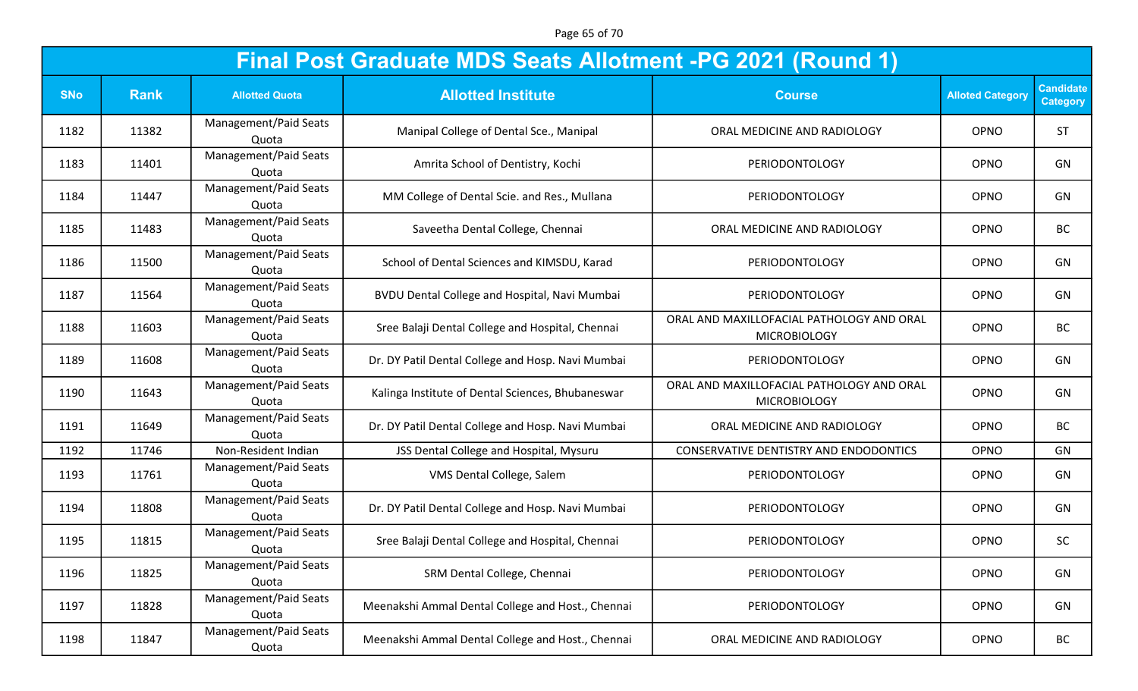Page 65 of 70

|            |             |                                | <b>Final Post Graduate MDS Seats Allotment -PG 2021 (Round 1)</b> |                                                                  |                         |                                     |
|------------|-------------|--------------------------------|-------------------------------------------------------------------|------------------------------------------------------------------|-------------------------|-------------------------------------|
| <b>SNo</b> | <b>Rank</b> | <b>Allotted Quota</b>          | <b>Allotted Institute</b>                                         | <b>Course</b>                                                    | <b>Alloted Category</b> | <b>Candidate</b><br><b>Category</b> |
| 1182       | 11382       | Management/Paid Seats<br>Quota | Manipal College of Dental Sce., Manipal                           | ORAL MEDICINE AND RADIOLOGY                                      | OPNO                    | <b>ST</b>                           |
| 1183       | 11401       | Management/Paid Seats<br>Quota | Amrita School of Dentistry, Kochi                                 | PERIODONTOLOGY                                                   | OPNO                    | GN                                  |
| 1184       | 11447       | Management/Paid Seats<br>Quota | MM College of Dental Scie. and Res., Mullana                      | PERIODONTOLOGY                                                   | OPNO                    | GN                                  |
| 1185       | 11483       | Management/Paid Seats<br>Quota | Saveetha Dental College, Chennai                                  | ORAL MEDICINE AND RADIOLOGY                                      | OPNO                    | <b>BC</b>                           |
| 1186       | 11500       | Management/Paid Seats<br>Quota | School of Dental Sciences and KIMSDU, Karad                       | PERIODONTOLOGY                                                   | <b>OPNO</b>             | GN                                  |
| 1187       | 11564       | Management/Paid Seats<br>Quota | BVDU Dental College and Hospital, Navi Mumbai                     | PERIODONTOLOGY                                                   | OPNO                    | GN                                  |
| 1188       | 11603       | Management/Paid Seats<br>Quota | Sree Balaji Dental College and Hospital, Chennai                  | ORAL AND MAXILLOFACIAL PATHOLOGY AND ORAL<br><b>MICROBIOLOGY</b> | OPNO                    | <b>BC</b>                           |
| 1189       | 11608       | Management/Paid Seats<br>Quota | Dr. DY Patil Dental College and Hosp. Navi Mumbai                 | PERIODONTOLOGY                                                   | OPNO                    | GN                                  |
| 1190       | 11643       | Management/Paid Seats<br>Quota | Kalinga Institute of Dental Sciences, Bhubaneswar                 | ORAL AND MAXILLOFACIAL PATHOLOGY AND ORAL<br><b>MICROBIOLOGY</b> | OPNO                    | GN                                  |
| 1191       | 11649       | Management/Paid Seats<br>Quota | Dr. DY Patil Dental College and Hosp. Navi Mumbai                 | ORAL MEDICINE AND RADIOLOGY                                      | OPNO                    | <b>BC</b>                           |
| 1192       | 11746       | Non-Resident Indian            | JSS Dental College and Hospital, Mysuru                           | CONSERVATIVE DENTISTRY AND ENDODONTICS                           | OPNO                    | GN                                  |
| 1193       | 11761       | Management/Paid Seats<br>Quota | VMS Dental College, Salem                                         | PERIODONTOLOGY                                                   | OPNO                    | GN                                  |
| 1194       | 11808       | Management/Paid Seats<br>Quota | Dr. DY Patil Dental College and Hosp. Navi Mumbai                 | PERIODONTOLOGY                                                   | OPNO                    | GN                                  |
| 1195       | 11815       | Management/Paid Seats<br>Quota | Sree Balaji Dental College and Hospital, Chennai                  | PERIODONTOLOGY                                                   | OPNO                    | <b>SC</b>                           |
| 1196       | 11825       | Management/Paid Seats<br>Quota | SRM Dental College, Chennai                                       | PERIODONTOLOGY                                                   | OPNO                    | GN                                  |
| 1197       | 11828       | Management/Paid Seats<br>Quota | Meenakshi Ammal Dental College and Host., Chennai                 | PERIODONTOLOGY                                                   | OPNO                    | GN                                  |
| 1198       | 11847       | Management/Paid Seats<br>Quota | Meenakshi Ammal Dental College and Host., Chennai                 | ORAL MEDICINE AND RADIOLOGY                                      | OPNO                    | BC                                  |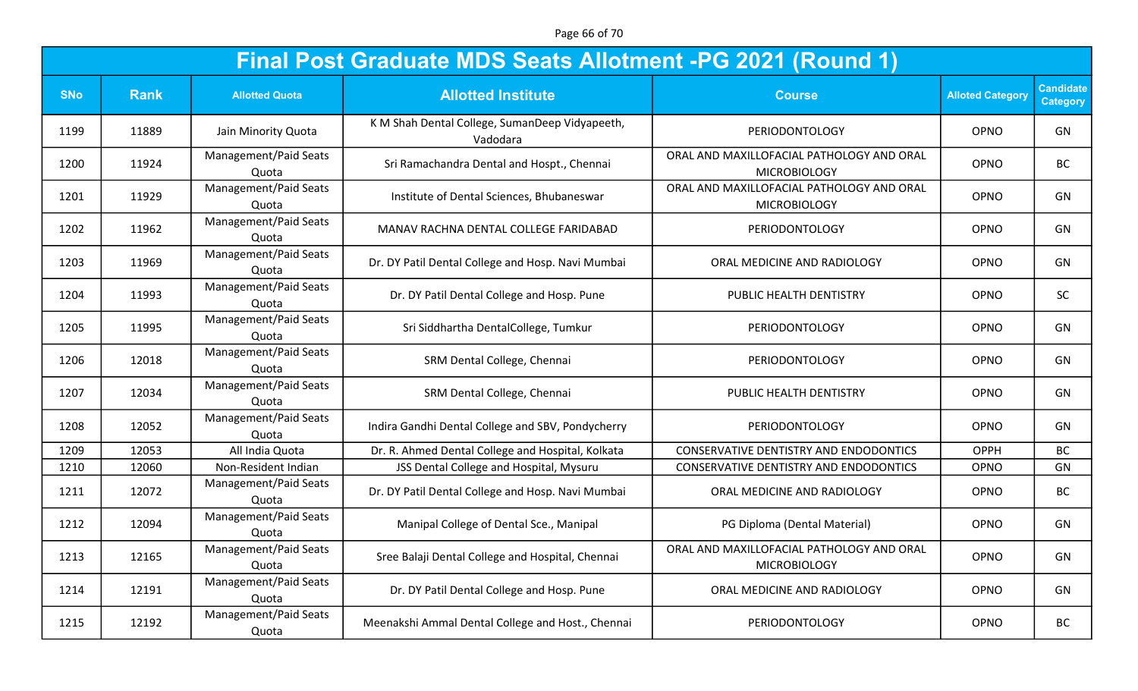Page 66 of 70

|            |             |                                | <b>Final Post Graduate MDS Seats Allotment -PG 2021 (Round 1)</b> |                                                                  |                         |                                     |
|------------|-------------|--------------------------------|-------------------------------------------------------------------|------------------------------------------------------------------|-------------------------|-------------------------------------|
| <b>SNo</b> | <b>Rank</b> | <b>Allotted Quota</b>          | <b>Allotted Institute</b>                                         | <b>Course</b>                                                    | <b>Alloted Category</b> | <b>Candidate</b><br><b>Category</b> |
| 1199       | 11889       | Jain Minority Quota            | K M Shah Dental College, SumanDeep Vidyapeeth,<br>Vadodara        | PERIODONTOLOGY                                                   | OPNO                    | GN                                  |
| 1200       | 11924       | Management/Paid Seats<br>Quota | Sri Ramachandra Dental and Hospt., Chennai                        | ORAL AND MAXILLOFACIAL PATHOLOGY AND ORAL<br><b>MICROBIOLOGY</b> | OPNO                    | <b>BC</b>                           |
| 1201       | 11929       | Management/Paid Seats<br>Quota | Institute of Dental Sciences, Bhubaneswar                         | ORAL AND MAXILLOFACIAL PATHOLOGY AND ORAL<br><b>MICROBIOLOGY</b> | OPNO                    | GN                                  |
| 1202       | 11962       | Management/Paid Seats<br>Quota | MANAV RACHNA DENTAL COLLEGE FARIDABAD                             | PERIODONTOLOGY                                                   | OPNO                    | GN                                  |
| 1203       | 11969       | Management/Paid Seats<br>Quota | Dr. DY Patil Dental College and Hosp. Navi Mumbai                 | ORAL MEDICINE AND RADIOLOGY                                      | OPNO                    | GN                                  |
| 1204       | 11993       | Management/Paid Seats<br>Quota | Dr. DY Patil Dental College and Hosp. Pune                        | PUBLIC HEALTH DENTISTRY                                          | OPNO                    | <b>SC</b>                           |
| 1205       | 11995       | Management/Paid Seats<br>Quota | Sri Siddhartha DentalCollege, Tumkur                              | PERIODONTOLOGY                                                   | OPNO                    | GN                                  |
| 1206       | 12018       | Management/Paid Seats<br>Quota | SRM Dental College, Chennai                                       | PERIODONTOLOGY                                                   | OPNO                    | GN                                  |
| 1207       | 12034       | Management/Paid Seats<br>Quota | SRM Dental College, Chennai                                       | PUBLIC HEALTH DENTISTRY                                          | OPNO                    | GN                                  |
| 1208       | 12052       | Management/Paid Seats<br>Quota | Indira Gandhi Dental College and SBV, Pondycherry                 | PERIODONTOLOGY                                                   | OPNO                    | GN                                  |
| 1209       | 12053       | All India Quota                | Dr. R. Ahmed Dental College and Hospital, Kolkata                 | CONSERVATIVE DENTISTRY AND ENDODONTICS                           | <b>OPPH</b>             | BC                                  |
| 1210       | 12060       | Non-Resident Indian            | JSS Dental College and Hospital, Mysuru                           | CONSERVATIVE DENTISTRY AND ENDODONTICS                           | OPNO                    | GN                                  |
| 1211       | 12072       | Management/Paid Seats<br>Quota | Dr. DY Patil Dental College and Hosp. Navi Mumbai                 | ORAL MEDICINE AND RADIOLOGY                                      | <b>OPNO</b>             | <b>BC</b>                           |
| 1212       | 12094       | Management/Paid Seats<br>Quota | Manipal College of Dental Sce., Manipal                           | PG Diploma (Dental Material)                                     | OPNO                    | GN                                  |
| 1213       | 12165       | Management/Paid Seats<br>Quota | Sree Balaji Dental College and Hospital, Chennai                  | ORAL AND MAXILLOFACIAL PATHOLOGY AND ORAL<br><b>MICROBIOLOGY</b> | OPNO                    | GN                                  |
| 1214       | 12191       | Management/Paid Seats<br>Quota | Dr. DY Patil Dental College and Hosp. Pune                        | ORAL MEDICINE AND RADIOLOGY                                      | OPNO                    | GN                                  |
| 1215       | 12192       | Management/Paid Seats<br>Quota | Meenakshi Ammal Dental College and Host., Chennai                 | <b>PERIODONTOLOGY</b>                                            | OPNO                    | BC                                  |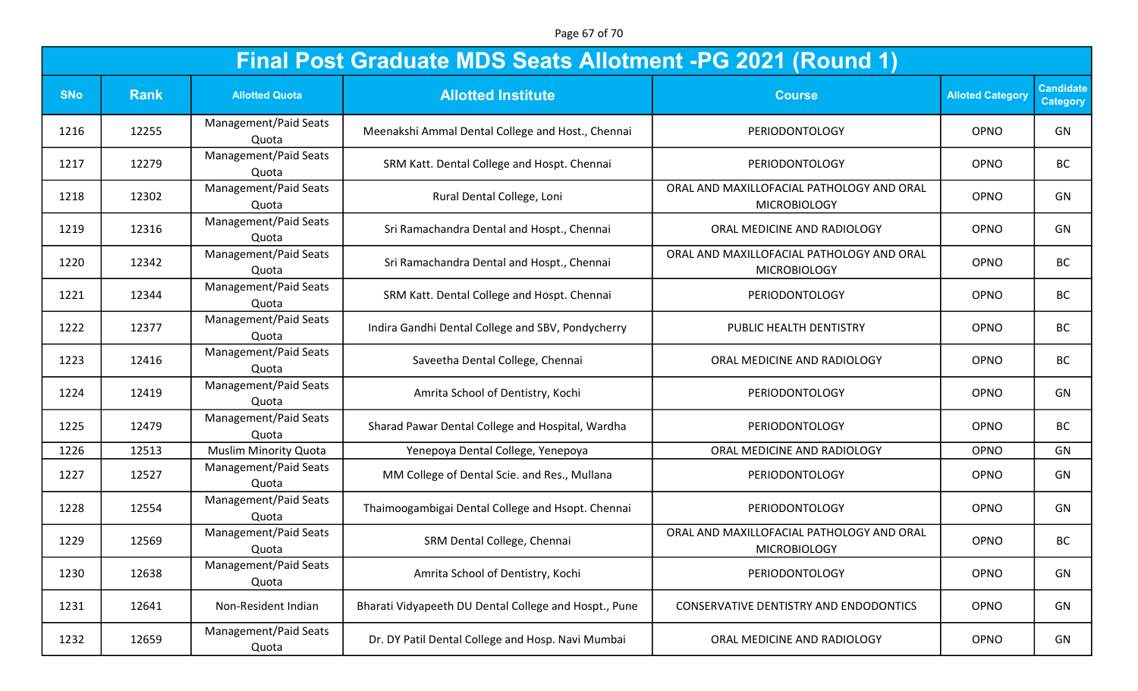Page 67 of 70

|            |             |                                | <b>Final Post Graduate MDS Seats Allotment -PG 2021 (Round 1)</b> |                                                                  |                         |                                     |
|------------|-------------|--------------------------------|-------------------------------------------------------------------|------------------------------------------------------------------|-------------------------|-------------------------------------|
| <b>SNo</b> | <b>Rank</b> | <b>Allotted Quota</b>          | <b>Allotted Institute</b>                                         | <b>Course</b>                                                    | <b>Alloted Category</b> | <b>Candidate</b><br><b>Category</b> |
| 1216       | 12255       | Management/Paid Seats<br>Quota | Meenakshi Ammal Dental College and Host., Chennai                 | PERIODONTOLOGY                                                   | OPNO                    | GN                                  |
| 1217       | 12279       | Management/Paid Seats<br>Quota | SRM Katt. Dental College and Hospt. Chennai                       | PERIODONTOLOGY                                                   | OPNO                    | <b>BC</b>                           |
| 1218       | 12302       | Management/Paid Seats<br>Quota | Rural Dental College, Loni                                        | ORAL AND MAXILLOFACIAL PATHOLOGY AND ORAL<br><b>MICROBIOLOGY</b> | OPNO                    | GN                                  |
| 1219       | 12316       | Management/Paid Seats<br>Quota | Sri Ramachandra Dental and Hospt., Chennai                        | ORAL MEDICINE AND RADIOLOGY                                      | OPNO                    | GN                                  |
| 1220       | 12342       | Management/Paid Seats<br>Quota | Sri Ramachandra Dental and Hospt., Chennai                        | ORAL AND MAXILLOFACIAL PATHOLOGY AND ORAL<br><b>MICROBIOLOGY</b> | OPNO                    | BC                                  |
| 1221       | 12344       | Management/Paid Seats<br>Quota | SRM Katt. Dental College and Hospt. Chennai                       | PERIODONTOLOGY                                                   | OPNO                    | <b>BC</b>                           |
| 1222       | 12377       | Management/Paid Seats<br>Quota | Indira Gandhi Dental College and SBV, Pondycherry                 | PUBLIC HEALTH DENTISTRY                                          | OPNO                    | <b>BC</b>                           |
| 1223       | 12416       | Management/Paid Seats<br>Quota | Saveetha Dental College, Chennai                                  | ORAL MEDICINE AND RADIOLOGY                                      | OPNO                    | <b>BC</b>                           |
| 1224       | 12419       | Management/Paid Seats<br>Quota | Amrita School of Dentistry, Kochi                                 | PERIODONTOLOGY                                                   | OPNO                    | GN                                  |
| 1225       | 12479       | Management/Paid Seats<br>Quota | Sharad Pawar Dental College and Hospital, Wardha                  | PERIODONTOLOGY                                                   | OPNO                    | <b>BC</b>                           |
| 1226       | 12513       | <b>Muslim Minority Quota</b>   | Yenepoya Dental College, Yenepoya                                 | ORAL MEDICINE AND RADIOLOGY                                      | OPNO                    | GN                                  |
| 1227       | 12527       | Management/Paid Seats<br>Quota | MM College of Dental Scie. and Res., Mullana                      | PERIODONTOLOGY                                                   | OPNO                    | GN                                  |
| 1228       | 12554       | Management/Paid Seats<br>Quota | Thaimoogambigai Dental College and Hsopt. Chennai                 | PERIODONTOLOGY                                                   | OPNO                    | GN                                  |
| 1229       | 12569       | Management/Paid Seats<br>Quota | SRM Dental College, Chennai                                       | ORAL AND MAXILLOFACIAL PATHOLOGY AND ORAL<br><b>MICROBIOLOGY</b> | OPNO                    | <b>BC</b>                           |
| 1230       | 12638       | Management/Paid Seats<br>Quota | Amrita School of Dentistry, Kochi                                 | PERIODONTOLOGY                                                   | OPNO                    | GN                                  |
| 1231       | 12641       | Non-Resident Indian            | Bharati Vidyapeeth DU Dental College and Hospt., Pune             | CONSERVATIVE DENTISTRY AND ENDODONTICS                           | OPNO                    | GN                                  |
| 1232       | 12659       | Management/Paid Seats<br>Quota | Dr. DY Patil Dental College and Hosp. Navi Mumbai                 | ORAL MEDICINE AND RADIOLOGY                                      | OPNO                    | GN                                  |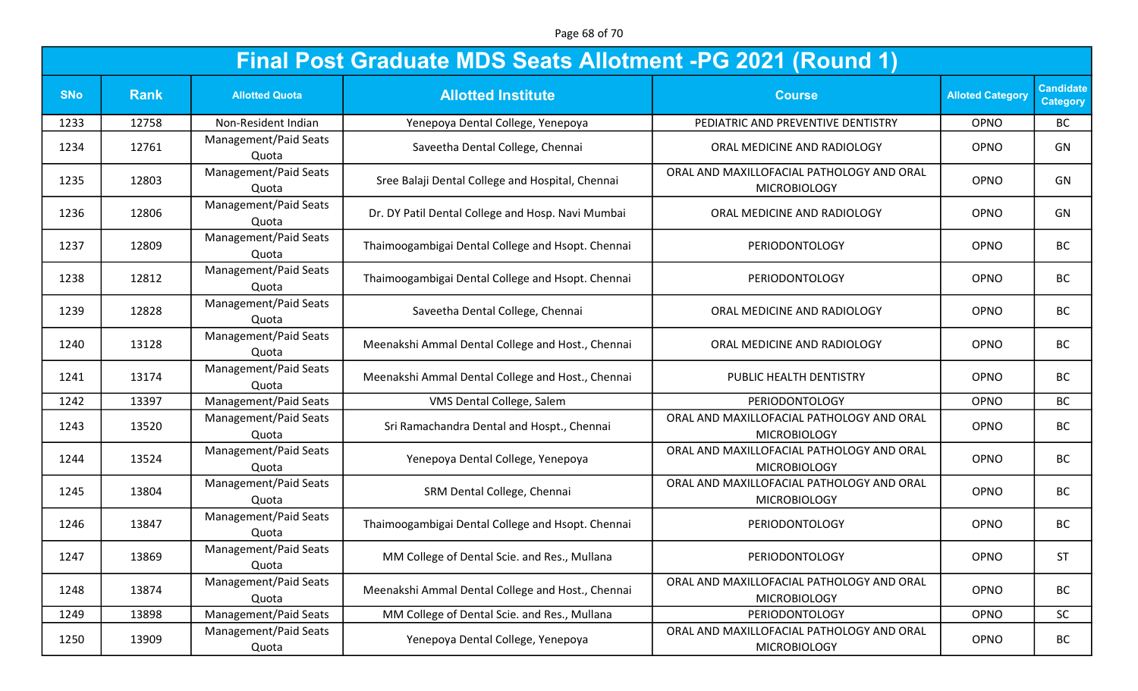Page 68 of 70

|            |             |                                | <b>Final Post Graduate MDS Seats Allotment -PG 2021 (Round 1)</b> |                                                                  |                         |                                     |
|------------|-------------|--------------------------------|-------------------------------------------------------------------|------------------------------------------------------------------|-------------------------|-------------------------------------|
| <b>SNo</b> | <b>Rank</b> | <b>Allotted Quota</b>          | <b>Allotted Institute</b>                                         | <b>Course</b>                                                    | <b>Alloted Category</b> | <b>Candidate</b><br><b>Category</b> |
| 1233       | 12758       | Non-Resident Indian            | Yenepoya Dental College, Yenepoya                                 | PEDIATRIC AND PREVENTIVE DENTISTRY                               | OPNO                    | <b>BC</b>                           |
| 1234       | 12761       | Management/Paid Seats<br>Quota | Saveetha Dental College, Chennai                                  | ORAL MEDICINE AND RADIOLOGY                                      | OPNO                    | GN                                  |
| 1235       | 12803       | Management/Paid Seats<br>Quota | Sree Balaji Dental College and Hospital, Chennai                  | ORAL AND MAXILLOFACIAL PATHOLOGY AND ORAL<br><b>MICROBIOLOGY</b> | OPNO                    | GN                                  |
| 1236       | 12806       | Management/Paid Seats<br>Quota | Dr. DY Patil Dental College and Hosp. Navi Mumbai                 | ORAL MEDICINE AND RADIOLOGY                                      | OPNO                    | GN                                  |
| 1237       | 12809       | Management/Paid Seats<br>Quota | Thaimoogambigai Dental College and Hsopt. Chennai                 | PERIODONTOLOGY                                                   | OPNO                    | <b>BC</b>                           |
| 1238       | 12812       | Management/Paid Seats<br>Quota | Thaimoogambigai Dental College and Hsopt. Chennai                 | PERIODONTOLOGY                                                   | OPNO                    | <b>BC</b>                           |
| 1239       | 12828       | Management/Paid Seats<br>Quota | Saveetha Dental College, Chennai                                  | ORAL MEDICINE AND RADIOLOGY                                      | OPNO                    | <b>BC</b>                           |
| 1240       | 13128       | Management/Paid Seats<br>Quota | Meenakshi Ammal Dental College and Host., Chennai                 | ORAL MEDICINE AND RADIOLOGY                                      | OPNO                    | <b>BC</b>                           |
| 1241       | 13174       | Management/Paid Seats<br>Quota | Meenakshi Ammal Dental College and Host., Chennai                 | PUBLIC HEALTH DENTISTRY                                          | OPNO                    | <b>BC</b>                           |
| 1242       | 13397       | Management/Paid Seats          | VMS Dental College, Salem                                         | PERIODONTOLOGY                                                   | OPNO                    | <b>BC</b>                           |
| 1243       | 13520       | Management/Paid Seats<br>Quota | Sri Ramachandra Dental and Hospt., Chennai                        | ORAL AND MAXILLOFACIAL PATHOLOGY AND ORAL<br><b>MICROBIOLOGY</b> | OPNO                    | <b>BC</b>                           |
| 1244       | 13524       | Management/Paid Seats<br>Quota | Yenepoya Dental College, Yenepoya                                 | ORAL AND MAXILLOFACIAL PATHOLOGY AND ORAL<br><b>MICROBIOLOGY</b> | OPNO                    | <b>BC</b>                           |
| 1245       | 13804       | Management/Paid Seats<br>Quota | SRM Dental College, Chennai                                       | ORAL AND MAXILLOFACIAL PATHOLOGY AND ORAL<br><b>MICROBIOLOGY</b> | OPNO                    | BC                                  |
| 1246       | 13847       | Management/Paid Seats<br>Quota | Thaimoogambigai Dental College and Hsopt. Chennai                 | PERIODONTOLOGY                                                   | OPNO                    | <b>BC</b>                           |
| 1247       | 13869       | Management/Paid Seats<br>Quota | MM College of Dental Scie. and Res., Mullana                      | PERIODONTOLOGY                                                   | OPNO                    | <b>ST</b>                           |
| 1248       | 13874       | Management/Paid Seats<br>Quota | Meenakshi Ammal Dental College and Host., Chennai                 | ORAL AND MAXILLOFACIAL PATHOLOGY AND ORAL<br><b>MICROBIOLOGY</b> | OPNO                    | BC                                  |
| 1249       | 13898       | Management/Paid Seats          | MM College of Dental Scie. and Res., Mullana                      | PERIODONTOLOGY                                                   | OPNO                    | SC                                  |
| 1250       | 13909       | Management/Paid Seats<br>Quota | Yenepoya Dental College, Yenepoya                                 | ORAL AND MAXILLOFACIAL PATHOLOGY AND ORAL<br><b>MICROBIOLOGY</b> | OPNO                    | BC                                  |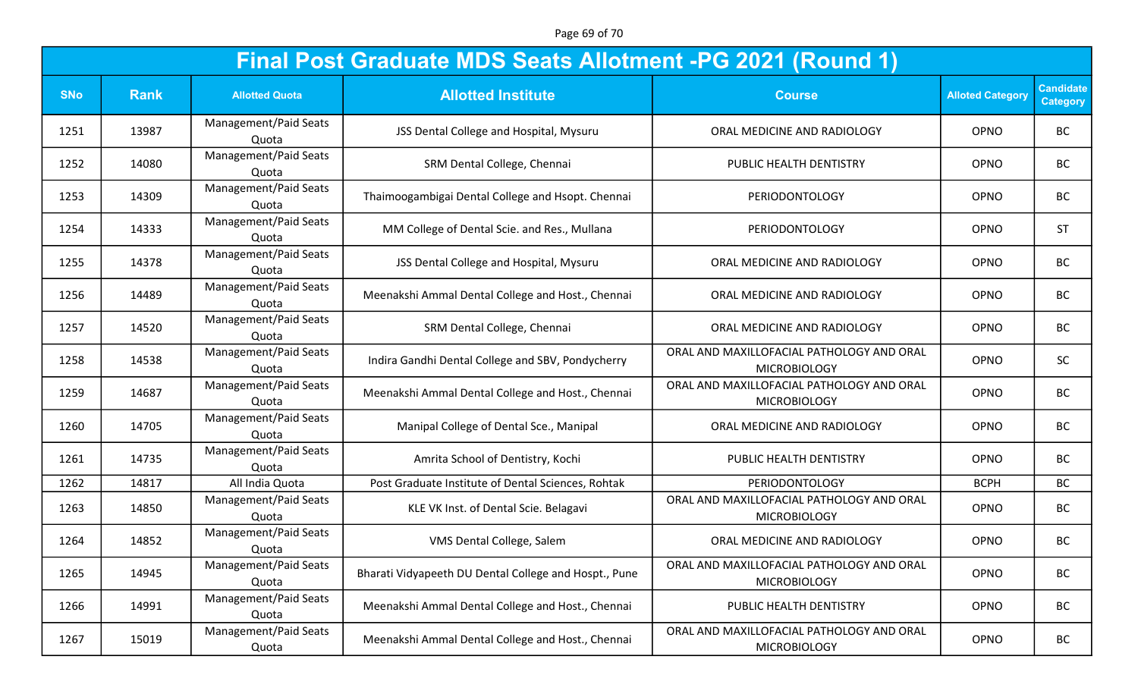Page 69 of 70

|            |             |                                | <b>Final Post Graduate MDS Seats Allotment -PG 2021 (Round 1)</b> |                                                                  |                         |                                     |
|------------|-------------|--------------------------------|-------------------------------------------------------------------|------------------------------------------------------------------|-------------------------|-------------------------------------|
| <b>SNo</b> | <b>Rank</b> | <b>Allotted Quota</b>          | <b>Allotted Institute</b>                                         | <b>Course</b>                                                    | <b>Alloted Category</b> | <b>Candidate</b><br><b>Category</b> |
| 1251       | 13987       | Management/Paid Seats<br>Quota | JSS Dental College and Hospital, Mysuru                           | ORAL MEDICINE AND RADIOLOGY                                      | OPNO                    | <b>BC</b>                           |
| 1252       | 14080       | Management/Paid Seats<br>Quota | SRM Dental College, Chennai                                       | PUBLIC HEALTH DENTISTRY                                          | OPNO                    | <b>BC</b>                           |
| 1253       | 14309       | Management/Paid Seats<br>Quota | Thaimoogambigai Dental College and Hsopt. Chennai                 | PERIODONTOLOGY                                                   | OPNO                    | <b>BC</b>                           |
| 1254       | 14333       | Management/Paid Seats<br>Quota | MM College of Dental Scie. and Res., Mullana                      | PERIODONTOLOGY                                                   | OPNO                    | <b>ST</b>                           |
| 1255       | 14378       | Management/Paid Seats<br>Quota | JSS Dental College and Hospital, Mysuru                           | ORAL MEDICINE AND RADIOLOGY                                      | OPNO                    | <b>BC</b>                           |
| 1256       | 14489       | Management/Paid Seats<br>Quota | Meenakshi Ammal Dental College and Host., Chennai                 | ORAL MEDICINE AND RADIOLOGY                                      | OPNO                    | <b>BC</b>                           |
| 1257       | 14520       | Management/Paid Seats<br>Quota | SRM Dental College, Chennai                                       | ORAL MEDICINE AND RADIOLOGY                                      | OPNO                    | <b>BC</b>                           |
| 1258       | 14538       | Management/Paid Seats<br>Quota | Indira Gandhi Dental College and SBV, Pondycherry                 | ORAL AND MAXILLOFACIAL PATHOLOGY AND ORAL<br><b>MICROBIOLOGY</b> | OPNO                    | <b>SC</b>                           |
| 1259       | 14687       | Management/Paid Seats<br>Quota | Meenakshi Ammal Dental College and Host., Chennai                 | ORAL AND MAXILLOFACIAL PATHOLOGY AND ORAL<br><b>MICROBIOLOGY</b> | OPNO                    | BC                                  |
| 1260       | 14705       | Management/Paid Seats<br>Quota | Manipal College of Dental Sce., Manipal                           | ORAL MEDICINE AND RADIOLOGY                                      | OPNO                    | <b>BC</b>                           |
| 1261       | 14735       | Management/Paid Seats<br>Quota | Amrita School of Dentistry, Kochi                                 | PUBLIC HEALTH DENTISTRY                                          | OPNO                    | <b>BC</b>                           |
| 1262       | 14817       | All India Quota                | Post Graduate Institute of Dental Sciences, Rohtak                | PERIODONTOLOGY                                                   | <b>BCPH</b>             | <b>BC</b>                           |
| 1263       | 14850       | Management/Paid Seats<br>Quota | KLE VK Inst. of Dental Scie. Belagavi                             | ORAL AND MAXILLOFACIAL PATHOLOGY AND ORAL<br><b>MICROBIOLOGY</b> | OPNO                    | BC                                  |
| 1264       | 14852       | Management/Paid Seats<br>Quota | VMS Dental College, Salem                                         | ORAL MEDICINE AND RADIOLOGY                                      | OPNO                    | <b>BC</b>                           |
| 1265       | 14945       | Management/Paid Seats<br>Quota | Bharati Vidyapeeth DU Dental College and Hospt., Pune             | ORAL AND MAXILLOFACIAL PATHOLOGY AND ORAL<br><b>MICROBIOLOGY</b> | OPNO                    | BC                                  |
| 1266       | 14991       | Management/Paid Seats<br>Quota | Meenakshi Ammal Dental College and Host., Chennai                 | PUBLIC HEALTH DENTISTRY                                          | OPNO                    | BC                                  |
| 1267       | 15019       | Management/Paid Seats<br>Quota | Meenakshi Ammal Dental College and Host., Chennai                 | ORAL AND MAXILLOFACIAL PATHOLOGY AND ORAL<br><b>MICROBIOLOGY</b> | OPNO                    | <b>BC</b>                           |